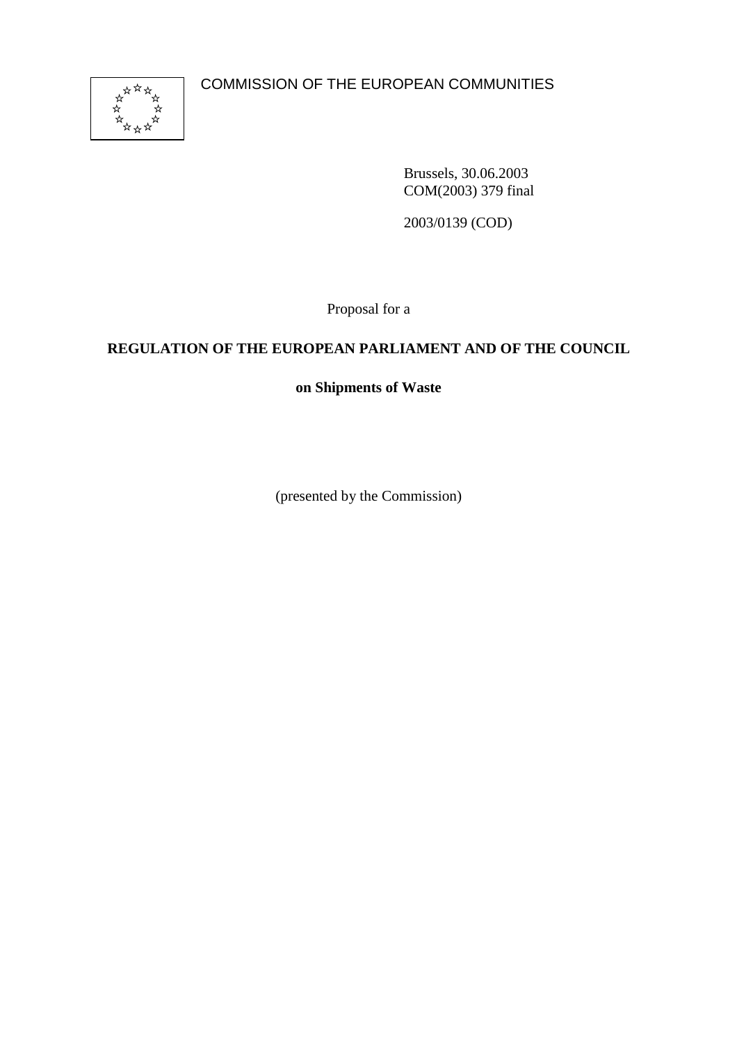COMMISSION OF THE EUROPEAN COMMUNITIES



Brussels, 30.06.2003 COM(2003) 379 final

2003/0139 (COD)

Proposal for a

# **REGULATION OF THE EUROPEAN PARLIAMENT AND OF THE COUNCIL**

# **on Shipments of Waste**

(presented by the Commission)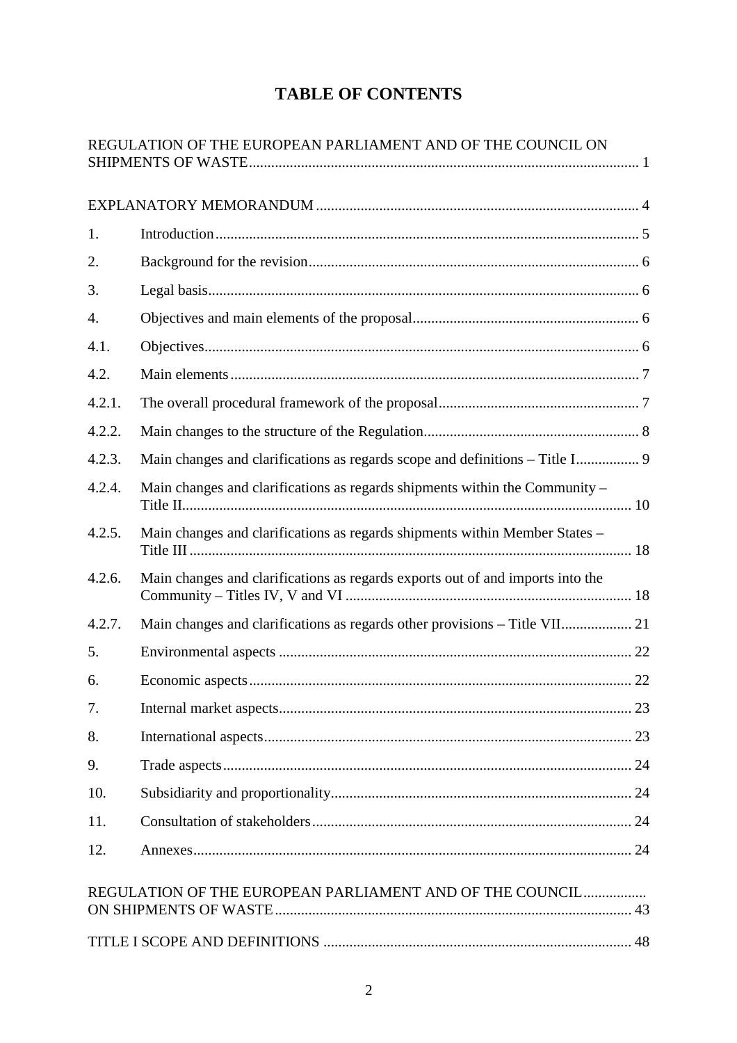# **TABLE OF CONTENTS**

|        | REGULATION OF THE EUROPEAN PARLIAMENT AND OF THE COUNCIL ON                    |    |
|--------|--------------------------------------------------------------------------------|----|
|        |                                                                                |    |
| 1.     |                                                                                |    |
| 2.     |                                                                                |    |
| 3.     |                                                                                |    |
| 4.     |                                                                                |    |
| 4.1.   |                                                                                |    |
| 4.2.   |                                                                                |    |
| 4.2.1. |                                                                                |    |
| 4.2.2. |                                                                                |    |
| 4.2.3. | Main changes and clarifications as regards scope and definitions - Title I 9   |    |
| 4.2.4. | Main changes and clarifications as regards shipments within the Community -    |    |
| 4.2.5. | Main changes and clarifications as regards shipments within Member States -    |    |
| 4.2.6. | Main changes and clarifications as regards exports out of and imports into the |    |
| 4.2.7. |                                                                                |    |
| 5.     |                                                                                |    |
| 6.     |                                                                                |    |
| 7.     |                                                                                |    |
| 8.     |                                                                                |    |
| 9.     |                                                                                |    |
| 10.    |                                                                                |    |
| 11.    |                                                                                |    |
| 12.    |                                                                                |    |
|        | REGULATION OF THE EUROPEAN PARLIAMENT AND OF THE COUNCIL                       |    |
|        | TITLE I SCOPE AND DEFINITIONS                                                  | 48 |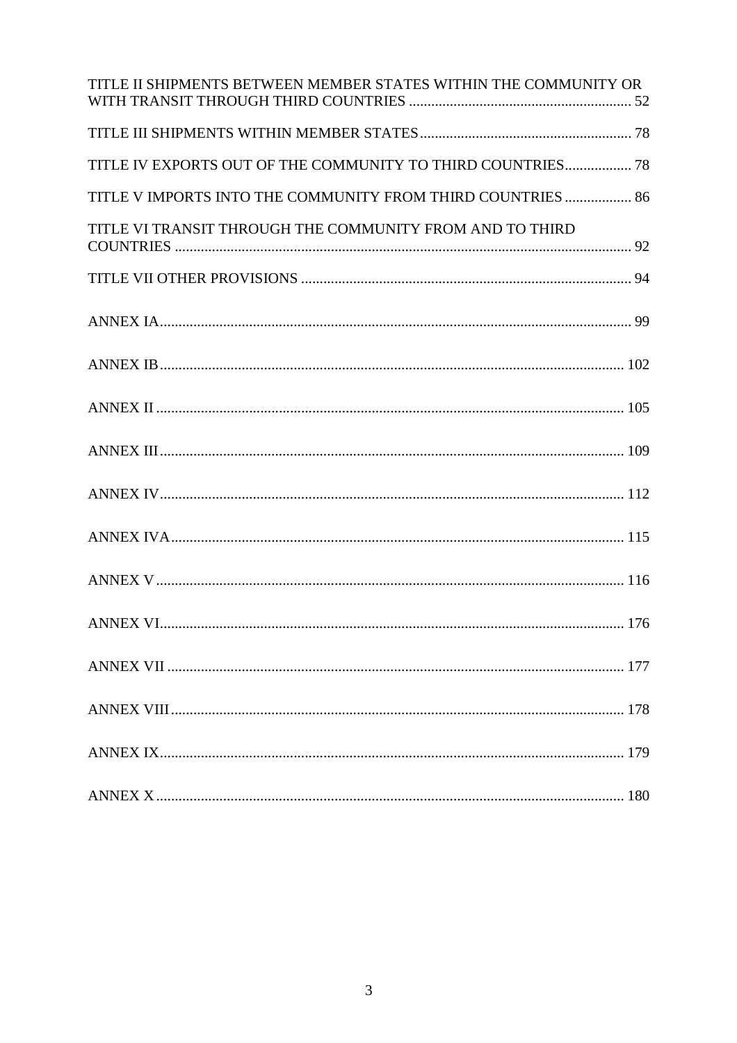| TITLE II SHIPMENTS BETWEEN MEMBER STATES WITHIN THE COMMUNITY OR |
|------------------------------------------------------------------|
|                                                                  |
| TITLE IV EXPORTS OUT OF THE COMMUNITY TO THIRD COUNTRIES 78      |
| TITLE V IMPORTS INTO THE COMMUNITY FROM THIRD COUNTRIES  86      |
| TITLE VI TRANSIT THROUGH THE COMMUNITY FROM AND TO THIRD         |
|                                                                  |
|                                                                  |
|                                                                  |
|                                                                  |
|                                                                  |
|                                                                  |
|                                                                  |
|                                                                  |
|                                                                  |
|                                                                  |
|                                                                  |
|                                                                  |
|                                                                  |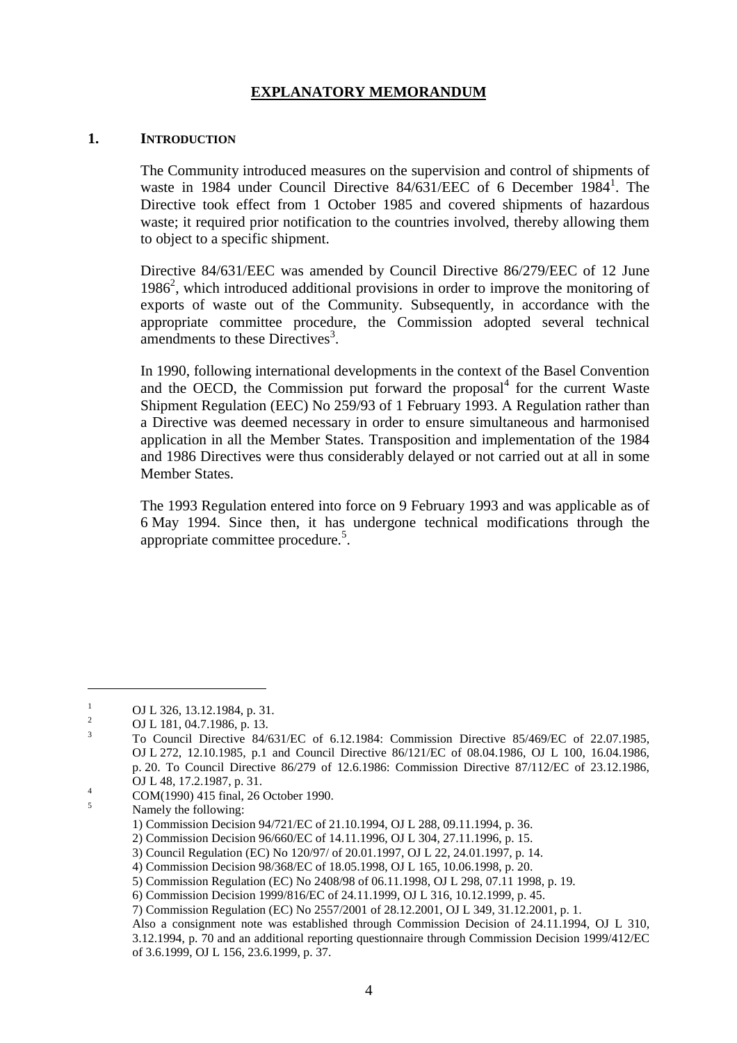# **EXPLANATORY MEMORANDUM**

#### **1. INTRODUCTION**

The Community introduced measures on the supervision and control of shipments of waste in 1984 under Council Directive 84/631/EEC of 6 December 1984<sup>1</sup>. The Directive took effect from 1 October 1985 and covered shipments of hazardous waste; it required prior notification to the countries involved, thereby allowing them to object to a specific shipment.

Directive 84/631/EEC was amended by Council Directive 86/279/EEC of 12 June 1986<sup>2</sup>, which introduced additional provisions in order to improve the monitoring of exports of waste out of the Community. Subsequently, in accordance with the appropriate committee procedure, the Commission adopted several technical amendments to these Directives<sup>3</sup>.

In 1990, following international developments in the context of the Basel Convention and the OECD, the Commission put forward the proposal $4$  for the current Waste Shipment Regulation (EEC) No 259/93 of 1 February 1993. A Regulation rather than a Directive was deemed necessary in order to ensure simultaneous and harmonised application in all the Member States. Transposition and implementation of the 1984 and 1986 Directives were thus considerably delayed or not carried out at all in some Member States.

The 1993 Regulation entered into force on 9 February 1993 and was applicable as of 6 May 1994. Since then, it has undergone technical modifications through the appropriate committee procedure.<sup>5</sup>.

<sup>1</sup> OJ L 326, 13.12.1984, p. 31.<br><sup>2</sup> OJ L 181, 04.7.1986, p. 13.<br><sup>3</sup> To Council Directive 84/631/EC of 6.12.1984: Commission Directive 85/469/EC of 22.07.1985, OJ L 272, 12.10.1985, p.1 and Council Directive 86/121/EC of 08.04.1986, OJ L 100, 16.04.1986, p. 20. To Council Directive 86/279 of 12.6.1986: Commission Directive 87/112/EC of 23.12.1986,

OJ L 48, 17.2.1987, p. 31.<br>
COM(1990) 415 final, 26 October 1990.<br>
Namely the following:

<sup>1)</sup> Commission Decision 94/721/EC of 21.10.1994, OJ L 288, 09.11.1994, p. 36.

<sup>2)</sup> Commission Decision 96/660/EC of 14.11.1996, OJ L 304, 27.11.1996, p. 15.

<sup>3)</sup> Council Regulation (EC) No 120/97/ of 20.01.1997, OJ L 22, 24.01.1997, p. 14.

<sup>4)</sup> Commission Decision 98/368/EC of 18.05.1998, OJ L 165, 10.06.1998, p. 20.

<sup>5)</sup> Commission Regulation (EC) No 2408/98 of 06.11.1998, OJ L 298, 07.11 1998, p. 19.

<sup>6)</sup> Commission Decision 1999/816/EC of 24.11.1999, OJ L 316, 10.12.1999, p. 45.

<sup>7)</sup> Commission Regulation (EC) No 2557/2001 of 28.12.2001, OJ L 349, 31.12.2001, p. 1.

Also a consignment note was established through Commission Decision of 24.11.1994, OJ L 310, 3.12.1994, p. 70 and an additional reporting questionnaire through Commission Decision 1999/412/EC of 3.6.1999, OJ L 156, 23.6.1999, p. 37.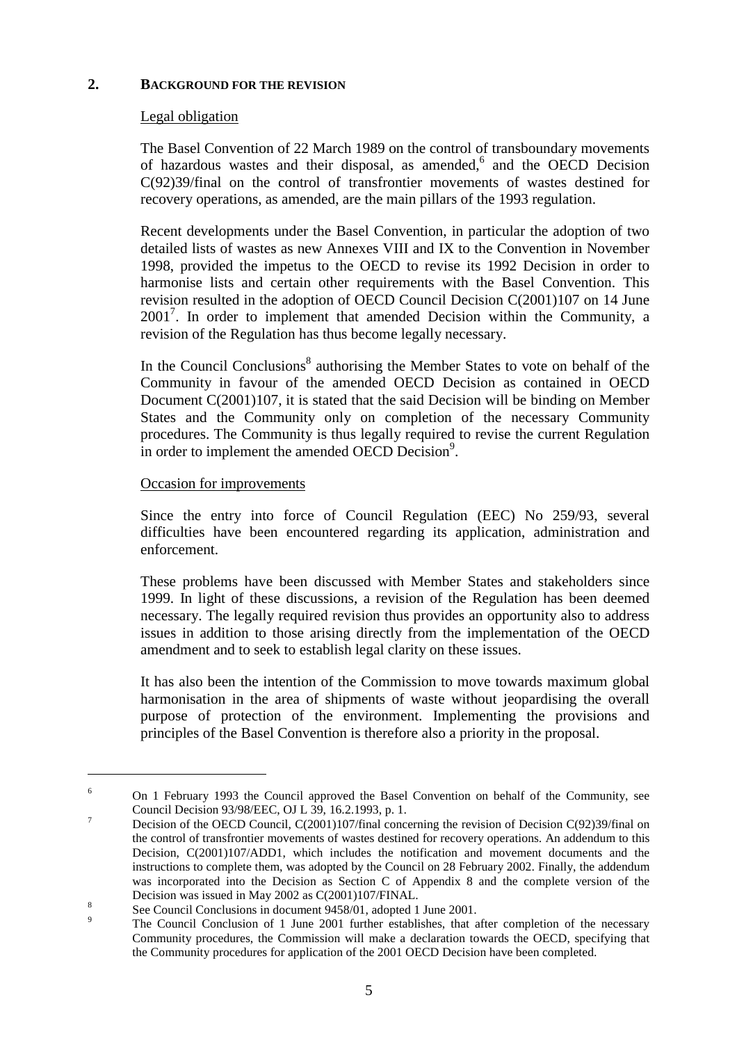# **2. BACKGROUND FOR THE REVISION**

# Legal obligation

The Basel Convention of 22 March 1989 on the control of transboundary movements of hazardous wastes and their disposal, as amended,<sup>6</sup> and the OECD Decision C(92)39/final on the control of transfrontier movements of wastes destined for recovery operations, as amended, are the main pillars of the 1993 regulation.

Recent developments under the Basel Convention, in particular the adoption of two detailed lists of wastes as new Annexes VIII and IX to the Convention in November 1998, provided the impetus to the OECD to revise its 1992 Decision in order to harmonise lists and certain other requirements with the Basel Convention. This revision resulted in the adoption of OECD Council Decision C(2001)107 on 14 June 2001<sup>7</sup>. In order to implement that amended Decision within the Community, a revision of the Regulation has thus become legally necessary.

In the Council Conclusions<sup>8</sup> authorising the Member States to vote on behalf of the Community in favour of the amended OECD Decision as contained in OECD Document C(2001)107, it is stated that the said Decision will be binding on Member States and the Community only on completion of the necessary Community procedures. The Community is thus legally required to revise the current Regulation in order to implement the amended OECD Decision<sup>9</sup>.

### Occasion for improvements

 $\overline{a}$ 

Since the entry into force of Council Regulation (EEC) No 259/93, several difficulties have been encountered regarding its application, administration and enforcement.

These problems have been discussed with Member States and stakeholders since 1999. In light of these discussions, a revision of the Regulation has been deemed necessary. The legally required revision thus provides an opportunity also to address issues in addition to those arising directly from the implementation of the OECD amendment and to seek to establish legal clarity on these issues.

It has also been the intention of the Commission to move towards maximum global harmonisation in the area of shipments of waste without jeopardising the overall purpose of protection of the environment. Implementing the provisions and principles of the Basel Convention is therefore also a priority in the proposal.

<sup>&</sup>lt;sup>6</sup> On 1 February 1993 the Council approved the Basel Convention on behalf of the Community, see Council Decision 93/98/EEC, OJ L 39, 16.2.1993, p. 1.<br>Decision of the OECD Council, C(2001)107/final concerning the revision of Decision C(92)39/final on

the control of transfrontier movements of wastes destined for recovery operations. An addendum to this Decision, C(2001)107/ADD1, which includes the notification and movement documents and the instructions to complete them, was adopted by the Council on 28 February 2002. Finally, the addendum was incorporated into the Decision as Section C of Appendix 8 and the complete version of the Decision was issued in May 2002 as C(2001)107/FINAL.<br>
<sup>8</sup> See Council Conclusions in document 9458/01, adopted 1 June 2001.<br>
<sup>9</sup> The Council Conclusion of 1 June 2001 further establishes, that after completion of the neces

Community procedures, the Commission will make a declaration towards the OECD, specifying that the Community procedures for application of the 2001 OECD Decision have been completed.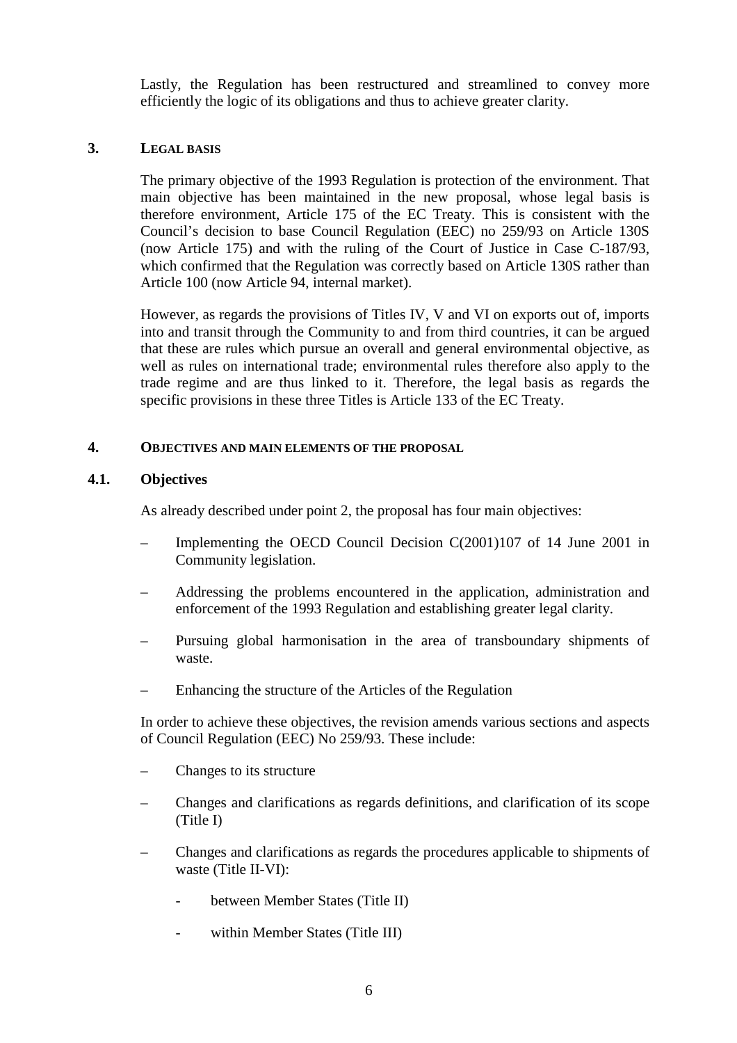Lastly, the Regulation has been restructured and streamlined to convey more efficiently the logic of its obligations and thus to achieve greater clarity.

### **3. LEGAL BASIS**

The primary objective of the 1993 Regulation is protection of the environment. That main objective has been maintained in the new proposal, whose legal basis is therefore environment, Article 175 of the EC Treaty. This is consistent with the Council's decision to base Council Regulation (EEC) no 259/93 on Article 130S (now Article 175) and with the ruling of the Court of Justice in Case C-187/93, which confirmed that the Regulation was correctly based on Article 130S rather than Article 100 (now Article 94, internal market).

However, as regards the provisions of Titles IV, V and VI on exports out of, imports into and transit through the Community to and from third countries, it can be argued that these are rules which pursue an overall and general environmental objective, as well as rules on international trade; environmental rules therefore also apply to the trade regime and are thus linked to it. Therefore, the legal basis as regards the specific provisions in these three Titles is Article 133 of the EC Treaty.

### **4. OBJECTIVES AND MAIN ELEMENTS OF THE PROPOSAL**

# **4.1. Objectives**

As already described under point 2, the proposal has four main objectives:

- Implementing the OECD Council Decision C(2001)107 of 14 June 2001 in Community legislation.
- Addressing the problems encountered in the application, administration and enforcement of the 1993 Regulation and establishing greater legal clarity.
- Pursuing global harmonisation in the area of transboundary shipments of waste.
- Enhancing the structure of the Articles of the Regulation

In order to achieve these objectives, the revision amends various sections and aspects of Council Regulation (EEC) No 259/93. These include:

- Changes to its structure
- Changes and clarifications as regards definitions, and clarification of its scope (Title I)
- Changes and clarifications as regards the procedures applicable to shipments of waste (Title II-VI):
	- between Member States (Title II)
	- within Member States (Title III)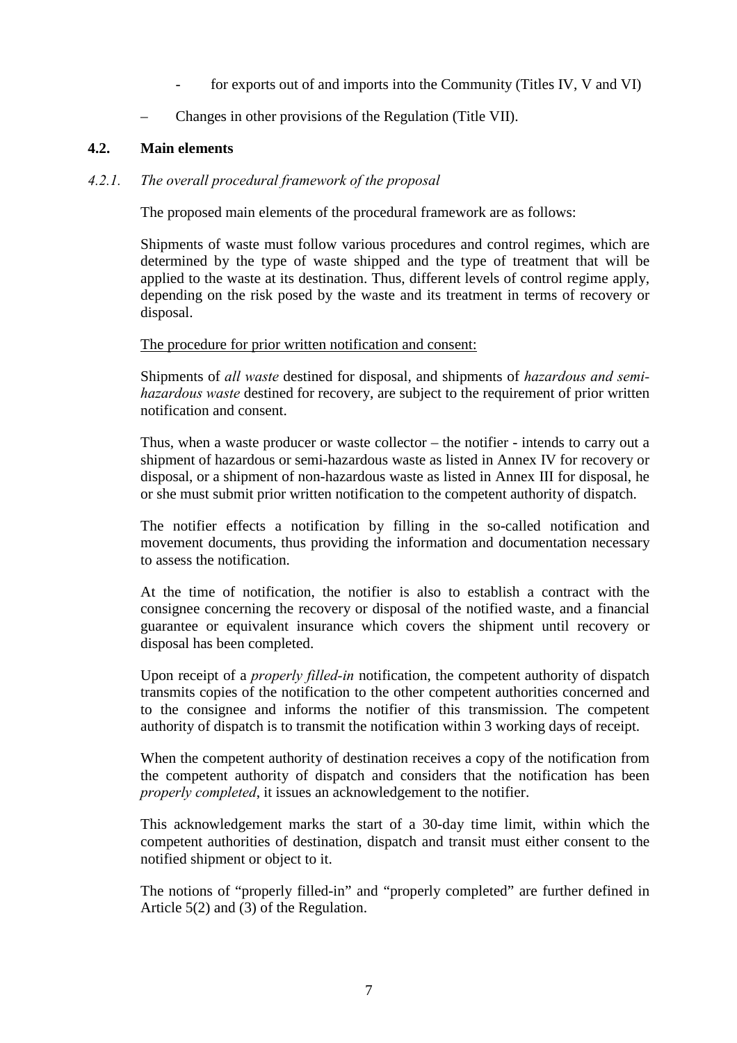- for exports out of and imports into the Community (Titles IV, V and VI)
- Changes in other provisions of the Regulation (Title VII).

# **4.2. Main elements**

### *4.2.1. The overall procedural framework of the proposal*

The proposed main elements of the procedural framework are as follows:

Shipments of waste must follow various procedures and control regimes, which are determined by the type of waste shipped and the type of treatment that will be applied to the waste at its destination. Thus, different levels of control regime apply, depending on the risk posed by the waste and its treatment in terms of recovery or disposal.

The procedure for prior written notification and consent:

Shipments of *all waste* destined for disposal, and shipments of *hazardous and semihazardous waste* destined for recovery, are subject to the requirement of prior written notification and consent.

Thus, when a waste producer or waste collector – the notifier - intends to carry out a shipment of hazardous or semi-hazardous waste as listed in Annex IV for recovery or disposal, or a shipment of non-hazardous waste as listed in Annex III for disposal, he or she must submit prior written notification to the competent authority of dispatch.

The notifier effects a notification by filling in the so-called notification and movement documents, thus providing the information and documentation necessary to assess the notification.

At the time of notification, the notifier is also to establish a contract with the consignee concerning the recovery or disposal of the notified waste, and a financial guarantee or equivalent insurance which covers the shipment until recovery or disposal has been completed.

Upon receipt of a *properly filled-in* notification, the competent authority of dispatch transmits copies of the notification to the other competent authorities concerned and to the consignee and informs the notifier of this transmission. The competent authority of dispatch is to transmit the notification within 3 working days of receipt.

When the competent authority of destination receives a copy of the notification from the competent authority of dispatch and considers that the notification has been *properly completed*, it issues an acknowledgement to the notifier.

This acknowledgement marks the start of a 30-day time limit, within which the competent authorities of destination, dispatch and transit must either consent to the notified shipment or object to it.

The notions of "properly filled-in" and "properly completed" are further defined in Article 5(2) and (3) of the Regulation.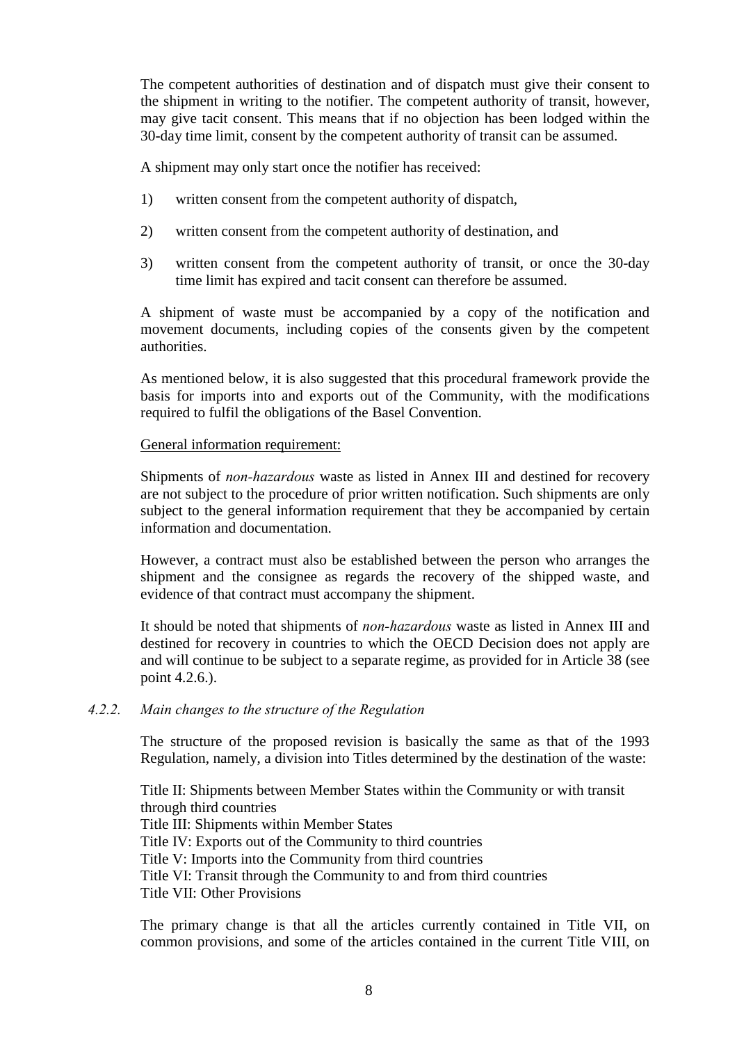The competent authorities of destination and of dispatch must give their consent to the shipment in writing to the notifier. The competent authority of transit, however, may give tacit consent. This means that if no objection has been lodged within the 30-day time limit, consent by the competent authority of transit can be assumed.

A shipment may only start once the notifier has received:

- 1) written consent from the competent authority of dispatch,
- 2) written consent from the competent authority of destination, and
- 3) written consent from the competent authority of transit, or once the 30-day time limit has expired and tacit consent can therefore be assumed.

A shipment of waste must be accompanied by a copy of the notification and movement documents, including copies of the consents given by the competent authorities.

As mentioned below, it is also suggested that this procedural framework provide the basis for imports into and exports out of the Community, with the modifications required to fulfil the obligations of the Basel Convention.

### General information requirement:

Shipments of *non-hazardous* waste as listed in Annex III and destined for recovery are not subject to the procedure of prior written notification. Such shipments are only subject to the general information requirement that they be accompanied by certain information and documentation.

However, a contract must also be established between the person who arranges the shipment and the consignee as regards the recovery of the shipped waste, and evidence of that contract must accompany the shipment.

It should be noted that shipments of *non-hazardous* waste as listed in Annex III and destined for recovery in countries to which the OECD Decision does not apply are and will continue to be subject to a separate regime, as provided for in Article 38 (see point 4.2.6.).

### *4.2.2. Main changes to the structure of the Regulation*

The structure of the proposed revision is basically the same as that of the 1993 Regulation, namely, a division into Titles determined by the destination of the waste:

Title II: Shipments between Member States within the Community or with transit through third countries Title III: Shipments within Member States Title IV: Exports out of the Community to third countries Title V: Imports into the Community from third countries Title VI: Transit through the Community to and from third countries Title VII: Other Provisions

The primary change is that all the articles currently contained in Title VII, on common provisions, and some of the articles contained in the current Title VIII, on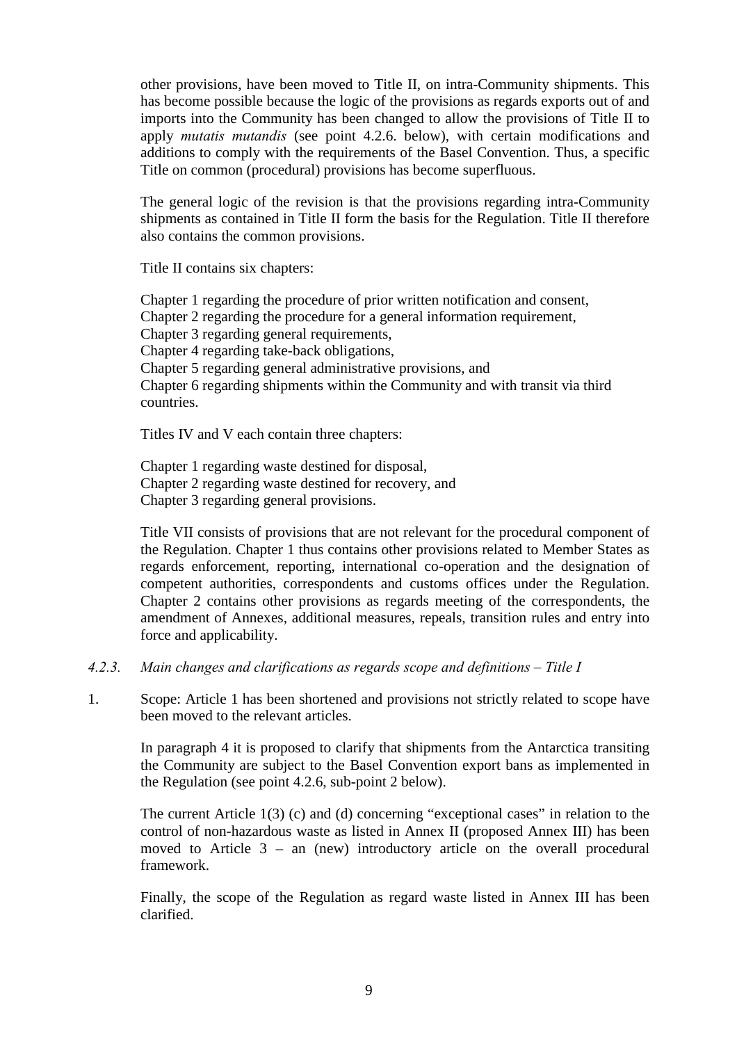other provisions, have been moved to Title II, on intra-Community shipments. This has become possible because the logic of the provisions as regards exports out of and imports into the Community has been changed to allow the provisions of Title II to apply *mutatis mutandis* (see point 4.2.6. below), with certain modifications and additions to comply with the requirements of the Basel Convention. Thus, a specific Title on common (procedural) provisions has become superfluous.

The general logic of the revision is that the provisions regarding intra-Community shipments as contained in Title II form the basis for the Regulation. Title II therefore also contains the common provisions.

Title II contains six chapters:

Chapter 1 regarding the procedure of prior written notification and consent, Chapter 2 regarding the procedure for a general information requirement, Chapter 3 regarding general requirements, Chapter 4 regarding take-back obligations, Chapter 5 regarding general administrative provisions, and Chapter 6 regarding shipments within the Community and with transit via third countries.

Titles IV and V each contain three chapters:

Chapter 1 regarding waste destined for disposal, Chapter 2 regarding waste destined for recovery, and Chapter 3 regarding general provisions.

Title VII consists of provisions that are not relevant for the procedural component of the Regulation. Chapter 1 thus contains other provisions related to Member States as regards enforcement, reporting, international co-operation and the designation of competent authorities, correspondents and customs offices under the Regulation. Chapter 2 contains other provisions as regards meeting of the correspondents, the amendment of Annexes, additional measures, repeals, transition rules and entry into force and applicability.

- *4.2.3. Main changes and clarifications as regards scope and definitions Title I*
- 1. Scope: Article 1 has been shortened and provisions not strictly related to scope have been moved to the relevant articles.

In paragraph 4 it is proposed to clarify that shipments from the Antarctica transiting the Community are subject to the Basel Convention export bans as implemented in the Regulation (see point 4.2.6, sub-point 2 below).

The current Article 1(3) (c) and (d) concerning "exceptional cases" in relation to the control of non-hazardous waste as listed in Annex II (proposed Annex III) has been moved to Article 3 – an (new) introductory article on the overall procedural framework.

Finally, the scope of the Regulation as regard waste listed in Annex III has been clarified.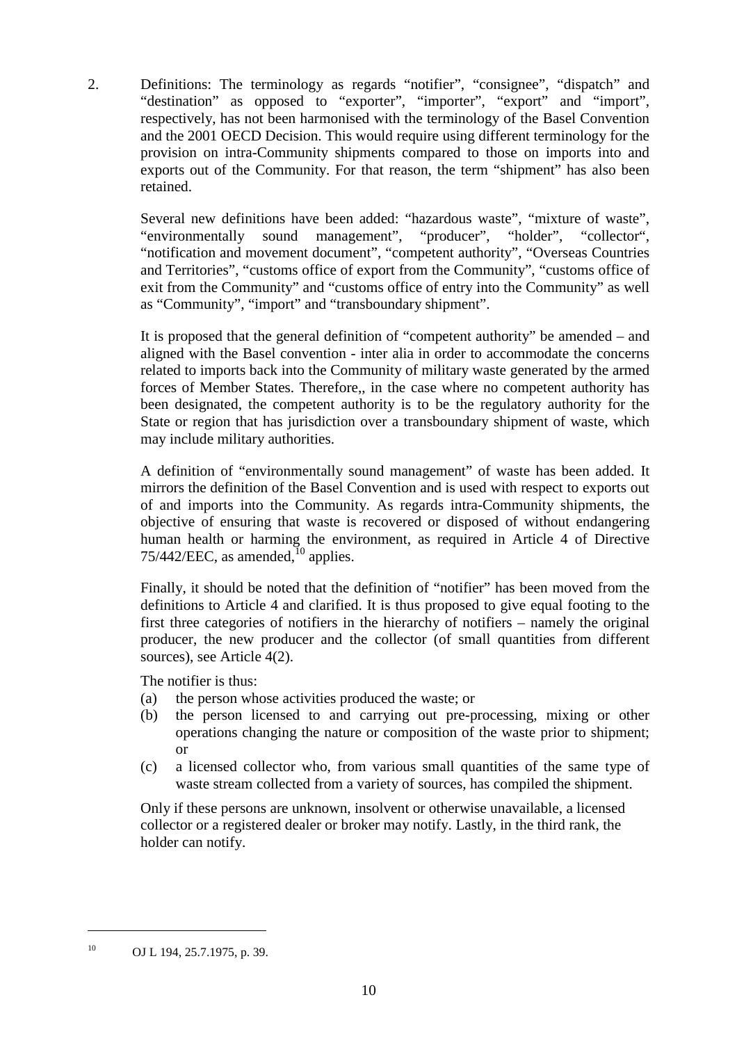2. Definitions: The terminology as regards "notifier", "consignee", "dispatch" and "destination" as opposed to "exporter", "importer", "export" and "import", respectively, has not been harmonised with the terminology of the Basel Convention and the 2001 OECD Decision. This would require using different terminology for the provision on intra-Community shipments compared to those on imports into and exports out of the Community. For that reason, the term "shipment" has also been retained.

Several new definitions have been added: "hazardous waste", "mixture of waste", "environmentally sound management", "producer", "holder", "collector", "notification and movement document", "competent authority", "Overseas Countries and Territories", "customs office of export from the Community", "customs office of exit from the Community" and "customs office of entry into the Community" as well as "Community", "import" and "transboundary shipment".

It is proposed that the general definition of "competent authority" be amended – and aligned with the Basel convention - inter alia in order to accommodate the concerns related to imports back into the Community of military waste generated by the armed forces of Member States. Therefore,, in the case where no competent authority has been designated, the competent authority is to be the regulatory authority for the State or region that has jurisdiction over a transboundary shipment of waste, which may include military authorities.

A definition of "environmentally sound management" of waste has been added. It mirrors the definition of the Basel Convention and is used with respect to exports out of and imports into the Community. As regards intra-Community shipments, the objective of ensuring that waste is recovered or disposed of without endangering human health or harming the environment, as required in Article 4 of Directive  $75/442/EEC$ , as amended, $10^{10}$  applies.

Finally, it should be noted that the definition of "notifier" has been moved from the definitions to Article 4 and clarified. It is thus proposed to give equal footing to the first three categories of notifiers in the hierarchy of notifiers – namely the original producer, the new producer and the collector (of small quantities from different sources), see Article 4(2).

The notifier is thus:

- (a) the person whose activities produced the waste; or
- (b) the person licensed to and carrying out pre-processing, mixing or other operations changing the nature or composition of the waste prior to shipment; or
- (c) a licensed collector who, from various small quantities of the same type of waste stream collected from a variety of sources, has compiled the shipment.

Only if these persons are unknown, insolvent or otherwise unavailable, a licensed collector or a registered dealer or broker may notify. Lastly, in the third rank, the holder can notify.

<sup>10</sup> OJ L 194, 25.7.1975, p. 39.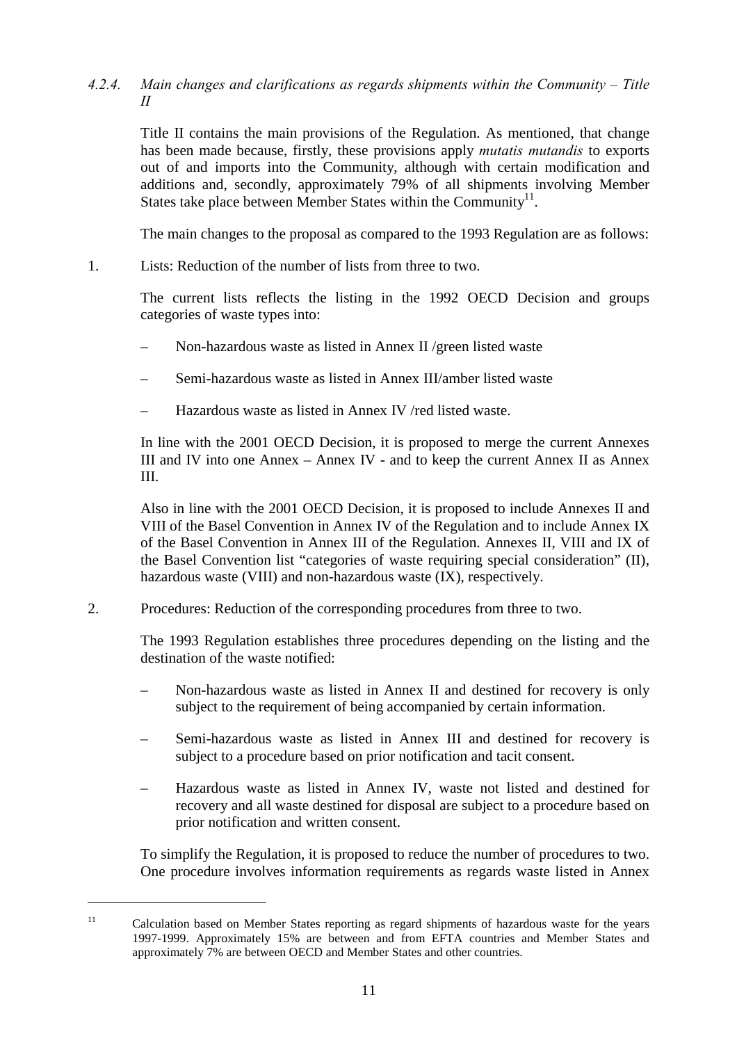### *4.2.4. Main changes and clarifications as regards shipments within the Community – Title II*

Title II contains the main provisions of the Regulation. As mentioned, that change has been made because, firstly, these provisions apply *mutatis mutandis* to exports out of and imports into the Community, although with certain modification and additions and, secondly, approximately 79% of all shipments involving Member States take place between Member States within the Community<sup>11</sup>.

The main changes to the proposal as compared to the 1993 Regulation are as follows:

1. Lists: Reduction of the number of lists from three to two.

The current lists reflects the listing in the 1992 OECD Decision and groups categories of waste types into:

- Non-hazardous waste as listed in Annex II /green listed waste
- Semi-hazardous waste as listed in Annex III/amber listed waste
- Hazardous waste as listed in Annex IV /red listed waste.

In line with the 2001 OECD Decision, it is proposed to merge the current Annexes III and IV into one Annex – Annex IV - and to keep the current Annex II as Annex III.

Also in line with the 2001 OECD Decision, it is proposed to include Annexes II and VIII of the Basel Convention in Annex IV of the Regulation and to include Annex IX of the Basel Convention in Annex III of the Regulation. Annexes II, VIII and IX of the Basel Convention list "categories of waste requiring special consideration" (II), hazardous waste (VIII) and non-hazardous waste (IX), respectively.

# 2. Procedures: Reduction of the corresponding procedures from three to two.

The 1993 Regulation establishes three procedures depending on the listing and the destination of the waste notified:

- Non-hazardous waste as listed in Annex II and destined for recovery is only subject to the requirement of being accompanied by certain information.
- Semi-hazardous waste as listed in Annex III and destined for recovery is subject to a procedure based on prior notification and tacit consent.
- Hazardous waste as listed in Annex IV, waste not listed and destined for recovery and all waste destined for disposal are subject to a procedure based on prior notification and written consent.

To simplify the Regulation, it is proposed to reduce the number of procedures to two. One procedure involves information requirements as regards waste listed in Annex

<sup>&</sup>lt;sup>11</sup> Calculation based on Member States reporting as regard shipments of hazardous waste for the years 1997-1999. Approximately 15% are between and from EFTA countries and Member States and approximately 7% are between OECD and Member States and other countries.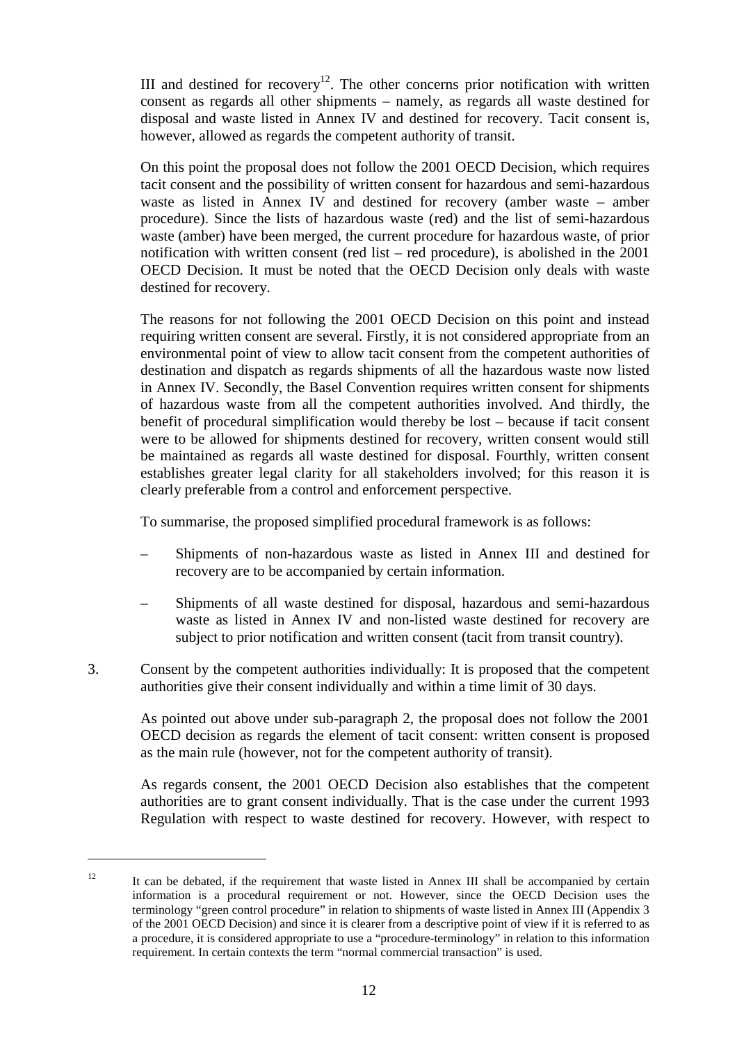III and destined for recovery<sup>12</sup>. The other concerns prior notification with written consent as regards all other shipments – namely, as regards all waste destined for disposal and waste listed in Annex IV and destined for recovery. Tacit consent is, however, allowed as regards the competent authority of transit.

On this point the proposal does not follow the 2001 OECD Decision, which requires tacit consent and the possibility of written consent for hazardous and semi-hazardous waste as listed in Annex IV and destined for recovery (amber waste – amber procedure). Since the lists of hazardous waste (red) and the list of semi-hazardous waste (amber) have been merged, the current procedure for hazardous waste, of prior notification with written consent (red list – red procedure), is abolished in the 2001 OECD Decision. It must be noted that the OECD Decision only deals with waste destined for recovery.

The reasons for not following the 2001 OECD Decision on this point and instead requiring written consent are several. Firstly, it is not considered appropriate from an environmental point of view to allow tacit consent from the competent authorities of destination and dispatch as regards shipments of all the hazardous waste now listed in Annex IV. Secondly, the Basel Convention requires written consent for shipments of hazardous waste from all the competent authorities involved. And thirdly, the benefit of procedural simplification would thereby be lost – because if tacit consent were to be allowed for shipments destined for recovery, written consent would still be maintained as regards all waste destined for disposal. Fourthly, written consent establishes greater legal clarity for all stakeholders involved; for this reason it is clearly preferable from a control and enforcement perspective.

To summarise, the proposed simplified procedural framework is as follows:

- Shipments of non-hazardous waste as listed in Annex III and destined for recovery are to be accompanied by certain information.
- Shipments of all waste destined for disposal, hazardous and semi-hazardous waste as listed in Annex IV and non-listed waste destined for recovery are subject to prior notification and written consent (tacit from transit country).
- 3. Consent by the competent authorities individually: It is proposed that the competent authorities give their consent individually and within a time limit of 30 days.

As pointed out above under sub-paragraph 2, the proposal does not follow the 2001 OECD decision as regards the element of tacit consent: written consent is proposed as the main rule (however, not for the competent authority of transit).

As regards consent, the 2001 OECD Decision also establishes that the competent authorities are to grant consent individually. That is the case under the current 1993 Regulation with respect to waste destined for recovery. However, with respect to

<sup>&</sup>lt;sup>12</sup> It can be debated, if the requirement that waste listed in Annex III shall be accompanied by certain information is a procedural requirement or not. However, since the OECD Decision uses the terminology "green control procedure" in relation to shipments of waste listed in Annex III (Appendix 3 of the 2001 OECD Decision) and since it is clearer from a descriptive point of view if it is referred to as a procedure, it is considered appropriate to use a "procedure-terminology" in relation to this information requirement. In certain contexts the term "normal commercial transaction" is used.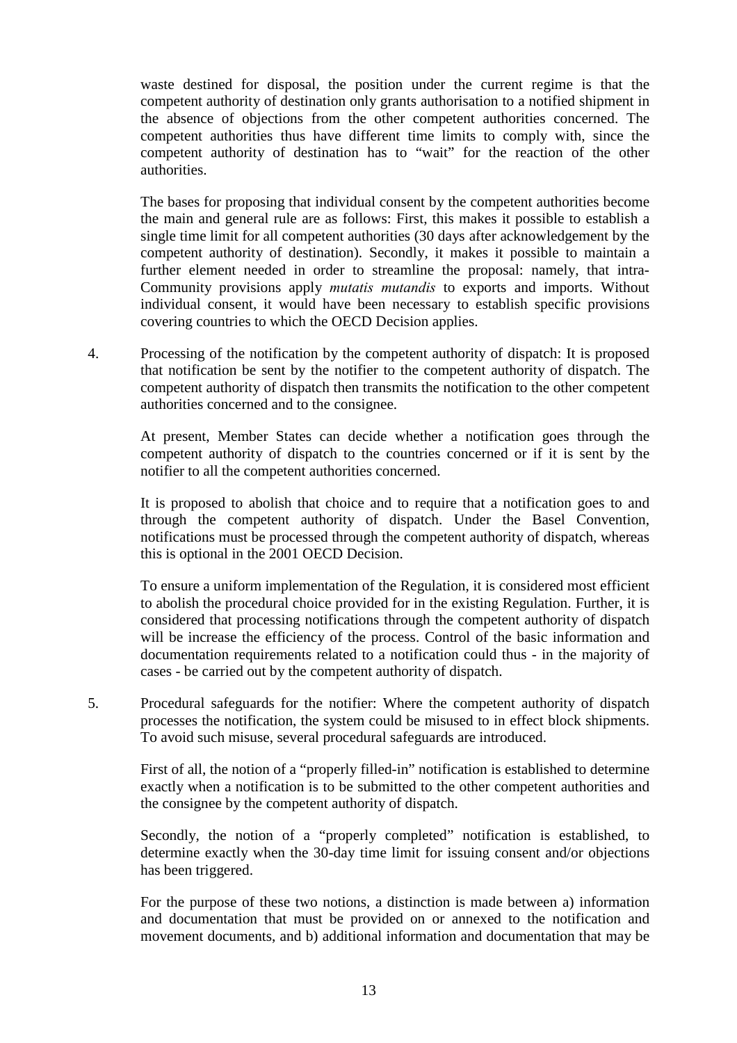waste destined for disposal, the position under the current regime is that the competent authority of destination only grants authorisation to a notified shipment in the absence of objections from the other competent authorities concerned. The competent authorities thus have different time limits to comply with, since the competent authority of destination has to "wait" for the reaction of the other authorities.

The bases for proposing that individual consent by the competent authorities become the main and general rule are as follows: First, this makes it possible to establish a single time limit for all competent authorities (30 days after acknowledgement by the competent authority of destination). Secondly, it makes it possible to maintain a further element needed in order to streamline the proposal: namely, that intra-Community provisions apply *mutatis mutandis* to exports and imports. Without individual consent, it would have been necessary to establish specific provisions covering countries to which the OECD Decision applies.

4. Processing of the notification by the competent authority of dispatch: It is proposed that notification be sent by the notifier to the competent authority of dispatch. The competent authority of dispatch then transmits the notification to the other competent authorities concerned and to the consignee.

At present, Member States can decide whether a notification goes through the competent authority of dispatch to the countries concerned or if it is sent by the notifier to all the competent authorities concerned.

It is proposed to abolish that choice and to require that a notification goes to and through the competent authority of dispatch. Under the Basel Convention, notifications must be processed through the competent authority of dispatch, whereas this is optional in the 2001 OECD Decision.

To ensure a uniform implementation of the Regulation, it is considered most efficient to abolish the procedural choice provided for in the existing Regulation. Further, it is considered that processing notifications through the competent authority of dispatch will be increase the efficiency of the process. Control of the basic information and documentation requirements related to a notification could thus - in the majority of cases - be carried out by the competent authority of dispatch.

5. Procedural safeguards for the notifier: Where the competent authority of dispatch processes the notification, the system could be misused to in effect block shipments. To avoid such misuse, several procedural safeguards are introduced.

First of all, the notion of a "properly filled-in" notification is established to determine exactly when a notification is to be submitted to the other competent authorities and the consignee by the competent authority of dispatch.

Secondly, the notion of a "properly completed" notification is established, to determine exactly when the 30-day time limit for issuing consent and/or objections has been triggered.

For the purpose of these two notions, a distinction is made between a) information and documentation that must be provided on or annexed to the notification and movement documents, and b) additional information and documentation that may be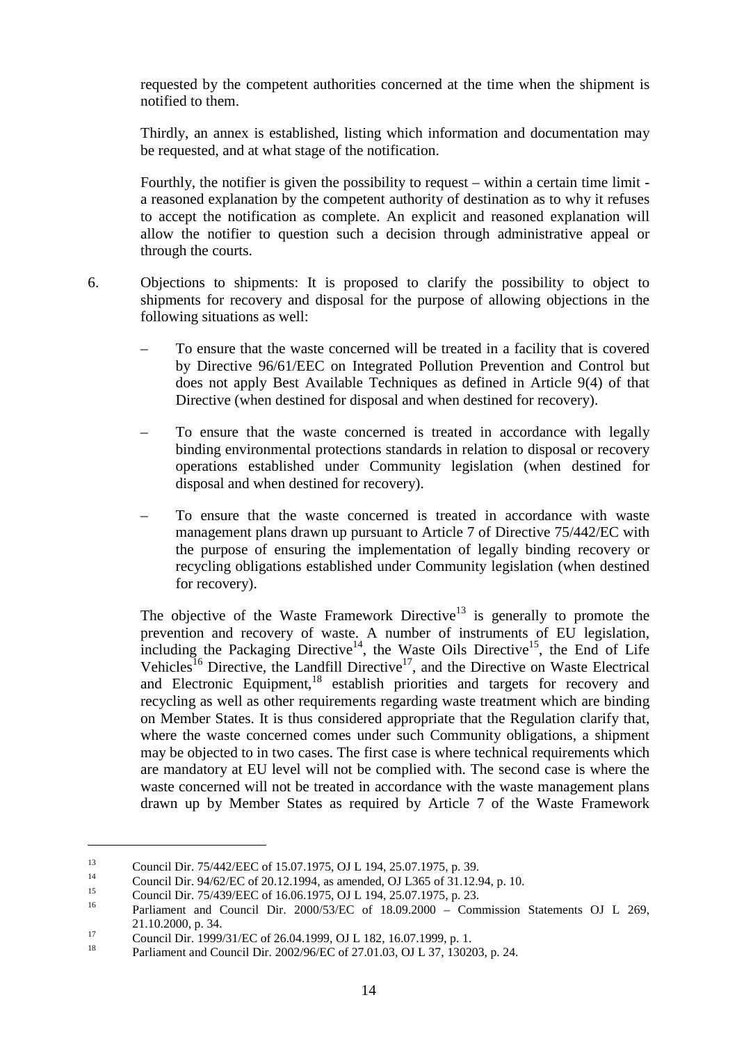requested by the competent authorities concerned at the time when the shipment is notified to them.

Thirdly, an annex is established, listing which information and documentation may be requested, and at what stage of the notification.

Fourthly, the notifier is given the possibility to request – within a certain time limit a reasoned explanation by the competent authority of destination as to why it refuses to accept the notification as complete. An explicit and reasoned explanation will allow the notifier to question such a decision through administrative appeal or through the courts.

- 6. Objections to shipments: It is proposed to clarify the possibility to object to shipments for recovery and disposal for the purpose of allowing objections in the following situations as well:
	- To ensure that the waste concerned will be treated in a facility that is covered by Directive 96/61/EEC on Integrated Pollution Prevention and Control but does not apply Best Available Techniques as defined in Article 9(4) of that Directive (when destined for disposal and when destined for recovery).
	- To ensure that the waste concerned is treated in accordance with legally binding environmental protections standards in relation to disposal or recovery operations established under Community legislation (when destined for disposal and when destined for recovery).
	- To ensure that the waste concerned is treated in accordance with waste management plans drawn up pursuant to Article 7 of Directive 75/442/EC with the purpose of ensuring the implementation of legally binding recovery or recycling obligations established under Community legislation (when destined for recovery).

The objective of the Waste Framework Directive<sup>13</sup> is generally to promote the prevention and recovery of waste. A number of instruments of EU legislation, including the Packaging Directive<sup>14</sup>, the Waste Oils Directive<sup>15</sup>, the End of Life Vehicles<sup>16</sup> Directive, the Landfill Directive<sup>17</sup>, and the Directive on Waste Electrical and Electronic Equipment,<sup>18</sup> establish priorities and targets for recovery and recycling as well as other requirements regarding waste treatment which are binding on Member States. It is thus considered appropriate that the Regulation clarify that, where the waste concerned comes under such Community obligations, a shipment may be objected to in two cases. The first case is where technical requirements which are mandatory at EU level will not be complied with. The second case is where the waste concerned will not be treated in accordance with the waste management plans drawn up by Member States as required by Article 7 of the Waste Framework

<sup>&</sup>lt;sup>13</sup><br>Council Dir. 75/442/EEC of 15.07.1975, OJ L 194, 25.07.1975, p. 39.<br>Council Dir. 94/62/EC of 20.12.1994, as amended, OJ L365 of 31.12.94, p. 10.<br>Council Dir. 75/439/EEC of 16.06.1975, OJ L 194, 25.07.1975, p. 23.<br>Par 21.10.2000, p. 34.<br>
17 Council Dir. 1999/31/EC of 26.04.1999, OJ L 182, 16.07.1999, p. 1.<br>
18 Parliament and Council Dir. 2002/96/EC of 27.01.03, OJ L 37, 130203, p. 24.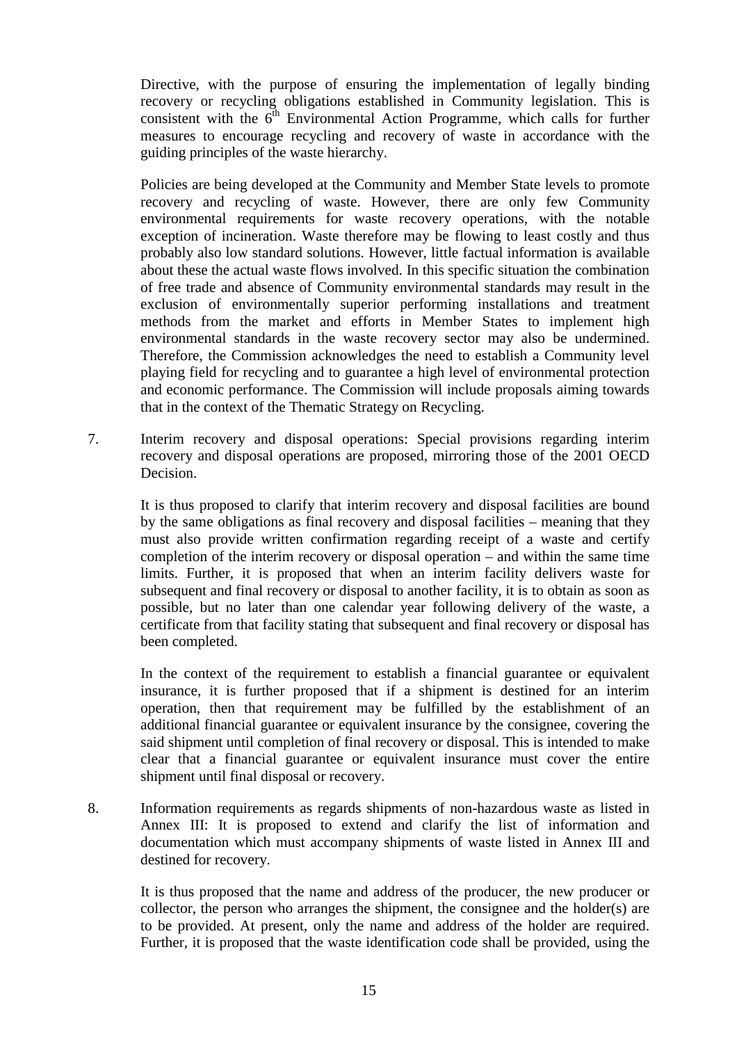Directive, with the purpose of ensuring the implementation of legally binding recovery or recycling obligations established in Community legislation. This is consistent with the  $6<sup>th</sup>$  Environmental Action Programme, which calls for further measures to encourage recycling and recovery of waste in accordance with the guiding principles of the waste hierarchy.

Policies are being developed at the Community and Member State levels to promote recovery and recycling of waste. However, there are only few Community environmental requirements for waste recovery operations, with the notable exception of incineration. Waste therefore may be flowing to least costly and thus probably also low standard solutions. However, little factual information is available about these the actual waste flows involved. In this specific situation the combination of free trade and absence of Community environmental standards may result in the exclusion of environmentally superior performing installations and treatment methods from the market and efforts in Member States to implement high environmental standards in the waste recovery sector may also be undermined. Therefore, the Commission acknowledges the need to establish a Community level playing field for recycling and to guarantee a high level of environmental protection and economic performance. The Commission will include proposals aiming towards that in the context of the Thematic Strategy on Recycling.

7. Interim recovery and disposal operations: Special provisions regarding interim recovery and disposal operations are proposed, mirroring those of the 2001 OECD Decision.

It is thus proposed to clarify that interim recovery and disposal facilities are bound by the same obligations as final recovery and disposal facilities – meaning that they must also provide written confirmation regarding receipt of a waste and certify completion of the interim recovery or disposal operation – and within the same time limits. Further, it is proposed that when an interim facility delivers waste for subsequent and final recovery or disposal to another facility, it is to obtain as soon as possible, but no later than one calendar year following delivery of the waste, a certificate from that facility stating that subsequent and final recovery or disposal has been completed.

In the context of the requirement to establish a financial guarantee or equivalent insurance, it is further proposed that if a shipment is destined for an interim operation, then that requirement may be fulfilled by the establishment of an additional financial guarantee or equivalent insurance by the consignee, covering the said shipment until completion of final recovery or disposal. This is intended to make clear that a financial guarantee or equivalent insurance must cover the entire shipment until final disposal or recovery.

8. Information requirements as regards shipments of non-hazardous waste as listed in Annex III: It is proposed to extend and clarify the list of information and documentation which must accompany shipments of waste listed in Annex III and destined for recovery.

It is thus proposed that the name and address of the producer, the new producer or collector, the person who arranges the shipment, the consignee and the holder(s) are to be provided. At present, only the name and address of the holder are required. Further, it is proposed that the waste identification code shall be provided, using the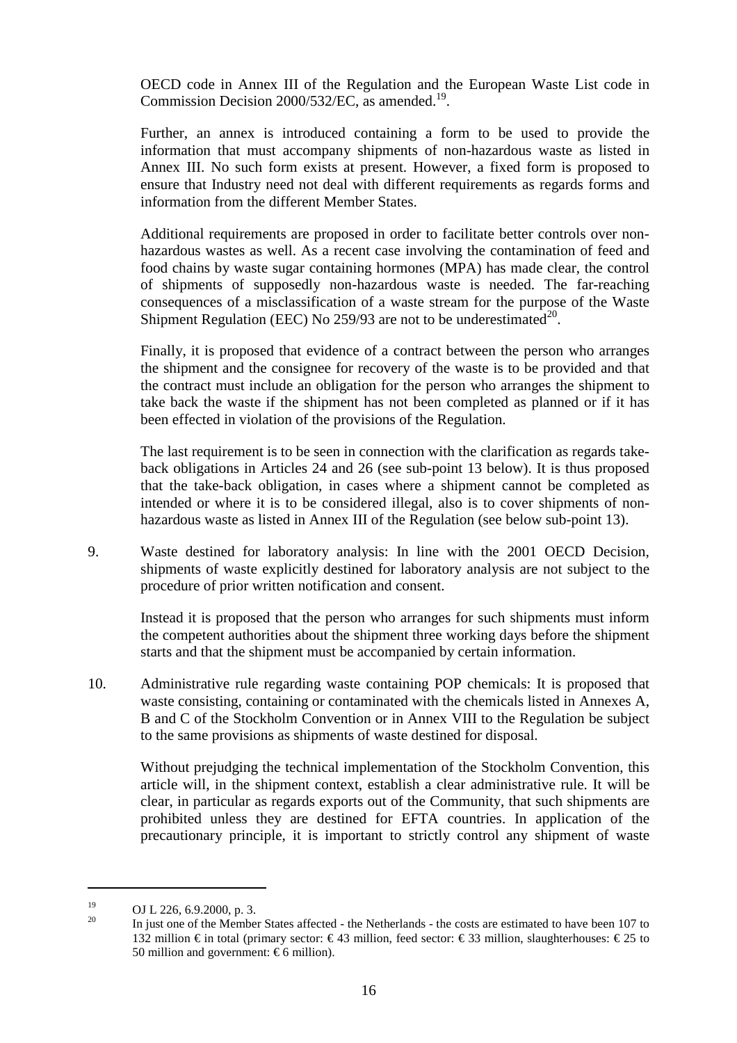OECD code in Annex III of the Regulation and the European Waste List code in Commission Decision  $2000/532/EC$ , as amended.<sup>19</sup>.

Further, an annex is introduced containing a form to be used to provide the information that must accompany shipments of non-hazardous waste as listed in Annex III. No such form exists at present. However, a fixed form is proposed to ensure that Industry need not deal with different requirements as regards forms and information from the different Member States.

Additional requirements are proposed in order to facilitate better controls over nonhazardous wastes as well. As a recent case involving the contamination of feed and food chains by waste sugar containing hormones (MPA) has made clear, the control of shipments of supposedly non-hazardous waste is needed. The far-reaching consequences of a misclassification of a waste stream for the purpose of the Waste Shipment Regulation (EEC) No  $259/93$  are not to be underestimated<sup>20</sup>.

Finally, it is proposed that evidence of a contract between the person who arranges the shipment and the consignee for recovery of the waste is to be provided and that the contract must include an obligation for the person who arranges the shipment to take back the waste if the shipment has not been completed as planned or if it has been effected in violation of the provisions of the Regulation.

The last requirement is to be seen in connection with the clarification as regards takeback obligations in Articles 24 and 26 (see sub-point 13 below). It is thus proposed that the take-back obligation, in cases where a shipment cannot be completed as intended or where it is to be considered illegal, also is to cover shipments of nonhazardous waste as listed in Annex III of the Regulation (see below sub-point 13).

9. Waste destined for laboratory analysis: In line with the 2001 OECD Decision, shipments of waste explicitly destined for laboratory analysis are not subject to the procedure of prior written notification and consent.

Instead it is proposed that the person who arranges for such shipments must inform the competent authorities about the shipment three working days before the shipment starts and that the shipment must be accompanied by certain information.

10. Administrative rule regarding waste containing POP chemicals: It is proposed that waste consisting, containing or contaminated with the chemicals listed in Annexes A, B and C of the Stockholm Convention or in Annex VIII to the Regulation be subject to the same provisions as shipments of waste destined for disposal.

Without prejudging the technical implementation of the Stockholm Convention, this article will, in the shipment context, establish a clear administrative rule. It will be clear, in particular as regards exports out of the Community, that such shipments are prohibited unless they are destined for EFTA countries. In application of the precautionary principle, it is important to strictly control any shipment of waste

<sup>&</sup>lt;sup>19</sup> OJ L 226, 6.9.2000, p. 3.<br><sup>20</sup> In just one of the Member States affected - the Netherlands - the costs are estimated to have been 107 to 132 million € in total (primary sector: €43 million, feed sector: €33 million, slaughterhouses: €25 to 50 million and government:  $\epsilon$ 6 million).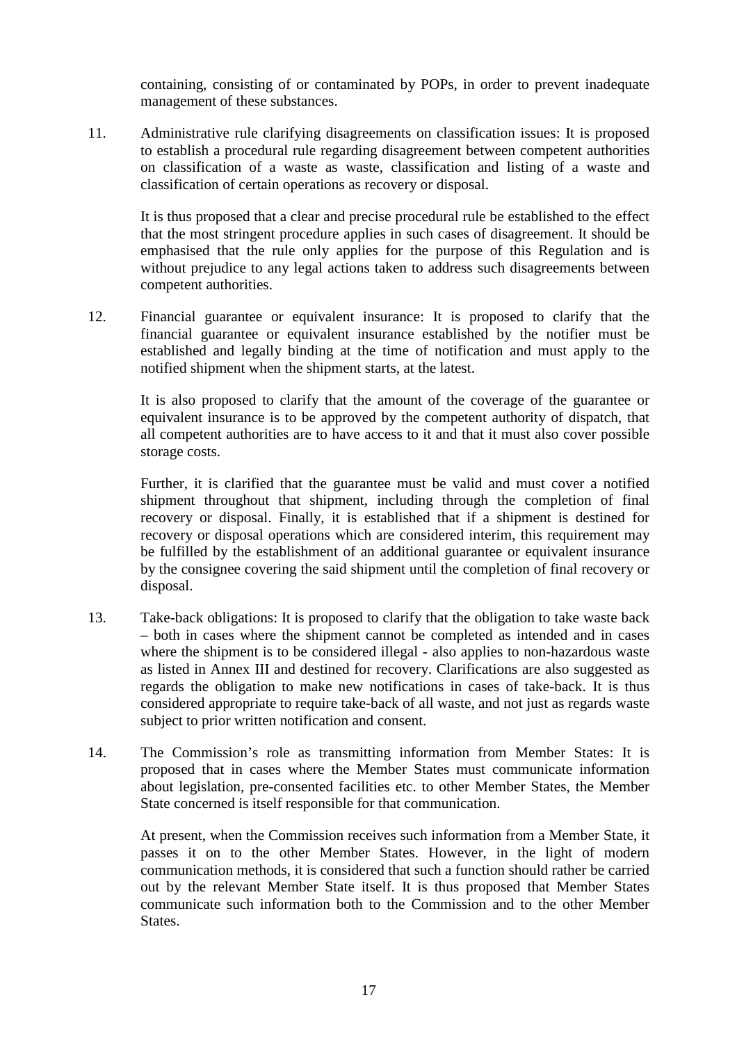containing, consisting of or contaminated by POPs, in order to prevent inadequate management of these substances.

11. Administrative rule clarifying disagreements on classification issues: It is proposed to establish a procedural rule regarding disagreement between competent authorities on classification of a waste as waste, classification and listing of a waste and classification of certain operations as recovery or disposal.

It is thus proposed that a clear and precise procedural rule be established to the effect that the most stringent procedure applies in such cases of disagreement. It should be emphasised that the rule only applies for the purpose of this Regulation and is without prejudice to any legal actions taken to address such disagreements between competent authorities.

12. Financial guarantee or equivalent insurance: It is proposed to clarify that the financial guarantee or equivalent insurance established by the notifier must be established and legally binding at the time of notification and must apply to the notified shipment when the shipment starts, at the latest.

It is also proposed to clarify that the amount of the coverage of the guarantee or equivalent insurance is to be approved by the competent authority of dispatch, that all competent authorities are to have access to it and that it must also cover possible storage costs.

Further, it is clarified that the guarantee must be valid and must cover a notified shipment throughout that shipment, including through the completion of final recovery or disposal. Finally, it is established that if a shipment is destined for recovery or disposal operations which are considered interim, this requirement may be fulfilled by the establishment of an additional guarantee or equivalent insurance by the consignee covering the said shipment until the completion of final recovery or disposal.

- 13. Take-back obligations: It is proposed to clarify that the obligation to take waste back – both in cases where the shipment cannot be completed as intended and in cases where the shipment is to be considered illegal - also applies to non-hazardous waste as listed in Annex III and destined for recovery. Clarifications are also suggested as regards the obligation to make new notifications in cases of take-back. It is thus considered appropriate to require take-back of all waste, and not just as regards waste subject to prior written notification and consent.
- 14. The Commission's role as transmitting information from Member States: It is proposed that in cases where the Member States must communicate information about legislation, pre-consented facilities etc. to other Member States, the Member State concerned is itself responsible for that communication.

At present, when the Commission receives such information from a Member State, it passes it on to the other Member States. However, in the light of modern communication methods, it is considered that such a function should rather be carried out by the relevant Member State itself. It is thus proposed that Member States communicate such information both to the Commission and to the other Member States.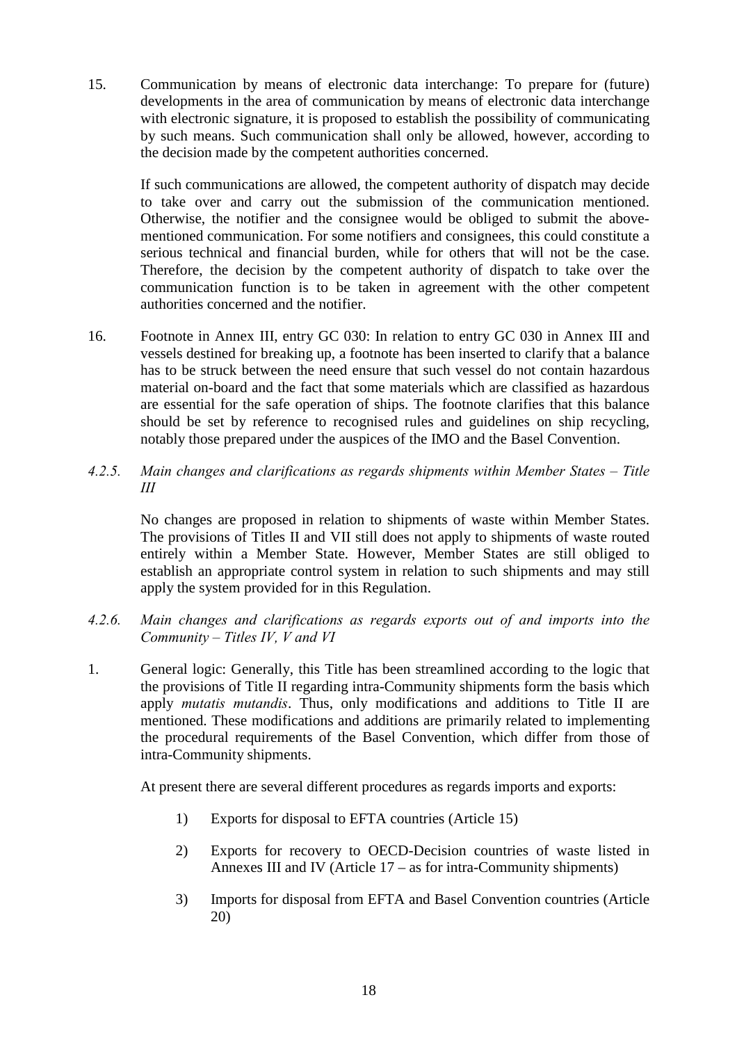15. Communication by means of electronic data interchange: To prepare for (future) developments in the area of communication by means of electronic data interchange with electronic signature, it is proposed to establish the possibility of communicating by such means. Such communication shall only be allowed, however, according to the decision made by the competent authorities concerned.

If such communications are allowed, the competent authority of dispatch may decide to take over and carry out the submission of the communication mentioned. Otherwise, the notifier and the consignee would be obliged to submit the abovementioned communication. For some notifiers and consignees, this could constitute a serious technical and financial burden, while for others that will not be the case. Therefore, the decision by the competent authority of dispatch to take over the communication function is to be taken in agreement with the other competent authorities concerned and the notifier.

- 16. Footnote in Annex III, entry GC 030: In relation to entry GC 030 in Annex III and vessels destined for breaking up, a footnote has been inserted to clarify that a balance has to be struck between the need ensure that such vessel do not contain hazardous material on-board and the fact that some materials which are classified as hazardous are essential for the safe operation of ships. The footnote clarifies that this balance should be set by reference to recognised rules and guidelines on ship recycling, notably those prepared under the auspices of the IMO and the Basel Convention.
- *4.2.5. Main changes and clarifications as regards shipments within Member States Title III*

No changes are proposed in relation to shipments of waste within Member States. The provisions of Titles II and VII still does not apply to shipments of waste routed entirely within a Member State. However, Member States are still obliged to establish an appropriate control system in relation to such shipments and may still apply the system provided for in this Regulation.

- *4.2.6. Main changes and clarifications as regards exports out of and imports into the Community – Titles IV, V and VI*
- 1. General logic: Generally, this Title has been streamlined according to the logic that the provisions of Title II regarding intra-Community shipments form the basis which apply *mutatis mutandis*. Thus, only modifications and additions to Title II are mentioned. These modifications and additions are primarily related to implementing the procedural requirements of the Basel Convention, which differ from those of intra-Community shipments.

At present there are several different procedures as regards imports and exports:

- 1) Exports for disposal to EFTA countries (Article 15)
- 2) Exports for recovery to OECD-Decision countries of waste listed in Annexes III and IV (Article 17 – as for intra-Community shipments)
- 3) Imports for disposal from EFTA and Basel Convention countries (Article 20)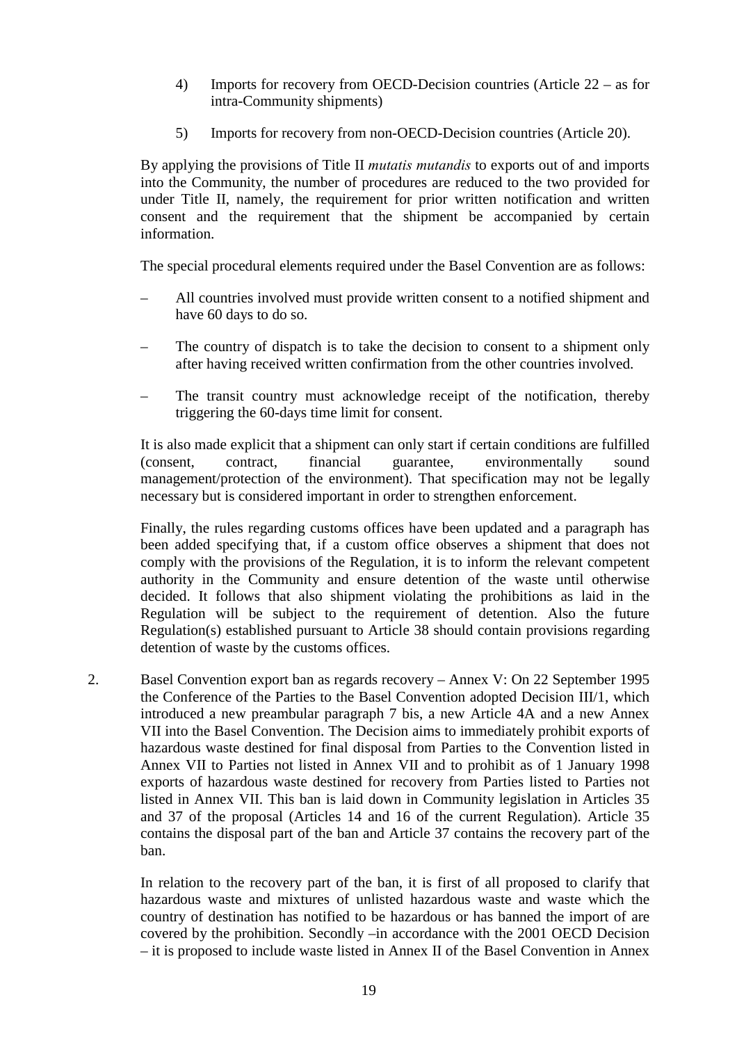- 4) Imports for recovery from OECD-Decision countries (Article 22 as for intra-Community shipments)
- 5) Imports for recovery from non-OECD-Decision countries (Article 20).

By applying the provisions of Title II *mutatis mutandis* to exports out of and imports into the Community, the number of procedures are reduced to the two provided for under Title II, namely, the requirement for prior written notification and written consent and the requirement that the shipment be accompanied by certain information.

The special procedural elements required under the Basel Convention are as follows:

- All countries involved must provide written consent to a notified shipment and have 60 days to do so.
- The country of dispatch is to take the decision to consent to a shipment only after having received written confirmation from the other countries involved.
- The transit country must acknowledge receipt of the notification, thereby triggering the 60-days time limit for consent.

It is also made explicit that a shipment can only start if certain conditions are fulfilled (consent, contract, financial guarantee, environmentally sound management/protection of the environment). That specification may not be legally necessary but is considered important in order to strengthen enforcement.

Finally, the rules regarding customs offices have been updated and a paragraph has been added specifying that, if a custom office observes a shipment that does not comply with the provisions of the Regulation, it is to inform the relevant competent authority in the Community and ensure detention of the waste until otherwise decided. It follows that also shipment violating the prohibitions as laid in the Regulation will be subject to the requirement of detention. Also the future Regulation(s) established pursuant to Article 38 should contain provisions regarding detention of waste by the customs offices.

2. Basel Convention export ban as regards recovery – Annex V: On 22 September 1995 the Conference of the Parties to the Basel Convention adopted Decision III/1, which introduced a new preambular paragraph 7 bis, a new Article 4A and a new Annex VII into the Basel Convention. The Decision aims to immediately prohibit exports of hazardous waste destined for final disposal from Parties to the Convention listed in Annex VII to Parties not listed in Annex VII and to prohibit as of 1 January 1998 exports of hazardous waste destined for recovery from Parties listed to Parties not listed in Annex VII. This ban is laid down in Community legislation in Articles 35 and 37 of the proposal (Articles 14 and 16 of the current Regulation). Article 35 contains the disposal part of the ban and Article 37 contains the recovery part of the ban.

In relation to the recovery part of the ban, it is first of all proposed to clarify that hazardous waste and mixtures of unlisted hazardous waste and waste which the country of destination has notified to be hazardous or has banned the import of are covered by the prohibition. Secondly –in accordance with the 2001 OECD Decision – it is proposed to include waste listed in Annex II of the Basel Convention in Annex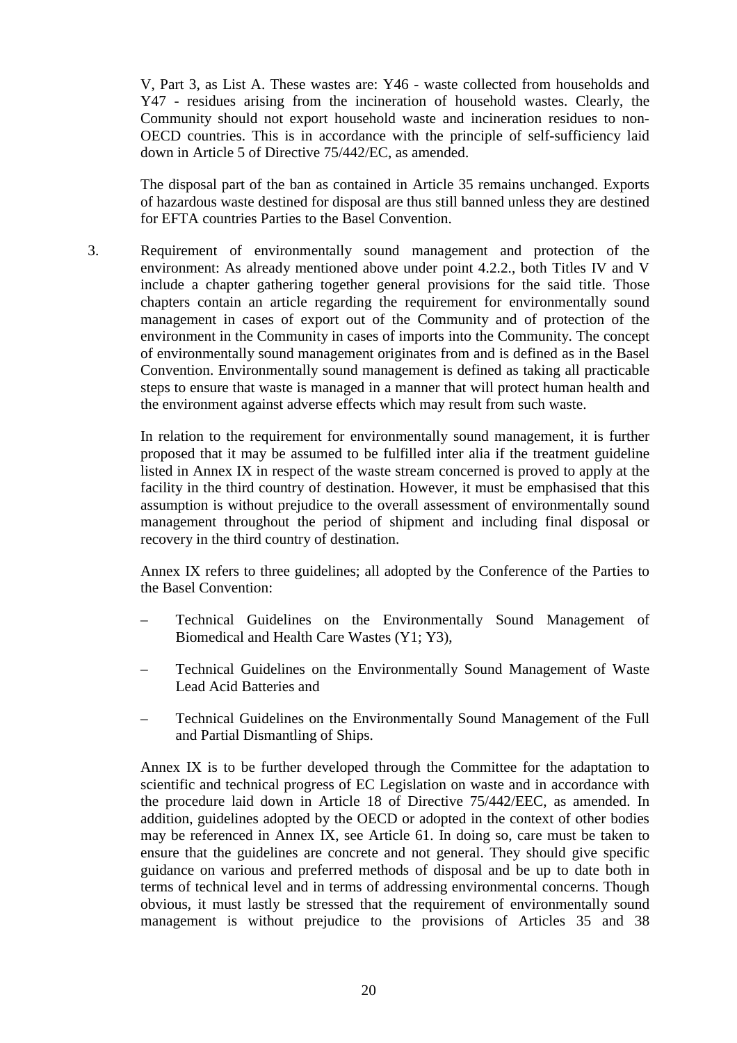V, Part 3, as List A. These wastes are: Y46 - waste collected from households and Y47 - residues arising from the incineration of household wastes. Clearly, the Community should not export household waste and incineration residues to non-OECD countries. This is in accordance with the principle of self-sufficiency laid down in Article 5 of Directive 75/442/EC, as amended.

The disposal part of the ban as contained in Article 35 remains unchanged. Exports of hazardous waste destined for disposal are thus still banned unless they are destined for EFTA countries Parties to the Basel Convention.

3. Requirement of environmentally sound management and protection of the environment: As already mentioned above under point 4.2.2., both Titles IV and V include a chapter gathering together general provisions for the said title. Those chapters contain an article regarding the requirement for environmentally sound management in cases of export out of the Community and of protection of the environment in the Community in cases of imports into the Community. The concept of environmentally sound management originates from and is defined as in the Basel Convention. Environmentally sound management is defined as taking all practicable steps to ensure that waste is managed in a manner that will protect human health and the environment against adverse effects which may result from such waste.

In relation to the requirement for environmentally sound management, it is further proposed that it may be assumed to be fulfilled inter alia if the treatment guideline listed in Annex IX in respect of the waste stream concerned is proved to apply at the facility in the third country of destination. However, it must be emphasised that this assumption is without prejudice to the overall assessment of environmentally sound management throughout the period of shipment and including final disposal or recovery in the third country of destination.

Annex IX refers to three guidelines; all adopted by the Conference of the Parties to the Basel Convention:

- Technical Guidelines on the Environmentally Sound Management of Biomedical and Health Care Wastes (Y1; Y3),
- Technical Guidelines on the Environmentally Sound Management of Waste Lead Acid Batteries and
- Technical Guidelines on the Environmentally Sound Management of the Full and Partial Dismantling of Ships.

Annex IX is to be further developed through the Committee for the adaptation to scientific and technical progress of EC Legislation on waste and in accordance with the procedure laid down in Article 18 of Directive 75/442/EEC, as amended. In addition, guidelines adopted by the OECD or adopted in the context of other bodies may be referenced in Annex IX, see Article 61. In doing so, care must be taken to ensure that the guidelines are concrete and not general. They should give specific guidance on various and preferred methods of disposal and be up to date both in terms of technical level and in terms of addressing environmental concerns. Though obvious, it must lastly be stressed that the requirement of environmentally sound management is without prejudice to the provisions of Articles 35 and 38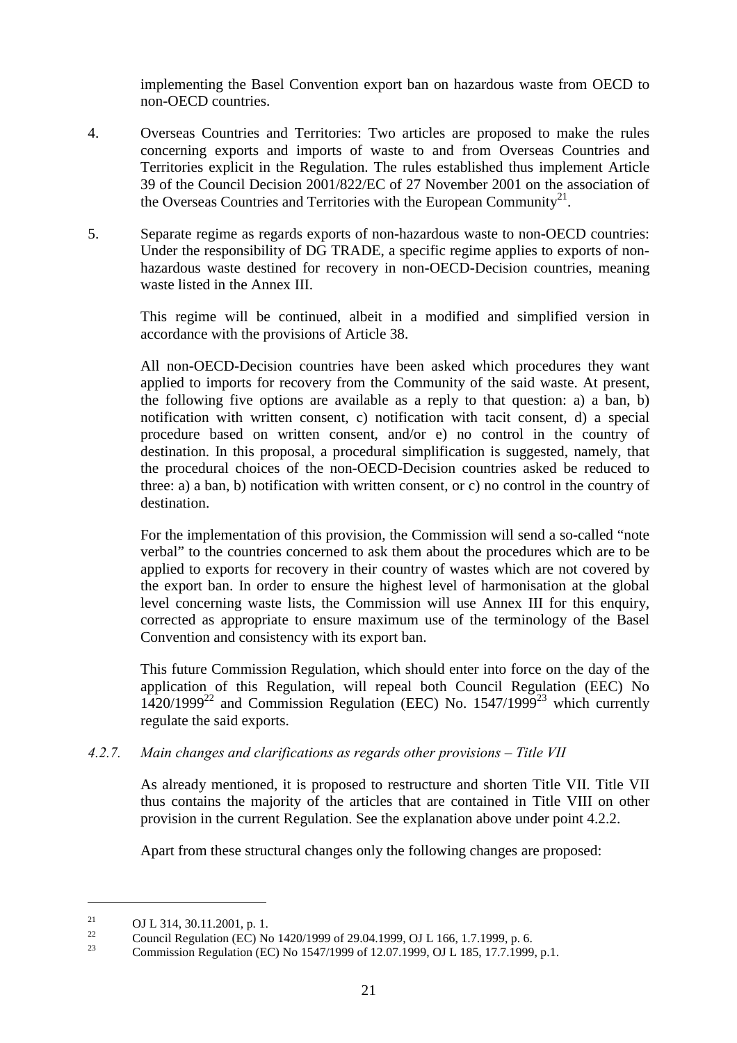implementing the Basel Convention export ban on hazardous waste from OECD to non-OECD countries.

- 4. Overseas Countries and Territories: Two articles are proposed to make the rules concerning exports and imports of waste to and from Overseas Countries and Territories explicit in the Regulation. The rules established thus implement Article 39 of the Council Decision 2001/822/EC of 27 November 2001 on the association of the Overseas Countries and Territories with the European Community<sup>21</sup>.
- 5. Separate regime as regards exports of non-hazardous waste to non-OECD countries: Under the responsibility of DG TRADE, a specific regime applies to exports of nonhazardous waste destined for recovery in non-OECD-Decision countries, meaning waste listed in the Annex III.

This regime will be continued, albeit in a modified and simplified version in accordance with the provisions of Article 38.

All non-OECD-Decision countries have been asked which procedures they want applied to imports for recovery from the Community of the said waste. At present, the following five options are available as a reply to that question: a) a ban, b) notification with written consent, c) notification with tacit consent, d) a special procedure based on written consent, and/or e) no control in the country of destination. In this proposal, a procedural simplification is suggested, namely, that the procedural choices of the non-OECD-Decision countries asked be reduced to three: a) a ban, b) notification with written consent, or c) no control in the country of destination.

For the implementation of this provision, the Commission will send a so-called "note verbal" to the countries concerned to ask them about the procedures which are to be applied to exports for recovery in their country of wastes which are not covered by the export ban. In order to ensure the highest level of harmonisation at the global level concerning waste lists, the Commission will use Annex III for this enquiry, corrected as appropriate to ensure maximum use of the terminology of the Basel Convention and consistency with its export ban.

This future Commission Regulation, which should enter into force on the day of the application of this Regulation, will repeal both Council Regulation (EEC) No  $1420/1999^{22}$  and Commission Regulation (EEC) No. 1547/1999<sup>23</sup> which currently regulate the said exports.

# *4.2.7. Main changes and clarifications as regards other provisions – Title VII*

As already mentioned, it is proposed to restructure and shorten Title VII. Title VII thus contains the majority of the articles that are contained in Title VIII on other provision in the current Regulation. See the explanation above under point 4.2.2.

Apart from these structural changes only the following changes are proposed:

<sup>21</sup> **OJ L 314, 30.11.2001, p. 1.**<br><sup>22</sup> Council Regulation (EC) No 1420/1999 of 29.04.1999, OJ L 166, 1.7.1999, p. 6.<br><sup>23</sup> Commission Regulation (EC) No 1547/1999 of 12.07.1999, OJ L 185, 17.7.1999, p.1.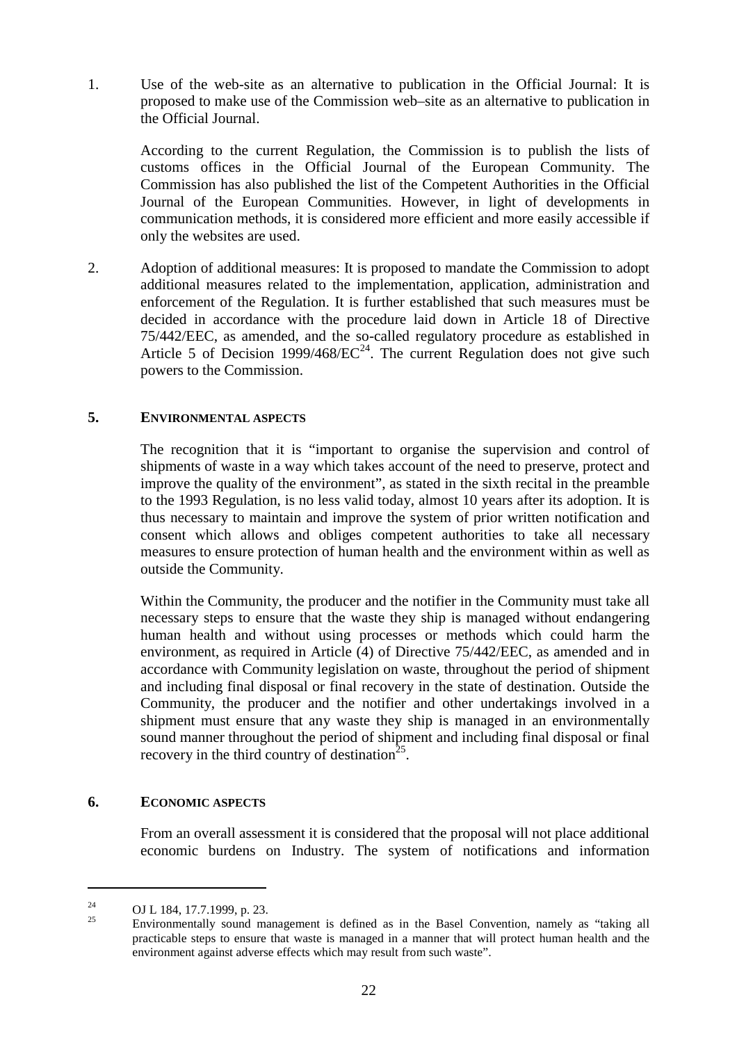1. Use of the web-site as an alternative to publication in the Official Journal: It is proposed to make use of the Commission web–site as an alternative to publication in the Official Journal.

According to the current Regulation, the Commission is to publish the lists of customs offices in the Official Journal of the European Community. The Commission has also published the list of the Competent Authorities in the Official Journal of the European Communities. However, in light of developments in communication methods, it is considered more efficient and more easily accessible if only the websites are used.

2. Adoption of additional measures: It is proposed to mandate the Commission to adopt additional measures related to the implementation, application, administration and enforcement of the Regulation. It is further established that such measures must be decided in accordance with the procedure laid down in Article 18 of Directive 75/442/EEC, as amended, and the so-called regulatory procedure as established in Article 5 of Decision 1999/468/ $EC^{24}$ . The current Regulation does not give such powers to the Commission.

# **5. ENVIRONMENTAL ASPECTS**

The recognition that it is "important to organise the supervision and control of shipments of waste in a way which takes account of the need to preserve, protect and improve the quality of the environment", as stated in the sixth recital in the preamble to the 1993 Regulation, is no less valid today, almost 10 years after its adoption. It is thus necessary to maintain and improve the system of prior written notification and consent which allows and obliges competent authorities to take all necessary measures to ensure protection of human health and the environment within as well as outside the Community.

Within the Community, the producer and the notifier in the Community must take all necessary steps to ensure that the waste they ship is managed without endangering human health and without using processes or methods which could harm the environment, as required in Article (4) of Directive 75/442/EEC, as amended and in accordance with Community legislation on waste, throughout the period of shipment and including final disposal or final recovery in the state of destination. Outside the Community, the producer and the notifier and other undertakings involved in a shipment must ensure that any waste they ship is managed in an environmentally sound manner throughout the period of shipment and including final disposal or final recovery in the third country of destination<sup>25</sup>.

### **6. ECONOMIC ASPECTS**

From an overall assessment it is considered that the proposal will not place additional economic burdens on Industry. The system of notifications and information

<sup>24</sup> OJ L 184, 17.7.1999, p. 23. <sup>25</sup> Environmentally sound management is defined as in the Basel Convention, namely as "taking all practicable steps to ensure that waste is managed in a manner that will protect human health and the environment against adverse effects which may result from such waste".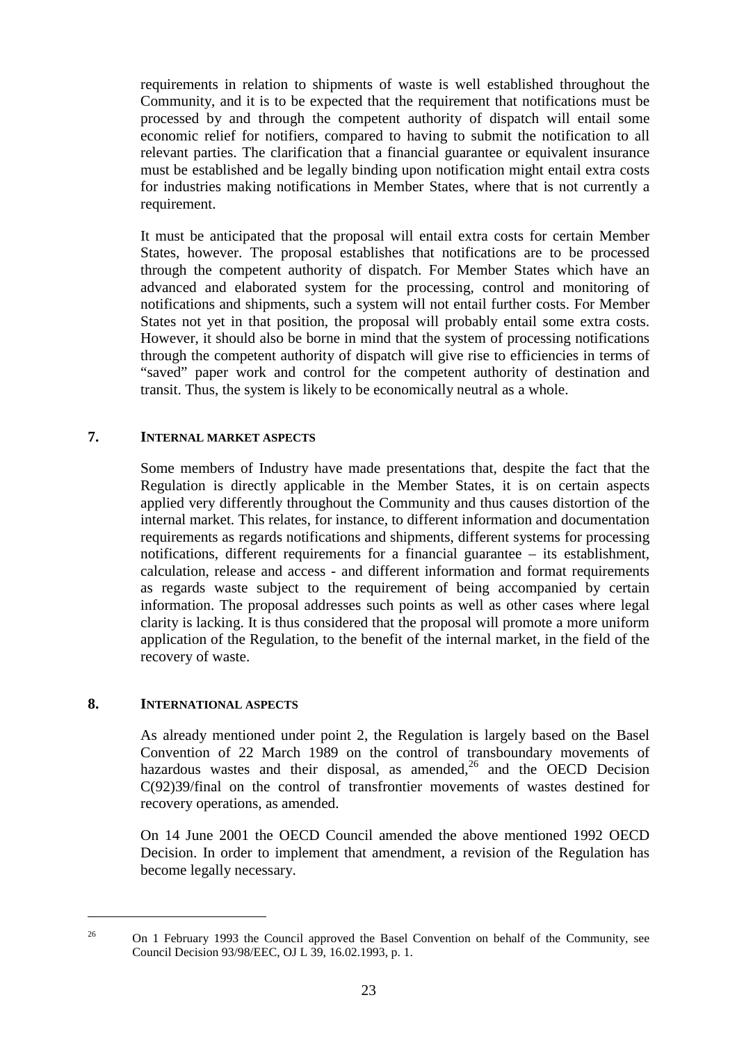requirements in relation to shipments of waste is well established throughout the Community, and it is to be expected that the requirement that notifications must be processed by and through the competent authority of dispatch will entail some economic relief for notifiers, compared to having to submit the notification to all relevant parties. The clarification that a financial guarantee or equivalent insurance must be established and be legally binding upon notification might entail extra costs for industries making notifications in Member States, where that is not currently a requirement.

It must be anticipated that the proposal will entail extra costs for certain Member States, however. The proposal establishes that notifications are to be processed through the competent authority of dispatch. For Member States which have an advanced and elaborated system for the processing, control and monitoring of notifications and shipments, such a system will not entail further costs. For Member States not yet in that position, the proposal will probably entail some extra costs. However, it should also be borne in mind that the system of processing notifications through the competent authority of dispatch will give rise to efficiencies in terms of "saved" paper work and control for the competent authority of destination and transit. Thus, the system is likely to be economically neutral as a whole.

# **7. INTERNAL MARKET ASPECTS**

Some members of Industry have made presentations that, despite the fact that the Regulation is directly applicable in the Member States, it is on certain aspects applied very differently throughout the Community and thus causes distortion of the internal market. This relates, for instance, to different information and documentation requirements as regards notifications and shipments, different systems for processing notifications, different requirements for a financial guarantee – its establishment, calculation, release and access - and different information and format requirements as regards waste subject to the requirement of being accompanied by certain information. The proposal addresses such points as well as other cases where legal clarity is lacking. It is thus considered that the proposal will promote a more uniform application of the Regulation, to the benefit of the internal market, in the field of the recovery of waste.

### **8. INTERNATIONAL ASPECTS**

 $\overline{a}$ 

As already mentioned under point 2, the Regulation is largely based on the Basel Convention of 22 March 1989 on the control of transboundary movements of hazardous wastes and their disposal, as amended, $26$  and the OECD Decision C(92)39/final on the control of transfrontier movements of wastes destined for recovery operations, as amended.

On 14 June 2001 the OECD Council amended the above mentioned 1992 OECD Decision. In order to implement that amendment, a revision of the Regulation has become legally necessary.

<sup>&</sup>lt;sup>26</sup> On 1 February 1993 the Council approved the Basel Convention on behalf of the Community, see Council Decision 93/98/EEC, OJ L 39, 16.02.1993, p. 1.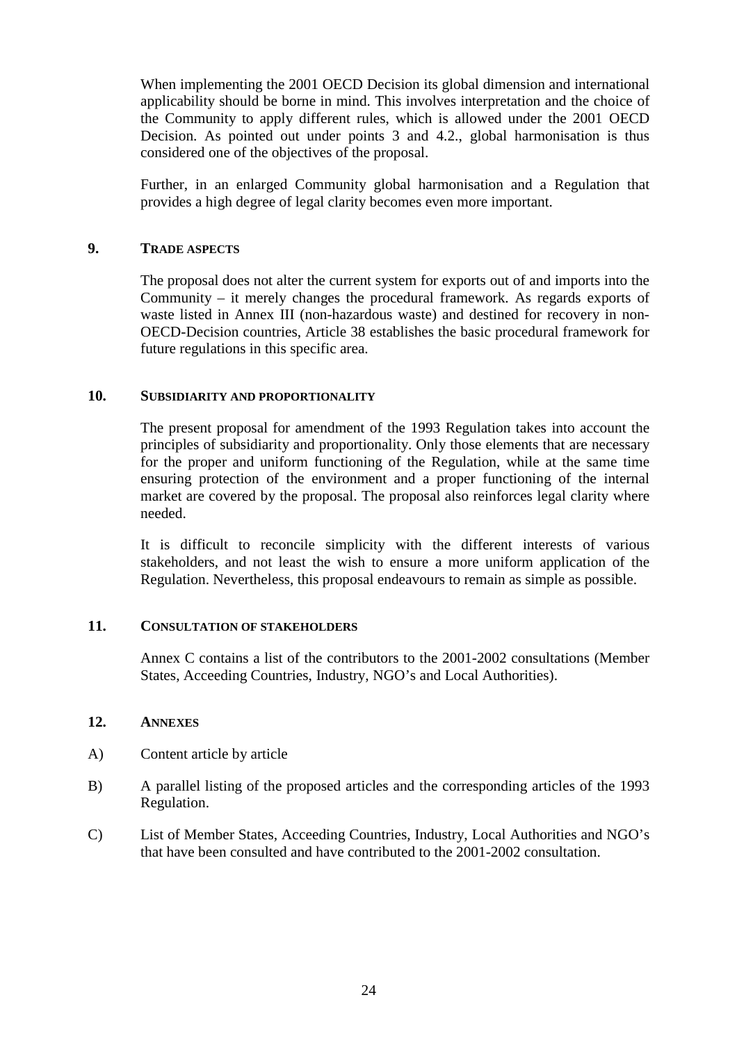When implementing the 2001 OECD Decision its global dimension and international applicability should be borne in mind. This involves interpretation and the choice of the Community to apply different rules, which is allowed under the 2001 OECD Decision. As pointed out under points 3 and 4.2., global harmonisation is thus considered one of the objectives of the proposal.

Further, in an enlarged Community global harmonisation and a Regulation that provides a high degree of legal clarity becomes even more important.

### **9. TRADE ASPECTS**

The proposal does not alter the current system for exports out of and imports into the Community – it merely changes the procedural framework. As regards exports of waste listed in Annex III (non-hazardous waste) and destined for recovery in non-OECD-Decision countries, Article 38 establishes the basic procedural framework for future regulations in this specific area.

#### **10. SUBSIDIARITY AND PROPORTIONALITY**

The present proposal for amendment of the 1993 Regulation takes into account the principles of subsidiarity and proportionality. Only those elements that are necessary for the proper and uniform functioning of the Regulation, while at the same time ensuring protection of the environment and a proper functioning of the internal market are covered by the proposal. The proposal also reinforces legal clarity where needed.

It is difficult to reconcile simplicity with the different interests of various stakeholders, and not least the wish to ensure a more uniform application of the Regulation. Nevertheless, this proposal endeavours to remain as simple as possible.

#### **11. CONSULTATION OF STAKEHOLDERS**

Annex C contains a list of the contributors to the 2001-2002 consultations (Member States, Acceeding Countries, Industry, NGO's and Local Authorities).

#### **12. ANNEXES**

- A) Content article by article
- B) A parallel listing of the proposed articles and the corresponding articles of the 1993 Regulation.
- C) List of Member States, Acceeding Countries, Industry, Local Authorities and NGO's that have been consulted and have contributed to the 2001-2002 consultation.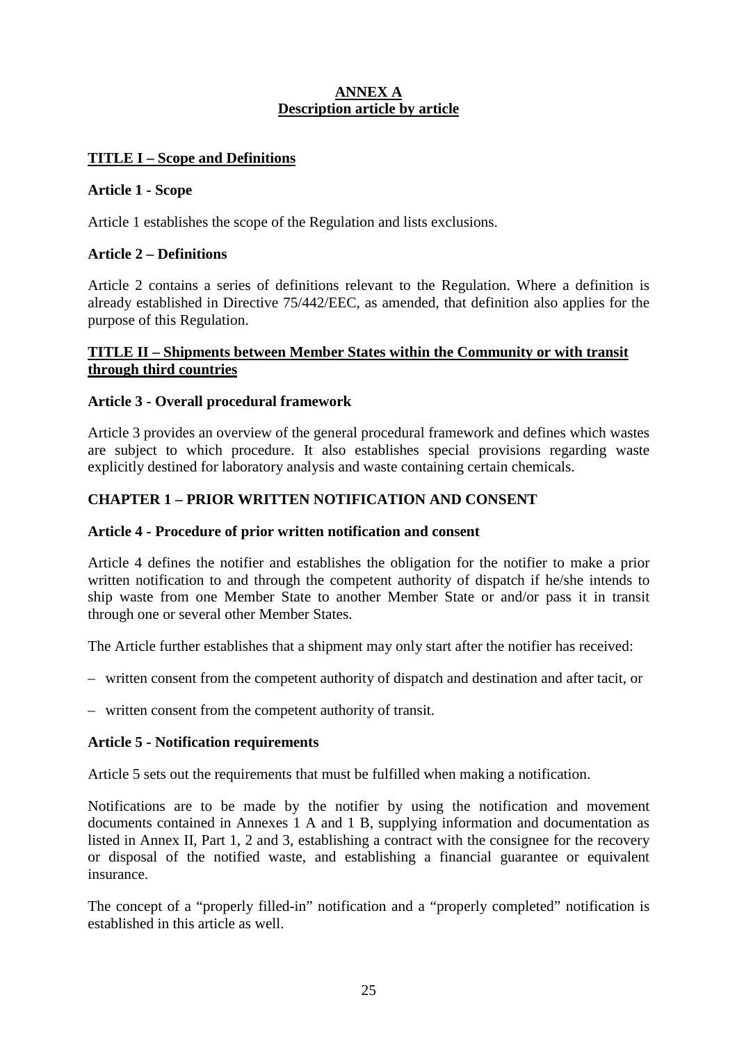# **ANNEX A Description article by article**

# **TITLE I – Scope and Definitions**

### **Article 1 - Scope**

Article 1 establishes the scope of the Regulation and lists exclusions.

# **Article 2 – Definitions**

Article 2 contains a series of definitions relevant to the Regulation. Where a definition is already established in Directive 75/442/EEC, as amended, that definition also applies for the purpose of this Regulation.

# **TITLE II – Shipments between Member States within the Community or with transit through third countries**

# **Article 3 - Overall procedural framework**

Article 3 provides an overview of the general procedural framework and defines which wastes are subject to which procedure. It also establishes special provisions regarding waste explicitly destined for laboratory analysis and waste containing certain chemicals.

# **CHAPTER 1 – PRIOR WRITTEN NOTIFICATION AND CONSENT**

### **Article 4 - Procedure of prior written notification and consent**

Article 4 defines the notifier and establishes the obligation for the notifier to make a prior written notification to and through the competent authority of dispatch if he/she intends to ship waste from one Member State to another Member State or and/or pass it in transit through one or several other Member States.

The Article further establishes that a shipment may only start after the notifier has received:

– written consent from the competent authority of dispatch and destination and after tacit, or

– written consent from the competent authority of transit.

### **Article 5 - Notification requirements**

Article 5 sets out the requirements that must be fulfilled when making a notification.

Notifications are to be made by the notifier by using the notification and movement documents contained in Annexes 1 A and 1 B, supplying information and documentation as listed in Annex II, Part 1, 2 and 3, establishing a contract with the consignee for the recovery or disposal of the notified waste, and establishing a financial guarantee or equivalent insurance.

The concept of a "properly filled-in" notification and a "properly completed" notification is established in this article as well.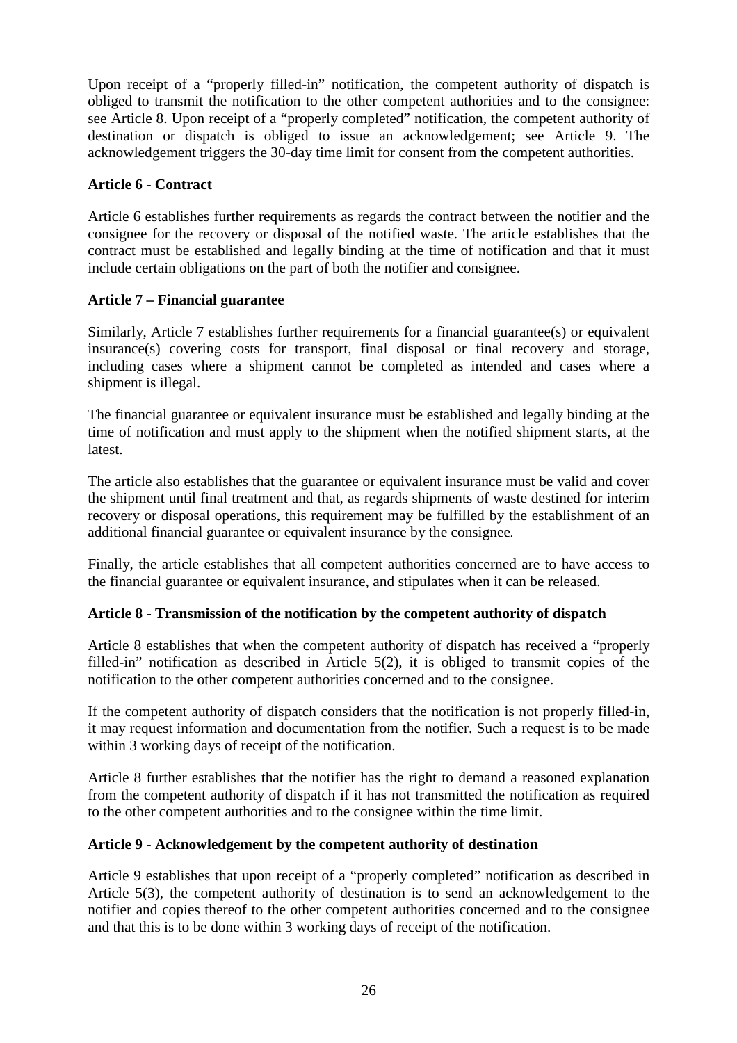Upon receipt of a "properly filled-in" notification, the competent authority of dispatch is obliged to transmit the notification to the other competent authorities and to the consignee: see Article 8. Upon receipt of a "properly completed" notification, the competent authority of destination or dispatch is obliged to issue an acknowledgement; see Article 9. The acknowledgement triggers the 30-day time limit for consent from the competent authorities.

# **Article 6 - Contract**

Article 6 establishes further requirements as regards the contract between the notifier and the consignee for the recovery or disposal of the notified waste. The article establishes that the contract must be established and legally binding at the time of notification and that it must include certain obligations on the part of both the notifier and consignee.

# **Article 7 – Financial guarantee**

Similarly, Article 7 establishes further requirements for a financial guarantee(s) or equivalent insurance(s) covering costs for transport, final disposal or final recovery and storage, including cases where a shipment cannot be completed as intended and cases where a shipment is illegal.

The financial guarantee or equivalent insurance must be established and legally binding at the time of notification and must apply to the shipment when the notified shipment starts, at the latest.

The article also establishes that the guarantee or equivalent insurance must be valid and cover the shipment until final treatment and that, as regards shipments of waste destined for interim recovery or disposal operations, this requirement may be fulfilled by the establishment of an additional financial guarantee or equivalent insurance by the consignee*.*

Finally, the article establishes that all competent authorities concerned are to have access to the financial guarantee or equivalent insurance, and stipulates when it can be released.

# **Article 8 - Transmission of the notification by the competent authority of dispatch**

Article 8 establishes that when the competent authority of dispatch has received a "properly filled-in" notification as described in Article 5(2), it is obliged to transmit copies of the notification to the other competent authorities concerned and to the consignee.

If the competent authority of dispatch considers that the notification is not properly filled-in, it may request information and documentation from the notifier. Such a request is to be made within 3 working days of receipt of the notification.

Article 8 further establishes that the notifier has the right to demand a reasoned explanation from the competent authority of dispatch if it has not transmitted the notification as required to the other competent authorities and to the consignee within the time limit.

# **Article 9 - Acknowledgement by the competent authority of destination**

Article 9 establishes that upon receipt of a "properly completed" notification as described in Article 5(3), the competent authority of destination is to send an acknowledgement to the notifier and copies thereof to the other competent authorities concerned and to the consignee and that this is to be done within 3 working days of receipt of the notification.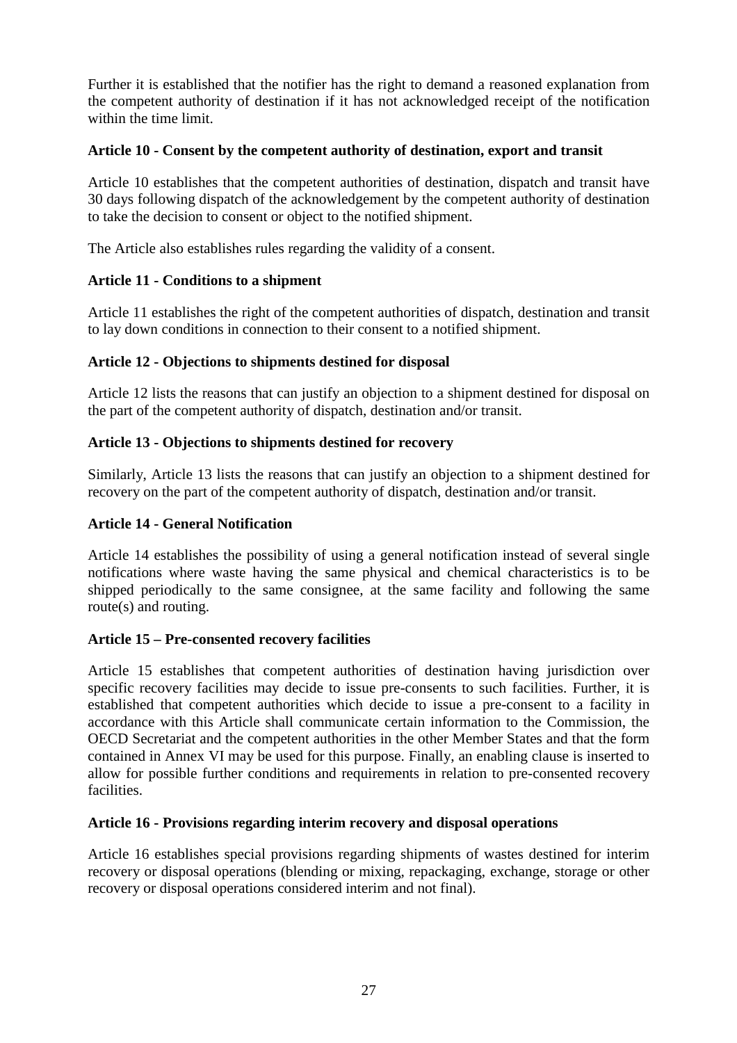Further it is established that the notifier has the right to demand a reasoned explanation from the competent authority of destination if it has not acknowledged receipt of the notification within the time limit.

# **Article 10 - Consent by the competent authority of destination, export and transit**

Article 10 establishes that the competent authorities of destination, dispatch and transit have 30 days following dispatch of the acknowledgement by the competent authority of destination to take the decision to consent or object to the notified shipment.

The Article also establishes rules regarding the validity of a consent.

# **Article 11 - Conditions to a shipment**

Article 11 establishes the right of the competent authorities of dispatch, destination and transit to lay down conditions in connection to their consent to a notified shipment.

# **Article 12 - Objections to shipments destined for disposal**

Article 12 lists the reasons that can justify an objection to a shipment destined for disposal on the part of the competent authority of dispatch, destination and/or transit.

# **Article 13 - Objections to shipments destined for recovery**

Similarly, Article 13 lists the reasons that can justify an objection to a shipment destined for recovery on the part of the competent authority of dispatch, destination and/or transit.

### **Article 14 - General Notification**

Article 14 establishes the possibility of using a general notification instead of several single notifications where waste having the same physical and chemical characteristics is to be shipped periodically to the same consignee, at the same facility and following the same route(s) and routing.

# **Article 15 – Pre-consented recovery facilities**

Article 15 establishes that competent authorities of destination having jurisdiction over specific recovery facilities may decide to issue pre-consents to such facilities. Further, it is established that competent authorities which decide to issue a pre-consent to a facility in accordance with this Article shall communicate certain information to the Commission, the OECD Secretariat and the competent authorities in the other Member States and that the form contained in Annex VI may be used for this purpose. Finally, an enabling clause is inserted to allow for possible further conditions and requirements in relation to pre-consented recovery facilities.

### **Article 16 - Provisions regarding interim recovery and disposal operations**

Article 16 establishes special provisions regarding shipments of wastes destined for interim recovery or disposal operations (blending or mixing, repackaging, exchange, storage or other recovery or disposal operations considered interim and not final).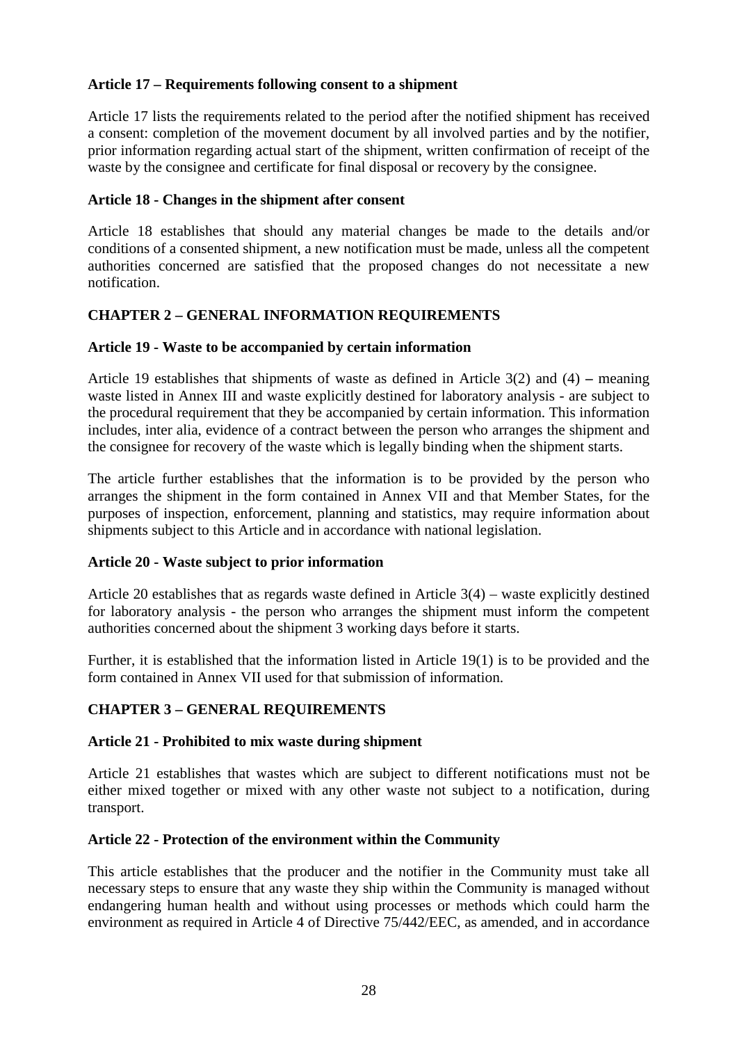# **Article 17 – Requirements following consent to a shipment**

Article 17 lists the requirements related to the period after the notified shipment has received a consent: completion of the movement document by all involved parties and by the notifier, prior information regarding actual start of the shipment, written confirmation of receipt of the waste by the consignee and certificate for final disposal or recovery by the consignee.

# **Article 18 - Changes in the shipment after consent**

Article 18 establishes that should any material changes be made to the details and/or conditions of a consented shipment, a new notification must be made, unless all the competent authorities concerned are satisfied that the proposed changes do not necessitate a new notification.

# **CHAPTER 2 – GENERAL INFORMATION REQUIREMENTS**

# **Article 19 - Waste to be accompanied by certain information**

Article 19 establishes that shipments of waste as defined in Article 3(2) and (4) **–** meaning waste listed in Annex III and waste explicitly destined for laboratory analysis - are subject to the procedural requirement that they be accompanied by certain information. This information includes, inter alia, evidence of a contract between the person who arranges the shipment and the consignee for recovery of the waste which is legally binding when the shipment starts.

The article further establishes that the information is to be provided by the person who arranges the shipment in the form contained in Annex VII and that Member States, for the purposes of inspection, enforcement, planning and statistics, may require information about shipments subject to this Article and in accordance with national legislation.

# **Article 20 - Waste subject to prior information**

Article 20 establishes that as regards waste defined in Article 3(4) – waste explicitly destined for laboratory analysis - the person who arranges the shipment must inform the competent authorities concerned about the shipment 3 working days before it starts.

Further, it is established that the information listed in Article 19(1) is to be provided and the form contained in Annex VII used for that submission of information.

# **CHAPTER 3 – GENERAL REQUIREMENTS**

# **Article 21 - Prohibited to mix waste during shipment**

Article 21 establishes that wastes which are subject to different notifications must not be either mixed together or mixed with any other waste not subject to a notification, during transport.

# **Article 22 - Protection of the environment within the Community**

This article establishes that the producer and the notifier in the Community must take all necessary steps to ensure that any waste they ship within the Community is managed without endangering human health and without using processes or methods which could harm the environment as required in Article 4 of Directive 75/442/EEC, as amended, and in accordance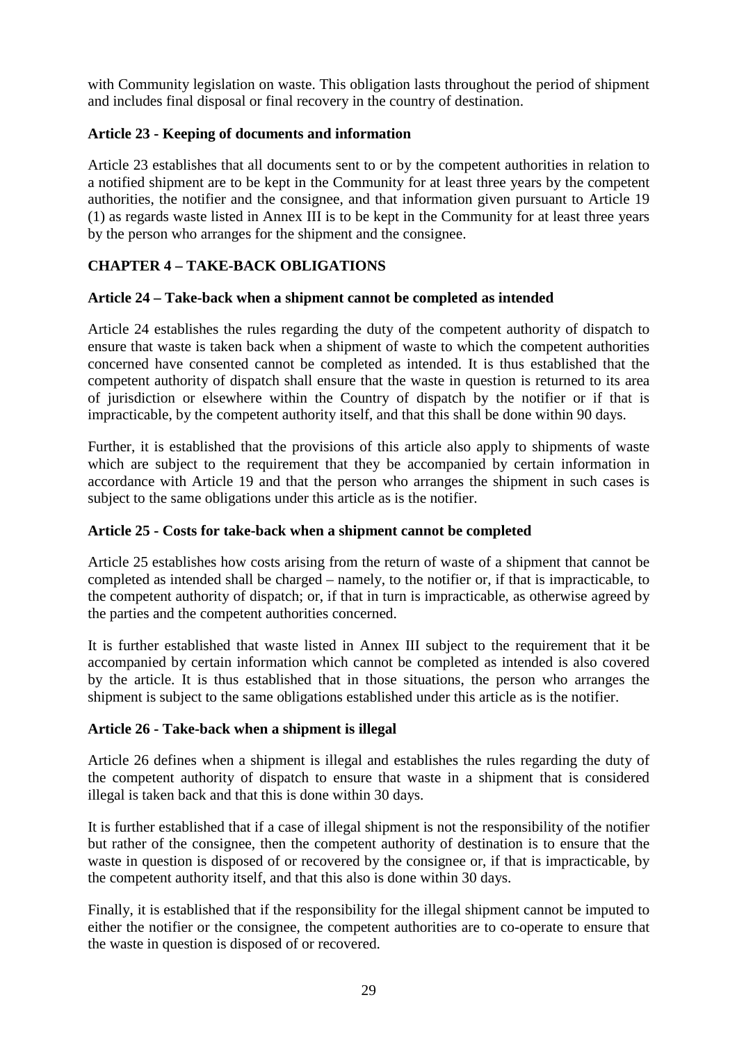with Community legislation on waste. This obligation lasts throughout the period of shipment and includes final disposal or final recovery in the country of destination.

# **Article 23 - Keeping of documents and information**

Article 23 establishes that all documents sent to or by the competent authorities in relation to a notified shipment are to be kept in the Community for at least three years by the competent authorities, the notifier and the consignee, and that information given pursuant to Article 19 (1) as regards waste listed in Annex III is to be kept in the Community for at least three years by the person who arranges for the shipment and the consignee.

# **CHAPTER 4 – TAKE-BACK OBLIGATIONS**

# **Article 24 – Take-back when a shipment cannot be completed as intended**

Article 24 establishes the rules regarding the duty of the competent authority of dispatch to ensure that waste is taken back when a shipment of waste to which the competent authorities concerned have consented cannot be completed as intended. It is thus established that the competent authority of dispatch shall ensure that the waste in question is returned to its area of jurisdiction or elsewhere within the Country of dispatch by the notifier or if that is impracticable, by the competent authority itself, and that this shall be done within 90 days.

Further, it is established that the provisions of this article also apply to shipments of waste which are subject to the requirement that they be accompanied by certain information in accordance with Article 19 and that the person who arranges the shipment in such cases is subject to the same obligations under this article as is the notifier.

# **Article 25 - Costs for take-back when a shipment cannot be completed**

Article 25 establishes how costs arising from the return of waste of a shipment that cannot be completed as intended shall be charged – namely, to the notifier or, if that is impracticable, to the competent authority of dispatch; or, if that in turn is impracticable, as otherwise agreed by the parties and the competent authorities concerned.

It is further established that waste listed in Annex III subject to the requirement that it be accompanied by certain information which cannot be completed as intended is also covered by the article. It is thus established that in those situations, the person who arranges the shipment is subject to the same obligations established under this article as is the notifier.

# **Article 26 - Take-back when a shipment is illegal**

Article 26 defines when a shipment is illegal and establishes the rules regarding the duty of the competent authority of dispatch to ensure that waste in a shipment that is considered illegal is taken back and that this is done within 30 days.

It is further established that if a case of illegal shipment is not the responsibility of the notifier but rather of the consignee, then the competent authority of destination is to ensure that the waste in question is disposed of or recovered by the consignee or, if that is impracticable, by the competent authority itself, and that this also is done within 30 days.

Finally, it is established that if the responsibility for the illegal shipment cannot be imputed to either the notifier or the consignee, the competent authorities are to co-operate to ensure that the waste in question is disposed of or recovered.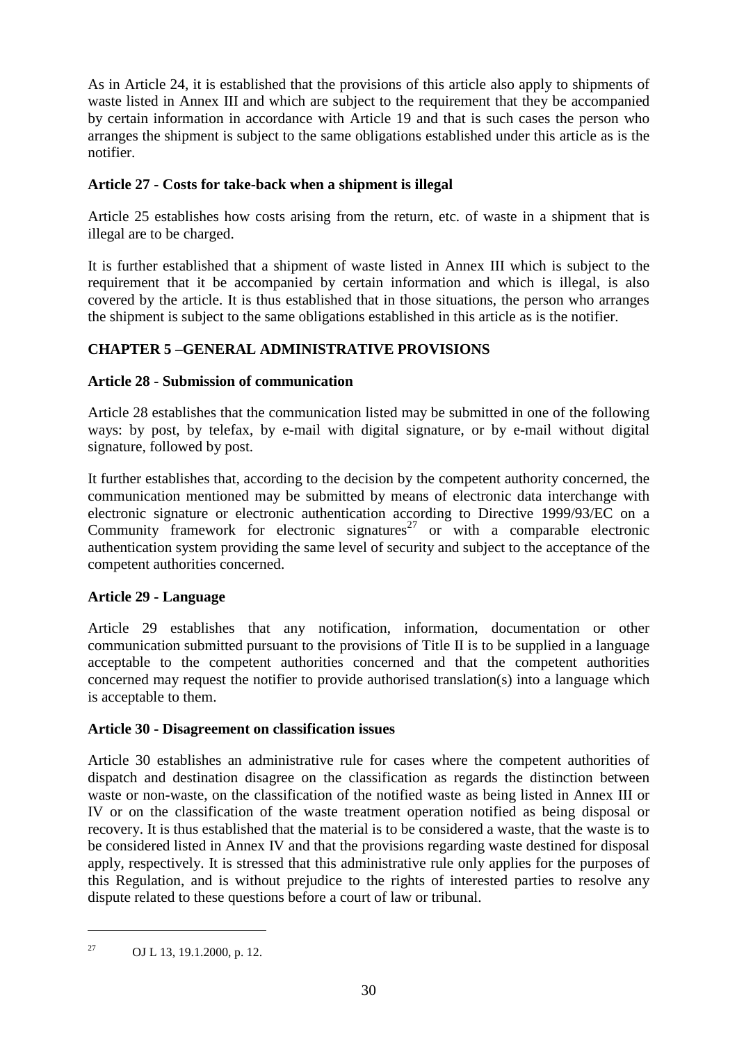As in Article 24, it is established that the provisions of this article also apply to shipments of waste listed in Annex III and which are subject to the requirement that they be accompanied by certain information in accordance with Article 19 and that is such cases the person who arranges the shipment is subject to the same obligations established under this article as is the notifier.

# **Article 27 - Costs for take-back when a shipment is illegal**

Article 25 establishes how costs arising from the return, etc. of waste in a shipment that is illegal are to be charged.

It is further established that a shipment of waste listed in Annex III which is subject to the requirement that it be accompanied by certain information and which is illegal, is also covered by the article. It is thus established that in those situations, the person who arranges the shipment is subject to the same obligations established in this article as is the notifier.

# **CHAPTER 5 –GENERAL ADMINISTRATIVE PROVISIONS**

# **Article 28 - Submission of communication**

Article 28 establishes that the communication listed may be submitted in one of the following ways: by post, by telefax, by e-mail with digital signature, or by e-mail without digital signature, followed by post.

It further establishes that, according to the decision by the competent authority concerned, the communication mentioned may be submitted by means of electronic data interchange with electronic signature or electronic authentication according to Directive 1999/93/EC on a Community framework for electronic signatures<sup>27</sup> or with a comparable electronic authentication system providing the same level of security and subject to the acceptance of the competent authorities concerned.

# **Article 29 - Language**

Article 29 establishes that any notification, information, documentation or other communication submitted pursuant to the provisions of Title II is to be supplied in a language acceptable to the competent authorities concerned and that the competent authorities concerned may request the notifier to provide authorised translation(s) into a language which is acceptable to them.

# **Article 30 - Disagreement on classification issues**

Article 30 establishes an administrative rule for cases where the competent authorities of dispatch and destination disagree on the classification as regards the distinction between waste or non-waste, on the classification of the notified waste as being listed in Annex III or IV or on the classification of the waste treatment operation notified as being disposal or recovery. It is thus established that the material is to be considered a waste, that the waste is to be considered listed in Annex IV and that the provisions regarding waste destined for disposal apply, respectively. It is stressed that this administrative rule only applies for the purposes of this Regulation, and is without prejudice to the rights of interested parties to resolve any dispute related to these questions before a court of law or tribunal.

<sup>27</sup> OJ L 13, 19.1.2000, p. 12.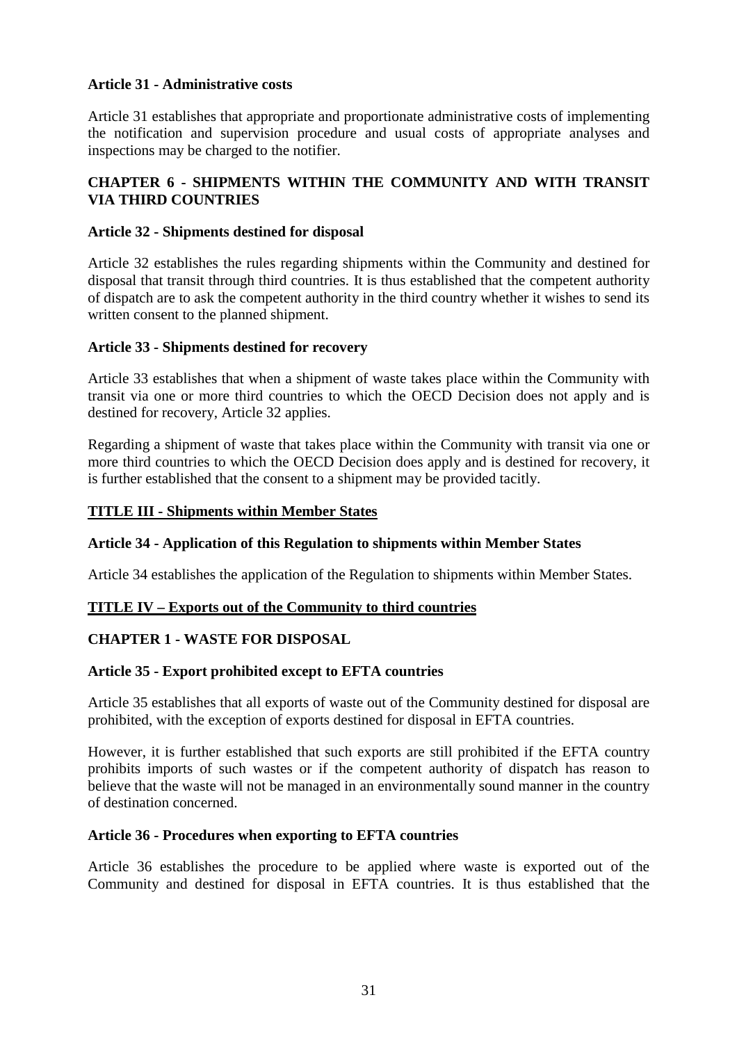# **Article 31 - Administrative costs**

Article 31 establishes that appropriate and proportionate administrative costs of implementing the notification and supervision procedure and usual costs of appropriate analyses and inspections may be charged to the notifier.

# **CHAPTER 6 - SHIPMENTS WITHIN THE COMMUNITY AND WITH TRANSIT VIA THIRD COUNTRIES**

# **Article 32 - Shipments destined for disposal**

Article 32 establishes the rules regarding shipments within the Community and destined for disposal that transit through third countries. It is thus established that the competent authority of dispatch are to ask the competent authority in the third country whether it wishes to send its written consent to the planned shipment.

# **Article 33 - Shipments destined for recovery**

Article 33 establishes that when a shipment of waste takes place within the Community with transit via one or more third countries to which the OECD Decision does not apply and is destined for recovery, Article 32 applies.

Regarding a shipment of waste that takes place within the Community with transit via one or more third countries to which the OECD Decision does apply and is destined for recovery, it is further established that the consent to a shipment may be provided tacitly.

# **TITLE III - Shipments within Member States**

# **Article 34 - Application of this Regulation to shipments within Member States**

Article 34 establishes the application of the Regulation to shipments within Member States.

# **TITLE IV – Exports out of the Community to third countries**

# **CHAPTER 1 - WASTE FOR DISPOSAL**

### **Article 35 - Export prohibited except to EFTA countries**

Article 35 establishes that all exports of waste out of the Community destined for disposal are prohibited, with the exception of exports destined for disposal in EFTA countries.

However, it is further established that such exports are still prohibited if the EFTA country prohibits imports of such wastes or if the competent authority of dispatch has reason to believe that the waste will not be managed in an environmentally sound manner in the country of destination concerned.

### **Article 36 - Procedures when exporting to EFTA countries**

Article 36 establishes the procedure to be applied where waste is exported out of the Community and destined for disposal in EFTA countries. It is thus established that the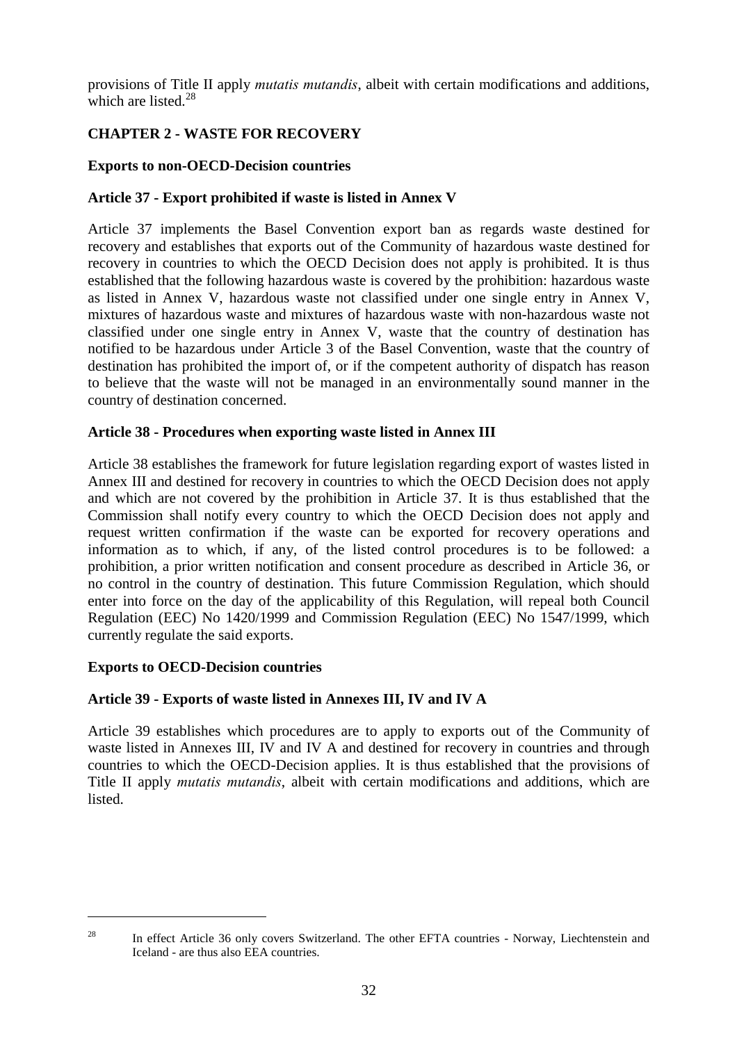provisions of Title II apply *mutatis mutandis*, albeit with certain modifications and additions, which are listed. $28$ 

# **CHAPTER 2 - WASTE FOR RECOVERY**

# **Exports to non-OECD-Decision countries**

# **Article 37 - Export prohibited if waste is listed in Annex V**

Article 37 implements the Basel Convention export ban as regards waste destined for recovery and establishes that exports out of the Community of hazardous waste destined for recovery in countries to which the OECD Decision does not apply is prohibited. It is thus established that the following hazardous waste is covered by the prohibition: hazardous waste as listed in Annex V, hazardous waste not classified under one single entry in Annex V, mixtures of hazardous waste and mixtures of hazardous waste with non-hazardous waste not classified under one single entry in Annex V, waste that the country of destination has notified to be hazardous under Article 3 of the Basel Convention, waste that the country of destination has prohibited the import of, or if the competent authority of dispatch has reason to believe that the waste will not be managed in an environmentally sound manner in the country of destination concerned.

# **Article 38 - Procedures when exporting waste listed in Annex III**

Article 38 establishes the framework for future legislation regarding export of wastes listed in Annex III and destined for recovery in countries to which the OECD Decision does not apply and which are not covered by the prohibition in Article 37. It is thus established that the Commission shall notify every country to which the OECD Decision does not apply and request written confirmation if the waste can be exported for recovery operations and information as to which, if any, of the listed control procedures is to be followed: a prohibition, a prior written notification and consent procedure as described in Article 36, or no control in the country of destination. This future Commission Regulation, which should enter into force on the day of the applicability of this Regulation, will repeal both Council Regulation (EEC) No 1420/1999 and Commission Regulation (EEC) No 1547/1999, which currently regulate the said exports.

# **Exports to OECD-Decision countries**

 $\overline{a}$ 

# **Article 39 - Exports of waste listed in Annexes III, IV and IV A**

Article 39 establishes which procedures are to apply to exports out of the Community of waste listed in Annexes III, IV and IV A and destined for recovery in countries and through countries to which the OECD-Decision applies. It is thus established that the provisions of Title II apply *mutatis mutandis*, albeit with certain modifications and additions, which are listed.

<sup>&</sup>lt;sup>28</sup> In effect Article 36 only covers Switzerland. The other EFTA countries - Norway, Liechtenstein and Iceland - are thus also EEA countries.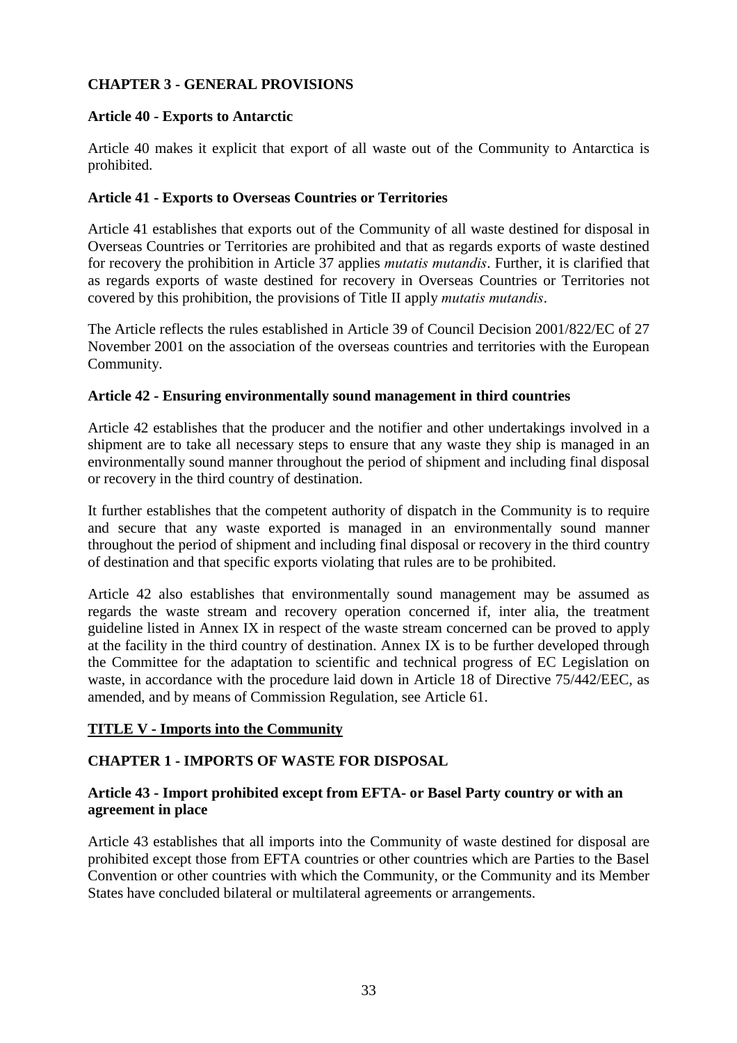# **CHAPTER 3 - GENERAL PROVISIONS**

# **Article 40 - Exports to Antarctic**

Article 40 makes it explicit that export of all waste out of the Community to Antarctica is prohibited.

# **Article 41 - Exports to Overseas Countries or Territories**

Article 41 establishes that exports out of the Community of all waste destined for disposal in Overseas Countries or Territories are prohibited and that as regards exports of waste destined for recovery the prohibition in Article 37 applies *mutatis mutandis*. Further, it is clarified that as regards exports of waste destined for recovery in Overseas Countries or Territories not covered by this prohibition, the provisions of Title II apply *mutatis mutandis*.

The Article reflects the rules established in Article 39 of Council Decision 2001/822/EC of 27 November 2001 on the association of the overseas countries and territories with the European Community.

# **Article 42 - Ensuring environmentally sound management in third countries**

Article 42 establishes that the producer and the notifier and other undertakings involved in a shipment are to take all necessary steps to ensure that any waste they ship is managed in an environmentally sound manner throughout the period of shipment and including final disposal or recovery in the third country of destination.

It further establishes that the competent authority of dispatch in the Community is to require and secure that any waste exported is managed in an environmentally sound manner throughout the period of shipment and including final disposal or recovery in the third country of destination and that specific exports violating that rules are to be prohibited.

Article 42 also establishes that environmentally sound management may be assumed as regards the waste stream and recovery operation concerned if, inter alia, the treatment guideline listed in Annex IX in respect of the waste stream concerned can be proved to apply at the facility in the third country of destination. Annex IX is to be further developed through the Committee for the adaptation to scientific and technical progress of EC Legislation on waste, in accordance with the procedure laid down in Article 18 of Directive 75/442/EEC, as amended, and by means of Commission Regulation, see Article 61.

### **TITLE V - Imports into the Community**

# **CHAPTER 1 - IMPORTS OF WASTE FOR DISPOSAL**

# **Article 43 - Import prohibited except from EFTA- or Basel Party country or with an agreement in place**

Article 43 establishes that all imports into the Community of waste destined for disposal are prohibited except those from EFTA countries or other countries which are Parties to the Basel Convention or other countries with which the Community, or the Community and its Member States have concluded bilateral or multilateral agreements or arrangements.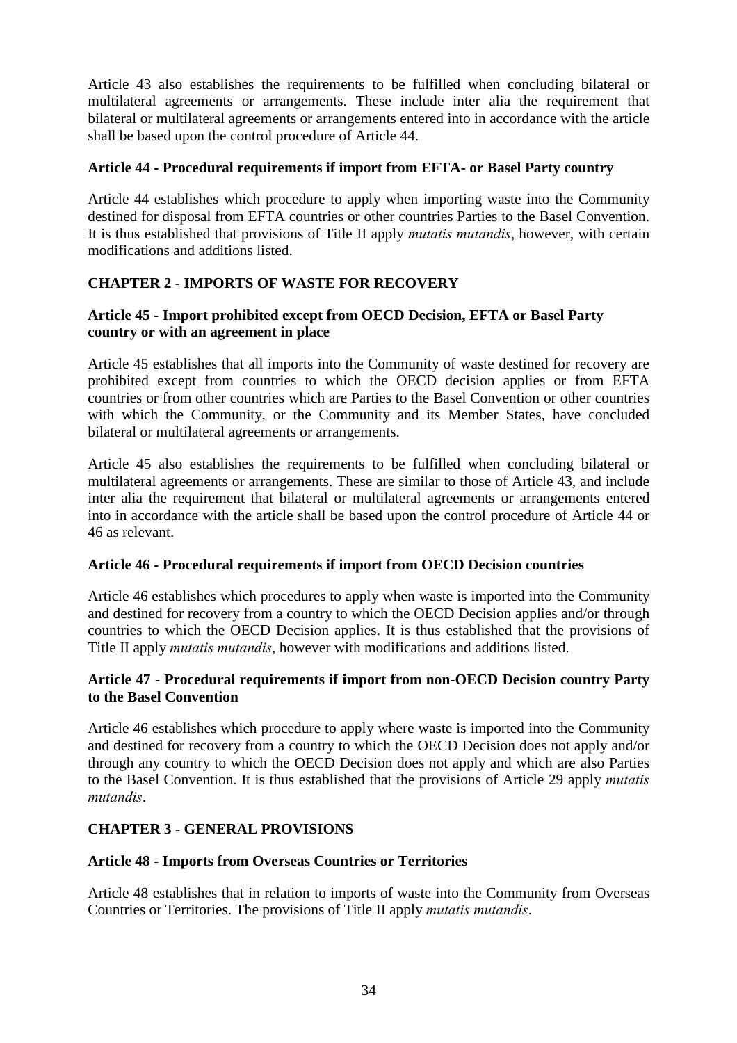Article 43 also establishes the requirements to be fulfilled when concluding bilateral or multilateral agreements or arrangements. These include inter alia the requirement that bilateral or multilateral agreements or arrangements entered into in accordance with the article shall be based upon the control procedure of Article 44.

# **Article 44 - Procedural requirements if import from EFTA- or Basel Party country**

Article 44 establishes which procedure to apply when importing waste into the Community destined for disposal from EFTA countries or other countries Parties to the Basel Convention. It is thus established that provisions of Title II apply *mutatis mutandis*, however, with certain modifications and additions listed.

# **CHAPTER 2 - IMPORTS OF WASTE FOR RECOVERY**

# **Article 45 - Import prohibited except from OECD Decision, EFTA or Basel Party country or with an agreement in place**

Article 45 establishes that all imports into the Community of waste destined for recovery are prohibited except from countries to which the OECD decision applies or from EFTA countries or from other countries which are Parties to the Basel Convention or other countries with which the Community, or the Community and its Member States, have concluded bilateral or multilateral agreements or arrangements.

Article 45 also establishes the requirements to be fulfilled when concluding bilateral or multilateral agreements or arrangements. These are similar to those of Article 43, and include inter alia the requirement that bilateral or multilateral agreements or arrangements entered into in accordance with the article shall be based upon the control procedure of Article 44 or 46 as relevant.

### **Article 46 - Procedural requirements if import from OECD Decision countries**

Article 46 establishes which procedures to apply when waste is imported into the Community and destined for recovery from a country to which the OECD Decision applies and/or through countries to which the OECD Decision applies. It is thus established that the provisions of Title II apply *mutatis mutandis*, however with modifications and additions listed.

# **Article 47 - Procedural requirements if import from non-OECD Decision country Party to the Basel Convention**

Article 46 establishes which procedure to apply where waste is imported into the Community and destined for recovery from a country to which the OECD Decision does not apply and/or through any country to which the OECD Decision does not apply and which are also Parties to the Basel Convention. It is thus established that the provisions of Article 29 apply *mutatis mutandis*.

# **CHAPTER 3 - GENERAL PROVISIONS**

### **Article 48 - Imports from Overseas Countries or Territories**

Article 48 establishes that in relation to imports of waste into the Community from Overseas Countries or Territories. The provisions of Title II apply *mutatis mutandis*.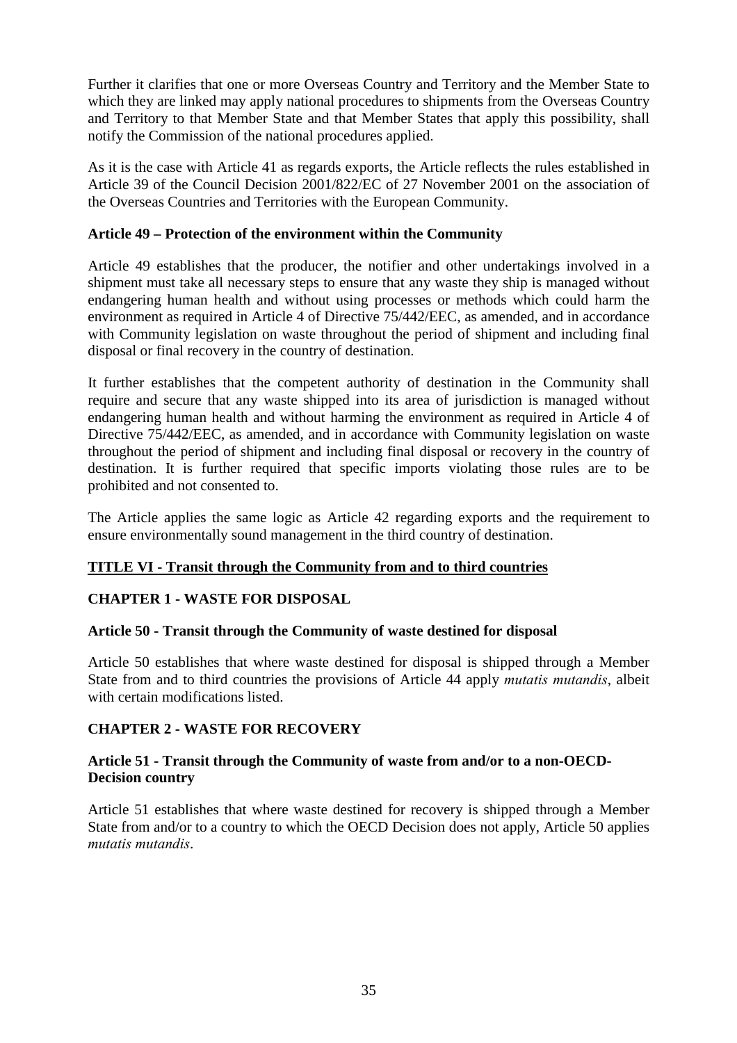Further it clarifies that one or more Overseas Country and Territory and the Member State to which they are linked may apply national procedures to shipments from the Overseas Country and Territory to that Member State and that Member States that apply this possibility, shall notify the Commission of the national procedures applied.

As it is the case with Article 41 as regards exports, the Article reflects the rules established in Article 39 of the Council Decision 2001/822/EC of 27 November 2001 on the association of the Overseas Countries and Territories with the European Community.

# **Article 49 – Protection of the environment within the Community**

Article 49 establishes that the producer, the notifier and other undertakings involved in a shipment must take all necessary steps to ensure that any waste they ship is managed without endangering human health and without using processes or methods which could harm the environment as required in Article 4 of Directive 75/442/EEC, as amended, and in accordance with Community legislation on waste throughout the period of shipment and including final disposal or final recovery in the country of destination.

It further establishes that the competent authority of destination in the Community shall require and secure that any waste shipped into its area of jurisdiction is managed without endangering human health and without harming the environment as required in Article 4 of Directive  $75/442/EEC$ , as amended, and in accordance with Community legislation on waste throughout the period of shipment and including final disposal or recovery in the country of destination. It is further required that specific imports violating those rules are to be prohibited and not consented to.

The Article applies the same logic as Article 42 regarding exports and the requirement to ensure environmentally sound management in the third country of destination.

# **TITLE VI - Transit through the Community from and to third countries**

# **CHAPTER 1 - WASTE FOR DISPOSAL**

### **Article 50 - Transit through the Community of waste destined for disposal**

Article 50 establishes that where waste destined for disposal is shipped through a Member State from and to third countries the provisions of Article 44 apply *mutatis mutandis*, albeit with certain modifications listed.

### **CHAPTER 2 - WASTE FOR RECOVERY**

# **Article 51 - Transit through the Community of waste from and/or to a non-OECD-Decision country**

Article 51 establishes that where waste destined for recovery is shipped through a Member State from and/or to a country to which the OECD Decision does not apply, Article 50 applies *mutatis mutandis*.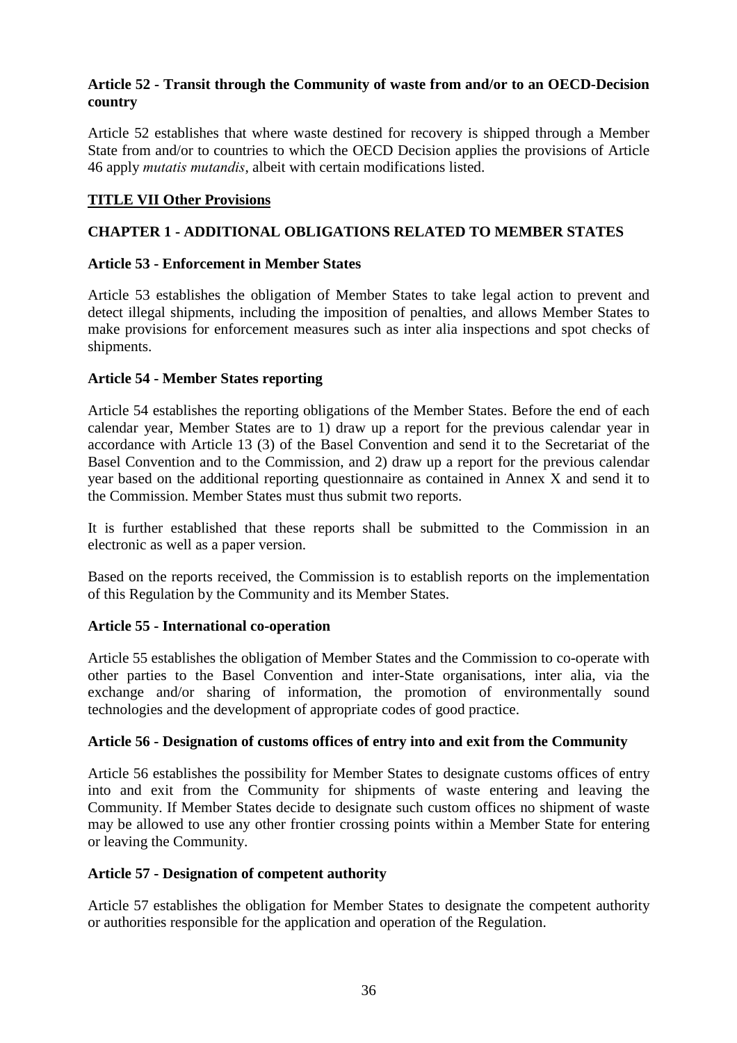# **Article 52 - Transit through the Community of waste from and/or to an OECD-Decision country**

Article 52 establishes that where waste destined for recovery is shipped through a Member State from and/or to countries to which the OECD Decision applies the provisions of Article 46 apply *mutatis mutandis*, albeit with certain modifications listed.

# **TITLE VII Other Provisions**

# **CHAPTER 1 - ADDITIONAL OBLIGATIONS RELATED TO MEMBER STATES**

# **Article 53 - Enforcement in Member States**

Article 53 establishes the obligation of Member States to take legal action to prevent and detect illegal shipments, including the imposition of penalties, and allows Member States to make provisions for enforcement measures such as inter alia inspections and spot checks of shipments.

# **Article 54 - Member States reporting**

Article 54 establishes the reporting obligations of the Member States. Before the end of each calendar year, Member States are to 1) draw up a report for the previous calendar year in accordance with Article 13 (3) of the Basel Convention and send it to the Secretariat of the Basel Convention and to the Commission, and 2) draw up a report for the previous calendar year based on the additional reporting questionnaire as contained in Annex X and send it to the Commission. Member States must thus submit two reports.

It is further established that these reports shall be submitted to the Commission in an electronic as well as a paper version.

Based on the reports received, the Commission is to establish reports on the implementation of this Regulation by the Community and its Member States.

# **Article 55 - International co-operation**

Article 55 establishes the obligation of Member States and the Commission to co-operate with other parties to the Basel Convention and inter-State organisations, inter alia, via the exchange and/or sharing of information, the promotion of environmentally sound technologies and the development of appropriate codes of good practice.

### **Article 56 - Designation of customs offices of entry into and exit from the Community**

Article 56 establishes the possibility for Member States to designate customs offices of entry into and exit from the Community for shipments of waste entering and leaving the Community. If Member States decide to designate such custom offices no shipment of waste may be allowed to use any other frontier crossing points within a Member State for entering or leaving the Community.

### **Article 57 - Designation of competent authority**

Article 57 establishes the obligation for Member States to designate the competent authority or authorities responsible for the application and operation of the Regulation.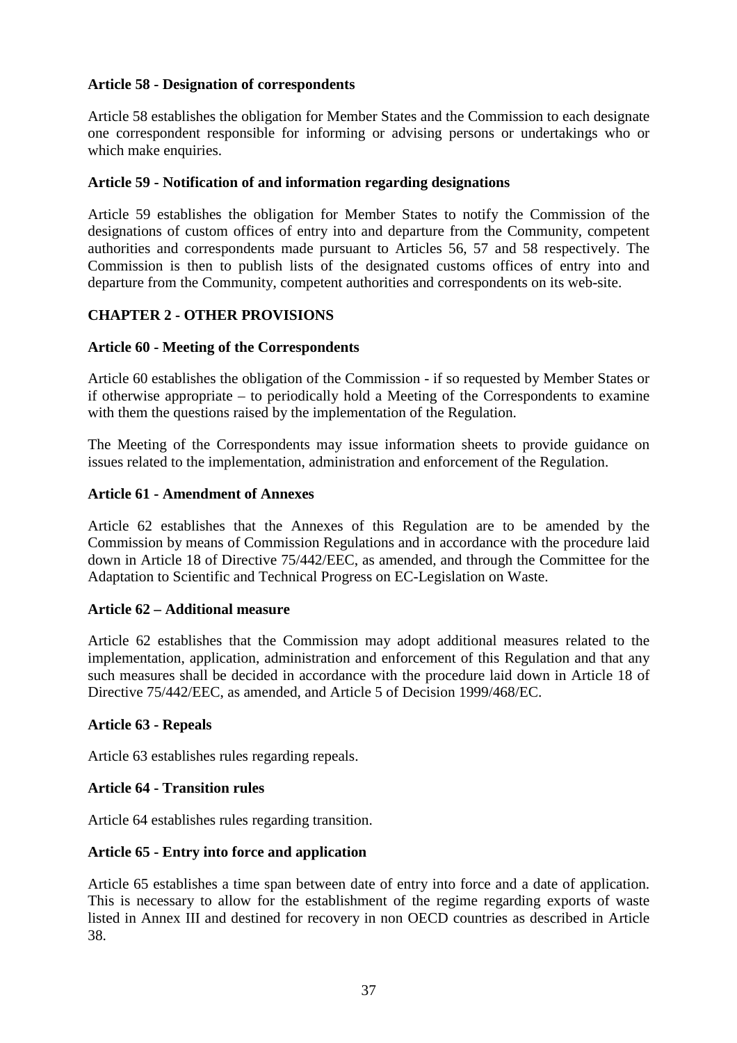## **Article 58 - Designation of correspondents**

Article 58 establishes the obligation for Member States and the Commission to each designate one correspondent responsible for informing or advising persons or undertakings who or which make enquiries.

#### **Article 59 - Notification of and information regarding designations**

Article 59 establishes the obligation for Member States to notify the Commission of the designations of custom offices of entry into and departure from the Community, competent authorities and correspondents made pursuant to Articles 56, 57 and 58 respectively. The Commission is then to publish lists of the designated customs offices of entry into and departure from the Community, competent authorities and correspondents on its web-site.

## **CHAPTER 2 - OTHER PROVISIONS**

#### **Article 60 - Meeting of the Correspondents**

Article 60 establishes the obligation of the Commission - if so requested by Member States or if otherwise appropriate – to periodically hold a Meeting of the Correspondents to examine with them the questions raised by the implementation of the Regulation.

The Meeting of the Correspondents may issue information sheets to provide guidance on issues related to the implementation, administration and enforcement of the Regulation.

#### **Article 61 - Amendment of Annexes**

Article 62 establishes that the Annexes of this Regulation are to be amended by the Commission by means of Commission Regulations and in accordance with the procedure laid down in Article 18 of Directive 75/442/EEC, as amended, and through the Committee for the Adaptation to Scientific and Technical Progress on EC-Legislation on Waste.

#### **Article 62 – Additional measure**

Article 62 establishes that the Commission may adopt additional measures related to the implementation, application, administration and enforcement of this Regulation and that any such measures shall be decided in accordance with the procedure laid down in Article 18 of Directive 75/442/EEC, as amended, and Article 5 of Decision 1999/468/EC.

#### **Article 63 - Repeals**

Article 63 establishes rules regarding repeals.

#### **Article 64 - Transition rules**

Article 64 establishes rules regarding transition.

#### **Article 65 - Entry into force and application**

Article 65 establishes a time span between date of entry into force and a date of application. This is necessary to allow for the establishment of the regime regarding exports of waste listed in Annex III and destined for recovery in non OECD countries as described in Article 38.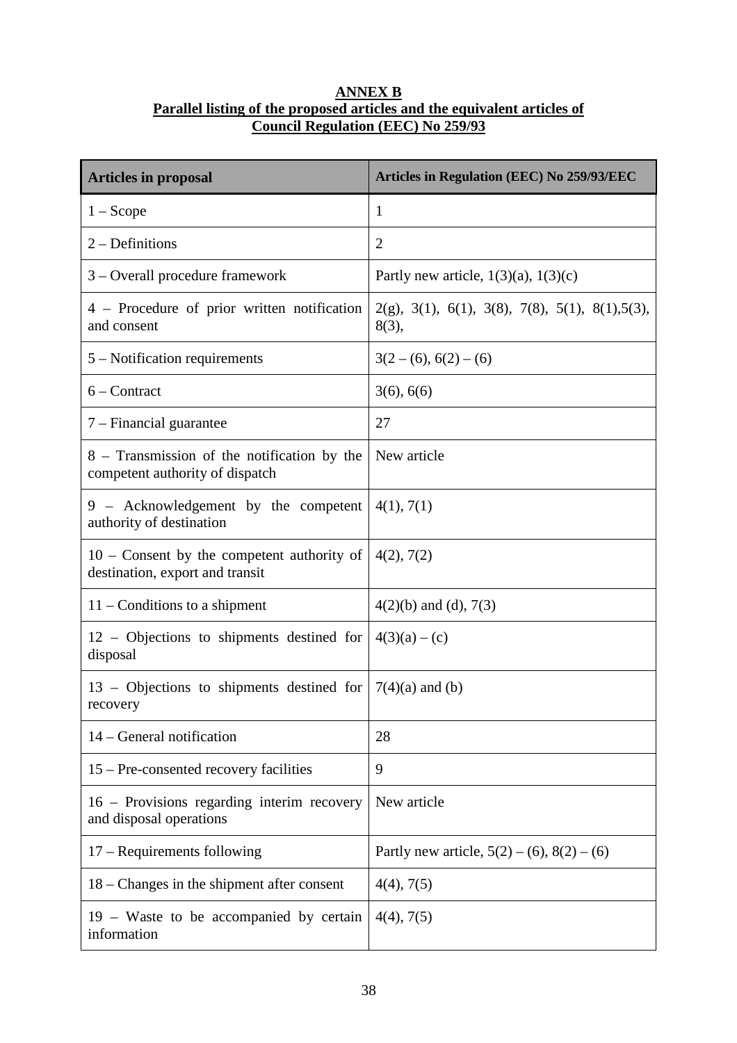## **ANNEX B Parallel listing of the proposed articles and the equivalent articles of Council Regulation (EEC) No 259/93**

| <b>Articles in proposal</b>                                                     | <b>Articles in Regulation (EEC) No 259/93/EEC</b>              |
|---------------------------------------------------------------------------------|----------------------------------------------------------------|
| $1 - \text{Scope}$                                                              | 1                                                              |
| $2 -$ Definitions                                                               | $\overline{2}$                                                 |
| 3 – Overall procedure framework                                                 | Partly new article, $1(3)(a)$ , $1(3)(c)$                      |
| 4 – Procedure of prior written notification<br>and consent                      | $2(g)$ , 3(1), 6(1), 3(8), 7(8), 5(1), 8(1), 5(3),<br>$8(3)$ , |
| $5 -$ Notification requirements                                                 | $3(2-(6), 6(2)-(6)$                                            |
| $6 -$ Contract                                                                  | 3(6), 6(6)                                                     |
| 7 – Financial guarantee                                                         | 27                                                             |
| 8 – Transmission of the notification by the<br>competent authority of dispatch  | New article                                                    |
| 9 - Acknowledgement by the competent<br>authority of destination                | 4(1), 7(1)                                                     |
| $10$ – Consent by the competent authority of<br>destination, export and transit | 4(2), 7(2)                                                     |
| $11$ – Conditions to a shipment                                                 | $4(2)(b)$ and (d), 7(3)                                        |
| $12$ – Objections to shipments destined for<br>disposal                         | $4(3)(a) - (c)$                                                |
| 13 – Objections to shipments destined for<br>recovery                           | $7(4)(a)$ and (b)                                              |
| 14 – General notification                                                       | 28                                                             |
| 15 – Pre-consented recovery facilities                                          | 9                                                              |
| 16 – Provisions regarding interim recovery<br>and disposal operations           | New article                                                    |
| $17 -$ Requirements following                                                   | Partly new article, $5(2) - (6)$ , $8(2) - (6)$                |
| $18$ – Changes in the shipment after consent                                    | 4(4), 7(5)                                                     |
| 19 – Waste to be accompanied by certain<br>information                          | 4(4), 7(5)                                                     |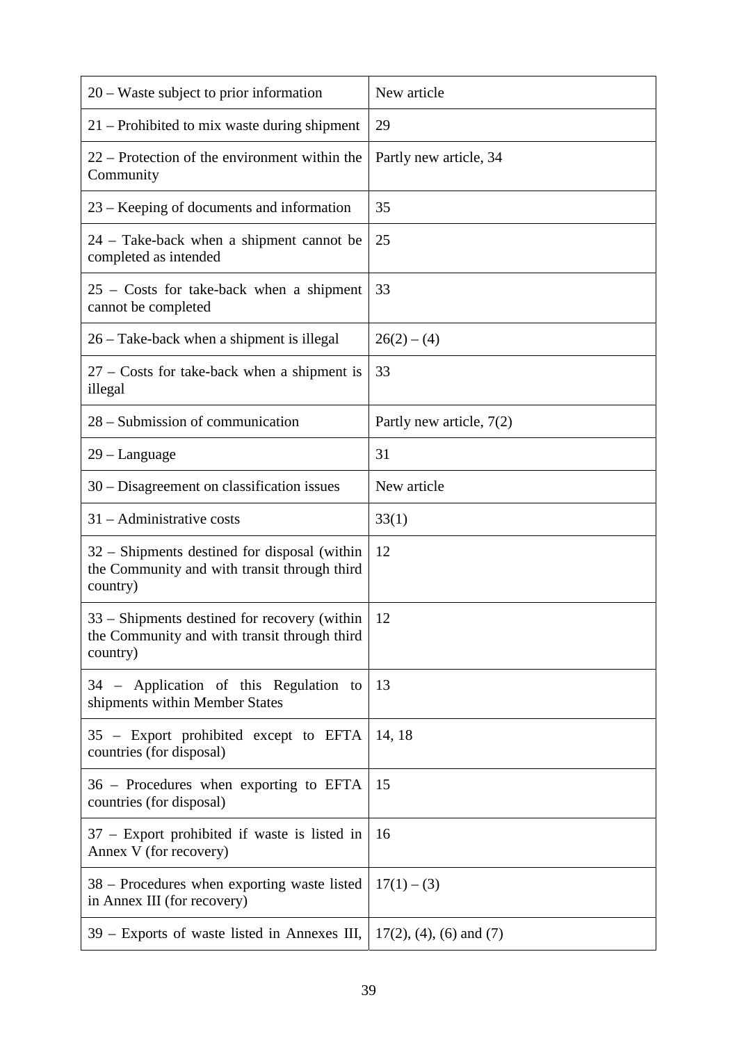| 20 – Waste subject to prior information                                                                  | New article                |
|----------------------------------------------------------------------------------------------------------|----------------------------|
| 21 – Prohibited to mix waste during shipment                                                             | 29                         |
| 22 – Protection of the environment within the<br>Community                                               | Partly new article, 34     |
| 23 – Keeping of documents and information                                                                | 35                         |
| 24 – Take-back when a shipment cannot be<br>completed as intended                                        | 25                         |
| $25$ – Costs for take-back when a shipment<br>cannot be completed                                        | 33                         |
| 26 – Take-back when a shipment is illegal                                                                | $26(2) - (4)$              |
| $27$ – Costs for take-back when a shipment is<br>illegal                                                 | 33                         |
| 28 – Submission of communication                                                                         | Partly new article, 7(2)   |
| 29 – Language                                                                                            | 31                         |
| 30 – Disagreement on classification issues                                                               | New article                |
| $31 -$ Administrative costs                                                                              | 33(1)                      |
| 32 - Shipments destined for disposal (within<br>the Community and with transit through third<br>country) | 12                         |
| 33 – Shipments destined for recovery (within<br>the Community and with transit through third<br>country) | 12                         |
| 34 – Application of this Regulation to<br>shipments within Member States                                 | 13                         |
| 35 – Export prohibited except to EFTA<br>countries (for disposal)                                        | 14, 18                     |
| 36 – Procedures when exporting to EFTA<br>countries (for disposal)                                       | 15                         |
| 37 – Export prohibited if waste is listed in<br>Annex V (for recovery)                                   | 16                         |
| 38 – Procedures when exporting waste listed<br>in Annex III (for recovery)                               | $17(1) - (3)$              |
| 39 – Exports of waste listed in Annexes III,                                                             | $17(2)$ , (4), (6) and (7) |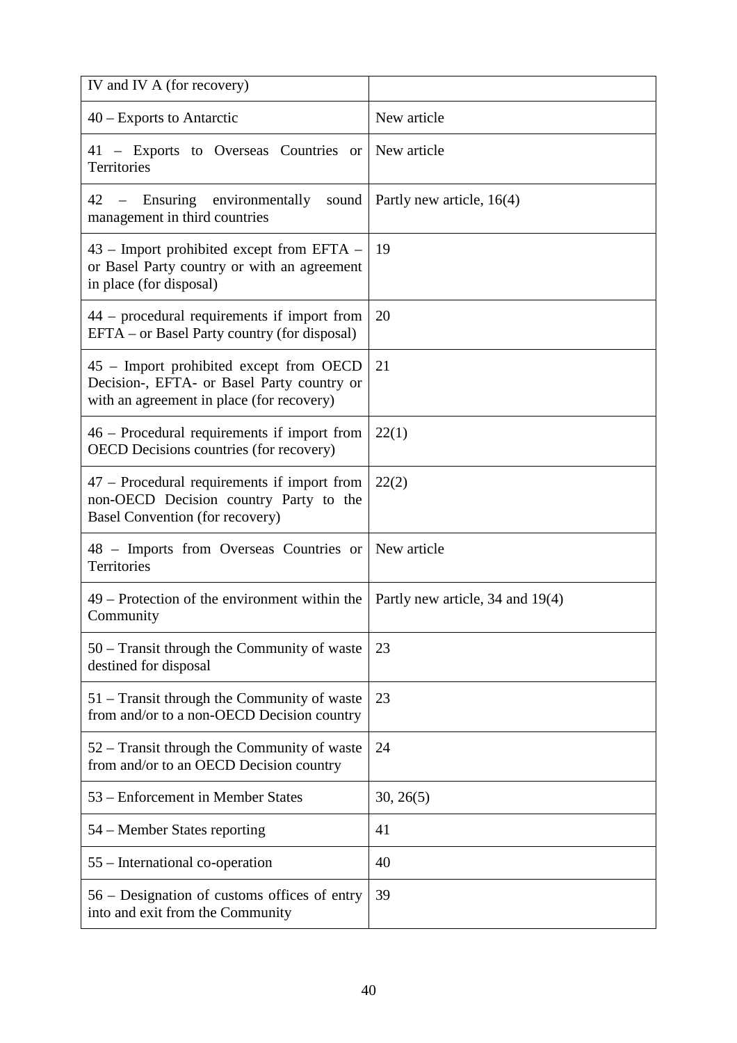| IV and IV A (for recovery)                                                                                                         |                                  |
|------------------------------------------------------------------------------------------------------------------------------------|----------------------------------|
| 40 – Exports to Antarctic                                                                                                          | New article                      |
| 41 – Exports to Overseas Countries or<br>Territories                                                                               | New article                      |
| - Ensuring environmentally<br>42<br>sound<br>management in third countries                                                         | Partly new article, 16(4)        |
| 43 – Import prohibited except from EFTA –<br>or Basel Party country or with an agreement<br>in place (for disposal)                | 19                               |
| 44 – procedural requirements if import from<br>EFTA – or Basel Party country (for disposal)                                        | 20                               |
| 45 – Import prohibited except from OECD<br>Decision-, EFTA- or Basel Party country or<br>with an agreement in place (for recovery) | 21                               |
| 46 – Procedural requirements if import from<br><b>OECD</b> Decisions countries (for recovery)                                      | 22(1)                            |
| 47 – Procedural requirements if import from<br>non-OECD Decision country Party to the<br>Basel Convention (for recovery)           | 22(2)                            |
| 48 - Imports from Overseas Countries or<br>Territories                                                                             | New article                      |
| 49 – Protection of the environment within the<br>Community                                                                         | Partly new article, 34 and 19(4) |
| 50 – Transit through the Community of waste<br>destined for disposal                                                               | 23                               |
| 51 – Transit through the Community of waste<br>from and/or to a non-OECD Decision country                                          | 23                               |
| 52 – Transit through the Community of waste<br>from and/or to an OECD Decision country                                             | 24                               |
| 53 – Enforcement in Member States                                                                                                  | 30, 26(5)                        |
| 54 – Member States reporting                                                                                                       | 41                               |
| 55 – International co-operation                                                                                                    | 40                               |
| 56 – Designation of customs offices of entry<br>into and exit from the Community                                                   | 39                               |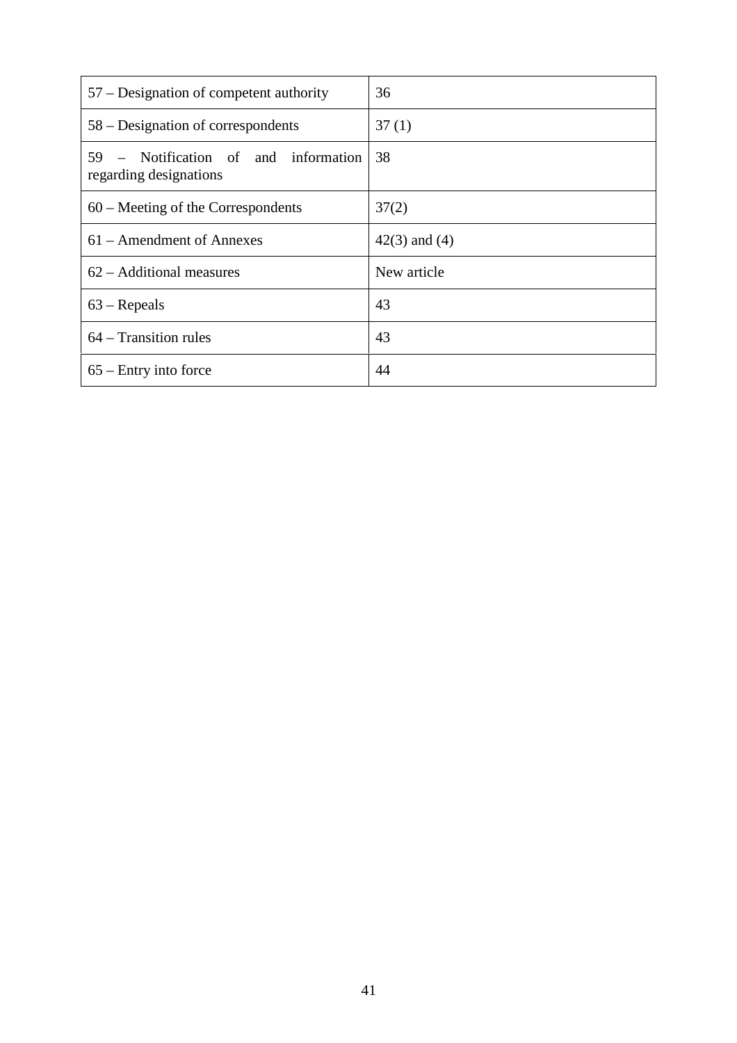| 57 – Designation of competent authority                            | 36                |
|--------------------------------------------------------------------|-------------------|
| 58 – Designation of correspondents                                 | 37(1)             |
| - Notification of and information<br>59.<br>regarding designations | 38                |
| $60$ – Meeting of the Correspondents                               | 37(2)             |
| 61 – Amendment of Annexes                                          | $42(3)$ and $(4)$ |
| $62 -$ Additional measures                                         | New article       |
| $63$ – Repeals                                                     | 43                |
| 64 – Transition rules                                              | 43                |
| $65$ – Entry into force                                            | 44                |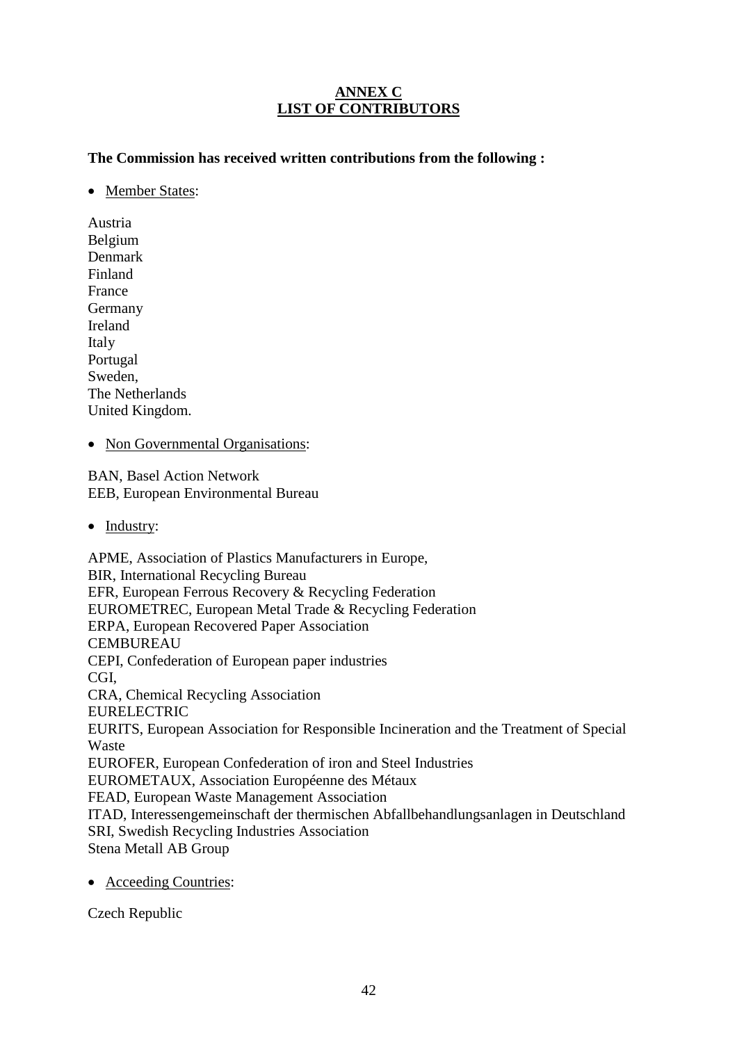# **ANNEX C LIST OF CONTRIBUTORS**

**The Commission has received written contributions from the following :**

• Member States:

Austria Belgium Denmark Finland France Germany Ireland Italy Portugal Sweden, The Netherlands United Kingdom.

• Non Governmental Organisations:

BAN, Basel Action Network EEB, European Environmental Bureau

• Industry:

APME, Association of Plastics Manufacturers in Europe, BIR, International Recycling Bureau EFR, European Ferrous Recovery & Recycling Federation EUROMETREC, European Metal Trade & Recycling Federation ERPA, European Recovered Paper Association CEMBUREAU CEPI, Confederation of European paper industries CGI, CRA, Chemical Recycling Association EURELECTRIC EURITS, European Association for Responsible Incineration and the Treatment of Special Waste EUROFER, European Confederation of iron and Steel Industries EUROMETAUX, Association Européenne des Métaux FEAD, European Waste Management Association ITAD, Interessengemeinschaft der thermischen Abfallbehandlungsanlagen in Deutschland SRI, Swedish Recycling Industries Association Stena Metall AB Group

• Acceeding Countries:

Czech Republic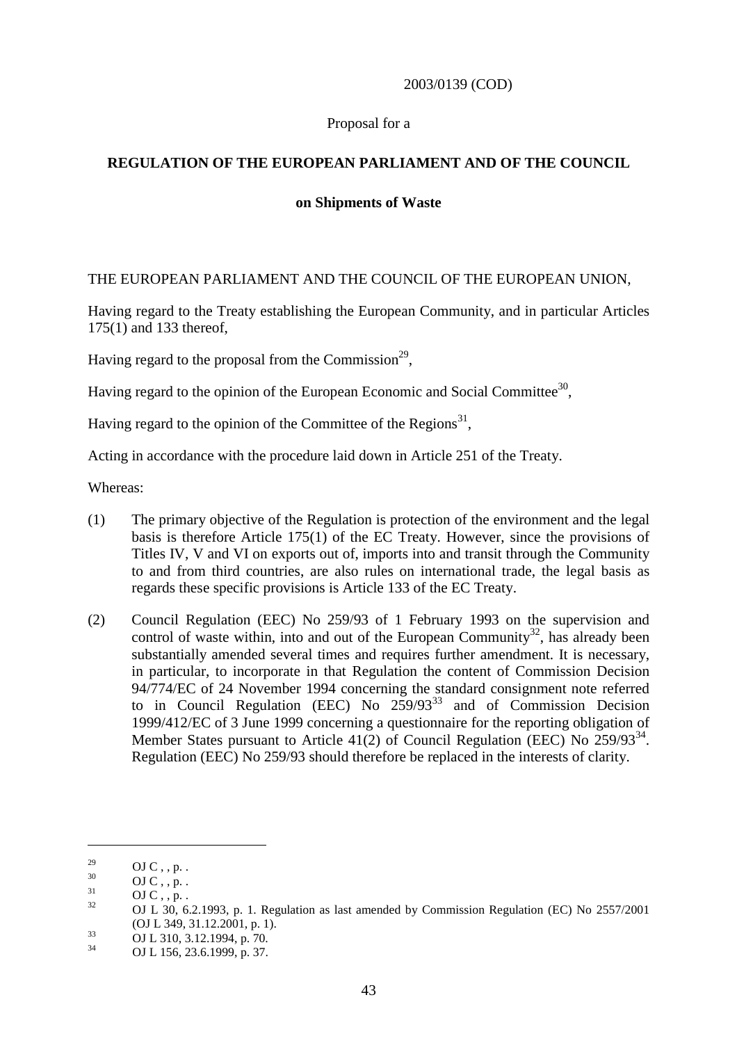## 2003/0139 (COD)

#### Proposal for a

# **REGULATION OF THE EUROPEAN PARLIAMENT AND OF THE COUNCIL**

#### **on Shipments of Waste**

#### THE EUROPEAN PARLIAMENT AND THE COUNCIL OF THE EUROPEAN UNION,

Having regard to the Treaty establishing the European Community, and in particular Articles 175(1) and 133 thereof,

Having regard to the proposal from the Commission<sup>29</sup>,

Having regard to the opinion of the European Economic and Social Committee<sup>30</sup>.

Having regard to the opinion of the Committee of the Regions<sup>31</sup>,

Acting in accordance with the procedure laid down in Article 251 of the Treaty.

Whereas:

- (1) The primary objective of the Regulation is protection of the environment and the legal basis is therefore Article 175(1) of the EC Treaty. However, since the provisions of Titles IV, V and VI on exports out of, imports into and transit through the Community to and from third countries, are also rules on international trade, the legal basis as regards these specific provisions is Article 133 of the EC Treaty.
- (2) Council Regulation (EEC) No 259/93 of 1 February 1993 on the supervision and control of waste within, into and out of the European Community<sup>32</sup>, has already been substantially amended several times and requires further amendment. It is necessary, in particular, to incorporate in that Regulation the content of Commission Decision 94/774/EC of 24 November 1994 concerning the standard consignment note referred to in Council Regulation (EEC) No  $259/93^{33}$  and of Commission Decision 1999/412/EC of 3 June 1999 concerning a questionnaire for the reporting obligation of Member States pursuant to Article 41(2) of Council Regulation (EEC) No  $259/93^{34}$ . Regulation (EEC) No 259/93 should therefore be replaced in the interests of clarity.

<sup>29</sup> OJ C , , p. .<br>  $0$ J C , , p. .<br>  $0$ J C , , p. .<br>  $0$ J C , , p. .<br>  $0$ J L 30, 6.2.1993, p. 1. Regulation as last amended by Commission Regulation (EC) No 2557/2001

<sup>(</sup>OJ L 349, 31.12.2001, p. 1).<br>33 OJ L 310, 3.12.1994, p. 70.<br>34 OJ L 156, 23.6.1999, p. 37.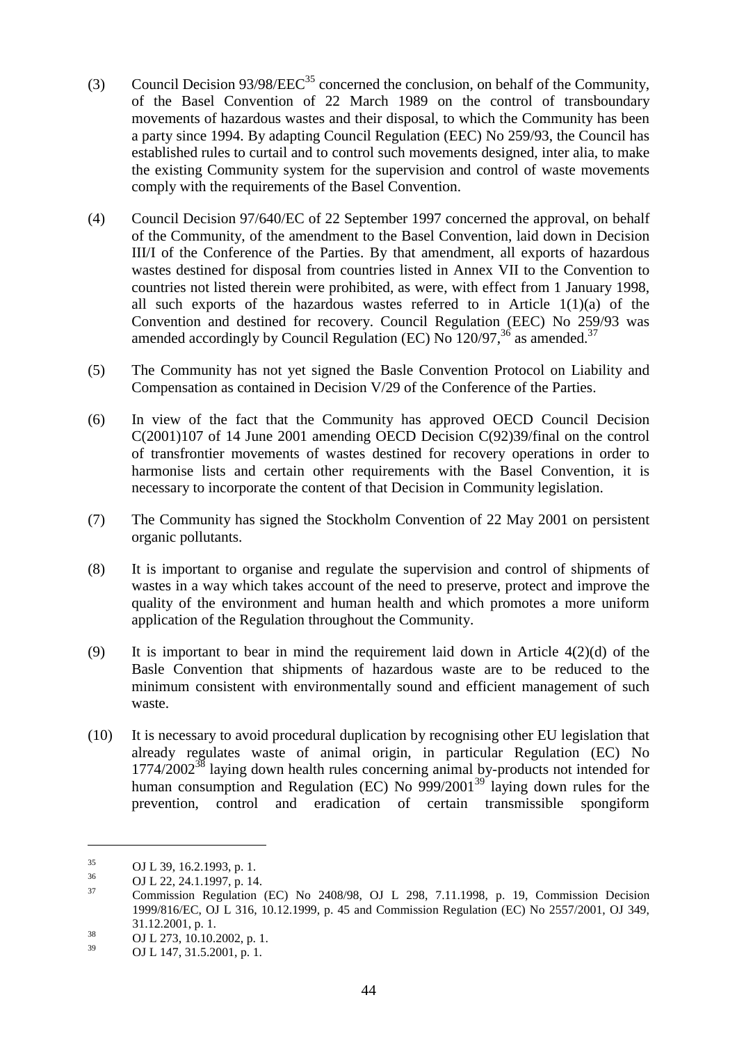- (3) Council Decision  $93/98/EEC^{35}$  concerned the conclusion, on behalf of the Community, of the Basel Convention of 22 March 1989 on the control of transboundary movements of hazardous wastes and their disposal, to which the Community has been a party since 1994. By adapting Council Regulation (EEC) No 259/93, the Council has established rules to curtail and to control such movements designed, inter alia, to make the existing Community system for the supervision and control of waste movements comply with the requirements of the Basel Convention.
- (4) Council Decision 97/640/EC of 22 September 1997 concerned the approval, on behalf of the Community, of the amendment to the Basel Convention, laid down in Decision III/I of the Conference of the Parties. By that amendment, all exports of hazardous wastes destined for disposal from countries listed in Annex VII to the Convention to countries not listed therein were prohibited, as were, with effect from 1 January 1998, all such exports of the hazardous wastes referred to in Article 1(1)(a) of the Convention and destined for recovery. Council Regulation (EEC) No 259/93 was amended accordingly by Council Regulation (EC) No  $120/97$ ,  $36$  as amended.<sup>37</sup>
- (5) The Community has not yet signed the Basle Convention Protocol on Liability and Compensation as contained in Decision V/29 of the Conference of the Parties.
- (6) In view of the fact that the Community has approved OECD Council Decision C(2001)107 of 14 June 2001 amending OECD Decision C(92)39/final on the control of transfrontier movements of wastes destined for recovery operations in order to harmonise lists and certain other requirements with the Basel Convention, it is necessary to incorporate the content of that Decision in Community legislation.
- (7) The Community has signed the Stockholm Convention of 22 May 2001 on persistent organic pollutants.
- (8) It is important to organise and regulate the supervision and control of shipments of wastes in a way which takes account of the need to preserve, protect and improve the quality of the environment and human health and which promotes a more uniform application of the Regulation throughout the Community.
- (9) It is important to bear in mind the requirement laid down in Article 4(2)(d) of the Basle Convention that shipments of hazardous waste are to be reduced to the minimum consistent with environmentally sound and efficient management of such waste.
- (10) It is necessary to avoid procedural duplication by recognising other EU legislation that already regulates waste of animal origin, in particular Regulation (EC) No  $1774/2002^{38}$  laying down health rules concerning animal by-products not intended for human consumption and Regulation (EC) No  $999/2001^{39}$  laying down rules for the prevention, control and eradication of certain transmissible spongiform

 $\overline{a}$ 

 $\begin{array}{r} 31.12.2001, p. 1. \ \text{OJ L } 273, 10.10.2002, p. 1. \ \end{array}$ 

 $^{35}$  OJ L 39, 16.2.1993, p. 1.<br>  $^{36}$  OJ L 22, 24.1.1997, p. 14.<br>
Commission Regulation (EC) No 2408/98, OJ L 298, 7.11.1998, p. 19, Commission Decision 1999/816/EC, OJ L 316, 10.12.1999, p. 45 and Commission Regulation (EC) No 2557/2001, OJ 349,

OJ L 147, 31.5.2001, p. 1.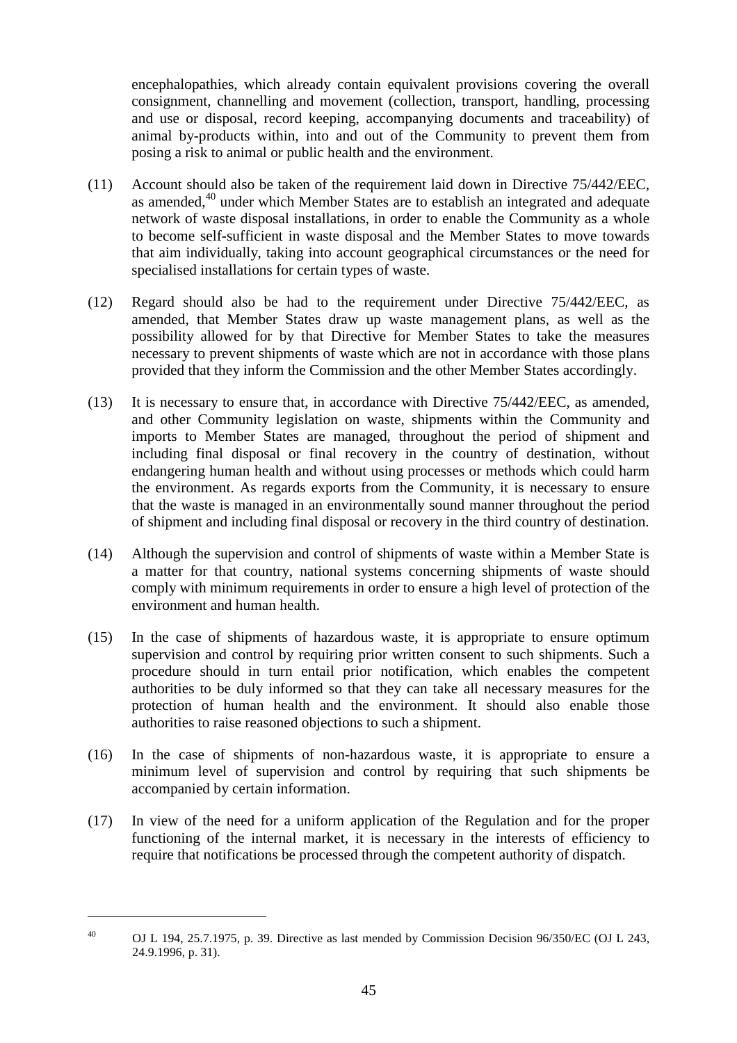encephalopathies, which already contain equivalent provisions covering the overall consignment, channelling and movement (collection, transport, handling, processing and use or disposal, record keeping, accompanying documents and traceability) of animal by-products within, into and out of the Community to prevent them from posing a risk to animal or public health and the environment.

- (11) Account should also be taken of the requirement laid down in Directive 75/442/EEC, as amended,<sup>40</sup> under which Member States are to establish an integrated and adequate network of waste disposal installations, in order to enable the Community as a whole to become self-sufficient in waste disposal and the Member States to move towards that aim individually, taking into account geographical circumstances or the need for specialised installations for certain types of waste.
- (12) Regard should also be had to the requirement under Directive 75/442/EEC, as amended, that Member States draw up waste management plans, as well as the possibility allowed for by that Directive for Member States to take the measures necessary to prevent shipments of waste which are not in accordance with those plans provided that they inform the Commission and the other Member States accordingly.
- (13) It is necessary to ensure that, in accordance with Directive 75/442/EEC, as amended, and other Community legislation on waste, shipments within the Community and imports to Member States are managed, throughout the period of shipment and including final disposal or final recovery in the country of destination, without endangering human health and without using processes or methods which could harm the environment. As regards exports from the Community, it is necessary to ensure that the waste is managed in an environmentally sound manner throughout the period of shipment and including final disposal or recovery in the third country of destination.
- (14) Although the supervision and control of shipments of waste within a Member State is a matter for that country, national systems concerning shipments of waste should comply with minimum requirements in order to ensure a high level of protection of the environment and human health.
- (15) In the case of shipments of hazardous waste, it is appropriate to ensure optimum supervision and control by requiring prior written consent to such shipments. Such a procedure should in turn entail prior notification, which enables the competent authorities to be duly informed so that they can take all necessary measures for the protection of human health and the environment. It should also enable those authorities to raise reasoned objections to such a shipment.
- (16) In the case of shipments of non-hazardous waste, it is appropriate to ensure a minimum level of supervision and control by requiring that such shipments be accompanied by certain information.
- (17) In view of the need for a uniform application of the Regulation and for the proper functioning of the internal market, it is necessary in the interests of efficiency to require that notifications be processed through the competent authority of dispatch.

<sup>&</sup>lt;sup>40</sup> OJ L 194, 25.7.1975, p. 39. Directive as last mended by Commission Decision 96/350/EC (OJ L 243, 24.9.1996, p. 31).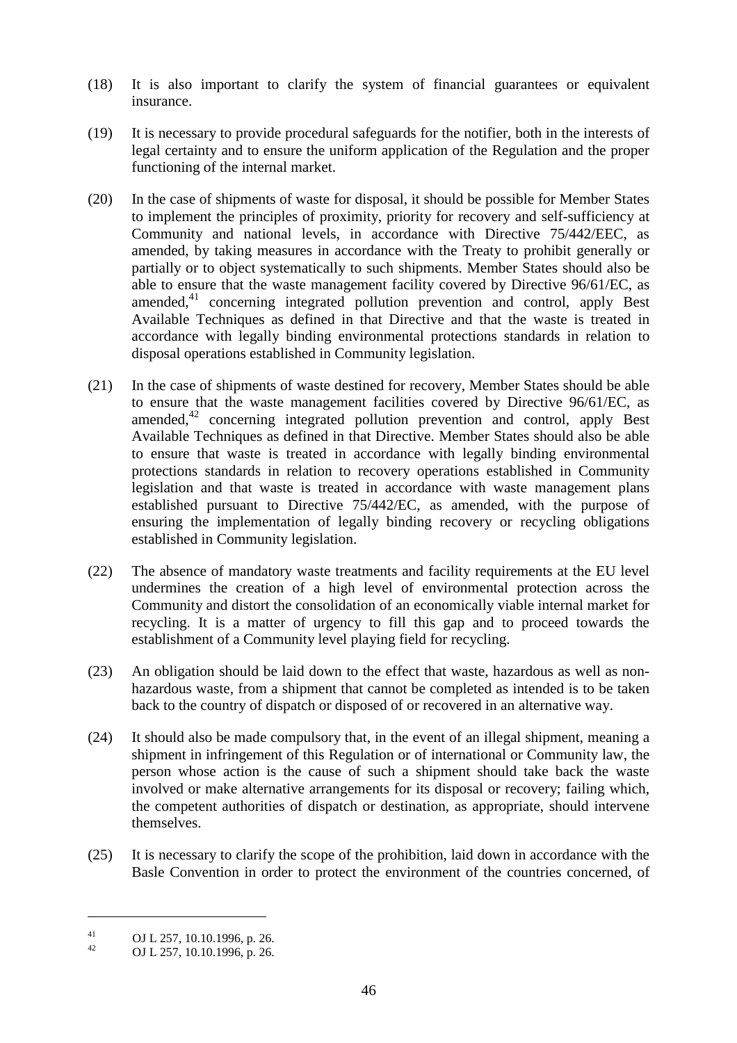- (18) It is also important to clarify the system of financial guarantees or equivalent insurance.
- (19) It is necessary to provide procedural safeguards for the notifier, both in the interests of legal certainty and to ensure the uniform application of the Regulation and the proper functioning of the internal market.
- (20) In the case of shipments of waste for disposal, it should be possible for Member States to implement the principles of proximity, priority for recovery and self-sufficiency at Community and national levels, in accordance with Directive 75/442/EEC, as amended, by taking measures in accordance with the Treaty to prohibit generally or partially or to object systematically to such shipments. Member States should also be able to ensure that the waste management facility covered by Directive 96/61/EC, as amended,<sup>41</sup> concerning integrated pollution prevention and control, apply Best Available Techniques as defined in that Directive and that the waste is treated in accordance with legally binding environmental protections standards in relation to disposal operations established in Community legislation.
- (21) In the case of shipments of waste destined for recovery, Member States should be able to ensure that the waste management facilities covered by Directive 96/61/EC, as amended, $42$  concerning integrated pollution prevention and control, apply Best Available Techniques as defined in that Directive. Member States should also be able to ensure that waste is treated in accordance with legally binding environmental protections standards in relation to recovery operations established in Community legislation and that waste is treated in accordance with waste management plans established pursuant to Directive 75/442/EC, as amended, with the purpose of ensuring the implementation of legally binding recovery or recycling obligations established in Community legislation.
- (22) The absence of mandatory waste treatments and facility requirements at the EU level undermines the creation of a high level of environmental protection across the Community and distort the consolidation of an economically viable internal market for recycling. It is a matter of urgency to fill this gap and to proceed towards the establishment of a Community level playing field for recycling.
- (23) An obligation should be laid down to the effect that waste, hazardous as well as nonhazardous waste, from a shipment that cannot be completed as intended is to be taken back to the country of dispatch or disposed of or recovered in an alternative way.
- (24) It should also be made compulsory that, in the event of an illegal shipment, meaning a shipment in infringement of this Regulation or of international or Community law, the person whose action is the cause of such a shipment should take back the waste involved or make alternative arrangements for its disposal or recovery; failing which, the competent authorities of dispatch or destination, as appropriate, should intervene themselves.
- (25) It is necessary to clarify the scope of the prohibition, laid down in accordance with the Basle Convention in order to protect the environment of the countries concerned, of

<sup>41</sup> **OJ L 257, 10.10.1996, p. 26.**<br>**OJ L 257, 10.10.1996, p. 26.**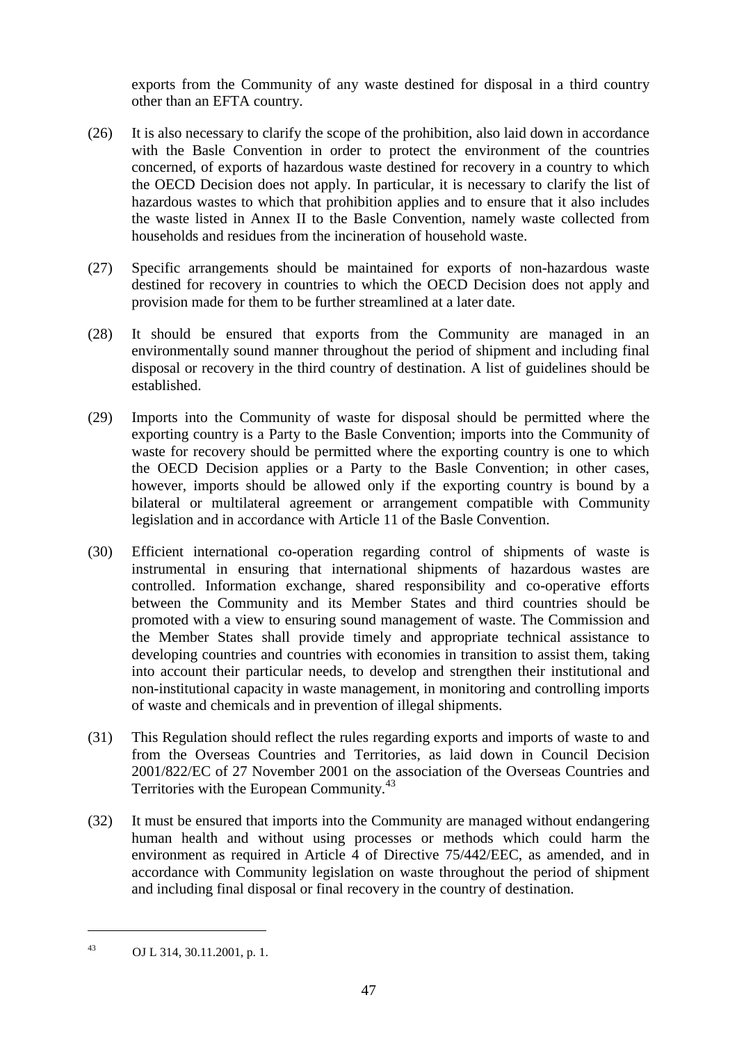exports from the Community of any waste destined for disposal in a third country other than an EFTA country.

- (26) It is also necessary to clarify the scope of the prohibition, also laid down in accordance with the Basle Convention in order to protect the environment of the countries concerned, of exports of hazardous waste destined for recovery in a country to which the OECD Decision does not apply. In particular, it is necessary to clarify the list of hazardous wastes to which that prohibition applies and to ensure that it also includes the waste listed in Annex II to the Basle Convention, namely waste collected from households and residues from the incineration of household waste.
- (27) Specific arrangements should be maintained for exports of non-hazardous waste destined for recovery in countries to which the OECD Decision does not apply and provision made for them to be further streamlined at a later date.
- (28) It should be ensured that exports from the Community are managed in an environmentally sound manner throughout the period of shipment and including final disposal or recovery in the third country of destination. A list of guidelines should be established.
- (29) Imports into the Community of waste for disposal should be permitted where the exporting country is a Party to the Basle Convention; imports into the Community of waste for recovery should be permitted where the exporting country is one to which the OECD Decision applies or a Party to the Basle Convention; in other cases, however, imports should be allowed only if the exporting country is bound by a bilateral or multilateral agreement or arrangement compatible with Community legislation and in accordance with Article 11 of the Basle Convention.
- (30) Efficient international co-operation regarding control of shipments of waste is instrumental in ensuring that international shipments of hazardous wastes are controlled. Information exchange, shared responsibility and co-operative efforts between the Community and its Member States and third countries should be promoted with a view to ensuring sound management of waste. The Commission and the Member States shall provide timely and appropriate technical assistance to developing countries and countries with economies in transition to assist them, taking into account their particular needs, to develop and strengthen their institutional and non-institutional capacity in waste management, in monitoring and controlling imports of waste and chemicals and in prevention of illegal shipments.
- (31) This Regulation should reflect the rules regarding exports and imports of waste to and from the Overseas Countries and Territories, as laid down in Council Decision 2001/822/EC of 27 November 2001 on the association of the Overseas Countries and Territories with the European Community.<sup>43</sup>
- (32) It must be ensured that imports into the Community are managed without endangering human health and without using processes or methods which could harm the environment as required in Article 4 of Directive 75/442/EEC, as amended, and in accordance with Community legislation on waste throughout the period of shipment and including final disposal or final recovery in the country of destination.

<sup>43</sup> OJ L 314, 30.11.2001, p. 1.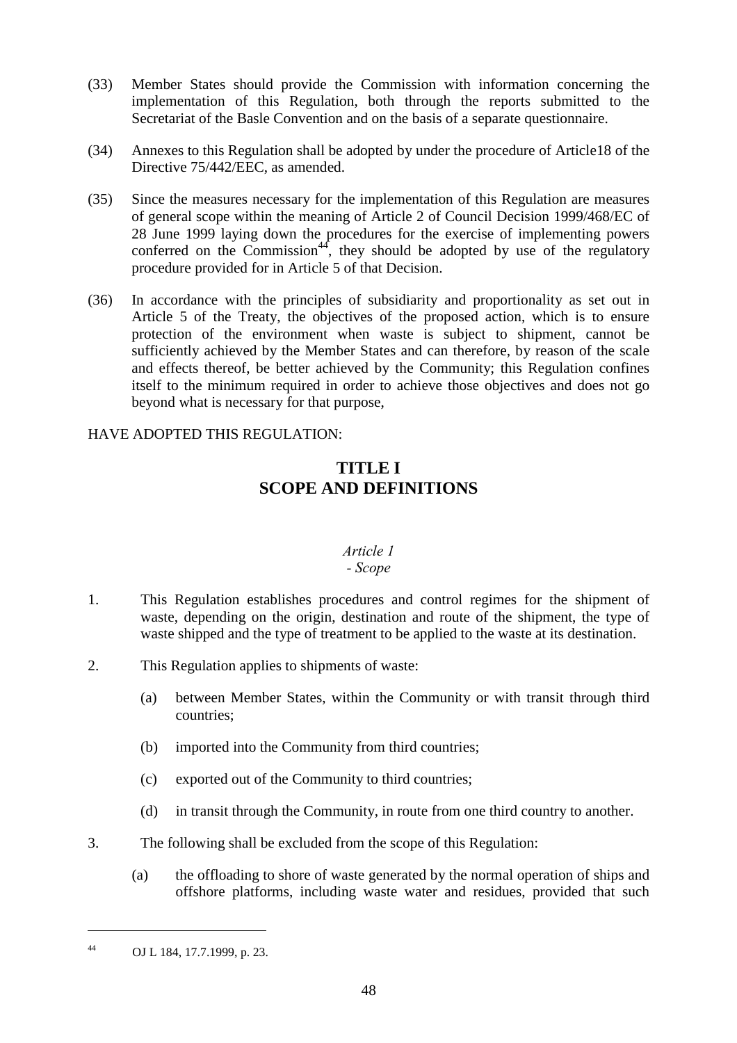- (33) Member States should provide the Commission with information concerning the implementation of this Regulation, both through the reports submitted to the Secretariat of the Basle Convention and on the basis of a separate questionnaire.
- (34) Annexes to this Regulation shall be adopted by under the procedure of Article18 of the Directive 75/442/EEC, as amended.
- (35) Since the measures necessary for the implementation of this Regulation are measures of general scope within the meaning of Article 2 of Council Decision 1999/468/EC of 28 June 1999 laying down the procedures for the exercise of implementing powers conferred on the Commission<sup>44</sup>, they should be adopted by use of the regulatory procedure provided for in Article 5 of that Decision.
- (36) In accordance with the principles of subsidiarity and proportionality as set out in Article 5 of the Treaty, the objectives of the proposed action, which is to ensure protection of the environment when waste is subject to shipment, cannot be sufficiently achieved by the Member States and can therefore, by reason of the scale and effects thereof, be better achieved by the Community; this Regulation confines itself to the minimum required in order to achieve those objectives and does not go beyond what is necessary for that purpose,

## HAVE ADOPTED THIS REGULATION:

# **TITLE I SCOPE AND DEFINITIONS**

## *Article 1*

## *- Scope*

- 1. This Regulation establishes procedures and control regimes for the shipment of waste, depending on the origin, destination and route of the shipment, the type of waste shipped and the type of treatment to be applied to the waste at its destination.
- 2. This Regulation applies to shipments of waste:
	- (a) between Member States, within the Community or with transit through third countries;
	- (b) imported into the Community from third countries;
	- (c) exported out of the Community to third countries;
	- (d) in transit through the Community, in route from one third country to another.
- 3. The following shall be excluded from the scope of this Regulation:
	- (a) the offloading to shore of waste generated by the normal operation of ships and offshore platforms, including waste water and residues, provided that such

<sup>44</sup> OJ L 184, 17.7.1999, p. 23.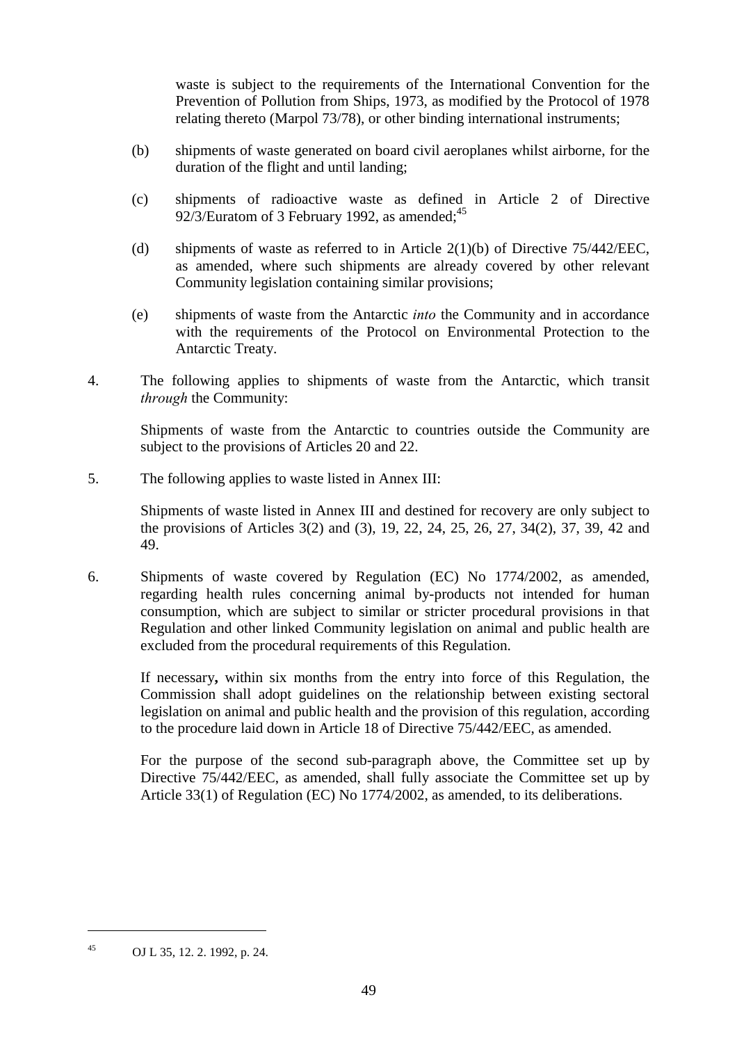waste is subject to the requirements of the International Convention for the Prevention of Pollution from Ships, 1973, as modified by the Protocol of 1978 relating thereto (Marpol 73/78), or other binding international instruments;

- (b) shipments of waste generated on board civil aeroplanes whilst airborne, for the duration of the flight and until landing;
- (c) shipments of radioactive waste as defined in Article 2 of Directive 92/3/Euratom of 3 February 1992, as amended;  $45$
- (d) shipments of waste as referred to in Article 2(1)(b) of Directive 75/442/EEC, as amended, where such shipments are already covered by other relevant Community legislation containing similar provisions;
- (e) shipments of waste from the Antarctic *into* the Community and in accordance with the requirements of the Protocol on Environmental Protection to the Antarctic Treaty.
- 4. The following applies to shipments of waste from the Antarctic, which transit *through* the Community:

Shipments of waste from the Antarctic to countries outside the Community are subject to the provisions of Articles 20 and 22.

5. The following applies to waste listed in Annex III:

Shipments of waste listed in Annex III and destined for recovery are only subject to the provisions of Articles 3(2) and (3), 19, 22, 24, 25, 26, 27, 34(2), 37, 39, 42 and 49.

6. Shipments of waste covered by Regulation (EC) No 1774/2002, as amended, regarding health rules concerning animal by-products not intended for human consumption, which are subject to similar or stricter procedural provisions in that Regulation and other linked Community legislation on animal and public health are excluded from the procedural requirements of this Regulation.

If necessary**,** within six months from the entry into force of this Regulation, the Commission shall adopt guidelines on the relationship between existing sectoral legislation on animal and public health and the provision of this regulation, according to the procedure laid down in Article 18 of Directive 75/442/EEC, as amended.

For the purpose of the second sub-paragraph above, the Committee set up by Directive 75/442/EEC, as amended, shall fully associate the Committee set up by Article 33(1) of Regulation (EC) No 1774/2002, as amended, to its deliberations.

<sup>45</sup> OJ L 35, 12. 2. 1992, p. 24.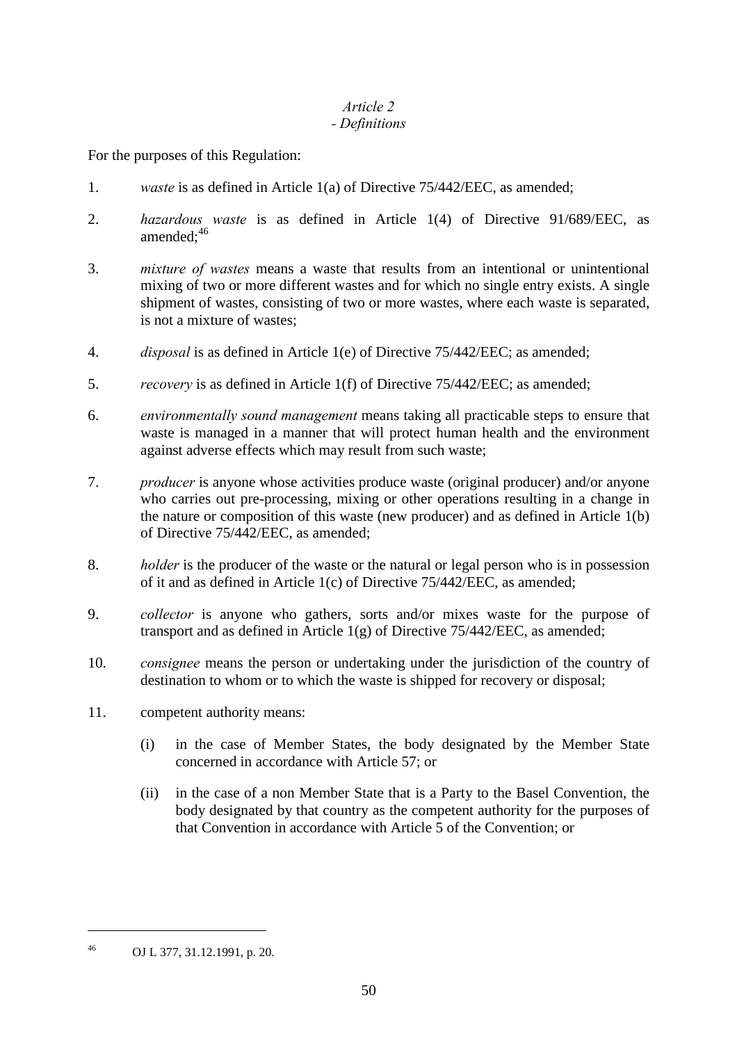#### *Article 2 - Definitions*

For the purposes of this Regulation:

- 1. *waste* is as defined in Article 1(a) of Directive 75/442/EEC, as amended;
- 2. *hazardous waste* is as defined in Article 1(4) of Directive 91/689/EEC, as amended: $46$
- 3. *mixture of wastes* means a waste that results from an intentional or unintentional mixing of two or more different wastes and for which no single entry exists. A single shipment of wastes, consisting of two or more wastes, where each waste is separated, is not a mixture of wastes;
- 4. *disposal* is as defined in Article 1(e) of Directive 75/442/EEC; as amended;
- 5. *recovery* is as defined in Article 1(f) of Directive 75/442/EEC; as amended;
- 6. *environmentally sound management* means taking all practicable steps to ensure that waste is managed in a manner that will protect human health and the environment against adverse effects which may result from such waste;
- 7. *producer* is anyone whose activities produce waste (original producer) and/or anyone who carries out pre-processing, mixing or other operations resulting in a change in the nature or composition of this waste (new producer) and as defined in Article 1(b) of Directive 75/442/EEC, as amended;
- 8. *holder* is the producer of the waste or the natural or legal person who is in possession of it and as defined in Article 1(c) of Directive 75/442/EEC, as amended;
- 9. *collector* is anyone who gathers, sorts and/or mixes waste for the purpose of transport and as defined in Article 1(g) of Directive 75/442/EEC, as amended;
- 10. *consignee* means the person or undertaking under the jurisdiction of the country of destination to whom or to which the waste is shipped for recovery or disposal;
- 11. competent authority means:
	- (i) in the case of Member States, the body designated by the Member State concerned in accordance with Article 57; or
	- (ii) in the case of a non Member State that is a Party to the Basel Convention, the body designated by that country as the competent authority for the purposes of that Convention in accordance with Article 5 of the Convention; or

<sup>46</sup> OJ L 377, 31.12.1991, p. 20.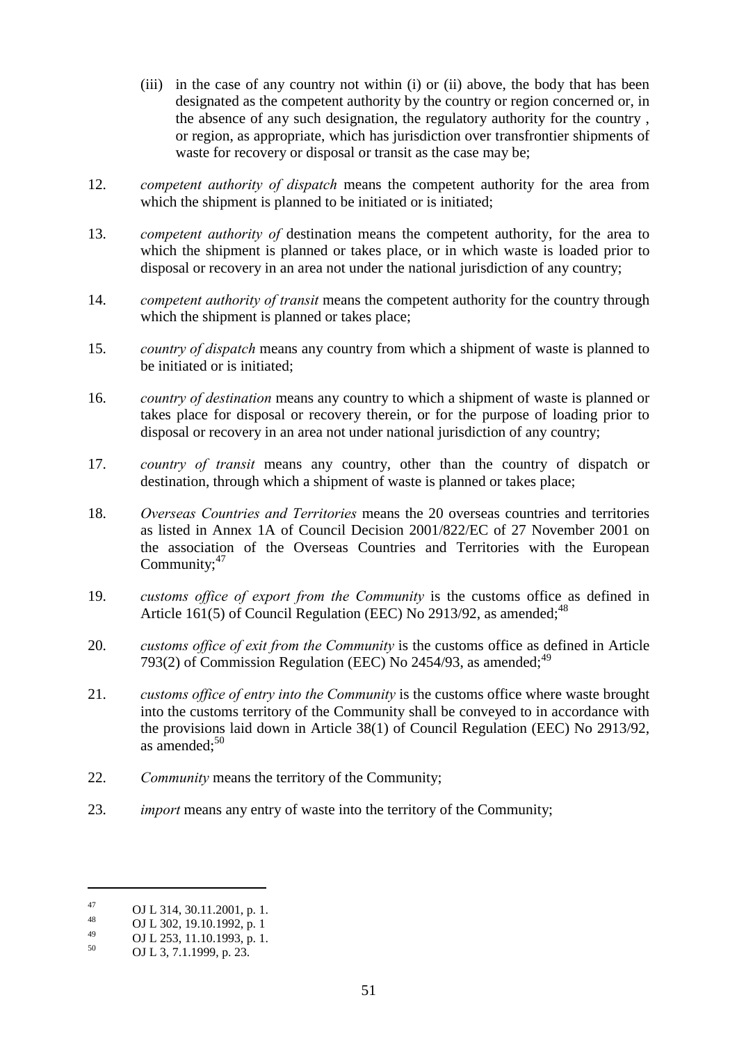- (iii) in the case of any country not within (i) or (ii) above, the body that has been designated as the competent authority by the country or region concerned or, in the absence of any such designation, the regulatory authority for the country , or region, as appropriate, which has jurisdiction over transfrontier shipments of waste for recovery or disposal or transit as the case may be;
- 12. *competent authority of dispatch* means the competent authority for the area from which the shipment is planned to be initiated or is initiated:
- 13. *competent authority of* destination means the competent authority, for the area to which the shipment is planned or takes place, or in which waste is loaded prior to disposal or recovery in an area not under the national jurisdiction of any country;
- 14. *competent authority of transit* means the competent authority for the country through which the shipment is planned or takes place;
- 15. *country of dispatch* means any country from which a shipment of waste is planned to be initiated or is initiated;
- 16. *country of destination* means any country to which a shipment of waste is planned or takes place for disposal or recovery therein, or for the purpose of loading prior to disposal or recovery in an area not under national jurisdiction of any country;
- 17. *country of transit* means any country, other than the country of dispatch or destination, through which a shipment of waste is planned or takes place;
- 18. *Overseas Countries and Territories* means the 20 overseas countries and territories as listed in Annex 1A of Council Decision 2001/822/EC of 27 November 2001 on the association of the Overseas Countries and Territories with the European Community; $47$
- 19. *customs office of export from the Community* is the customs office as defined in Article 161(5) of Council Regulation (EEC) No 2913/92, as amended;  $^{48}$
- 20. *customs office of exit from the Community* is the customs office as defined in Article 793(2) of Commission Regulation (EEC) No  $2454/93$ , as amended;<sup>49</sup>
- 21. *customs office of entry into the Community* is the customs office where waste brought into the customs territory of the Community shall be conveyed to in accordance with the provisions laid down in Article 38(1) of Council Regulation (EEC) No 2913/92, as amended:<sup>50</sup>
- 22. *Community* means the territory of the Community;
- 23. *import* means any entry of waste into the territory of the Community;

<sup>&</sup>lt;sup>47</sup> OJ L 314, 30.11.2001, p. 1.<br>
OJ L 302, 19.10.1992, p. 1

 $^{49}$  OJ L 253, 11.10.1993, p. 1.<br>
OJ L 3, 7.1.1999, p. 23.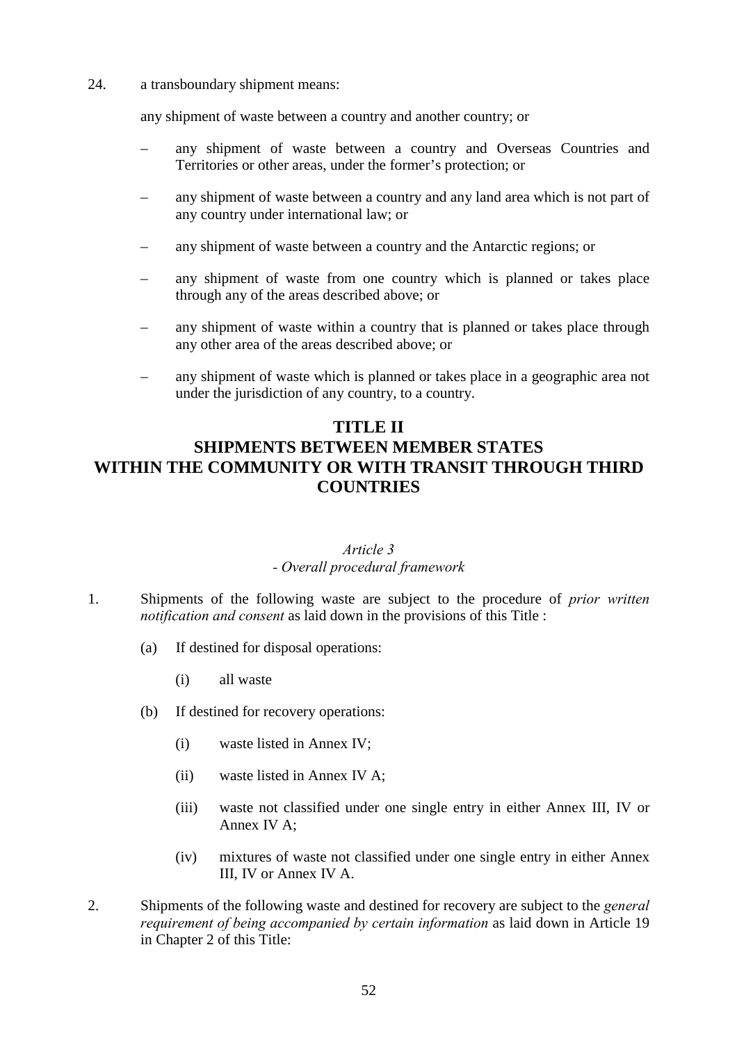24. a transboundary shipment means:

any shipment of waste between a country and another country; or

- any shipment of waste between a country and Overseas Countries and Territories or other areas, under the former's protection; or
- any shipment of waste between a country and any land area which is not part of any country under international law; or
- any shipment of waste between a country and the Antarctic regions; or
- any shipment of waste from one country which is planned or takes place through any of the areas described above; or
- any shipment of waste within a country that is planned or takes place through any other area of the areas described above; or
- any shipment of waste which is planned or takes place in a geographic area not under the jurisdiction of any country, to a country.

## **TITLE II**

# **SHIPMENTS BETWEEN MEMBER STATES WITHIN THE COMMUNITY OR WITH TRANSIT THROUGH THIRD COUNTRIES**

#### *Article 3 - Overall procedural framework*

- 1. Shipments of the following waste are subject to the procedure of *prior written notification and consent* as laid down in the provisions of this Title :
	- (a) If destined for disposal operations:
		- (i) all waste
	- (b) If destined for recovery operations:
		- (i) waste listed in Annex IV;
		- (ii) waste listed in Annex IV A;
		- (iii) waste not classified under one single entry in either Annex III, IV or Annex IV A;
		- (iv) mixtures of waste not classified under one single entry in either Annex III, IV or Annex IV A.
- 2. Shipments of the following waste and destined for recovery are subject to the *general requirement of being accompanied by certain information* as laid down in Article 19 in Chapter 2 of this Title: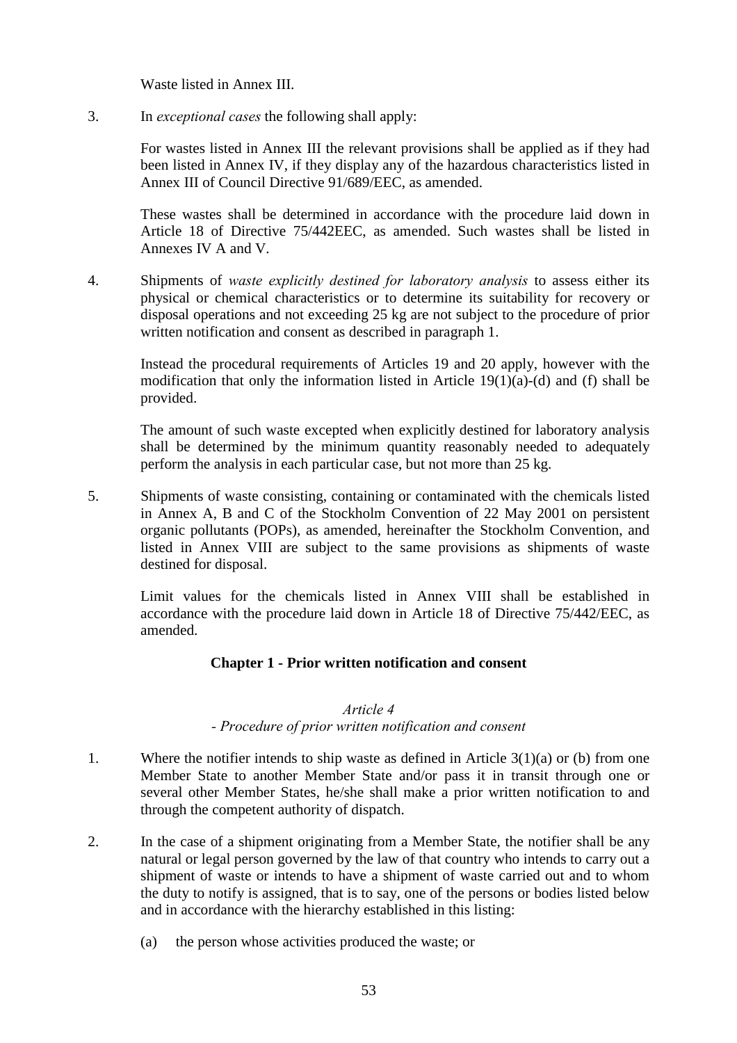Waste listed in Annex III.

3. In *exceptional cases* the following shall apply:

For wastes listed in Annex III the relevant provisions shall be applied as if they had been listed in Annex IV, if they display any of the hazardous characteristics listed in Annex III of Council Directive 91/689/EEC, as amended.

These wastes shall be determined in accordance with the procedure laid down in Article 18 of Directive 75/442EEC, as amended. Such wastes shall be listed in Annexes IV A and V.

4. Shipments of *waste explicitly destined for laboratory analysis* to assess either its physical or chemical characteristics or to determine its suitability for recovery or disposal operations and not exceeding 25 kg are not subject to the procedure of prior written notification and consent as described in paragraph 1.

Instead the procedural requirements of Articles 19 and 20 apply, however with the modification that only the information listed in Article 19(1)(a)-(d) and (f) shall be provided.

The amount of such waste excepted when explicitly destined for laboratory analysis shall be determined by the minimum quantity reasonably needed to adequately perform the analysis in each particular case, but not more than 25 kg.

5. Shipments of waste consisting, containing or contaminated with the chemicals listed in Annex A, B and C of the Stockholm Convention of 22 May 2001 on persistent organic pollutants (POPs), as amended, hereinafter the Stockholm Convention, and listed in Annex VIII are subject to the same provisions as shipments of waste destined for disposal.

Limit values for the chemicals listed in Annex VIII shall be established in accordance with the procedure laid down in Article 18 of Directive 75/442/EEC, as amended.

## **Chapter 1 - Prior written notification and consent**

#### *Article 4*

## *- Procedure of prior written notification and consent*

- 1. Where the notifier intends to ship waste as defined in Article  $3(1)(a)$  or (b) from one Member State to another Member State and/or pass it in transit through one or several other Member States, he/she shall make a prior written notification to and through the competent authority of dispatch.
- 2. In the case of a shipment originating from a Member State, the notifier shall be any natural or legal person governed by the law of that country who intends to carry out a shipment of waste or intends to have a shipment of waste carried out and to whom the duty to notify is assigned, that is to say, one of the persons or bodies listed below and in accordance with the hierarchy established in this listing:
	- (a) the person whose activities produced the waste; or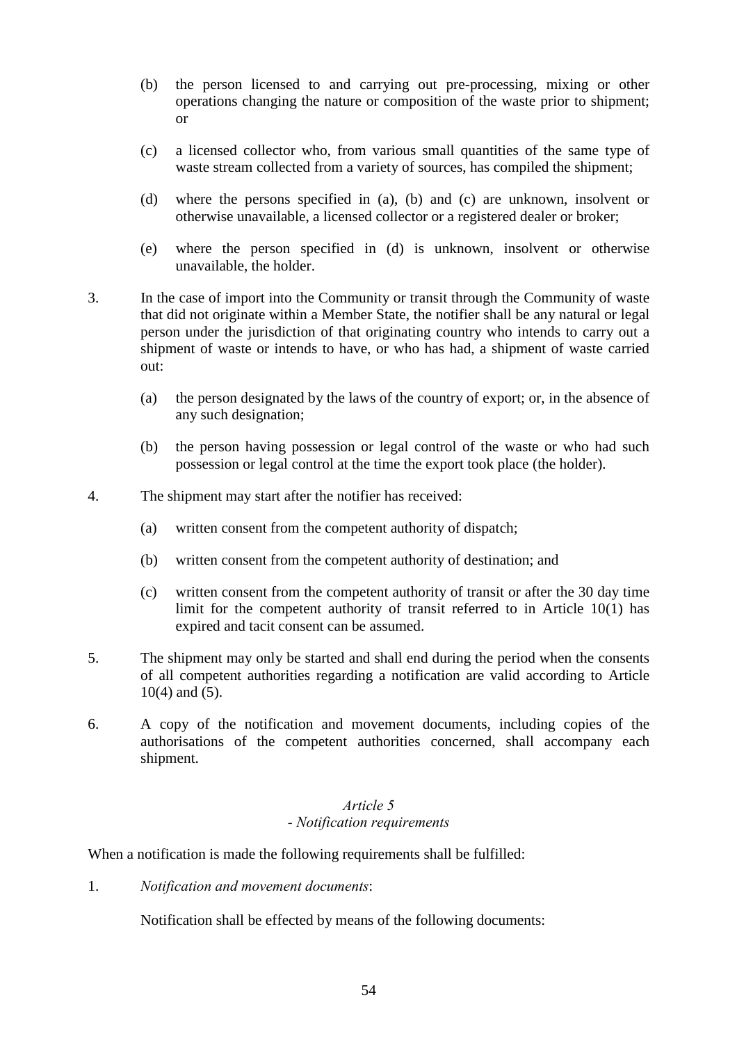- (b) the person licensed to and carrying out pre-processing, mixing or other operations changing the nature or composition of the waste prior to shipment; or
- (c) a licensed collector who, from various small quantities of the same type of waste stream collected from a variety of sources, has compiled the shipment;
- (d) where the persons specified in (a), (b) and (c) are unknown, insolvent or otherwise unavailable, a licensed collector or a registered dealer or broker;
- (e) where the person specified in (d) is unknown, insolvent or otherwise unavailable, the holder.
- 3. In the case of import into the Community or transit through the Community of waste that did not originate within a Member State, the notifier shall be any natural or legal person under the jurisdiction of that originating country who intends to carry out a shipment of waste or intends to have, or who has had, a shipment of waste carried out:
	- (a) the person designated by the laws of the country of export; or, in the absence of any such designation;
	- (b) the person having possession or legal control of the waste or who had such possession or legal control at the time the export took place (the holder).
- 4. The shipment may start after the notifier has received:
	- (a) written consent from the competent authority of dispatch;
	- (b) written consent from the competent authority of destination; and
	- (c) written consent from the competent authority of transit or after the 30 day time limit for the competent authority of transit referred to in Article 10(1) has expired and tacit consent can be assumed.
- 5. The shipment may only be started and shall end during the period when the consents of all competent authorities regarding a notification are valid according to Article 10(4) and (5).
- 6. A copy of the notification and movement documents, including copies of the authorisations of the competent authorities concerned, shall accompany each shipment.

## *Article 5 - Notification requirements*

When a notification is made the following requirements shall be fulfilled:

1. *Notification and movement documents*:

Notification shall be effected by means of the following documents: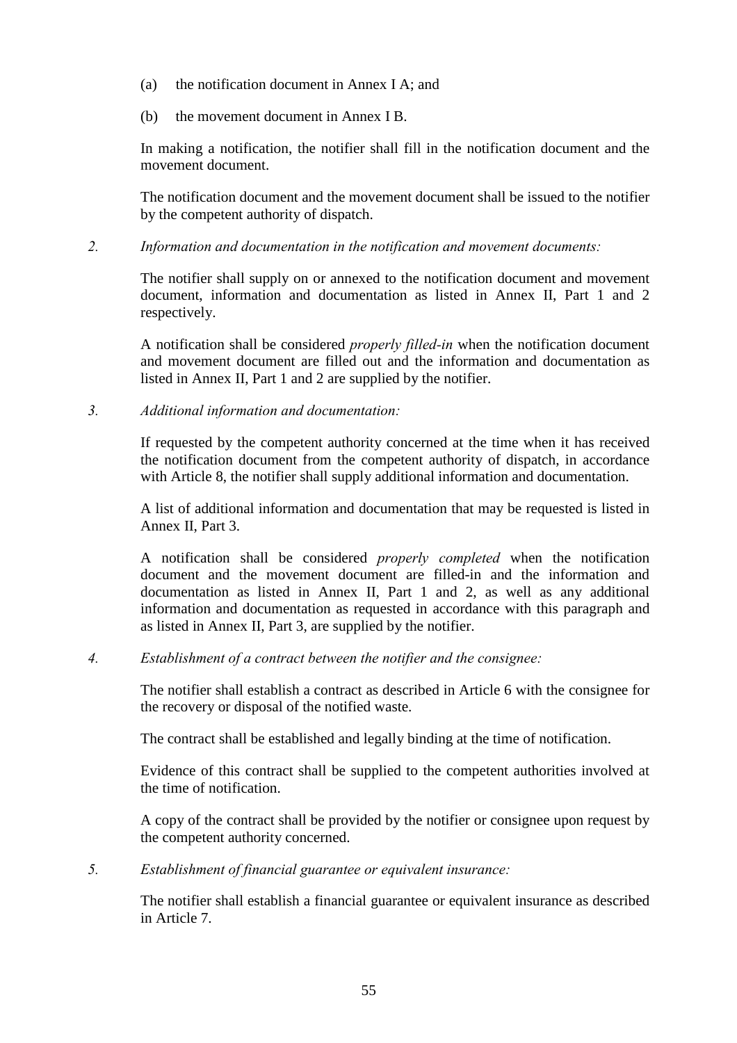- (a) the notification document in Annex I A; and
- (b) the movement document in Annex I B.

In making a notification, the notifier shall fill in the notification document and the movement document.

The notification document and the movement document shall be issued to the notifier by the competent authority of dispatch.

*2. Information and documentation in the notification and movement documents:*

The notifier shall supply on or annexed to the notification document and movement document, information and documentation as listed in Annex II, Part 1 and 2 respectively.

A notification shall be considered *properly filled-in* when the notification document and movement document are filled out and the information and documentation as listed in Annex II, Part 1 and 2 are supplied by the notifier.

*3. Additional information and documentation:*

If requested by the competent authority concerned at the time when it has received the notification document from the competent authority of dispatch, in accordance with Article 8, the notifier shall supply additional information and documentation.

A list of additional information and documentation that may be requested is listed in Annex II, Part 3.

A notification shall be considered *properly completed* when the notification document and the movement document are filled-in and the information and documentation as listed in Annex II, Part 1 and 2, as well as any additional information and documentation as requested in accordance with this paragraph and as listed in Annex II, Part 3, are supplied by the notifier.

*4. Establishment of a contract between the notifier and the consignee:*

The notifier shall establish a contract as described in Article 6 with the consignee for the recovery or disposal of the notified waste.

The contract shall be established and legally binding at the time of notification.

Evidence of this contract shall be supplied to the competent authorities involved at the time of notification.

A copy of the contract shall be provided by the notifier or consignee upon request by the competent authority concerned.

*5. Establishment of financial guarantee or equivalent insurance:*

The notifier shall establish a financial guarantee or equivalent insurance as described in Article 7.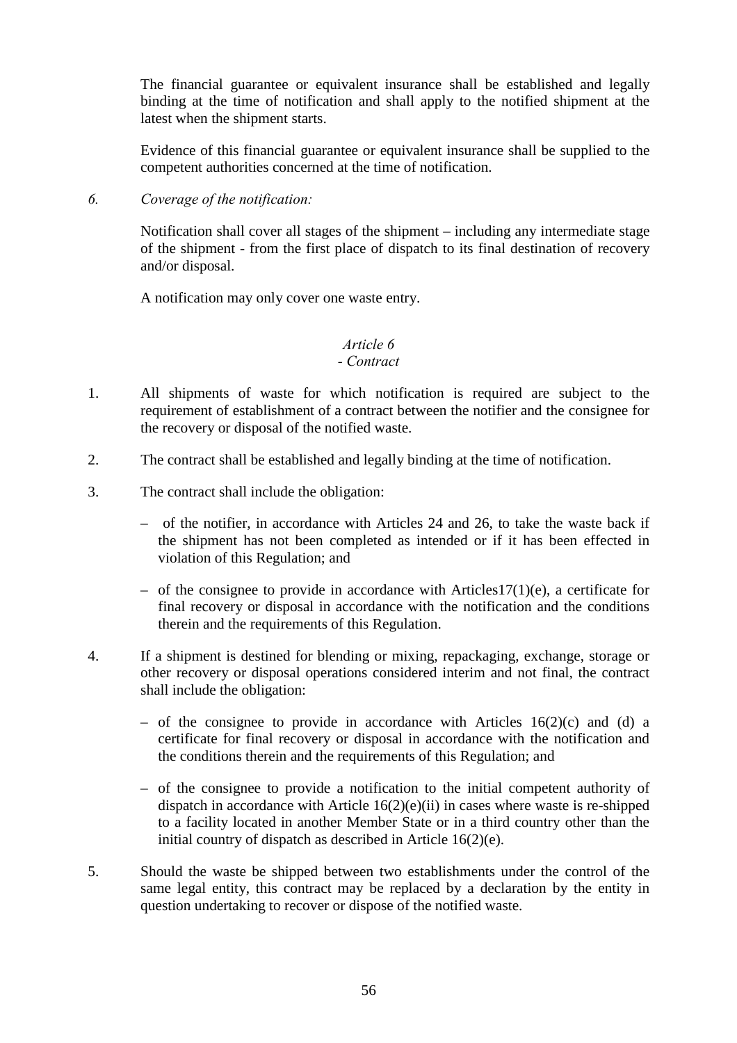The financial guarantee or equivalent insurance shall be established and legally binding at the time of notification and shall apply to the notified shipment at the latest when the shipment starts.

Evidence of this financial guarantee or equivalent insurance shall be supplied to the competent authorities concerned at the time of notification.

*6. Coverage of the notification:*

Notification shall cover all stages of the shipment – including any intermediate stage of the shipment - from the first place of dispatch to its final destination of recovery and/or disposal.

A notification may only cover one waste entry.

# *Article 6*

## *- Contract*

- 1. All shipments of waste for which notification is required are subject to the requirement of establishment of a contract between the notifier and the consignee for the recovery or disposal of the notified waste.
- 2. The contract shall be established and legally binding at the time of notification.
- 3. The contract shall include the obligation:
	- of the notifier, in accordance with Articles 24 and 26, to take the waste back if the shipment has not been completed as intended or if it has been effected in violation of this Regulation; and
	- $-$  of the consignee to provide in accordance with Articles  $17(1)(e)$ , a certificate for final recovery or disposal in accordance with the notification and the conditions therein and the requirements of this Regulation.
- 4. If a shipment is destined for blending or mixing, repackaging, exchange, storage or other recovery or disposal operations considered interim and not final, the contract shall include the obligation:
	- of the consignee to provide in accordance with Articles  $16(2)(c)$  and (d) a certificate for final recovery or disposal in accordance with the notification and the conditions therein and the requirements of this Regulation; and
	- of the consignee to provide a notification to the initial competent authority of dispatch in accordance with Article  $16(2)(e)(ii)$  in cases where waste is re-shipped to a facility located in another Member State or in a third country other than the initial country of dispatch as described in Article 16(2)(e).
- 5. Should the waste be shipped between two establishments under the control of the same legal entity, this contract may be replaced by a declaration by the entity in question undertaking to recover or dispose of the notified waste.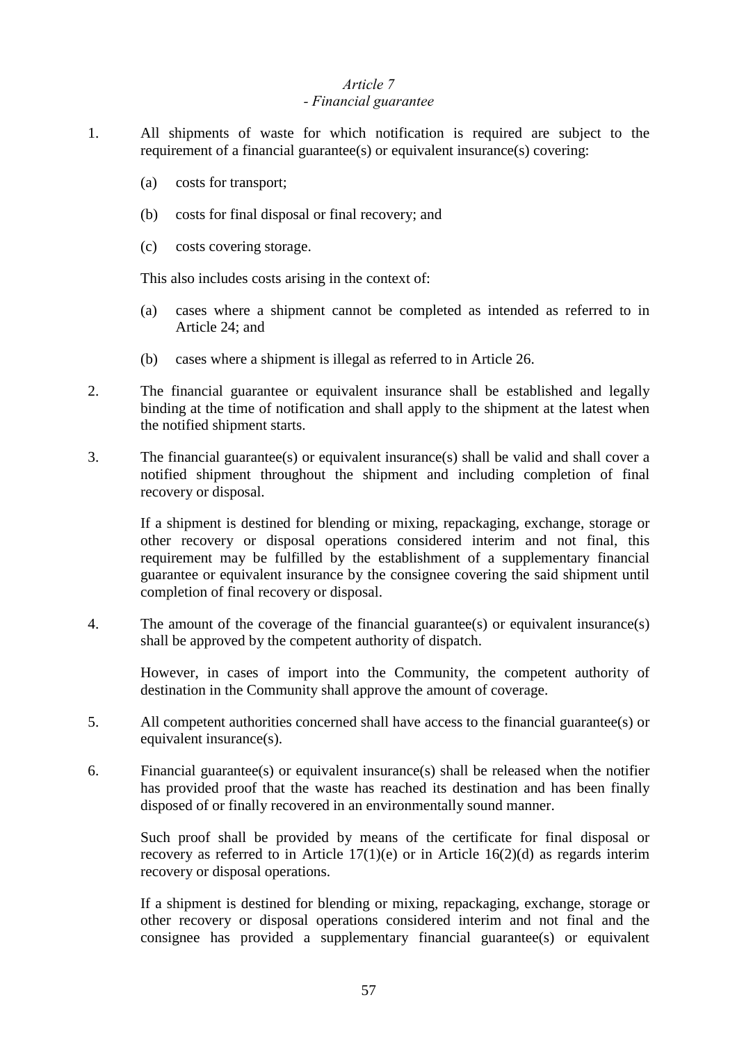### *Article 7 - Financial guarantee*

- 1. All shipments of waste for which notification is required are subject to the requirement of a financial guarantee(s) or equivalent insurance(s) covering:
	- (a) costs for transport;
	- (b) costs for final disposal or final recovery; and
	- (c) costs covering storage.

This also includes costs arising in the context of:

- (a) cases where a shipment cannot be completed as intended as referred to in Article 24; and
- (b) cases where a shipment is illegal as referred to in Article 26.
- 2. The financial guarantee or equivalent insurance shall be established and legally binding at the time of notification and shall apply to the shipment at the latest when the notified shipment starts.
- 3. The financial guarantee(s) or equivalent insurance(s) shall be valid and shall cover a notified shipment throughout the shipment and including completion of final recovery or disposal.

If a shipment is destined for blending or mixing, repackaging, exchange, storage or other recovery or disposal operations considered interim and not final, this requirement may be fulfilled by the establishment of a supplementary financial guarantee or equivalent insurance by the consignee covering the said shipment until completion of final recovery or disposal.

4. The amount of the coverage of the financial guarantee(s) or equivalent insurance(s) shall be approved by the competent authority of dispatch.

However, in cases of import into the Community, the competent authority of destination in the Community shall approve the amount of coverage.

- 5. All competent authorities concerned shall have access to the financial guarantee(s) or equivalent insurance(s).
- 6. Financial guarantee(s) or equivalent insurance(s) shall be released when the notifier has provided proof that the waste has reached its destination and has been finally disposed of or finally recovered in an environmentally sound manner.

Such proof shall be provided by means of the certificate for final disposal or recovery as referred to in Article  $17(1)(e)$  or in Article  $16(2)(d)$  as regards interim recovery or disposal operations.

If a shipment is destined for blending or mixing, repackaging, exchange, storage or other recovery or disposal operations considered interim and not final and the consignee has provided a supplementary financial guarantee(s) or equivalent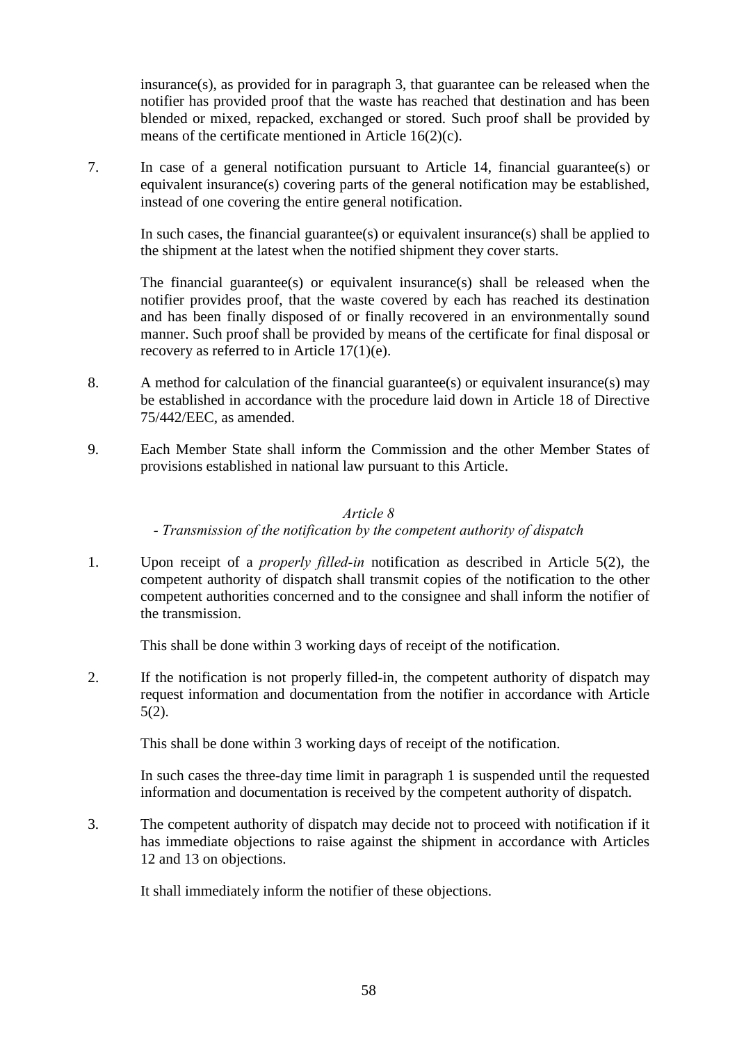insurance(s), as provided for in paragraph 3, that guarantee can be released when the notifier has provided proof that the waste has reached that destination and has been blended or mixed, repacked, exchanged or stored. Such proof shall be provided by means of the certificate mentioned in Article 16(2)(c).

7. In case of a general notification pursuant to Article 14, financial guarantee(s) or equivalent insurance(s) covering parts of the general notification may be established, instead of one covering the entire general notification.

In such cases, the financial guarantee(s) or equivalent insurance(s) shall be applied to the shipment at the latest when the notified shipment they cover starts.

The financial guarantee(s) or equivalent insurance(s) shall be released when the notifier provides proof, that the waste covered by each has reached its destination and has been finally disposed of or finally recovered in an environmentally sound manner. Such proof shall be provided by means of the certificate for final disposal or recovery as referred to in Article 17(1)(e).

- 8. A method for calculation of the financial guarantee(s) or equivalent insurance(s) may be established in accordance with the procedure laid down in Article 18 of Directive 75/442/EEC, as amended.
- 9. Each Member State shall inform the Commission and the other Member States of provisions established in national law pursuant to this Article.

#### *Article 8*

#### *- Transmission of the notification by the competent authority of dispatch*

1. Upon receipt of a *properly filled-in* notification as described in Article 5(2), the competent authority of dispatch shall transmit copies of the notification to the other competent authorities concerned and to the consignee and shall inform the notifier of the transmission.

This shall be done within 3 working days of receipt of the notification.

2. If the notification is not properly filled-in, the competent authority of dispatch may request information and documentation from the notifier in accordance with Article 5(2).

This shall be done within 3 working days of receipt of the notification.

In such cases the three-day time limit in paragraph 1 is suspended until the requested information and documentation is received by the competent authority of dispatch.

3. The competent authority of dispatch may decide not to proceed with notification if it has immediate objections to raise against the shipment in accordance with Articles 12 and 13 on objections.

It shall immediately inform the notifier of these objections.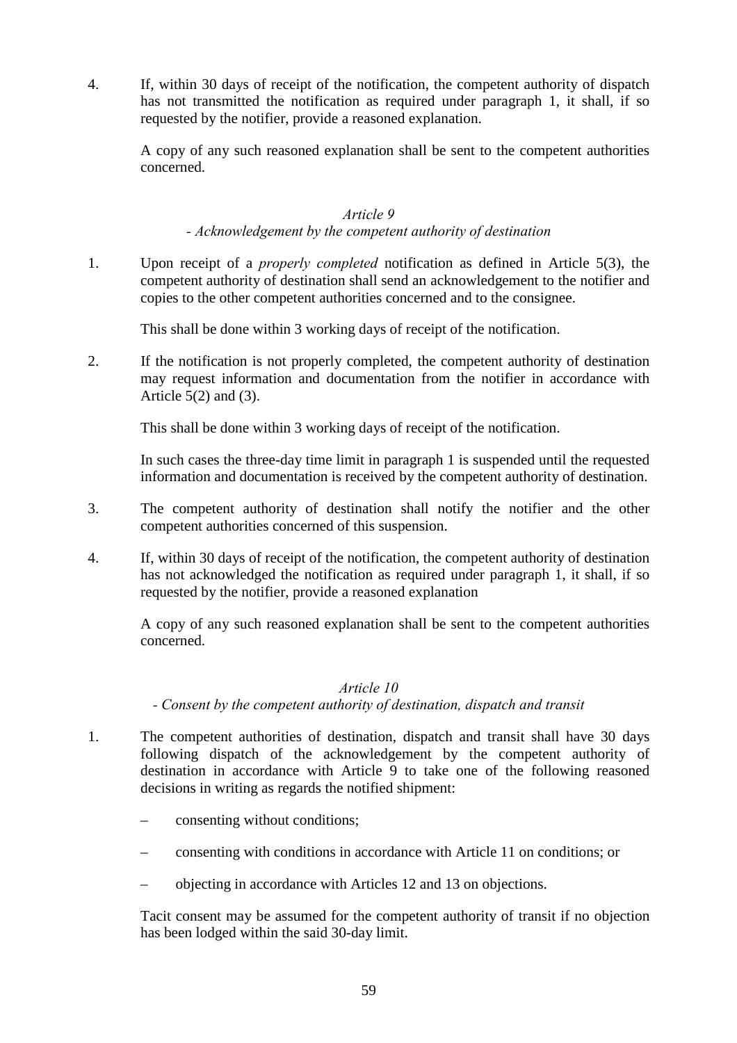4. If, within 30 days of receipt of the notification, the competent authority of dispatch has not transmitted the notification as required under paragraph 1, it shall, if so requested by the notifier, provide a reasoned explanation.

A copy of any such reasoned explanation shall be sent to the competent authorities concerned.

#### *Article 9*

#### *- Acknowledgement by the competent authority of destination*

1. Upon receipt of a *properly completed* notification as defined in Article 5(3), the competent authority of destination shall send an acknowledgement to the notifier and copies to the other competent authorities concerned and to the consignee.

This shall be done within 3 working days of receipt of the notification.

2. If the notification is not properly completed, the competent authority of destination may request information and documentation from the notifier in accordance with Article 5(2) and (3).

This shall be done within 3 working days of receipt of the notification.

In such cases the three-day time limit in paragraph 1 is suspended until the requested information and documentation is received by the competent authority of destination.

- 3. The competent authority of destination shall notify the notifier and the other competent authorities concerned of this suspension.
- 4. If, within 30 days of receipt of the notification, the competent authority of destination has not acknowledged the notification as required under paragraph 1, it shall, if so requested by the notifier, provide a reasoned explanation

A copy of any such reasoned explanation shall be sent to the competent authorities concerned.

#### *Article 10*

*- Consent by the competent authority of destination, dispatch and transit*

- 1. The competent authorities of destination, dispatch and transit shall have 30 days following dispatch of the acknowledgement by the competent authority of destination in accordance with Article 9 to take one of the following reasoned decisions in writing as regards the notified shipment:
	- consenting without conditions;
	- consenting with conditions in accordance with Article 11 on conditions; or
	- objecting in accordance with Articles 12 and 13 on objections.

Tacit consent may be assumed for the competent authority of transit if no objection has been lodged within the said 30-day limit.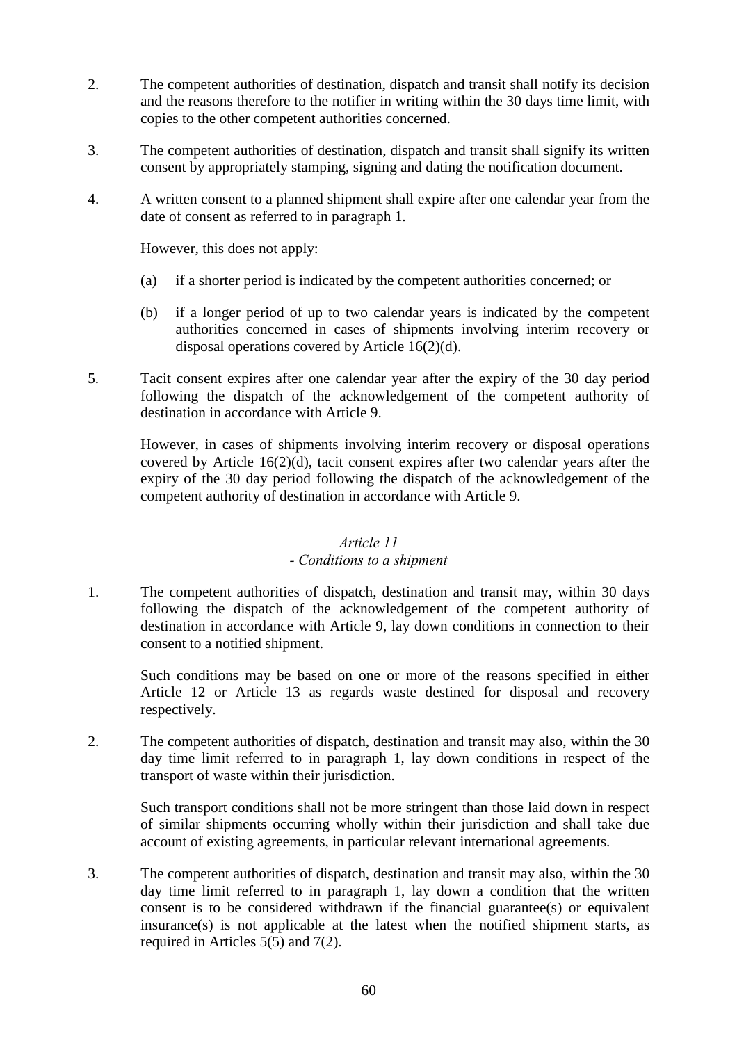- 2. The competent authorities of destination, dispatch and transit shall notify its decision and the reasons therefore to the notifier in writing within the 30 days time limit, with copies to the other competent authorities concerned.
- 3. The competent authorities of destination, dispatch and transit shall signify its written consent by appropriately stamping, signing and dating the notification document.
- 4. A written consent to a planned shipment shall expire after one calendar year from the date of consent as referred to in paragraph 1.

However, this does not apply:

- (a) if a shorter period is indicated by the competent authorities concerned; or
- (b) if a longer period of up to two calendar years is indicated by the competent authorities concerned in cases of shipments involving interim recovery or disposal operations covered by Article 16(2)(d).
- 5. Tacit consent expires after one calendar year after the expiry of the 30 day period following the dispatch of the acknowledgement of the competent authority of destination in accordance with Article 9.

However, in cases of shipments involving interim recovery or disposal operations covered by Article 16(2)(d), tacit consent expires after two calendar years after the expiry of the 30 day period following the dispatch of the acknowledgement of the competent authority of destination in accordance with Article 9.

## *Article 11*

#### *- Conditions to a shipment*

1. The competent authorities of dispatch, destination and transit may, within 30 days following the dispatch of the acknowledgement of the competent authority of destination in accordance with Article 9, lay down conditions in connection to their consent to a notified shipment.

Such conditions may be based on one or more of the reasons specified in either Article 12 or Article 13 as regards waste destined for disposal and recovery respectively.

2. The competent authorities of dispatch, destination and transit may also, within the 30 day time limit referred to in paragraph 1, lay down conditions in respect of the transport of waste within their jurisdiction.

Such transport conditions shall not be more stringent than those laid down in respect of similar shipments occurring wholly within their jurisdiction and shall take due account of existing agreements, in particular relevant international agreements.

3. The competent authorities of dispatch, destination and transit may also, within the 30 day time limit referred to in paragraph 1, lay down a condition that the written consent is to be considered withdrawn if the financial guarantee(s) or equivalent insurance(s) is not applicable at the latest when the notified shipment starts, as required in Articles 5(5) and 7(2).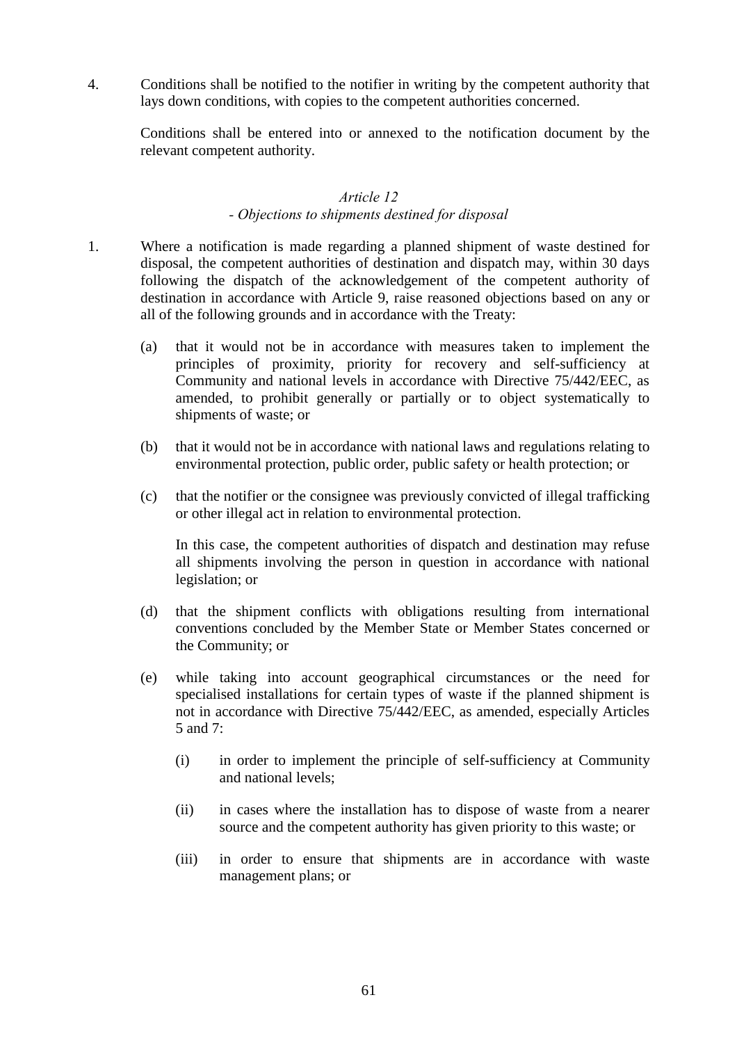4. Conditions shall be notified to the notifier in writing by the competent authority that lays down conditions, with copies to the competent authorities concerned.

Conditions shall be entered into or annexed to the notification document by the relevant competent authority.

#### *Article 12 - Objections to shipments destined for disposal*

- 1. Where a notification is made regarding a planned shipment of waste destined for disposal, the competent authorities of destination and dispatch may, within 30 days following the dispatch of the acknowledgement of the competent authority of destination in accordance with Article 9, raise reasoned objections based on any or all of the following grounds and in accordance with the Treaty:
	- (a) that it would not be in accordance with measures taken to implement the principles of proximity, priority for recovery and self-sufficiency at Community and national levels in accordance with Directive 75/442/EEC, as amended, to prohibit generally or partially or to object systematically to shipments of waste; or
	- (b) that it would not be in accordance with national laws and regulations relating to environmental protection, public order, public safety or health protection; or
	- (c) that the notifier or the consignee was previously convicted of illegal trafficking or other illegal act in relation to environmental protection.

In this case, the competent authorities of dispatch and destination may refuse all shipments involving the person in question in accordance with national legislation; or

- (d) that the shipment conflicts with obligations resulting from international conventions concluded by the Member State or Member States concerned or the Community; or
- (e) while taking into account geographical circumstances or the need for specialised installations for certain types of waste if the planned shipment is not in accordance with Directive 75/442/EEC, as amended, especially Articles 5 and 7:
	- (i) in order to implement the principle of self-sufficiency at Community and national levels;
	- (ii) in cases where the installation has to dispose of waste from a nearer source and the competent authority has given priority to this waste; or
	- (iii) in order to ensure that shipments are in accordance with waste management plans; or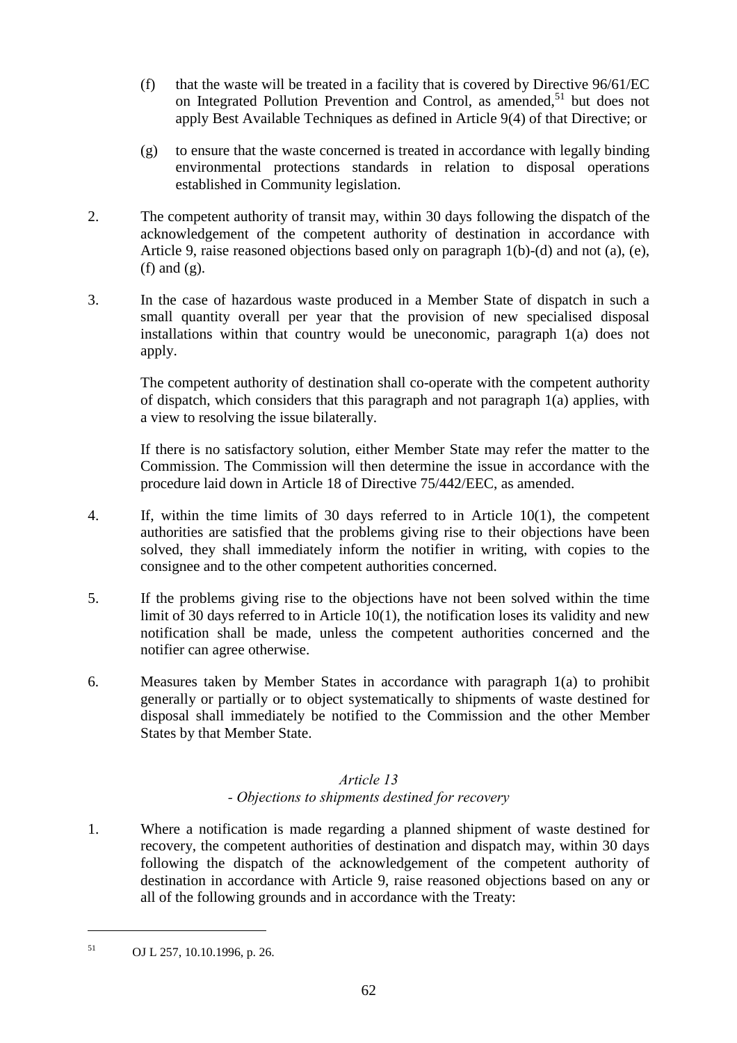- (f) that the waste will be treated in a facility that is covered by Directive 96/61/EC on Integrated Pollution Prevention and Control, as amended.<sup>51</sup> but does not apply Best Available Techniques as defined in Article 9(4) of that Directive; or
- (g) to ensure that the waste concerned is treated in accordance with legally binding environmental protections standards in relation to disposal operations established in Community legislation.
- 2. The competent authority of transit may, within 30 days following the dispatch of the acknowledgement of the competent authority of destination in accordance with Article 9, raise reasoned objections based only on paragraph 1(b)-(d) and not (a), (e), (f) and (g).
- 3. In the case of hazardous waste produced in a Member State of dispatch in such a small quantity overall per year that the provision of new specialised disposal installations within that country would be uneconomic, paragraph 1(a) does not apply.

The competent authority of destination shall co-operate with the competent authority of dispatch, which considers that this paragraph and not paragraph 1(a) applies, with a view to resolving the issue bilaterally.

If there is no satisfactory solution, either Member State may refer the matter to the Commission. The Commission will then determine the issue in accordance with the procedure laid down in Article 18 of Directive 75/442/EEC, as amended.

- 4. If, within the time limits of 30 days referred to in Article 10(1), the competent authorities are satisfied that the problems giving rise to their objections have been solved, they shall immediately inform the notifier in writing, with copies to the consignee and to the other competent authorities concerned.
- 5. If the problems giving rise to the objections have not been solved within the time limit of 30 days referred to in Article 10(1), the notification loses its validity and new notification shall be made, unless the competent authorities concerned and the notifier can agree otherwise.
- 6. Measures taken by Member States in accordance with paragraph 1(a) to prohibit generally or partially or to object systematically to shipments of waste destined for disposal shall immediately be notified to the Commission and the other Member States by that Member State.

## *Article 13 - Objections to shipments destined for recovery*

1. Where a notification is made regarding a planned shipment of waste destined for recovery, the competent authorities of destination and dispatch may, within 30 days following the dispatch of the acknowledgement of the competent authority of destination in accordance with Article 9, raise reasoned objections based on any or all of the following grounds and in accordance with the Treaty:

<sup>51</sup> OJ L 257, 10.10.1996, p. 26.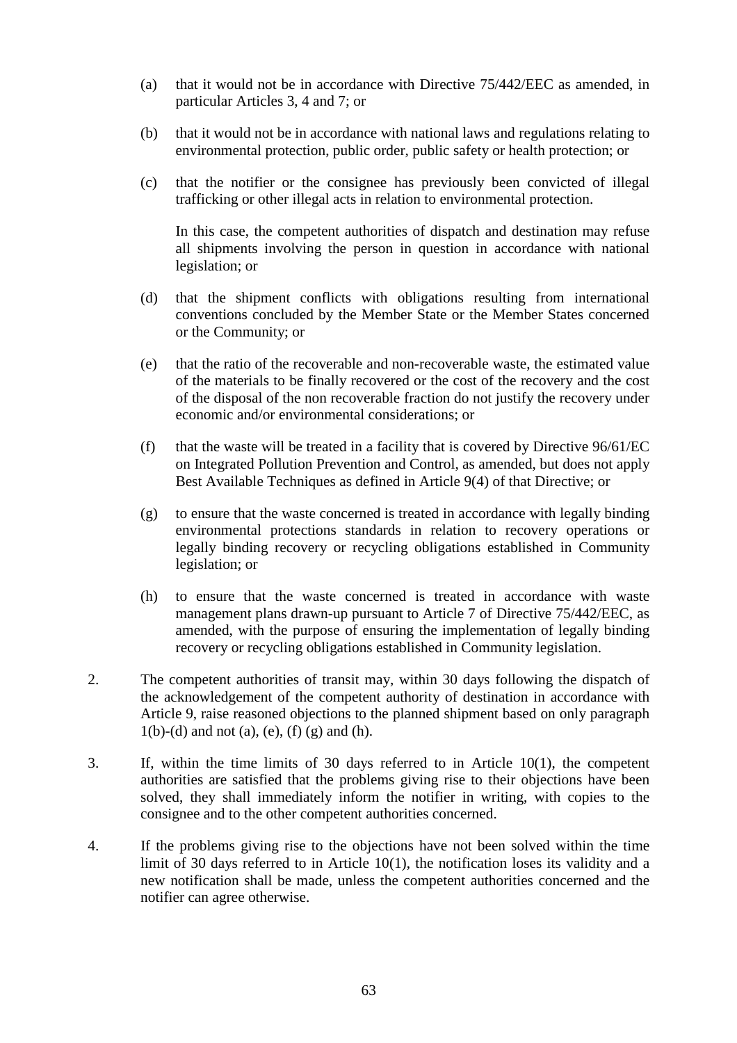- (a) that it would not be in accordance with Directive 75/442/EEC as amended, in particular Articles 3, 4 and 7; or
- (b) that it would not be in accordance with national laws and regulations relating to environmental protection, public order, public safety or health protection; or
- (c) that the notifier or the consignee has previously been convicted of illegal trafficking or other illegal acts in relation to environmental protection.

In this case, the competent authorities of dispatch and destination may refuse all shipments involving the person in question in accordance with national legislation; or

- (d) that the shipment conflicts with obligations resulting from international conventions concluded by the Member State or the Member States concerned or the Community; or
- (e) that the ratio of the recoverable and non-recoverable waste, the estimated value of the materials to be finally recovered or the cost of the recovery and the cost of the disposal of the non recoverable fraction do not justify the recovery under economic and/or environmental considerations; or
- (f) that the waste will be treated in a facility that is covered by Directive 96/61/EC on Integrated Pollution Prevention and Control, as amended, but does not apply Best Available Techniques as defined in Article 9(4) of that Directive; or
- (g) to ensure that the waste concerned is treated in accordance with legally binding environmental protections standards in relation to recovery operations or legally binding recovery or recycling obligations established in Community legislation; or
- (h) to ensure that the waste concerned is treated in accordance with waste management plans drawn-up pursuant to Article 7 of Directive 75/442/EEC, as amended, with the purpose of ensuring the implementation of legally binding recovery or recycling obligations established in Community legislation.
- 2. The competent authorities of transit may, within 30 days following the dispatch of the acknowledgement of the competent authority of destination in accordance with Article 9, raise reasoned objections to the planned shipment based on only paragraph  $1(b)-(d)$  and not (a), (e), (f) (g) and (h).
- 3. If, within the time limits of 30 days referred to in Article 10(1), the competent authorities are satisfied that the problems giving rise to their objections have been solved, they shall immediately inform the notifier in writing, with copies to the consignee and to the other competent authorities concerned.
- 4. If the problems giving rise to the objections have not been solved within the time limit of 30 days referred to in Article 10(1), the notification loses its validity and a new notification shall be made, unless the competent authorities concerned and the notifier can agree otherwise.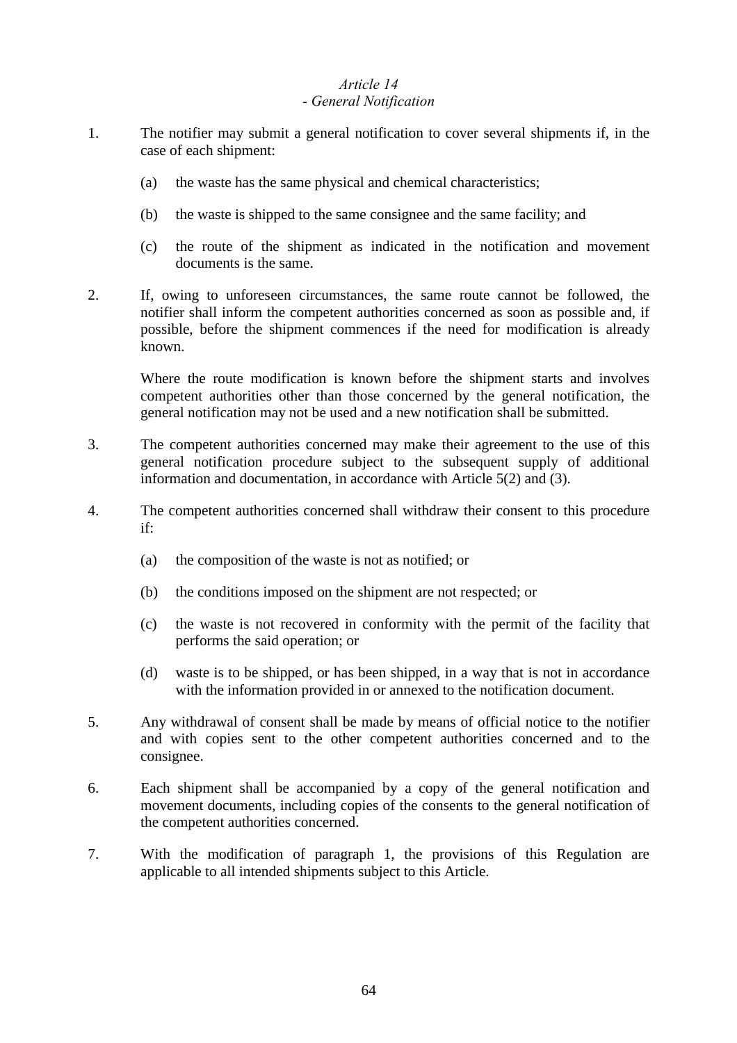#### *Article 14 - General Notification*

- 1. The notifier may submit a general notification to cover several shipments if, in the case of each shipment:
	- (a) the waste has the same physical and chemical characteristics;
	- (b) the waste is shipped to the same consignee and the same facility; and
	- (c) the route of the shipment as indicated in the notification and movement documents is the same.
- 2. If, owing to unforeseen circumstances, the same route cannot be followed, the notifier shall inform the competent authorities concerned as soon as possible and, if possible, before the shipment commences if the need for modification is already known.

Where the route modification is known before the shipment starts and involves competent authorities other than those concerned by the general notification, the general notification may not be used and a new notification shall be submitted.

- 3. The competent authorities concerned may make their agreement to the use of this general notification procedure subject to the subsequent supply of additional information and documentation, in accordance with Article 5(2) and (3).
- 4. The competent authorities concerned shall withdraw their consent to this procedure if:
	- (a) the composition of the waste is not as notified; or
	- (b) the conditions imposed on the shipment are not respected; or
	- (c) the waste is not recovered in conformity with the permit of the facility that performs the said operation; or
	- (d) waste is to be shipped, or has been shipped, in a way that is not in accordance with the information provided in or annexed to the notification document.
- 5. Any withdrawal of consent shall be made by means of official notice to the notifier and with copies sent to the other competent authorities concerned and to the consignee.
- 6. Each shipment shall be accompanied by a copy of the general notification and movement documents, including copies of the consents to the general notification of the competent authorities concerned.
- 7. With the modification of paragraph 1, the provisions of this Regulation are applicable to all intended shipments subject to this Article.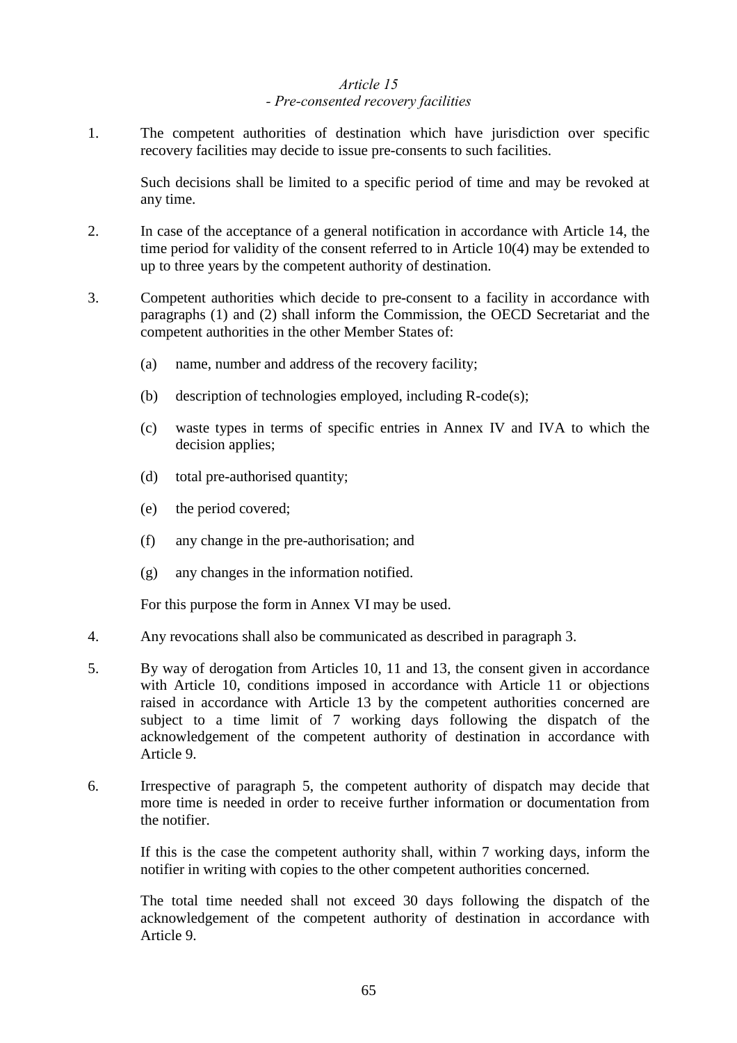## *Article 15 - Pre-consented recovery facilities*

1. The competent authorities of destination which have jurisdiction over specific recovery facilities may decide to issue pre-consents to such facilities.

Such decisions shall be limited to a specific period of time and may be revoked at any time.

- 2. In case of the acceptance of a general notification in accordance with Article 14, the time period for validity of the consent referred to in Article 10(4) may be extended to up to three years by the competent authority of destination.
- 3. Competent authorities which decide to pre-consent to a facility in accordance with paragraphs (1) and (2) shall inform the Commission, the OECD Secretariat and the competent authorities in the other Member States of:
	- (a) name, number and address of the recovery facility;
	- (b) description of technologies employed, including R-code(s);
	- (c) waste types in terms of specific entries in Annex IV and IVA to which the decision applies;
	- (d) total pre-authorised quantity;
	- (e) the period covered;
	- (f) any change in the pre-authorisation; and
	- (g) any changes in the information notified.

For this purpose the form in Annex VI may be used.

- 4. Any revocations shall also be communicated as described in paragraph 3.
- 5. By way of derogation from Articles 10, 11 and 13, the consent given in accordance with Article 10, conditions imposed in accordance with Article 11 or objections raised in accordance with Article 13 by the competent authorities concerned are subject to a time limit of 7 working days following the dispatch of the acknowledgement of the competent authority of destination in accordance with Article 9.
- 6. Irrespective of paragraph 5, the competent authority of dispatch may decide that more time is needed in order to receive further information or documentation from the notifier.

If this is the case the competent authority shall, within 7 working days, inform the notifier in writing with copies to the other competent authorities concerned.

The total time needed shall not exceed 30 days following the dispatch of the acknowledgement of the competent authority of destination in accordance with Article 9.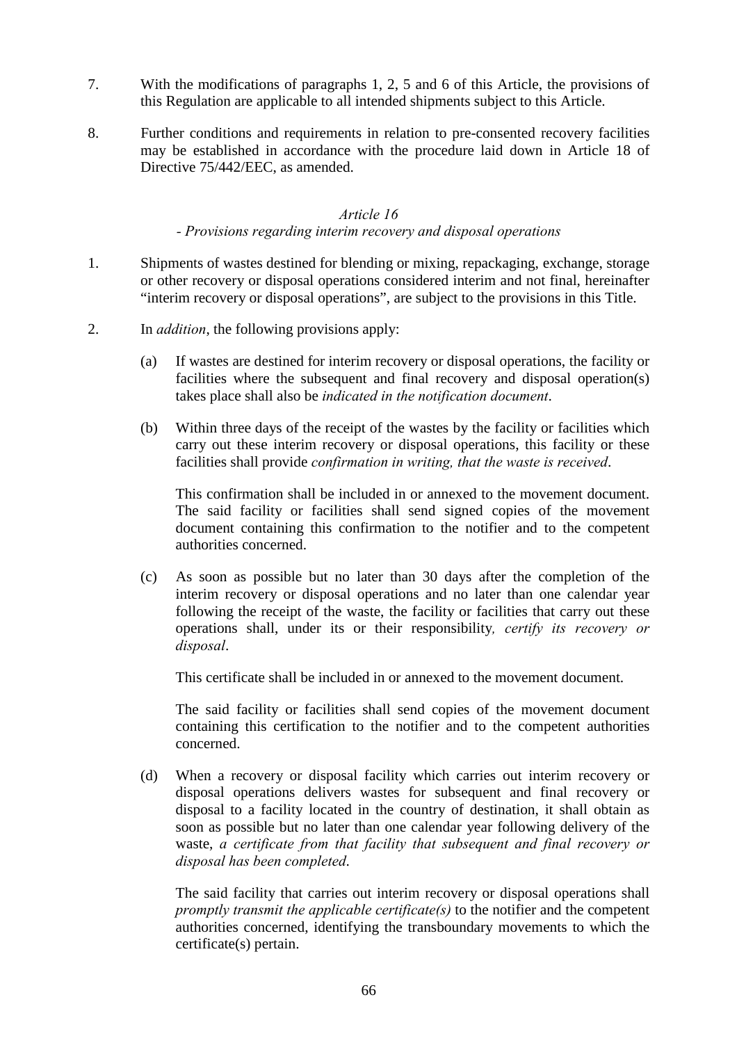- 7. With the modifications of paragraphs 1, 2, 5 and 6 of this Article, the provisions of this Regulation are applicable to all intended shipments subject to this Article.
- 8. Further conditions and requirements in relation to pre-consented recovery facilities may be established in accordance with the procedure laid down in Article 18 of Directive 75/442/EEC, as amended.

#### *Article 16*

#### *- Provisions regarding interim recovery and disposal operations*

- 1. Shipments of wastes destined for blending or mixing, repackaging, exchange, storage or other recovery or disposal operations considered interim and not final, hereinafter "interim recovery or disposal operations", are subject to the provisions in this Title.
- 2. In *addition*, the following provisions apply:
	- (a) If wastes are destined for interim recovery or disposal operations, the facility or facilities where the subsequent and final recovery and disposal operation(s) takes place shall also be *indicated in the notification document*.
	- (b) Within three days of the receipt of the wastes by the facility or facilities which carry out these interim recovery or disposal operations, this facility or these facilities shall provide *confirmation in writing, that the waste is received*.

This confirmation shall be included in or annexed to the movement document. The said facility or facilities shall send signed copies of the movement document containing this confirmation to the notifier and to the competent authorities concerned.

(c) As soon as possible but no later than 30 days after the completion of the interim recovery or disposal operations and no later than one calendar year following the receipt of the waste, the facility or facilities that carry out these operations shall, under its or their responsibility*, certify its recovery or disposal*.

This certificate shall be included in or annexed to the movement document.

The said facility or facilities shall send copies of the movement document containing this certification to the notifier and to the competent authorities concerned.

(d) When a recovery or disposal facility which carries out interim recovery or disposal operations delivers wastes for subsequent and final recovery or disposal to a facility located in the country of destination, it shall obtain as soon as possible but no later than one calendar year following delivery of the waste, *a certificate from that facility that subsequent and final recovery or disposal has been completed*.

The said facility that carries out interim recovery or disposal operations shall *promptly transmit the applicable certificate(s)* to the notifier and the competent authorities concerned, identifying the transboundary movements to which the certificate(s) pertain.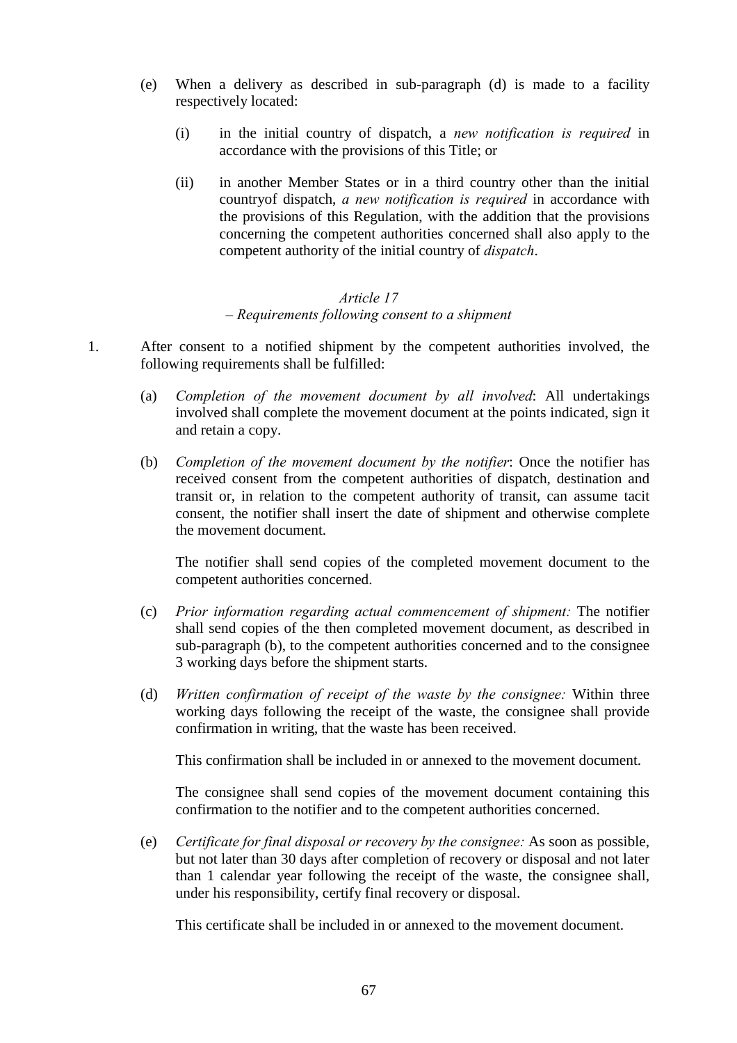- (e) When a delivery as described in sub-paragraph (d) is made to a facility respectively located:
	- (i) in the initial country of dispatch, a *new notification is required* in accordance with the provisions of this Title; or
	- (ii) in another Member States or in a third country other than the initial countryof dispatch, *a new notification is required* in accordance with the provisions of this Regulation, with the addition that the provisions concerning the competent authorities concerned shall also apply to the competent authority of the initial country of *dispatch*.

#### *Article 17 – Requirements following consent to a shipment*

- 1. After consent to a notified shipment by the competent authorities involved, the following requirements shall be fulfilled:
	- (a) *Completion of the movement document by all involved*: All undertakings involved shall complete the movement document at the points indicated, sign it and retain a copy.
	- (b) *Completion of the movement document by the notifier*: Once the notifier has received consent from the competent authorities of dispatch, destination and transit or, in relation to the competent authority of transit, can assume tacit consent, the notifier shall insert the date of shipment and otherwise complete the movement document.

The notifier shall send copies of the completed movement document to the competent authorities concerned.

- (c) *Prior information regarding actual commencement of shipment:* The notifier shall send copies of the then completed movement document, as described in sub-paragraph (b), to the competent authorities concerned and to the consignee 3 working days before the shipment starts.
- (d) *Written confirmation of receipt of the waste by the consignee:* Within three working days following the receipt of the waste, the consignee shall provide confirmation in writing, that the waste has been received.

This confirmation shall be included in or annexed to the movement document.

The consignee shall send copies of the movement document containing this confirmation to the notifier and to the competent authorities concerned.

(e) *Certificate for final disposal or recovery by the consignee:* As soon as possible, but not later than 30 days after completion of recovery or disposal and not later than 1 calendar year following the receipt of the waste, the consignee shall, under his responsibility, certify final recovery or disposal.

This certificate shall be included in or annexed to the movement document.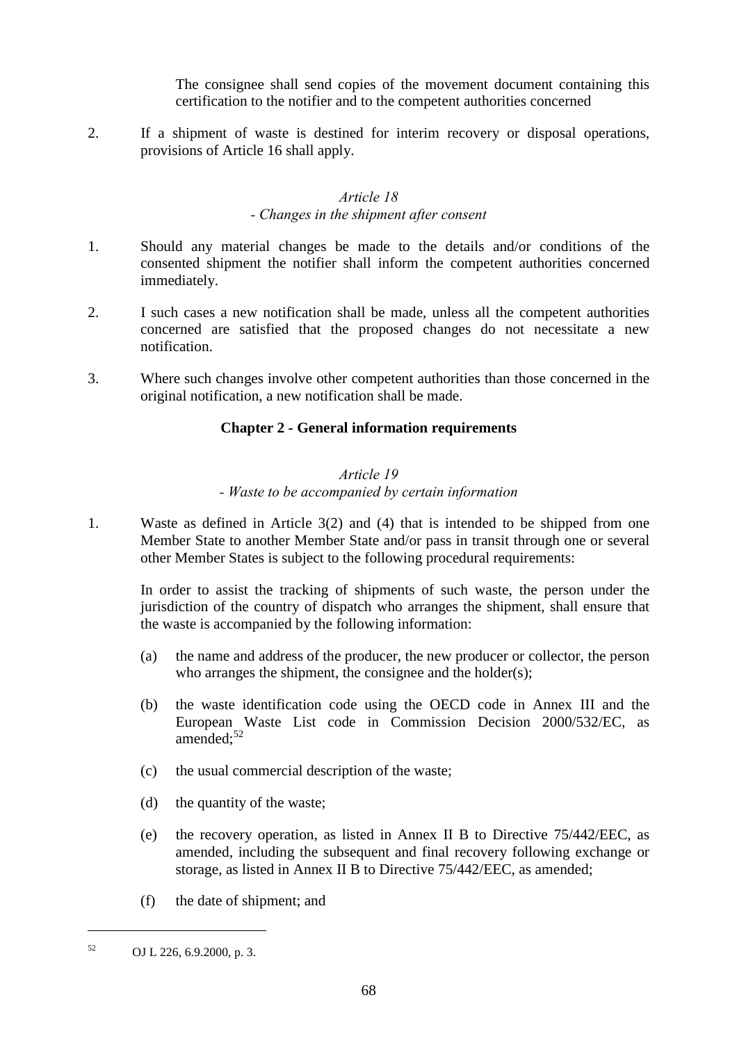The consignee shall send copies of the movement document containing this certification to the notifier and to the competent authorities concerned

2. If a shipment of waste is destined for interim recovery or disposal operations, provisions of Article 16 shall apply.

#### *Article 18 - Changes in the shipment after consent*

- 1. Should any material changes be made to the details and/or conditions of the consented shipment the notifier shall inform the competent authorities concerned immediately.
- 2. I such cases a new notification shall be made, unless all the competent authorities concerned are satisfied that the proposed changes do not necessitate a new notification.
- 3. Where such changes involve other competent authorities than those concerned in the original notification, a new notification shall be made.

## **Chapter 2 - General information requirements**

## *Article 19*

## *- Waste to be accompanied by certain information*

1. Waste as defined in Article 3(2) and (4) that is intended to be shipped from one Member State to another Member State and/or pass in transit through one or several other Member States is subject to the following procedural requirements:

In order to assist the tracking of shipments of such waste, the person under the jurisdiction of the country of dispatch who arranges the shipment, shall ensure that the waste is accompanied by the following information:

- (a) the name and address of the producer, the new producer or collector, the person who arranges the shipment, the consignee and the holder(s);
- (b) the waste identification code using the OECD code in Annex III and the European Waste List code in Commission Decision 2000/532/EC, as amended; $52$
- (c) the usual commercial description of the waste;
- (d) the quantity of the waste;
- (e) the recovery operation, as listed in Annex II B to Directive 75/442/EEC, as amended, including the subsequent and final recovery following exchange or storage, as listed in Annex II B to Directive 75/442/EEC, as amended;
- (f) the date of shipment; and

<sup>52</sup> OJ L 226, 6.9.2000, p. 3.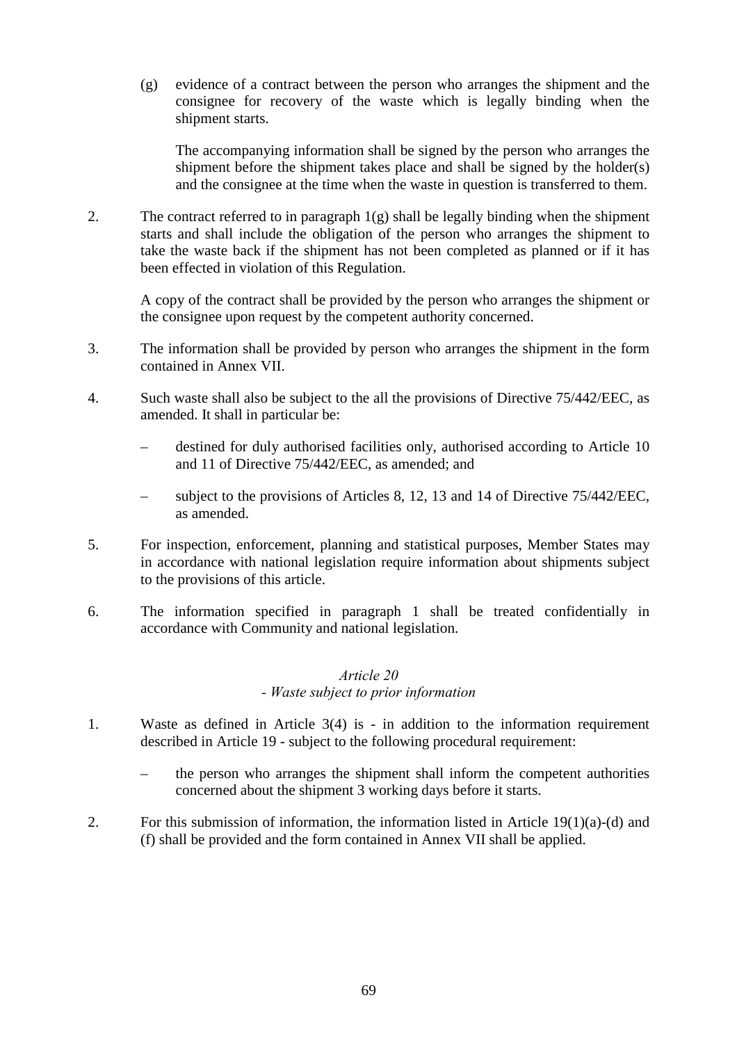(g) evidence of a contract between the person who arranges the shipment and the consignee for recovery of the waste which is legally binding when the shipment starts.

The accompanying information shall be signed by the person who arranges the shipment before the shipment takes place and shall be signed by the holder(s) and the consignee at the time when the waste in question is transferred to them.

2. The contract referred to in paragraph  $1(g)$  shall be legally binding when the shipment starts and shall include the obligation of the person who arranges the shipment to take the waste back if the shipment has not been completed as planned or if it has been effected in violation of this Regulation.

A copy of the contract shall be provided by the person who arranges the shipment or the consignee upon request by the competent authority concerned.

- 3. The information shall be provided by person who arranges the shipment in the form contained in Annex VII.
- 4. Such waste shall also be subject to the all the provisions of Directive 75/442/EEC, as amended. It shall in particular be:
	- destined for duly authorised facilities only, authorised according to Article 10 and 11 of Directive 75/442/EEC, as amended; and
	- subject to the provisions of Articles 8, 12, 13 and 14 of Directive 75/442/EEC, as amended.
- 5. For inspection, enforcement, planning and statistical purposes, Member States may in accordance with national legislation require information about shipments subject to the provisions of this article.
- 6. The information specified in paragraph 1 shall be treated confidentially in accordance with Community and national legislation.

## *Article 20 - Waste subject to prior information*

- 1. Waste as defined in Article 3(4) is in addition to the information requirement described in Article 19 - subject to the following procedural requirement:
	- the person who arranges the shipment shall inform the competent authorities concerned about the shipment 3 working days before it starts.
- 2. For this submission of information, the information listed in Article 19(1)(a)-(d) and (f) shall be provided and the form contained in Annex VII shall be applied.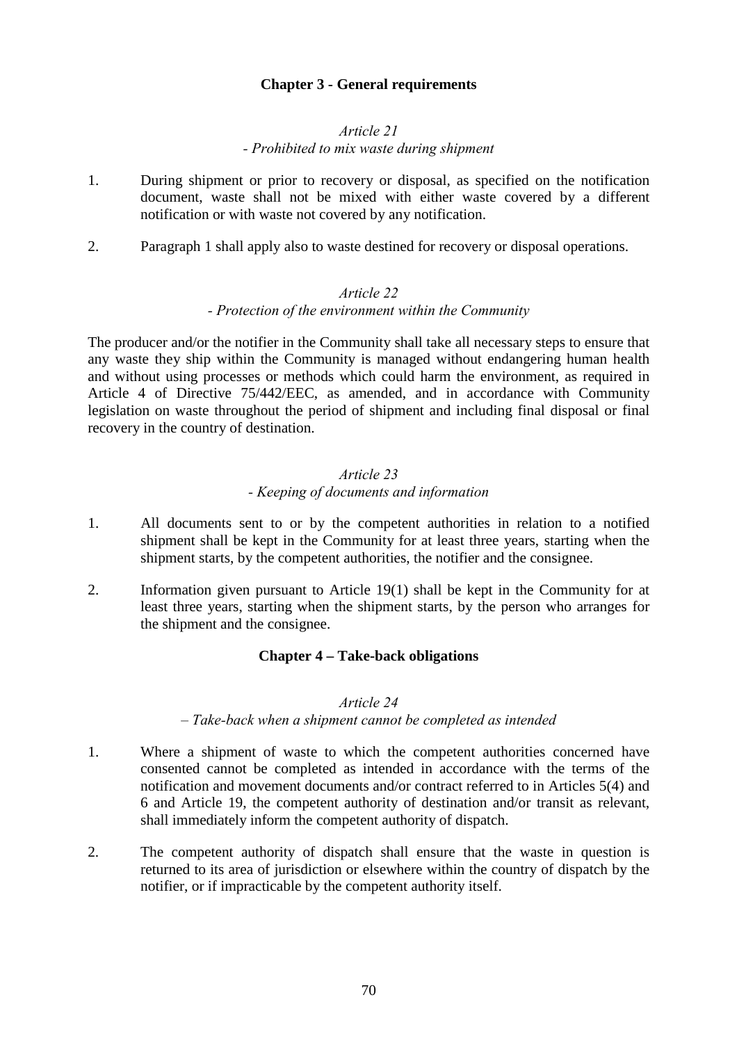## **Chapter 3 - General requirements**

#### *Article 21 - Prohibited to mix waste during shipment*

- 1. During shipment or prior to recovery or disposal, as specified on the notification document, waste shall not be mixed with either waste covered by a different notification or with waste not covered by any notification.
- 2. Paragraph 1 shall apply also to waste destined for recovery or disposal operations.

#### *Article 22*

#### *- Protection of the environment within the Community*

The producer and/or the notifier in the Community shall take all necessary steps to ensure that any waste they ship within the Community is managed without endangering human health and without using processes or methods which could harm the environment, as required in Article 4 of Directive 75/442/EEC, as amended, and in accordance with Community legislation on waste throughout the period of shipment and including final disposal or final recovery in the country of destination.

#### *Article 23 - Keeping of documents and information*

- 1. All documents sent to or by the competent authorities in relation to a notified shipment shall be kept in the Community for at least three years, starting when the shipment starts, by the competent authorities, the notifier and the consignee.
- 2. Information given pursuant to Article 19(1) shall be kept in the Community for at least three years, starting when the shipment starts, by the person who arranges for the shipment and the consignee.

#### **Chapter 4 – Take-back obligations**

### *Article 24*

#### *– Take-back when a shipment cannot be completed as intended*

- 1. Where a shipment of waste to which the competent authorities concerned have consented cannot be completed as intended in accordance with the terms of the notification and movement documents and/or contract referred to in Articles 5(4) and 6 and Article 19, the competent authority of destination and/or transit as relevant, shall immediately inform the competent authority of dispatch.
- 2. The competent authority of dispatch shall ensure that the waste in question is returned to its area of jurisdiction or elsewhere within the country of dispatch by the notifier, or if impracticable by the competent authority itself.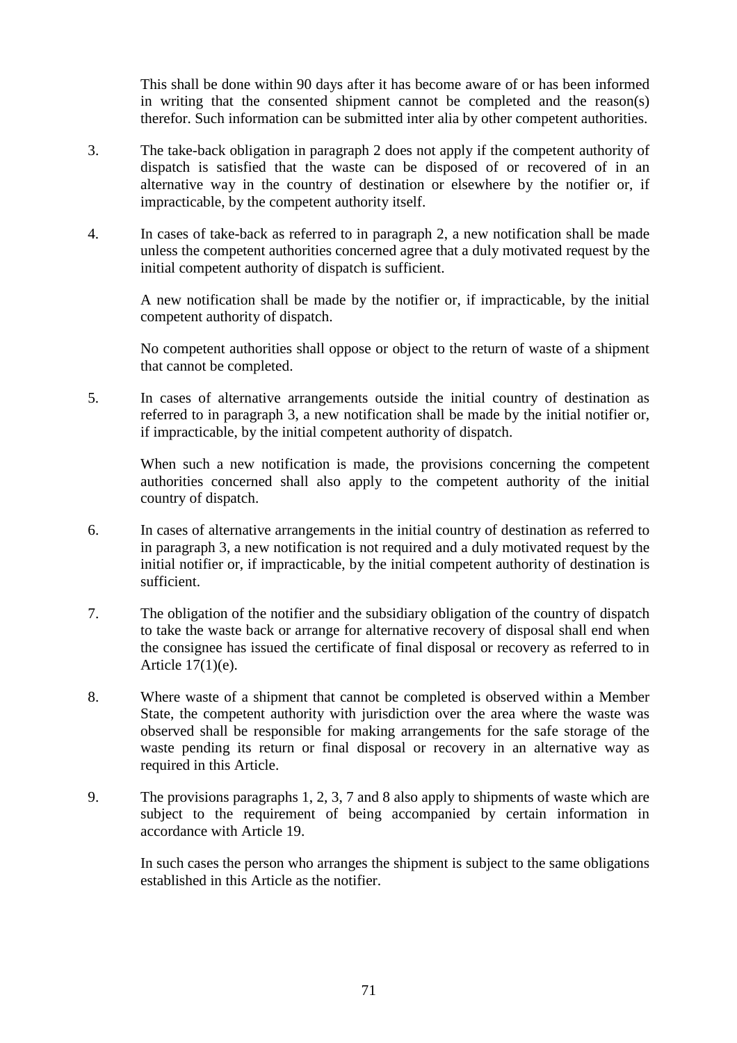This shall be done within 90 days after it has become aware of or has been informed in writing that the consented shipment cannot be completed and the reason(s) therefor. Such information can be submitted inter alia by other competent authorities.

- 3. The take-back obligation in paragraph 2 does not apply if the competent authority of dispatch is satisfied that the waste can be disposed of or recovered of in an alternative way in the country of destination or elsewhere by the notifier or, if impracticable, by the competent authority itself.
- 4. In cases of take-back as referred to in paragraph 2, a new notification shall be made unless the competent authorities concerned agree that a duly motivated request by the initial competent authority of dispatch is sufficient.

A new notification shall be made by the notifier or, if impracticable, by the initial competent authority of dispatch.

No competent authorities shall oppose or object to the return of waste of a shipment that cannot be completed.

5. In cases of alternative arrangements outside the initial country of destination as referred to in paragraph 3, a new notification shall be made by the initial notifier or, if impracticable, by the initial competent authority of dispatch.

When such a new notification is made, the provisions concerning the competent authorities concerned shall also apply to the competent authority of the initial country of dispatch.

- 6. In cases of alternative arrangements in the initial country of destination as referred to in paragraph 3, a new notification is not required and a duly motivated request by the initial notifier or, if impracticable, by the initial competent authority of destination is sufficient.
- 7. The obligation of the notifier and the subsidiary obligation of the country of dispatch to take the waste back or arrange for alternative recovery of disposal shall end when the consignee has issued the certificate of final disposal or recovery as referred to in Article 17(1)(e).
- 8. Where waste of a shipment that cannot be completed is observed within a Member State, the competent authority with jurisdiction over the area where the waste was observed shall be responsible for making arrangements for the safe storage of the waste pending its return or final disposal or recovery in an alternative way as required in this Article.
- 9. The provisions paragraphs 1, 2, 3, 7 and 8 also apply to shipments of waste which are subject to the requirement of being accompanied by certain information in accordance with Article 19.

In such cases the person who arranges the shipment is subject to the same obligations established in this Article as the notifier.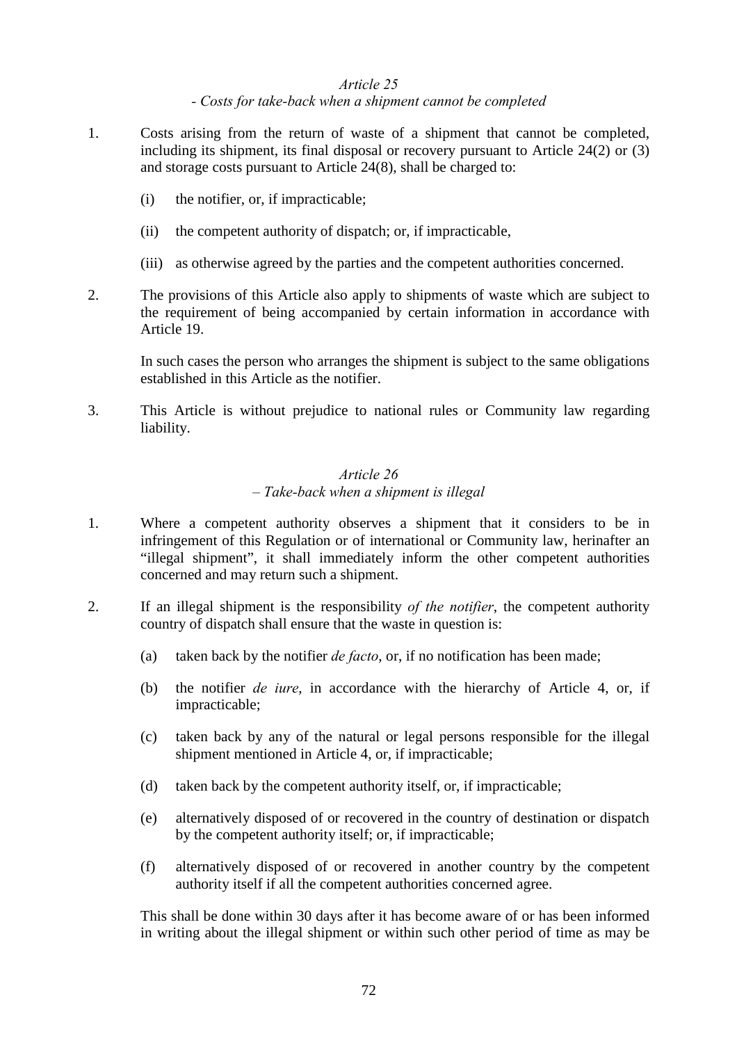#### *Article 25 - Costs for take-back when a shipment cannot be completed*

- 1. Costs arising from the return of waste of a shipment that cannot be completed, including its shipment, its final disposal or recovery pursuant to Article 24(2) or (3) and storage costs pursuant to Article 24(8), shall be charged to:
	- (i) the notifier, or, if impracticable;
	- (ii) the competent authority of dispatch; or, if impracticable,
	- (iii) as otherwise agreed by the parties and the competent authorities concerned.
- 2. The provisions of this Article also apply to shipments of waste which are subject to the requirement of being accompanied by certain information in accordance with Article 19.

In such cases the person who arranges the shipment is subject to the same obligations established in this Article as the notifier.

3. This Article is without prejudice to national rules or Community law regarding liability.

## *Article 26 – Take-back when a shipment is illegal*

- 1. Where a competent authority observes a shipment that it considers to be in infringement of this Regulation or of international or Community law, herinafter an "illegal shipment", it shall immediately inform the other competent authorities concerned and may return such a shipment.
- 2. If an illegal shipment is the responsibility *of the notifier*, the competent authority country of dispatch shall ensure that the waste in question is:
	- (a) taken back by the notifier *de facto*, or, if no notification has been made;
	- (b) the notifier *de iure*, in accordance with the hierarchy of Article 4, or, if impracticable;
	- (c) taken back by any of the natural or legal persons responsible for the illegal shipment mentioned in Article 4, or, if impracticable;
	- (d) taken back by the competent authority itself, or, if impracticable;
	- (e) alternatively disposed of or recovered in the country of destination or dispatch by the competent authority itself; or, if impracticable;
	- (f) alternatively disposed of or recovered in another country by the competent authority itself if all the competent authorities concerned agree.

This shall be done within 30 days after it has become aware of or has been informed in writing about the illegal shipment or within such other period of time as may be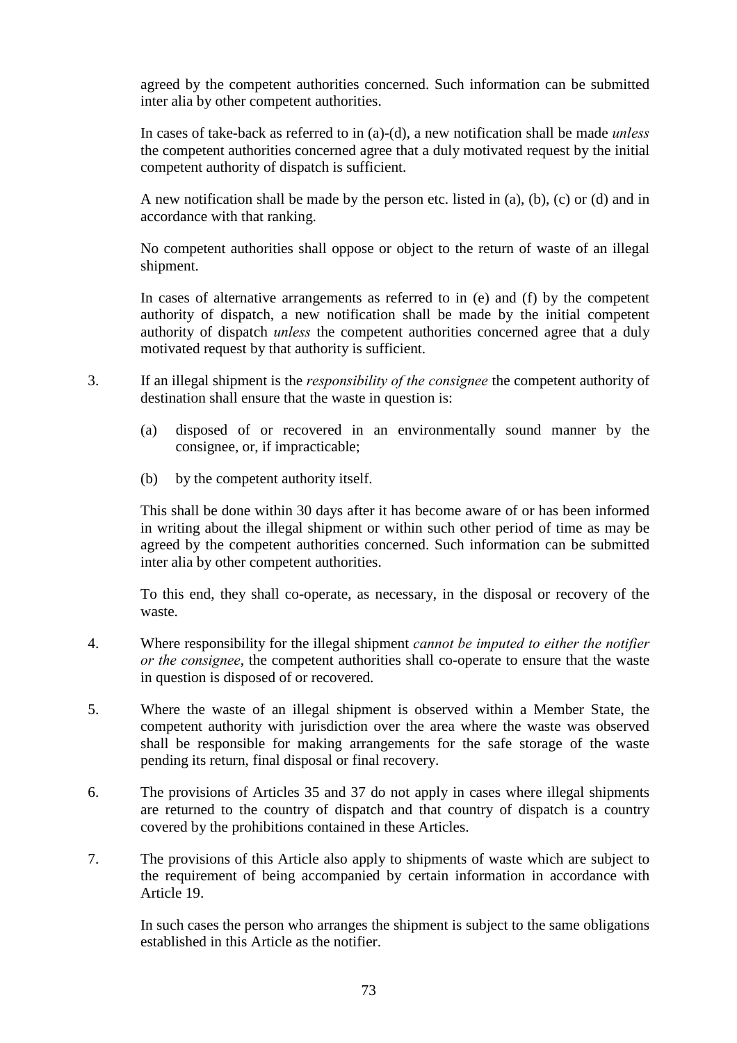agreed by the competent authorities concerned. Such information can be submitted inter alia by other competent authorities.

In cases of take-back as referred to in (a)-(d), a new notification shall be made *unless* the competent authorities concerned agree that a duly motivated request by the initial competent authority of dispatch is sufficient.

A new notification shall be made by the person etc. listed in (a), (b), (c) or (d) and in accordance with that ranking.

No competent authorities shall oppose or object to the return of waste of an illegal shipment.

In cases of alternative arrangements as referred to in (e) and (f) by the competent authority of dispatch, a new notification shall be made by the initial competent authority of dispatch *unless* the competent authorities concerned agree that a duly motivated request by that authority is sufficient.

- 3. If an illegal shipment is the *responsibility of the consignee* the competent authority of destination shall ensure that the waste in question is:
	- (a) disposed of or recovered in an environmentally sound manner by the consignee, or, if impracticable;
	- (b) by the competent authority itself.

This shall be done within 30 days after it has become aware of or has been informed in writing about the illegal shipment or within such other period of time as may be agreed by the competent authorities concerned. Such information can be submitted inter alia by other competent authorities.

To this end, they shall co-operate, as necessary, in the disposal or recovery of the waste.

- 4. Where responsibility for the illegal shipment *cannot be imputed to either the notifier or the consignee*, the competent authorities shall co-operate to ensure that the waste in question is disposed of or recovered.
- 5. Where the waste of an illegal shipment is observed within a Member State, the competent authority with jurisdiction over the area where the waste was observed shall be responsible for making arrangements for the safe storage of the waste pending its return, final disposal or final recovery.
- 6. The provisions of Articles 35 and 37 do not apply in cases where illegal shipments are returned to the country of dispatch and that country of dispatch is a country covered by the prohibitions contained in these Articles.
- 7. The provisions of this Article also apply to shipments of waste which are subject to the requirement of being accompanied by certain information in accordance with Article 19.

In such cases the person who arranges the shipment is subject to the same obligations established in this Article as the notifier.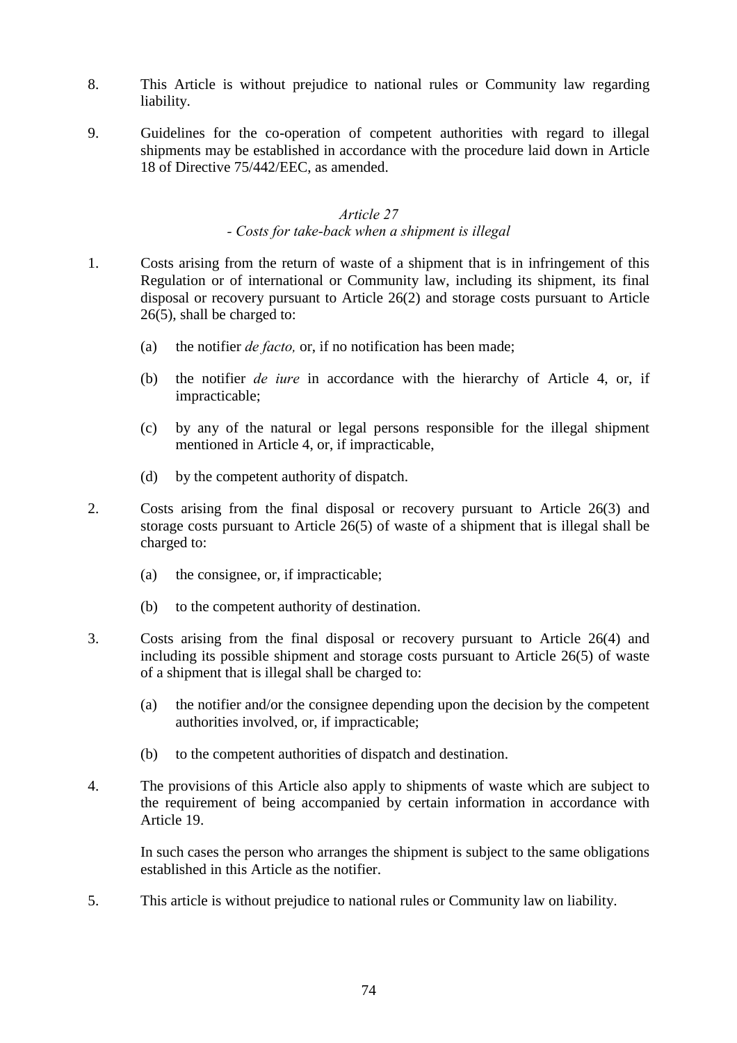- 8. This Article is without prejudice to national rules or Community law regarding liability.
- 9. Guidelines for the co-operation of competent authorities with regard to illegal shipments may be established in accordance with the procedure laid down in Article 18 of Directive 75/442/EEC, as amended.

#### *Article 27 - Costs for take-back when a shipment is illegal*

- 1. Costs arising from the return of waste of a shipment that is in infringement of this Regulation or of international or Community law, including its shipment, its final disposal or recovery pursuant to Article 26(2) and storage costs pursuant to Article 26(5), shall be charged to:
	- (a) the notifier *de facto,* or, if no notification has been made;
	- (b) the notifier *de iure* in accordance with the hierarchy of Article 4, or, if impracticable;
	- (c) by any of the natural or legal persons responsible for the illegal shipment mentioned in Article 4, or, if impracticable,
	- (d) by the competent authority of dispatch.
- 2. Costs arising from the final disposal or recovery pursuant to Article 26(3) and storage costs pursuant to Article 26(5) of waste of a shipment that is illegal shall be charged to:
	- (a) the consignee, or, if impracticable;
	- (b) to the competent authority of destination.
- 3. Costs arising from the final disposal or recovery pursuant to Article 26(4) and including its possible shipment and storage costs pursuant to Article 26(5) of waste of a shipment that is illegal shall be charged to:
	- (a) the notifier and/or the consignee depending upon the decision by the competent authorities involved, or, if impracticable;
	- (b) to the competent authorities of dispatch and destination.
- 4. The provisions of this Article also apply to shipments of waste which are subject to the requirement of being accompanied by certain information in accordance with Article 19.

In such cases the person who arranges the shipment is subject to the same obligations established in this Article as the notifier.

5. This article is without prejudice to national rules or Community law on liability.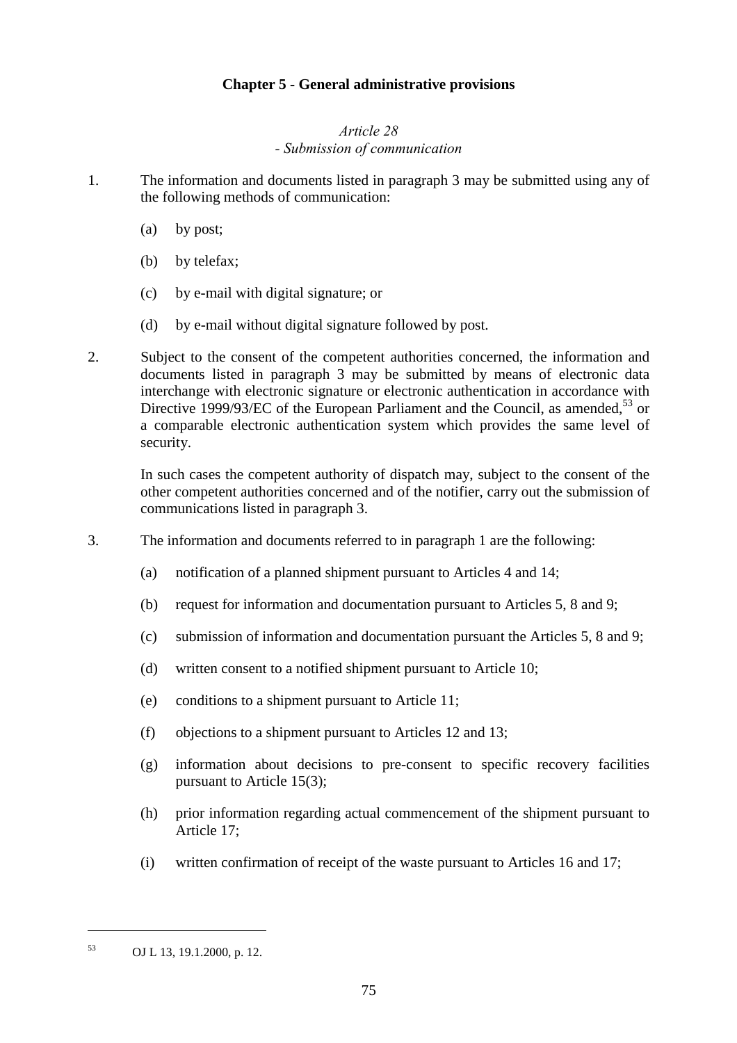### **Chapter 5 - General administrative provisions**

#### *Article 28 - Submission of communication*

- 1. The information and documents listed in paragraph 3 may be submitted using any of the following methods of communication:
	- (a) by post;
	- (b) by telefax;
	- (c) by e-mail with digital signature; or
	- (d) by e-mail without digital signature followed by post.
- 2. Subject to the consent of the competent authorities concerned, the information and documents listed in paragraph 3 may be submitted by means of electronic data interchange with electronic signature or electronic authentication in accordance with Directive 1999/93/EC of the European Parliament and the Council, as amended,  $53$  or a comparable electronic authentication system which provides the same level of security.

In such cases the competent authority of dispatch may, subject to the consent of the other competent authorities concerned and of the notifier, carry out the submission of communications listed in paragraph 3.

- 3. The information and documents referred to in paragraph 1 are the following:
	- (a) notification of a planned shipment pursuant to Articles 4 and 14;
	- (b) request for information and documentation pursuant to Articles 5, 8 and 9;
	- (c) submission of information and documentation pursuant the Articles 5, 8 and 9;
	- (d) written consent to a notified shipment pursuant to Article 10;
	- (e) conditions to a shipment pursuant to Article 11;
	- (f) objections to a shipment pursuant to Articles 12 and 13;
	- (g) information about decisions to pre-consent to specific recovery facilities pursuant to Article 15(3);
	- (h) prior information regarding actual commencement of the shipment pursuant to Article 17;
	- (i) written confirmation of receipt of the waste pursuant to Articles 16 and 17;

 $\overline{a}$ 

<sup>53</sup> OJ L 13, 19.1.2000, p. 12.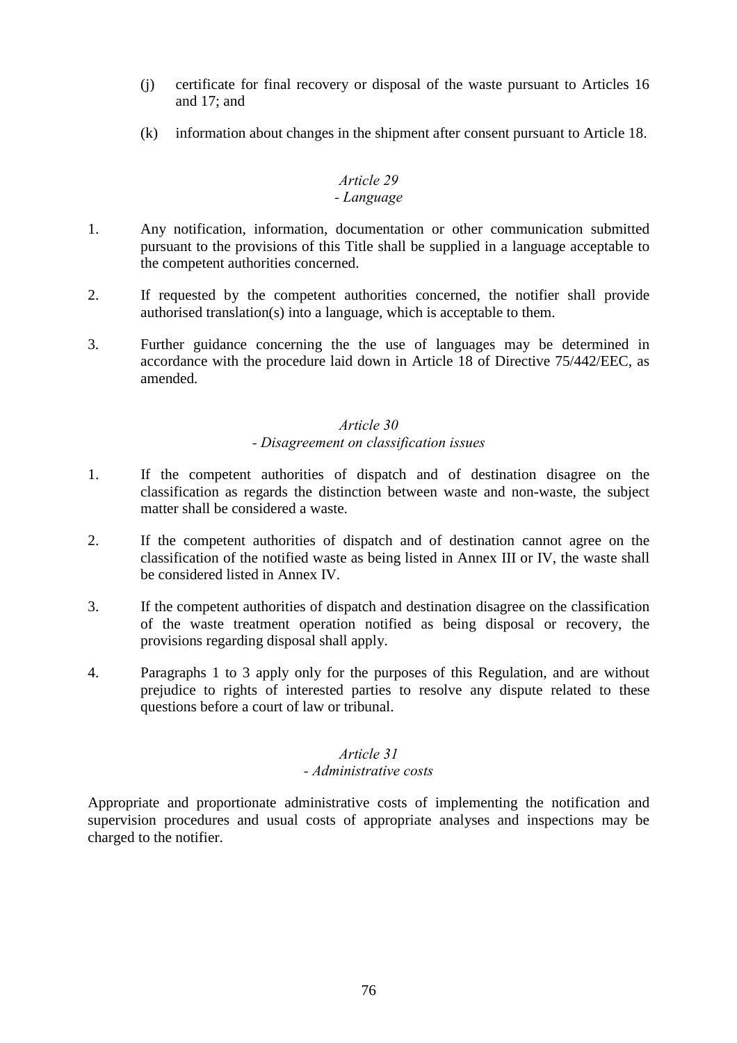- (j) certificate for final recovery or disposal of the waste pursuant to Articles 16 and 17; and
- (k) information about changes in the shipment after consent pursuant to Article 18.

#### *Article 29 - Language*

- 1. Any notification, information, documentation or other communication submitted pursuant to the provisions of this Title shall be supplied in a language acceptable to the competent authorities concerned.
- 2. If requested by the competent authorities concerned, the notifier shall provide authorised translation(s) into a language, which is acceptable to them.
- 3. Further guidance concerning the the use of languages may be determined in accordance with the procedure laid down in Article 18 of Directive 75/442/EEC, as amended.

### *Article 30*

### *- Disagreement on classification issues*

- 1. If the competent authorities of dispatch and of destination disagree on the classification as regards the distinction between waste and non-waste, the subject matter shall be considered a waste.
- 2. If the competent authorities of dispatch and of destination cannot agree on the classification of the notified waste as being listed in Annex III or IV, the waste shall be considered listed in Annex IV.
- 3. If the competent authorities of dispatch and destination disagree on the classification of the waste treatment operation notified as being disposal or recovery, the provisions regarding disposal shall apply.
- 4. Paragraphs 1 to 3 apply only for the purposes of this Regulation, and are without prejudice to rights of interested parties to resolve any dispute related to these questions before a court of law or tribunal.

### *Article 31*

#### *- Administrative costs*

Appropriate and proportionate administrative costs of implementing the notification and supervision procedures and usual costs of appropriate analyses and inspections may be charged to the notifier.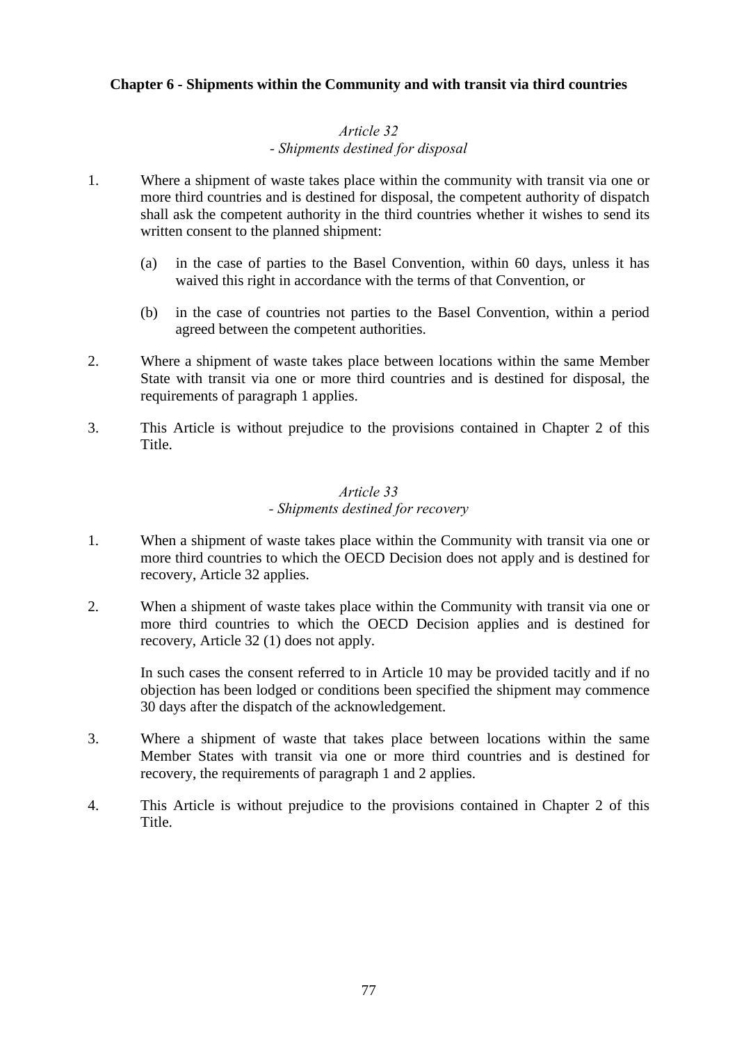### **Chapter 6 - Shipments within the Community and with transit via third countries**

### *Article 32 - Shipments destined for disposal*

- 1. Where a shipment of waste takes place within the community with transit via one or more third countries and is destined for disposal, the competent authority of dispatch shall ask the competent authority in the third countries whether it wishes to send its written consent to the planned shipment:
	- (a) in the case of parties to the Basel Convention, within 60 days, unless it has waived this right in accordance with the terms of that Convention, or
	- (b) in the case of countries not parties to the Basel Convention, within a period agreed between the competent authorities.
- 2. Where a shipment of waste takes place between locations within the same Member State with transit via one or more third countries and is destined for disposal, the requirements of paragraph 1 applies.
- 3. This Article is without prejudice to the provisions contained in Chapter 2 of this Title.

#### *Article 33 - Shipments destined for recovery*

- 1. When a shipment of waste takes place within the Community with transit via one or more third countries to which the OECD Decision does not apply and is destined for recovery, Article 32 applies.
- 2. When a shipment of waste takes place within the Community with transit via one or more third countries to which the OECD Decision applies and is destined for recovery, Article 32 (1) does not apply.

In such cases the consent referred to in Article 10 may be provided tacitly and if no objection has been lodged or conditions been specified the shipment may commence 30 days after the dispatch of the acknowledgement.

- 3. Where a shipment of waste that takes place between locations within the same Member States with transit via one or more third countries and is destined for recovery, the requirements of paragraph 1 and 2 applies.
- 4. This Article is without prejudice to the provisions contained in Chapter 2 of this Title.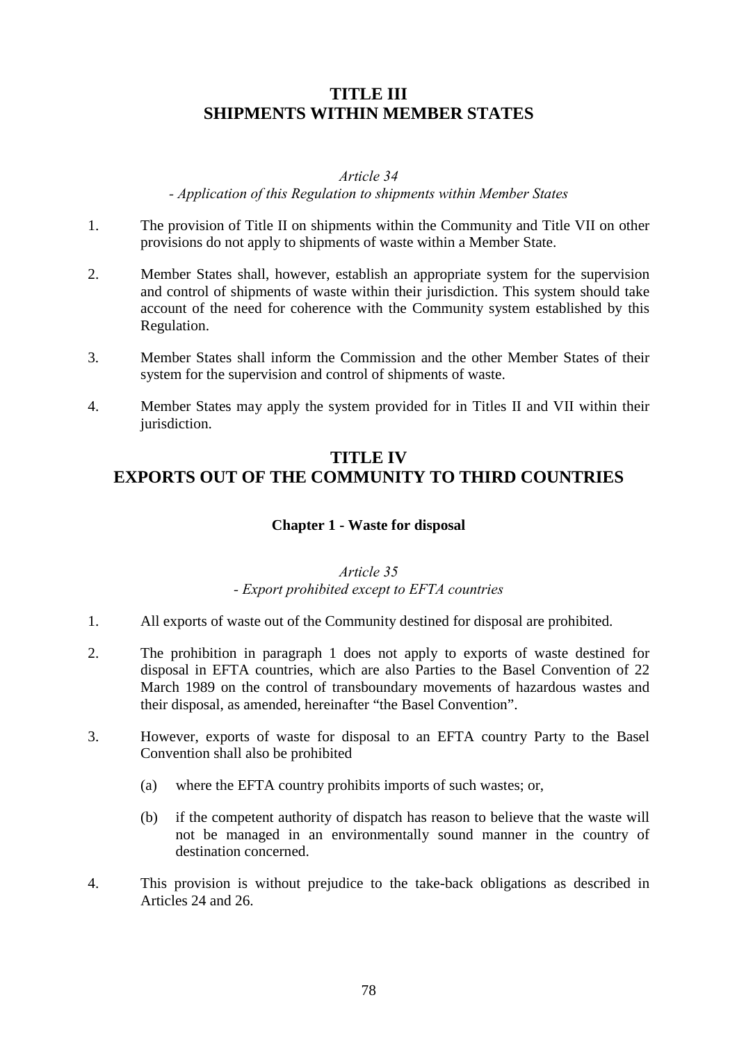## **TITLE III SHIPMENTS WITHIN MEMBER STATES**

#### *Article 34*

#### *- Application of this Regulation to shipments within Member States*

- 1. The provision of Title II on shipments within the Community and Title VII on other provisions do not apply to shipments of waste within a Member State.
- 2. Member States shall, however, establish an appropriate system for the supervision and control of shipments of waste within their jurisdiction. This system should take account of the need for coherence with the Community system established by this Regulation.
- 3. Member States shall inform the Commission and the other Member States of their system for the supervision and control of shipments of waste.
- 4. Member States may apply the system provided for in Titles II and VII within their jurisdiction.

## **TITLE IV EXPORTS OUT OF THE COMMUNITY TO THIRD COUNTRIES**

### **Chapter 1 - Waste for disposal**

### *Article 35 - Export prohibited except to EFTA countries*

- 1. All exports of waste out of the Community destined for disposal are prohibited.
- 2. The prohibition in paragraph 1 does not apply to exports of waste destined for disposal in EFTA countries, which are also Parties to the Basel Convention of 22 March 1989 on the control of transboundary movements of hazardous wastes and their disposal, as amended, hereinafter "the Basel Convention".
- 3. However, exports of waste for disposal to an EFTA country Party to the Basel Convention shall also be prohibited
	- (a) where the EFTA country prohibits imports of such wastes; or,
	- (b) if the competent authority of dispatch has reason to believe that the waste will not be managed in an environmentally sound manner in the country of destination concerned.
- 4. This provision is without prejudice to the take-back obligations as described in Articles 24 and 26.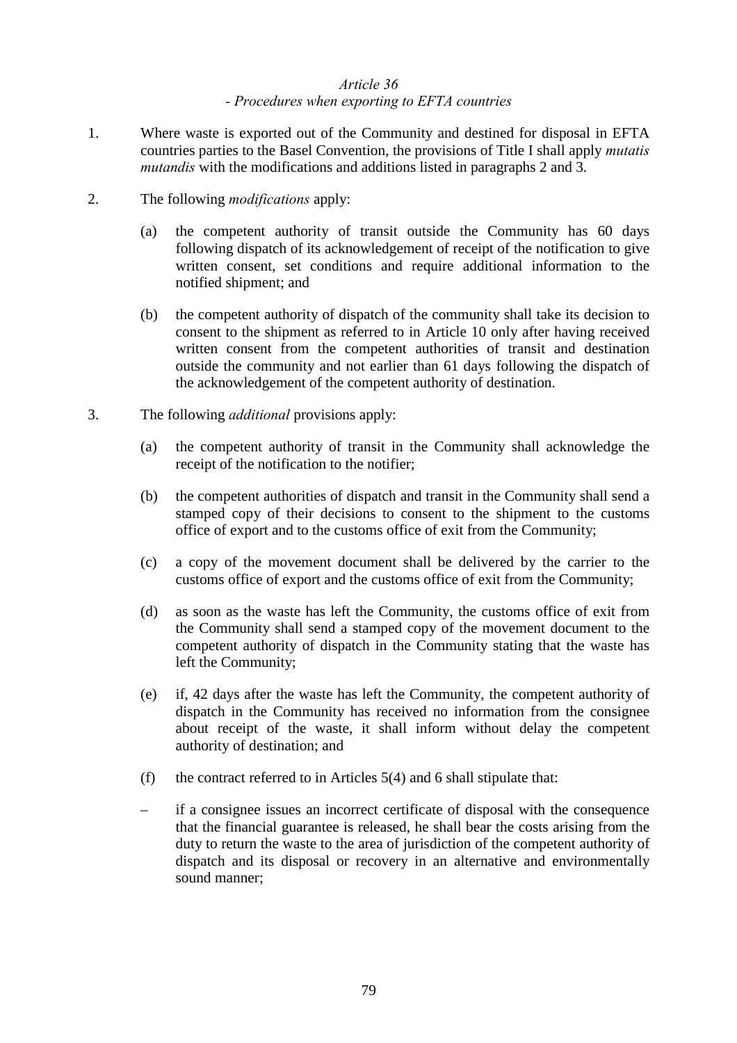### *Article 36 - Procedures when exporting to EFTA countries*

- 1. Where waste is exported out of the Community and destined for disposal in EFTA countries parties to the Basel Convention, the provisions of Title I shall apply *mutatis mutandis* with the modifications and additions listed in paragraphs 2 and 3.
- 2. The following *modifications* apply:
	- (a) the competent authority of transit outside the Community has 60 days following dispatch of its acknowledgement of receipt of the notification to give written consent, set conditions and require additional information to the notified shipment; and
	- (b) the competent authority of dispatch of the community shall take its decision to consent to the shipment as referred to in Article 10 only after having received written consent from the competent authorities of transit and destination outside the community and not earlier than 61 days following the dispatch of the acknowledgement of the competent authority of destination.
- 3. The following *additional* provisions apply:
	- (a) the competent authority of transit in the Community shall acknowledge the receipt of the notification to the notifier;
	- (b) the competent authorities of dispatch and transit in the Community shall send a stamped copy of their decisions to consent to the shipment to the customs office of export and to the customs office of exit from the Community;
	- (c) a copy of the movement document shall be delivered by the carrier to the customs office of export and the customs office of exit from the Community;
	- (d) as soon as the waste has left the Community, the customs office of exit from the Community shall send a stamped copy of the movement document to the competent authority of dispatch in the Community stating that the waste has left the Community;
	- (e) if, 42 days after the waste has left the Community, the competent authority of dispatch in the Community has received no information from the consignee about receipt of the waste, it shall inform without delay the competent authority of destination; and
	- (f) the contract referred to in Articles  $5(4)$  and 6 shall stipulate that:
	- if a consignee issues an incorrect certificate of disposal with the consequence that the financial guarantee is released, he shall bear the costs arising from the duty to return the waste to the area of jurisdiction of the competent authority of dispatch and its disposal or recovery in an alternative and environmentally sound manner;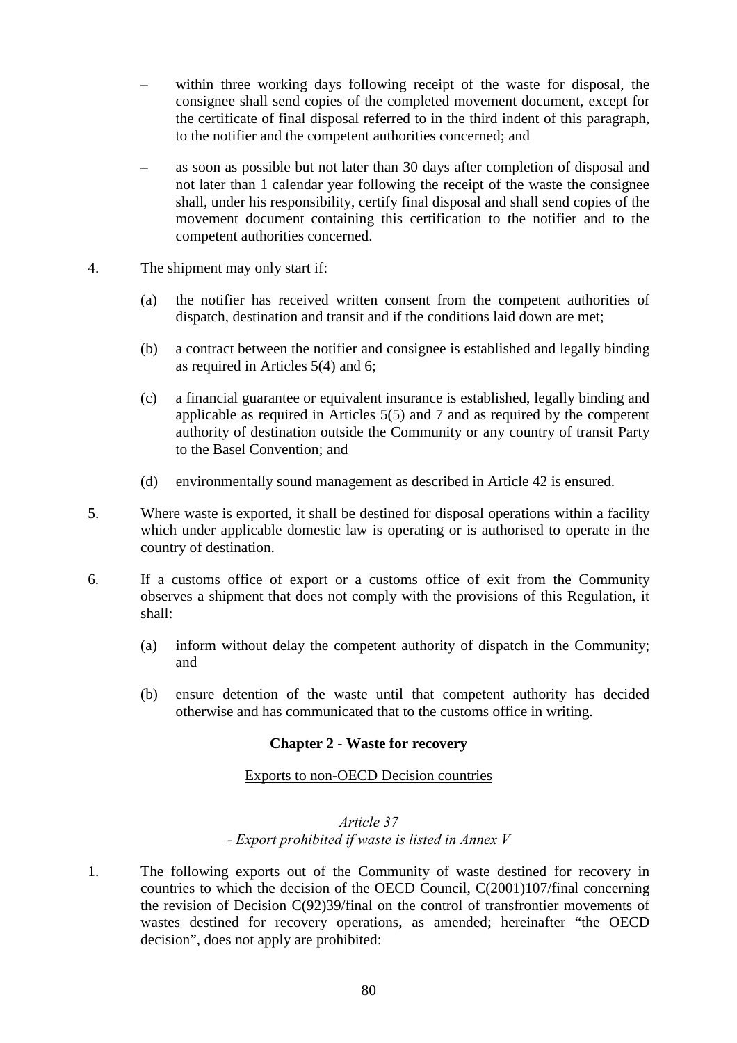- within three working days following receipt of the waste for disposal, the consignee shall send copies of the completed movement document, except for the certificate of final disposal referred to in the third indent of this paragraph, to the notifier and the competent authorities concerned; and
- as soon as possible but not later than 30 days after completion of disposal and not later than 1 calendar year following the receipt of the waste the consignee shall, under his responsibility, certify final disposal and shall send copies of the movement document containing this certification to the notifier and to the competent authorities concerned.
- 4. The shipment may only start if:
	- (a) the notifier has received written consent from the competent authorities of dispatch, destination and transit and if the conditions laid down are met;
	- (b) a contract between the notifier and consignee is established and legally binding as required in Articles 5(4) and 6;
	- (c) a financial guarantee or equivalent insurance is established, legally binding and applicable as required in Articles 5(5) and 7 and as required by the competent authority of destination outside the Community or any country of transit Party to the Basel Convention; and
	- (d) environmentally sound management as described in Article 42 is ensured.
- 5. Where waste is exported, it shall be destined for disposal operations within a facility which under applicable domestic law is operating or is authorised to operate in the country of destination.
- 6. If a customs office of export or a customs office of exit from the Community observes a shipment that does not comply with the provisions of this Regulation, it shall:
	- (a) inform without delay the competent authority of dispatch in the Community; and
	- (b) ensure detention of the waste until that competent authority has decided otherwise and has communicated that to the customs office in writing.

### **Chapter 2 - Waste for recovery**

#### Exports to non-OECD Decision countries

### *Article 37 - Export prohibited if waste is listed in Annex V*

1. The following exports out of the Community of waste destined for recovery in countries to which the decision of the OECD Council, C(2001)107/final concerning the revision of Decision C(92)39/final on the control of transfrontier movements of wastes destined for recovery operations, as amended; hereinafter "the OECD decision", does not apply are prohibited: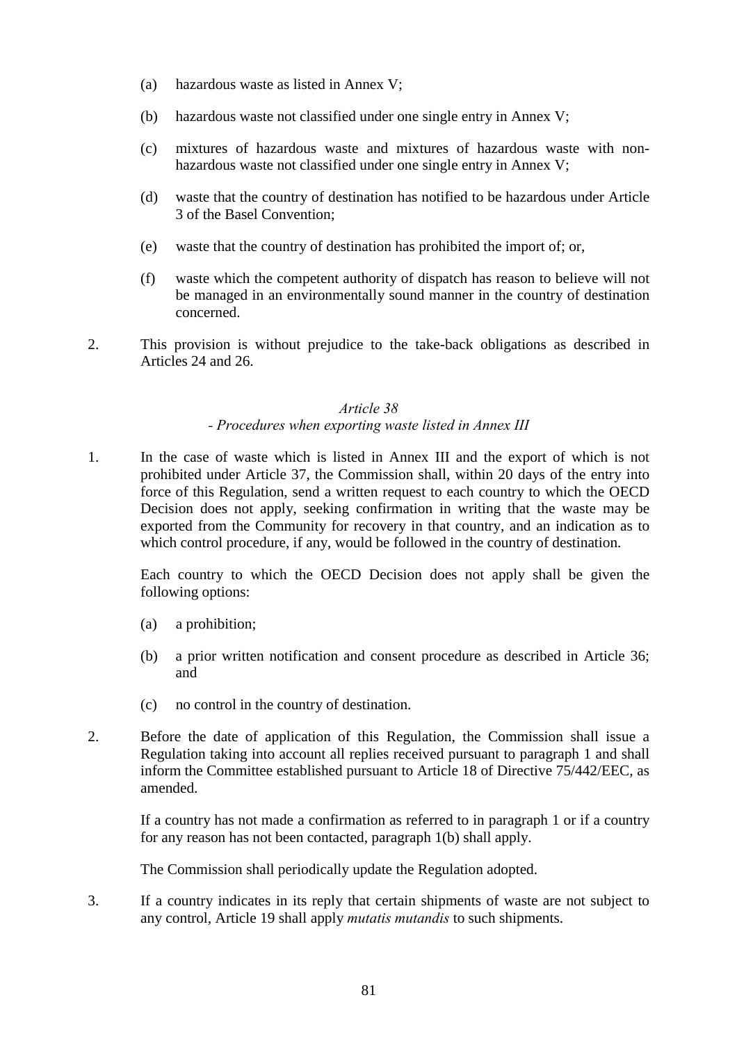- (a) hazardous waste as listed in Annex V;
- (b) hazardous waste not classified under one single entry in Annex V;
- (c) mixtures of hazardous waste and mixtures of hazardous waste with nonhazardous waste not classified under one single entry in Annex V;
- (d) waste that the country of destination has notified to be hazardous under Article 3 of the Basel Convention;
- (e) waste that the country of destination has prohibited the import of; or,
- (f) waste which the competent authority of dispatch has reason to believe will not be managed in an environmentally sound manner in the country of destination concerned.
- 2. This provision is without prejudice to the take-back obligations as described in Articles 24 and 26.

### *Article 38*

### *- Procedures when exporting waste listed in Annex III*

1. In the case of waste which is listed in Annex III and the export of which is not prohibited under Article 37, the Commission shall, within 20 days of the entry into force of this Regulation, send a written request to each country to which the OECD Decision does not apply, seeking confirmation in writing that the waste may be exported from the Community for recovery in that country, and an indication as to which control procedure, if any, would be followed in the country of destination.

Each country to which the OECD Decision does not apply shall be given the following options:

- (a) a prohibition;
- (b) a prior written notification and consent procedure as described in Article 36; and
- (c) no control in the country of destination.
- 2. Before the date of application of this Regulation, the Commission shall issue a Regulation taking into account all replies received pursuant to paragraph 1 and shall inform the Committee established pursuant to Article 18 of Directive 75/442/EEC, as amended.

If a country has not made a confirmation as referred to in paragraph 1 or if a country for any reason has not been contacted, paragraph 1(b) shall apply.

The Commission shall periodically update the Regulation adopted.

3. If a country indicates in its reply that certain shipments of waste are not subject to any control, Article 19 shall apply *mutatis mutandis* to such shipments.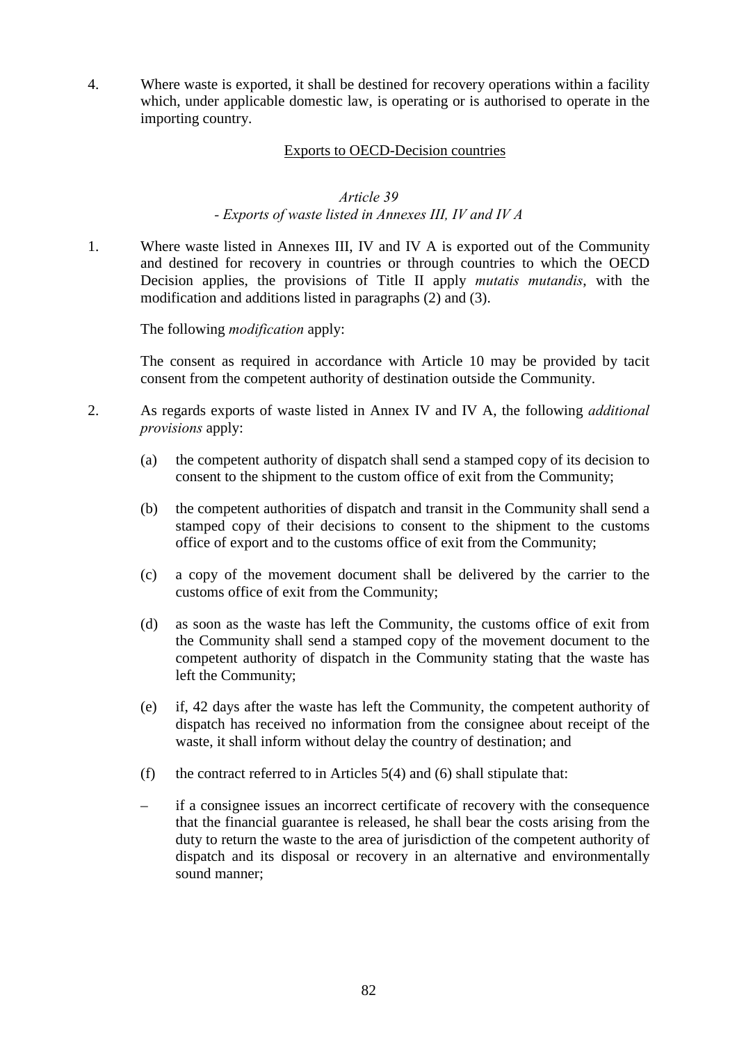4. Where waste is exported, it shall be destined for recovery operations within a facility which, under applicable domestic law, is operating or is authorised to operate in the importing country.

#### Exports to OECD-Decision countries

### *Article 39 - Exports of waste listed in Annexes III, IV and IV A*

1. Where waste listed in Annexes III, IV and IV A is exported out of the Community and destined for recovery in countries or through countries to which the OECD Decision applies, the provisions of Title II apply *mutatis mutandis*, with the modification and additions listed in paragraphs (2) and (3).

The following *modification* apply:

The consent as required in accordance with Article 10 may be provided by tacit consent from the competent authority of destination outside the Community.

- 2. As regards exports of waste listed in Annex IV and IV A, the following *additional provisions* apply:
	- (a) the competent authority of dispatch shall send a stamped copy of its decision to consent to the shipment to the custom office of exit from the Community;
	- (b) the competent authorities of dispatch and transit in the Community shall send a stamped copy of their decisions to consent to the shipment to the customs office of export and to the customs office of exit from the Community;
	- (c) a copy of the movement document shall be delivered by the carrier to the customs office of exit from the Community;
	- (d) as soon as the waste has left the Community, the customs office of exit from the Community shall send a stamped copy of the movement document to the competent authority of dispatch in the Community stating that the waste has left the Community;
	- (e) if, 42 days after the waste has left the Community, the competent authority of dispatch has received no information from the consignee about receipt of the waste, it shall inform without delay the country of destination; and
	- (f) the contract referred to in Articles  $5(4)$  and (6) shall stipulate that:
	- if a consignee issues an incorrect certificate of recovery with the consequence that the financial guarantee is released, he shall bear the costs arising from the duty to return the waste to the area of jurisdiction of the competent authority of dispatch and its disposal or recovery in an alternative and environmentally sound manner;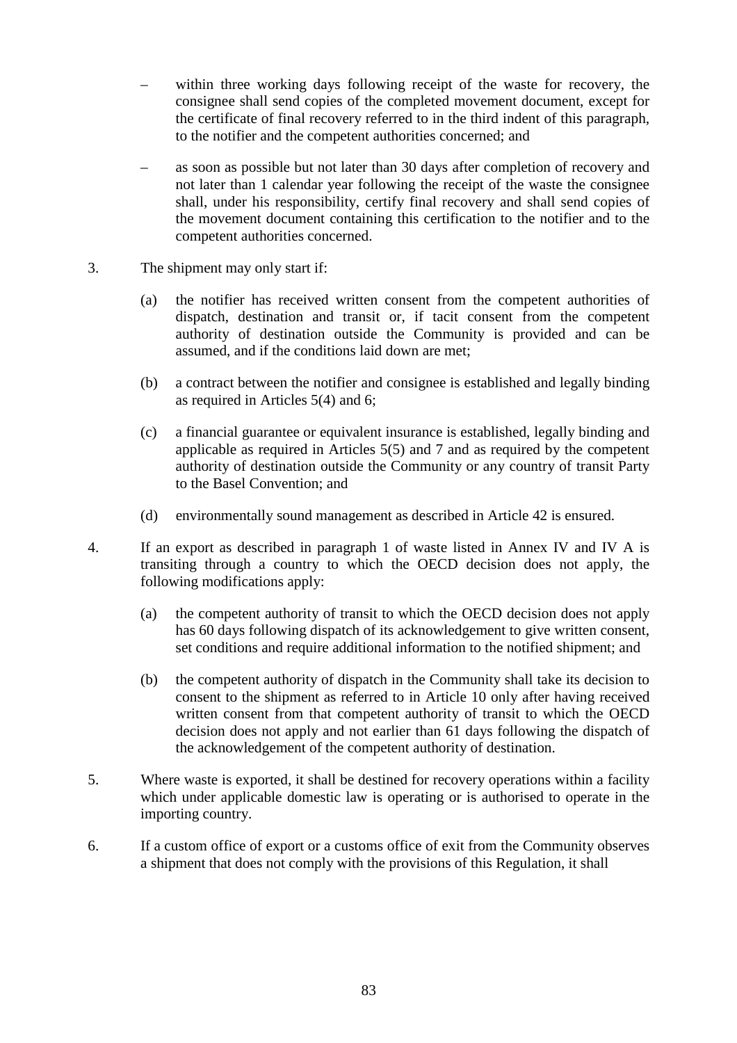- within three working days following receipt of the waste for recovery, the consignee shall send copies of the completed movement document, except for the certificate of final recovery referred to in the third indent of this paragraph, to the notifier and the competent authorities concerned; and
- as soon as possible but not later than 30 days after completion of recovery and not later than 1 calendar year following the receipt of the waste the consignee shall, under his responsibility, certify final recovery and shall send copies of the movement document containing this certification to the notifier and to the competent authorities concerned.
- 3. The shipment may only start if:
	- (a) the notifier has received written consent from the competent authorities of dispatch, destination and transit or, if tacit consent from the competent authority of destination outside the Community is provided and can be assumed, and if the conditions laid down are met;
	- (b) a contract between the notifier and consignee is established and legally binding as required in Articles 5(4) and 6;
	- (c) a financial guarantee or equivalent insurance is established, legally binding and applicable as required in Articles 5(5) and 7 and as required by the competent authority of destination outside the Community or any country of transit Party to the Basel Convention; and
	- (d) environmentally sound management as described in Article 42 is ensured.
- 4. If an export as described in paragraph 1 of waste listed in Annex IV and IV A is transiting through a country to which the OECD decision does not apply, the following modifications apply:
	- (a) the competent authority of transit to which the OECD decision does not apply has 60 days following dispatch of its acknowledgement to give written consent, set conditions and require additional information to the notified shipment; and
	- (b) the competent authority of dispatch in the Community shall take its decision to consent to the shipment as referred to in Article 10 only after having received written consent from that competent authority of transit to which the OECD decision does not apply and not earlier than 61 days following the dispatch of the acknowledgement of the competent authority of destination.
- 5. Where waste is exported, it shall be destined for recovery operations within a facility which under applicable domestic law is operating or is authorised to operate in the importing country.
- 6. If a custom office of export or a customs office of exit from the Community observes a shipment that does not comply with the provisions of this Regulation, it shall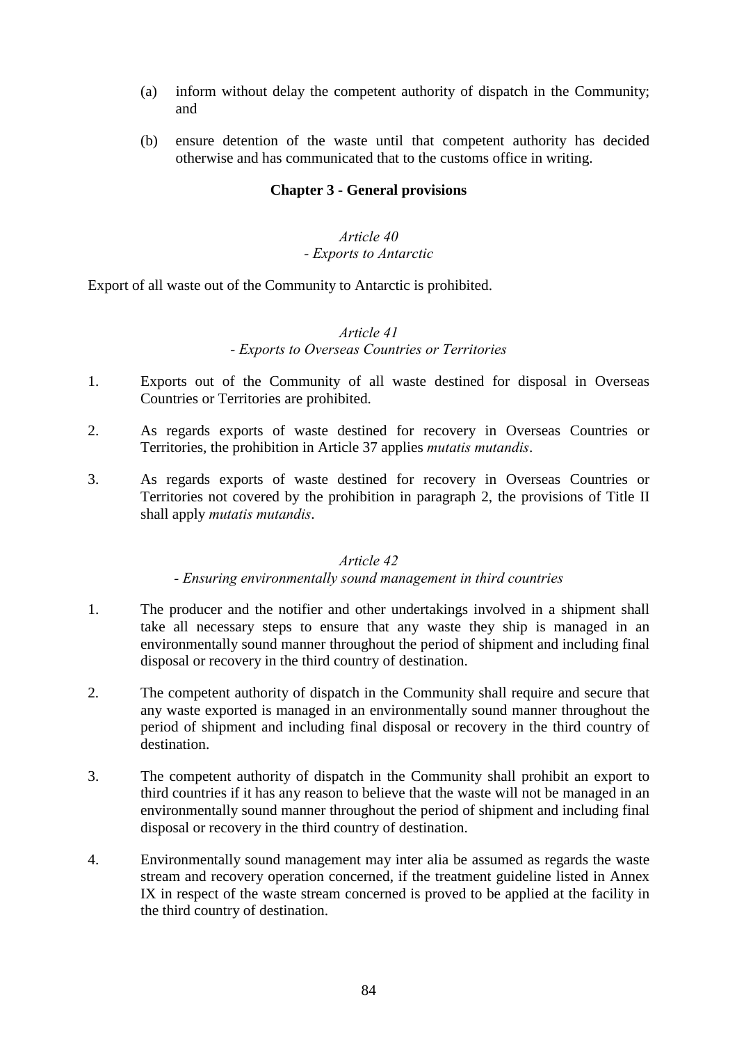- (a) inform without delay the competent authority of dispatch in the Community; and
- (b) ensure detention of the waste until that competent authority has decided otherwise and has communicated that to the customs office in writing.

### **Chapter 3 - General provisions**

### *Article 40 - Exports to Antarctic*

Export of all waste out of the Community to Antarctic is prohibited.

### *Article 41 - Exports to Overseas Countries or Territories*

- 1. Exports out of the Community of all waste destined for disposal in Overseas Countries or Territories are prohibited.
- 2. As regards exports of waste destined for recovery in Overseas Countries or Territories, the prohibition in Article 37 applies *mutatis mutandis*.
- 3. As regards exports of waste destined for recovery in Overseas Countries or Territories not covered by the prohibition in paragraph 2, the provisions of Title II shall apply *mutatis mutandis*.

#### *Article 42*

#### *- Ensuring environmentally sound management in third countries*

- 1. The producer and the notifier and other undertakings involved in a shipment shall take all necessary steps to ensure that any waste they ship is managed in an environmentally sound manner throughout the period of shipment and including final disposal or recovery in the third country of destination.
- 2. The competent authority of dispatch in the Community shall require and secure that any waste exported is managed in an environmentally sound manner throughout the period of shipment and including final disposal or recovery in the third country of destination.
- 3. The competent authority of dispatch in the Community shall prohibit an export to third countries if it has any reason to believe that the waste will not be managed in an environmentally sound manner throughout the period of shipment and including final disposal or recovery in the third country of destination.
- 4. Environmentally sound management may inter alia be assumed as regards the waste stream and recovery operation concerned, if the treatment guideline listed in Annex IX in respect of the waste stream concerned is proved to be applied at the facility in the third country of destination.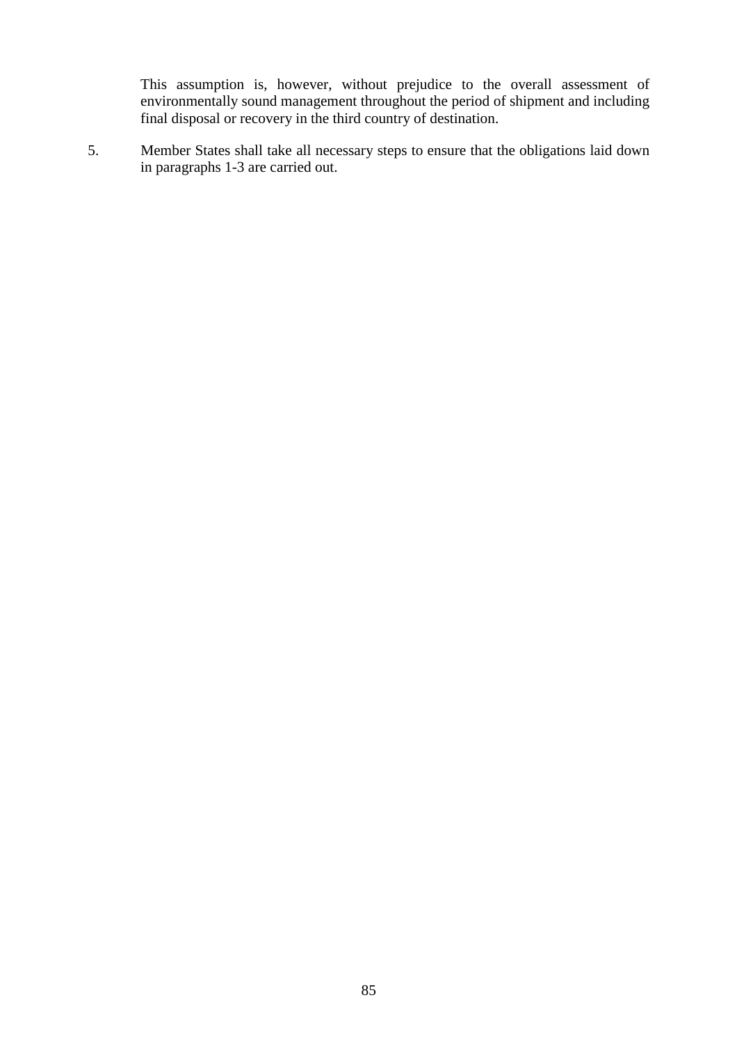This assumption is, however, without prejudice to the overall assessment of environmentally sound management throughout the period of shipment and including final disposal or recovery in the third country of destination.

5. Member States shall take all necessary steps to ensure that the obligations laid down in paragraphs 1-3 are carried out.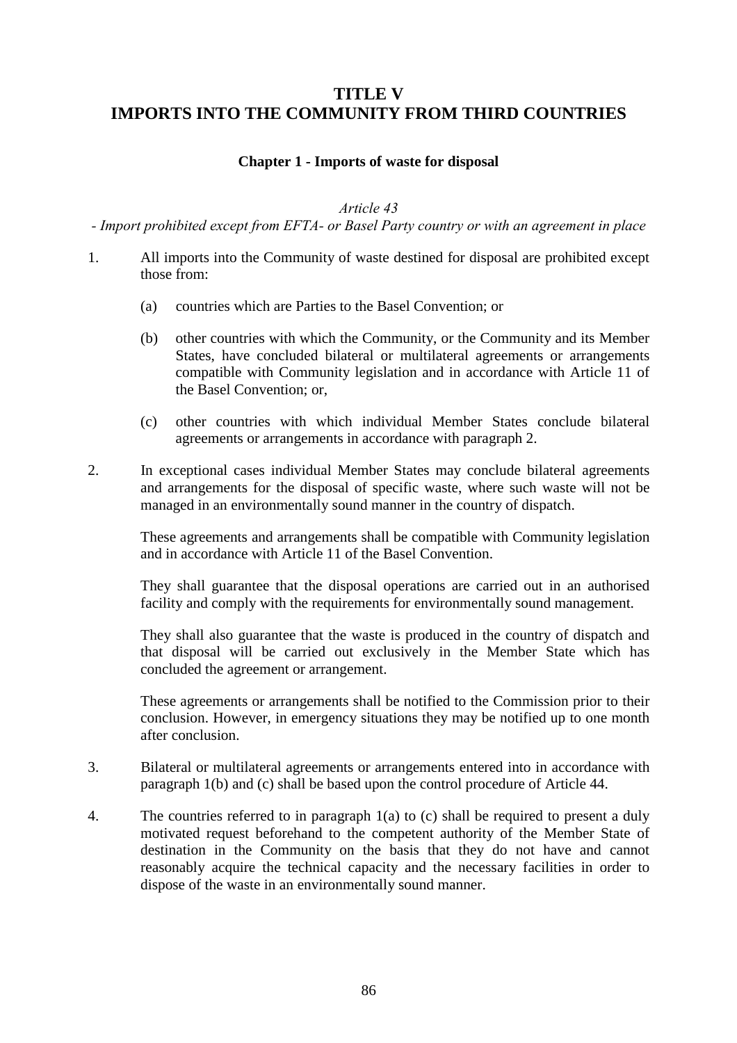## **TITLE V IMPORTS INTO THE COMMUNITY FROM THIRD COUNTRIES**

### **Chapter 1 - Imports of waste for disposal**

#### *Article 43*

*- Import prohibited except from EFTA- or Basel Party country or with an agreement in place*

- 1. All imports into the Community of waste destined for disposal are prohibited except those from:
	- (a) countries which are Parties to the Basel Convention; or
	- (b) other countries with which the Community, or the Community and its Member States, have concluded bilateral or multilateral agreements or arrangements compatible with Community legislation and in accordance with Article 11 of the Basel Convention; or,
	- (c) other countries with which individual Member States conclude bilateral agreements or arrangements in accordance with paragraph 2.
- 2. In exceptional cases individual Member States may conclude bilateral agreements and arrangements for the disposal of specific waste, where such waste will not be managed in an environmentally sound manner in the country of dispatch.

These agreements and arrangements shall be compatible with Community legislation and in accordance with Article 11 of the Basel Convention.

They shall guarantee that the disposal operations are carried out in an authorised facility and comply with the requirements for environmentally sound management.

They shall also guarantee that the waste is produced in the country of dispatch and that disposal will be carried out exclusively in the Member State which has concluded the agreement or arrangement.

These agreements or arrangements shall be notified to the Commission prior to their conclusion. However, in emergency situations they may be notified up to one month after conclusion.

- 3. Bilateral or multilateral agreements or arrangements entered into in accordance with paragraph 1(b) and (c) shall be based upon the control procedure of Article 44.
- 4. The countries referred to in paragraph 1(a) to (c) shall be required to present a duly motivated request beforehand to the competent authority of the Member State of destination in the Community on the basis that they do not have and cannot reasonably acquire the technical capacity and the necessary facilities in order to dispose of the waste in an environmentally sound manner.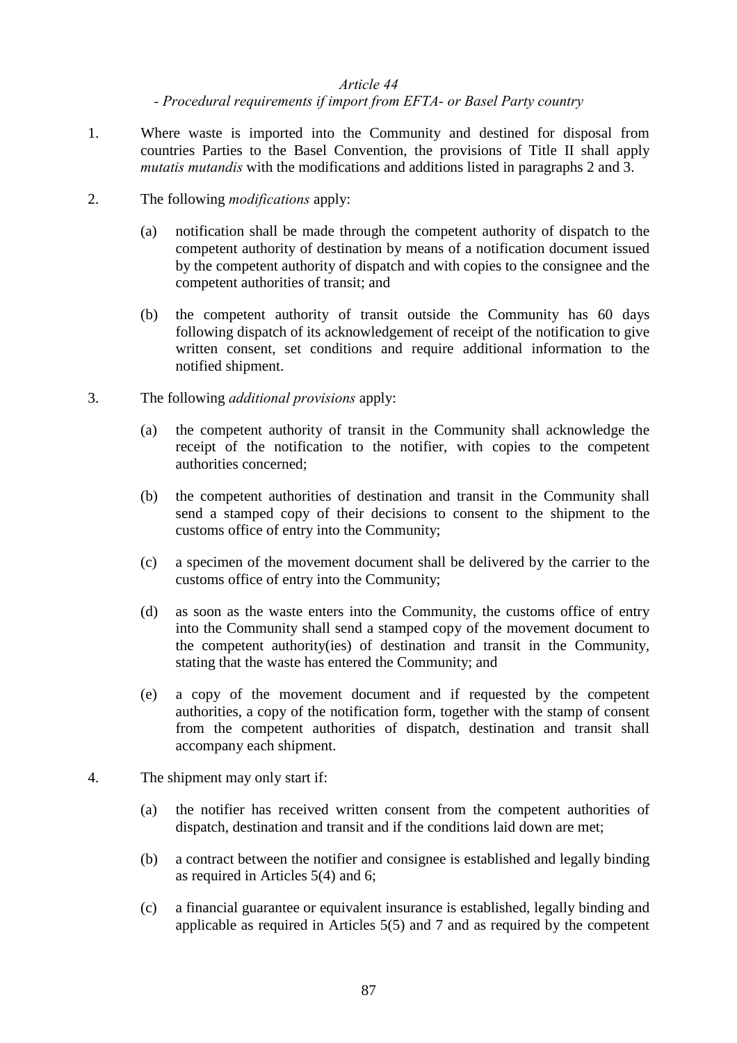#### *Article 44*

*- Procedural requirements if import from EFTA- or Basel Party country*

- 1. Where waste is imported into the Community and destined for disposal from countries Parties to the Basel Convention, the provisions of Title II shall apply *mutatis mutandis* with the modifications and additions listed in paragraphs 2 and 3.
- 2. The following *modifications* apply:
	- (a) notification shall be made through the competent authority of dispatch to the competent authority of destination by means of a notification document issued by the competent authority of dispatch and with copies to the consignee and the competent authorities of transit; and
	- (b) the competent authority of transit outside the Community has 60 days following dispatch of its acknowledgement of receipt of the notification to give written consent, set conditions and require additional information to the notified shipment.
- 3. The following *additional provisions* apply:
	- (a) the competent authority of transit in the Community shall acknowledge the receipt of the notification to the notifier, with copies to the competent authorities concerned;
	- (b) the competent authorities of destination and transit in the Community shall send a stamped copy of their decisions to consent to the shipment to the customs office of entry into the Community;
	- (c) a specimen of the movement document shall be delivered by the carrier to the customs office of entry into the Community;
	- (d) as soon as the waste enters into the Community, the customs office of entry into the Community shall send a stamped copy of the movement document to the competent authority(ies) of destination and transit in the Community, stating that the waste has entered the Community; and
	- (e) a copy of the movement document and if requested by the competent authorities, a copy of the notification form, together with the stamp of consent from the competent authorities of dispatch, destination and transit shall accompany each shipment.
- 4. The shipment may only start if:
	- (a) the notifier has received written consent from the competent authorities of dispatch, destination and transit and if the conditions laid down are met;
	- (b) a contract between the notifier and consignee is established and legally binding as required in Articles 5(4) and 6;
	- (c) a financial guarantee or equivalent insurance is established, legally binding and applicable as required in Articles 5(5) and 7 and as required by the competent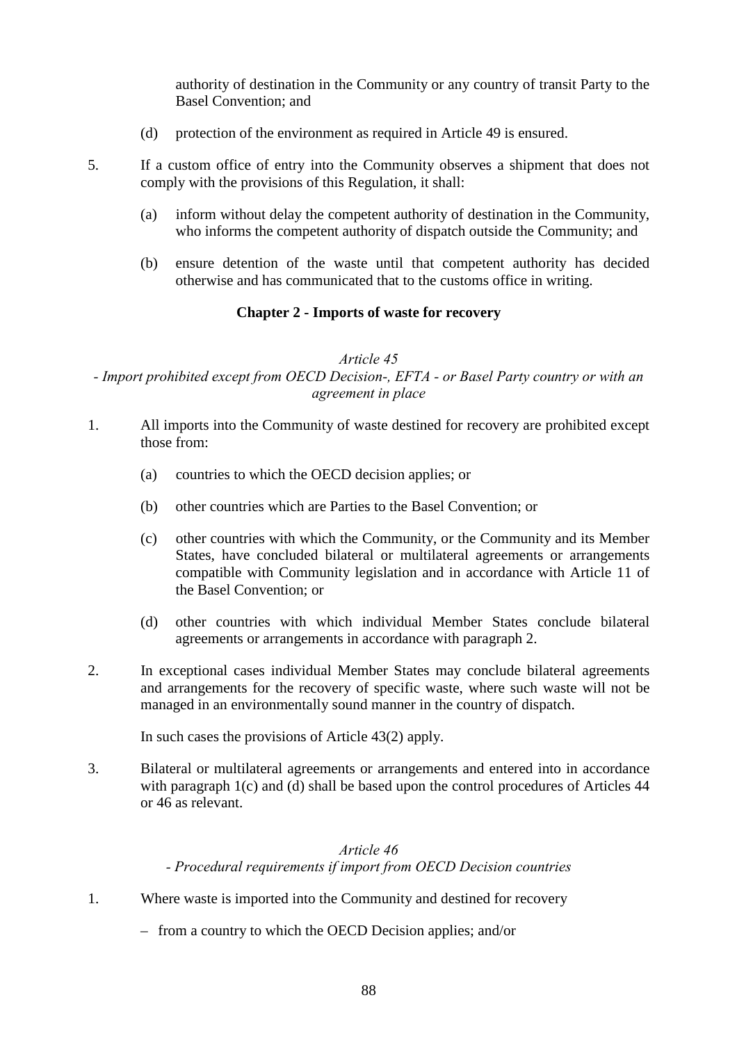authority of destination in the Community or any country of transit Party to the Basel Convention; and

(d) protection of the environment as required in Article 49 is ensured.

- 5. If a custom office of entry into the Community observes a shipment that does not comply with the provisions of this Regulation, it shall:
	- (a) inform without delay the competent authority of destination in the Community, who informs the competent authority of dispatch outside the Community; and
	- (b) ensure detention of the waste until that competent authority has decided otherwise and has communicated that to the customs office in writing.

### **Chapter 2 - Imports of waste for recovery**

### *Article 45*

*- Import prohibited except from OECD Decision-, EFTA - or Basel Party country or with an agreement in place*

- 1. All imports into the Community of waste destined for recovery are prohibited except those from:
	- (a) countries to which the OECD decision applies; or
	- (b) other countries which are Parties to the Basel Convention; or
	- (c) other countries with which the Community, or the Community and its Member States, have concluded bilateral or multilateral agreements or arrangements compatible with Community legislation and in accordance with Article 11 of the Basel Convention; or
	- (d) other countries with which individual Member States conclude bilateral agreements or arrangements in accordance with paragraph 2.
- 2. In exceptional cases individual Member States may conclude bilateral agreements and arrangements for the recovery of specific waste, where such waste will not be managed in an environmentally sound manner in the country of dispatch.

In such cases the provisions of Article 43(2) apply.

3. Bilateral or multilateral agreements or arrangements and entered into in accordance with paragraph 1(c) and (d) shall be based upon the control procedures of Articles 44 or 46 as relevant.

### *Article 46 - Procedural requirements if import from OECD Decision countries*

- 1. Where waste is imported into the Community and destined for recovery
	- from a country to which the OECD Decision applies; and/or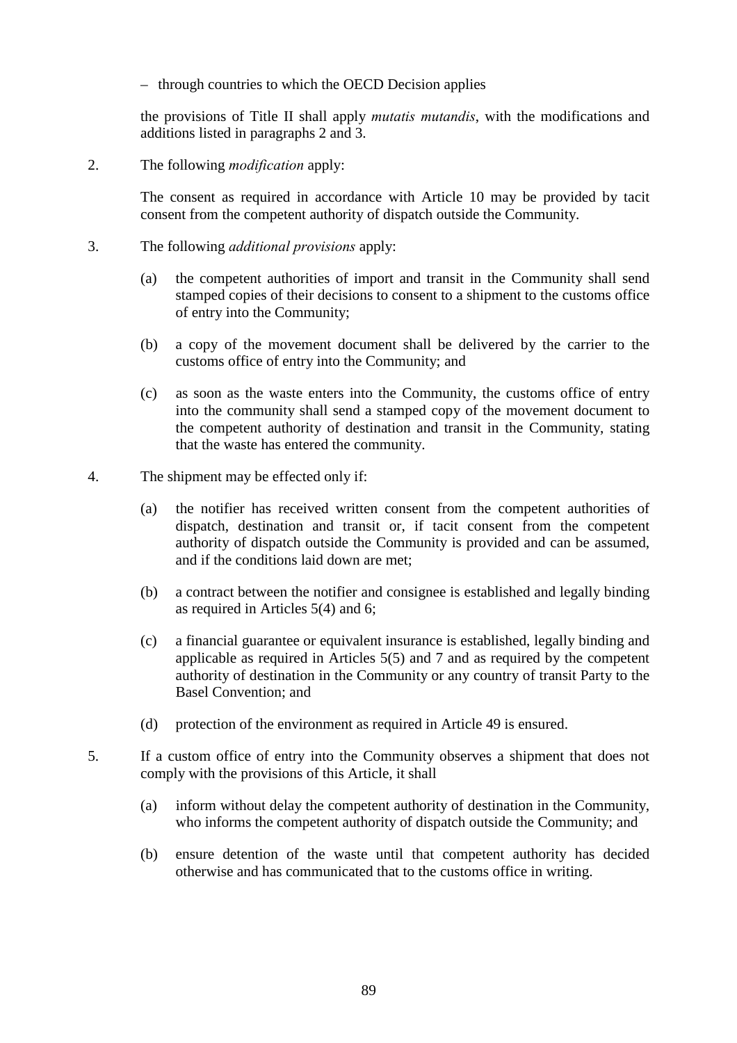– through countries to which the OECD Decision applies

the provisions of Title II shall apply *mutatis mutandis*, with the modifications and additions listed in paragraphs 2 and 3.

2. The following *modification* apply:

The consent as required in accordance with Article 10 may be provided by tacit consent from the competent authority of dispatch outside the Community.

- 3. The following *additional provisions* apply:
	- (a) the competent authorities of import and transit in the Community shall send stamped copies of their decisions to consent to a shipment to the customs office of entry into the Community;
	- (b) a copy of the movement document shall be delivered by the carrier to the customs office of entry into the Community; and
	- (c) as soon as the waste enters into the Community, the customs office of entry into the community shall send a stamped copy of the movement document to the competent authority of destination and transit in the Community, stating that the waste has entered the community.
- 4. The shipment may be effected only if:
	- (a) the notifier has received written consent from the competent authorities of dispatch, destination and transit or, if tacit consent from the competent authority of dispatch outside the Community is provided and can be assumed, and if the conditions laid down are met;
	- (b) a contract between the notifier and consignee is established and legally binding as required in Articles 5(4) and 6;
	- (c) a financial guarantee or equivalent insurance is established, legally binding and applicable as required in Articles 5(5) and 7 and as required by the competent authority of destination in the Community or any country of transit Party to the Basel Convention; and
	- (d) protection of the environment as required in Article 49 is ensured.
- 5. If a custom office of entry into the Community observes a shipment that does not comply with the provisions of this Article, it shall
	- (a) inform without delay the competent authority of destination in the Community, who informs the competent authority of dispatch outside the Community; and
	- (b) ensure detention of the waste until that competent authority has decided otherwise and has communicated that to the customs office in writing.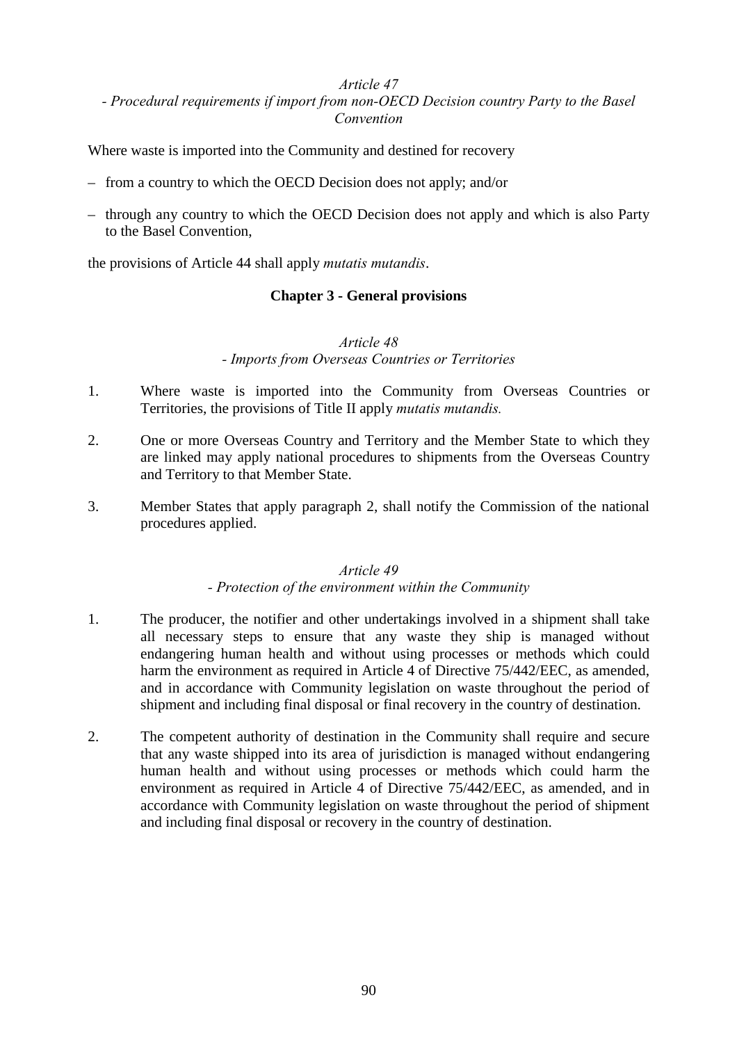### *Article 47*

### *- Procedural requirements if import from non-OECD Decision country Party to the Basel Convention*

Where waste is imported into the Community and destined for recovery

- from a country to which the OECD Decision does not apply; and/or
- through any country to which the OECD Decision does not apply and which is also Party to the Basel Convention,

the provisions of Article 44 shall apply *mutatis mutandis*.

### **Chapter 3 - General provisions**

#### *Article 48 - Imports from Overseas Countries or Territories*

- 1. Where waste is imported into the Community from Overseas Countries or Territories, the provisions of Title II apply *mutatis mutandis.*
- 2. One or more Overseas Country and Territory and the Member State to which they are linked may apply national procedures to shipments from the Overseas Country and Territory to that Member State.
- 3. Member States that apply paragraph 2, shall notify the Commission of the national procedures applied.

#### *Article 49*

#### *- Protection of the environment within the Community*

- 1. The producer, the notifier and other undertakings involved in a shipment shall take all necessary steps to ensure that any waste they ship is managed without endangering human health and without using processes or methods which could harm the environment as required in Article 4 of Directive 75/442/EEC, as amended, and in accordance with Community legislation on waste throughout the period of shipment and including final disposal or final recovery in the country of destination.
- 2. The competent authority of destination in the Community shall require and secure that any waste shipped into its area of jurisdiction is managed without endangering human health and without using processes or methods which could harm the environment as required in Article 4 of Directive 75/442/EEC, as amended, and in accordance with Community legislation on waste throughout the period of shipment and including final disposal or recovery in the country of destination.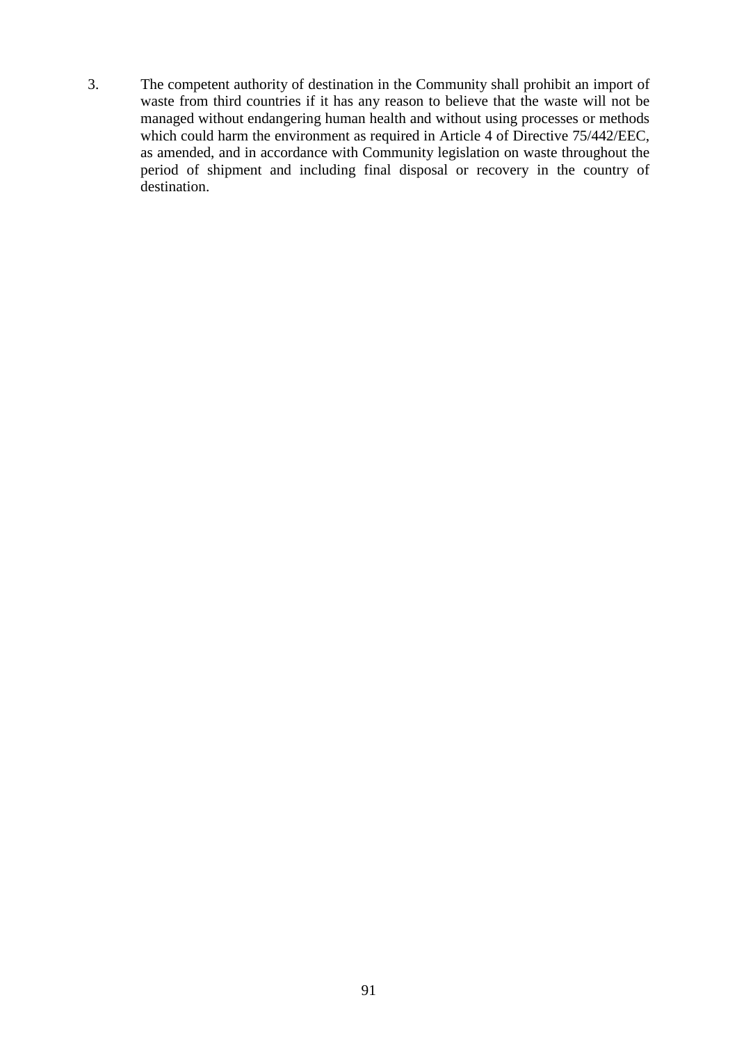3. The competent authority of destination in the Community shall prohibit an import of waste from third countries if it has any reason to believe that the waste will not be managed without endangering human health and without using processes or methods which could harm the environment as required in Article 4 of Directive 75/442/EEC, as amended, and in accordance with Community legislation on waste throughout the period of shipment and including final disposal or recovery in the country of destination.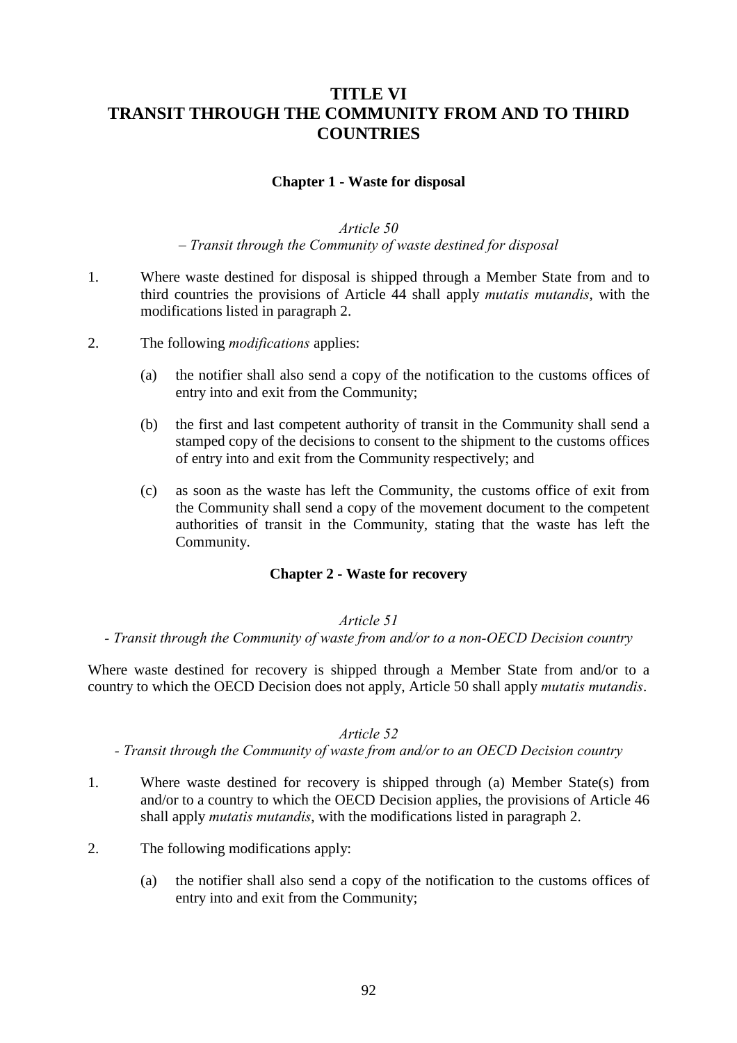## **TITLE VI TRANSIT THROUGH THE COMMUNITY FROM AND TO THIRD COUNTRIES**

### **Chapter 1 - Waste for disposal**

### *Article 50*

*– Transit through the Community of waste destined for disposal*

- 1. Where waste destined for disposal is shipped through a Member State from and to third countries the provisions of Article 44 shall apply *mutatis mutandis*, with the modifications listed in paragraph 2.
- 2. The following *modifications* applies:
	- (a) the notifier shall also send a copy of the notification to the customs offices of entry into and exit from the Community;
	- (b) the first and last competent authority of transit in the Community shall send a stamped copy of the decisions to consent to the shipment to the customs offices of entry into and exit from the Community respectively; and
	- (c) as soon as the waste has left the Community, the customs office of exit from the Community shall send a copy of the movement document to the competent authorities of transit in the Community, stating that the waste has left the Community.

#### **Chapter 2 - Waste for recovery**

#### *Article 51*

*- Transit through the Community of waste from and/or to a non-OECD Decision country*

Where waste destined for recovery is shipped through a Member State from and/or to a country to which the OECD Decision does not apply, Article 50 shall apply *mutatis mutandis*.

#### *Article 52*

#### *- Transit through the Community of waste from and/or to an OECD Decision country*

- 1. Where waste destined for recovery is shipped through (a) Member State(s) from and/or to a country to which the OECD Decision applies, the provisions of Article 46 shall apply *mutatis mutandis*, with the modifications listed in paragraph 2.
- 2. The following modifications apply:
	- (a) the notifier shall also send a copy of the notification to the customs offices of entry into and exit from the Community;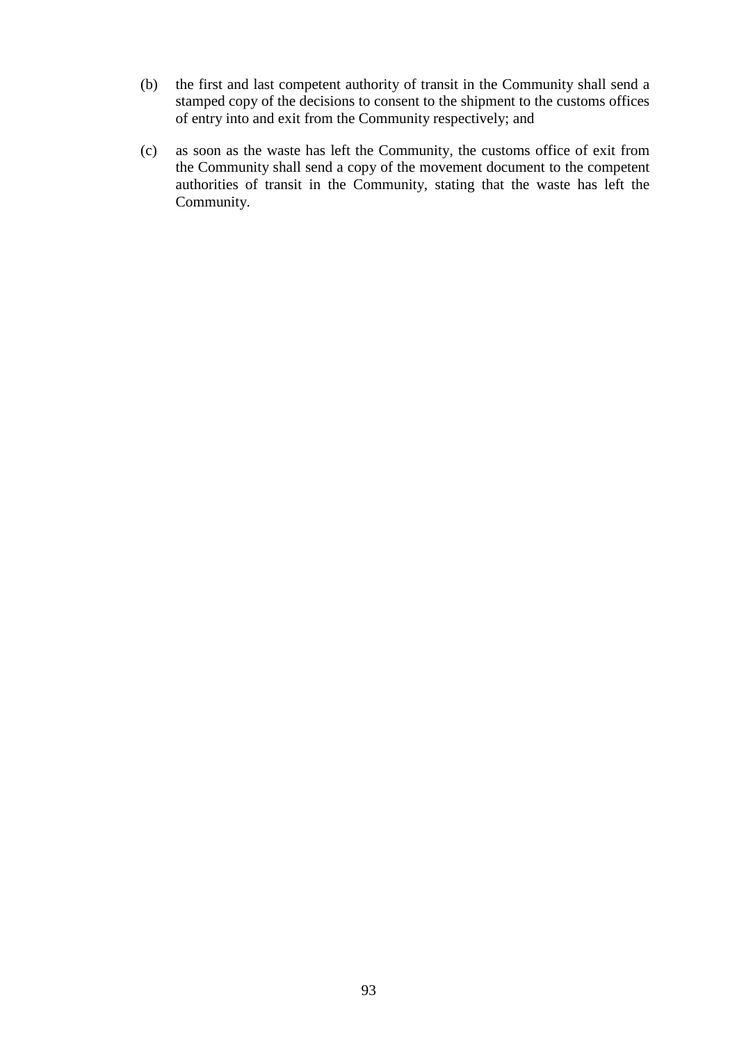- (b) the first and last competent authority of transit in the Community shall send a stamped copy of the decisions to consent to the shipment to the customs offices of entry into and exit from the Community respectively; and
- (c) as soon as the waste has left the Community, the customs office of exit from the Community shall send a copy of the movement document to the competent authorities of transit in the Community, stating that the waste has left the Community.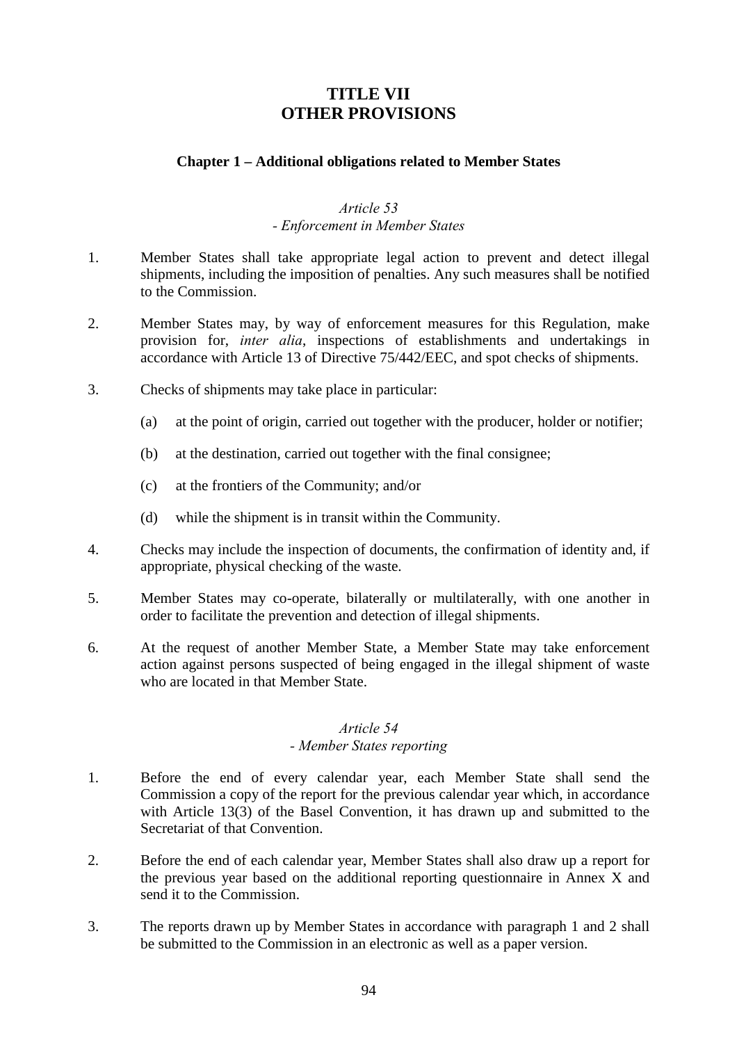## **TITLE VII OTHER PROVISIONS**

### **Chapter 1 – Additional obligations related to Member States**

#### *Article 53 - Enforcement in Member States*

- 1. Member States shall take appropriate legal action to prevent and detect illegal shipments, including the imposition of penalties. Any such measures shall be notified to the Commission.
- 2. Member States may, by way of enforcement measures for this Regulation, make provision for, *inter alia*, inspections of establishments and undertakings in accordance with Article 13 of Directive 75/442/EEC, and spot checks of shipments.
- 3. Checks of shipments may take place in particular:
	- (a) at the point of origin, carried out together with the producer, holder or notifier;
	- (b) at the destination, carried out together with the final consignee;
	- (c) at the frontiers of the Community; and/or
	- (d) while the shipment is in transit within the Community.
- 4. Checks may include the inspection of documents, the confirmation of identity and, if appropriate, physical checking of the waste.
- 5. Member States may co-operate, bilaterally or multilaterally, with one another in order to facilitate the prevention and detection of illegal shipments.
- 6. At the request of another Member State, a Member State may take enforcement action against persons suspected of being engaged in the illegal shipment of waste who are located in that Member State.

## *Article 54*

### *- Member States reporting*

- 1. Before the end of every calendar year, each Member State shall send the Commission a copy of the report for the previous calendar year which, in accordance with Article 13(3) of the Basel Convention, it has drawn up and submitted to the Secretariat of that Convention.
- 2. Before the end of each calendar year, Member States shall also draw up a report for the previous year based on the additional reporting questionnaire in Annex X and send it to the Commission.
- 3. The reports drawn up by Member States in accordance with paragraph 1 and 2 shall be submitted to the Commission in an electronic as well as a paper version.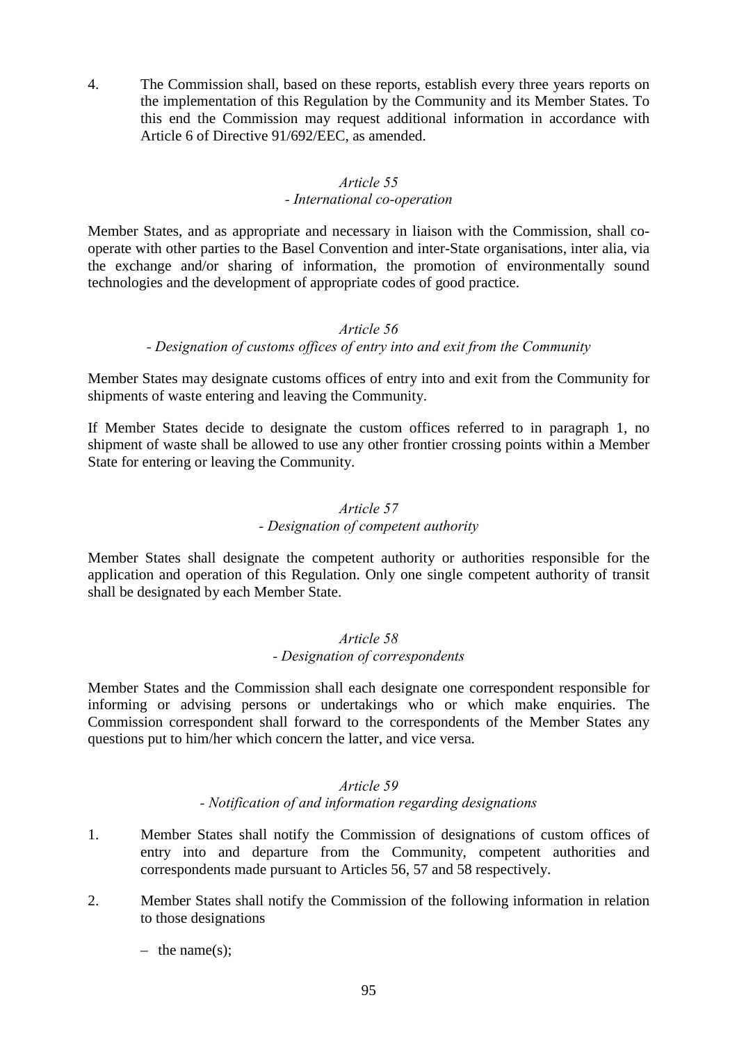4. The Commission shall, based on these reports, establish every three years reports on the implementation of this Regulation by the Community and its Member States. To this end the Commission may request additional information in accordance with Article 6 of Directive 91/692/EEC, as amended.

### *Article 55*

### *- International co-operation*

Member States, and as appropriate and necessary in liaison with the Commission, shall cooperate with other parties to the Basel Convention and inter-State organisations, inter alia, via the exchange and/or sharing of information, the promotion of environmentally sound technologies and the development of appropriate codes of good practice.

### *Article 56*

### *- Designation of customs offices of entry into and exit from the Community*

Member States may designate customs offices of entry into and exit from the Community for shipments of waste entering and leaving the Community.

If Member States decide to designate the custom offices referred to in paragraph 1, no shipment of waste shall be allowed to use any other frontier crossing points within a Member State for entering or leaving the Community.

### *Article 57*

### *- Designation of competent authority*

Member States shall designate the competent authority or authorities responsible for the application and operation of this Regulation. Only one single competent authority of transit shall be designated by each Member State.

### *Article 58 - Designation of correspondents*

Member States and the Commission shall each designate one correspondent responsible for informing or advising persons or undertakings who or which make enquiries. The Commission correspondent shall forward to the correspondents of the Member States any questions put to him/her which concern the latter, and vice versa.

### *Article 59 - Notification of and information regarding designations*

- 1. Member States shall notify the Commission of designations of custom offices of entry into and departure from the Community, competent authorities and correspondents made pursuant to Articles 56, 57 and 58 respectively.
- 2. Member States shall notify the Commission of the following information in relation to those designations
	- $-$  the name(s):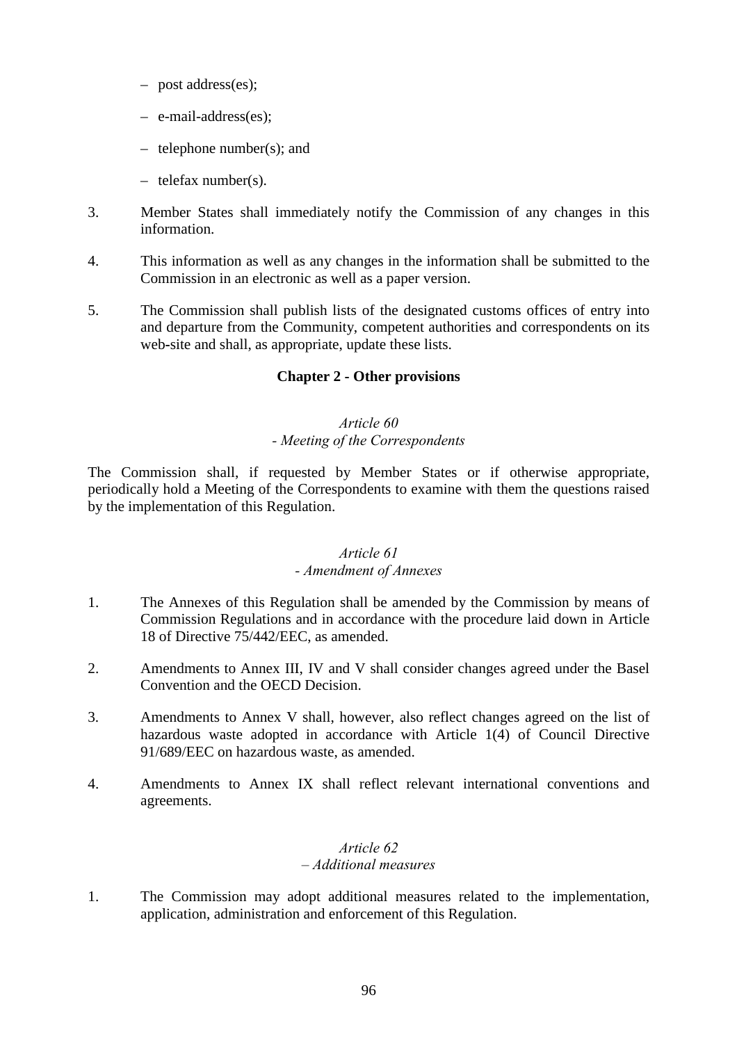- post address(es);
- e-mail-address(es);
- telephone number(s); and
- telefax number(s).
- 3. Member States shall immediately notify the Commission of any changes in this information.
- 4. This information as well as any changes in the information shall be submitted to the Commission in an electronic as well as a paper version.
- 5. The Commission shall publish lists of the designated customs offices of entry into and departure from the Community, competent authorities and correspondents on its web**-**site and shall, as appropriate, update these lists.

### **Chapter 2 - Other provisions**

#### *Article 60 - Meeting of the Correspondents*

The Commission shall, if requested by Member States or if otherwise appropriate, periodically hold a Meeting of the Correspondents to examine with them the questions raised by the implementation of this Regulation.

### *Article 61*

#### *- Amendment of Annexes*

- 1. The Annexes of this Regulation shall be amended by the Commission by means of Commission Regulations and in accordance with the procedure laid down in Article 18 of Directive 75/442/EEC, as amended.
- 2. Amendments to Annex III, IV and V shall consider changes agreed under the Basel Convention and the OECD Decision.
- 3. Amendments to Annex V shall, however, also reflect changes agreed on the list of hazardous waste adopted in accordance with Article 1(4) of Council Directive 91/689/EEC on hazardous waste, as amended.
- 4. Amendments to Annex IX shall reflect relevant international conventions and agreements.

### *Article 62 – Additional measures*

1. The Commission may adopt additional measures related to the implementation, application, administration and enforcement of this Regulation.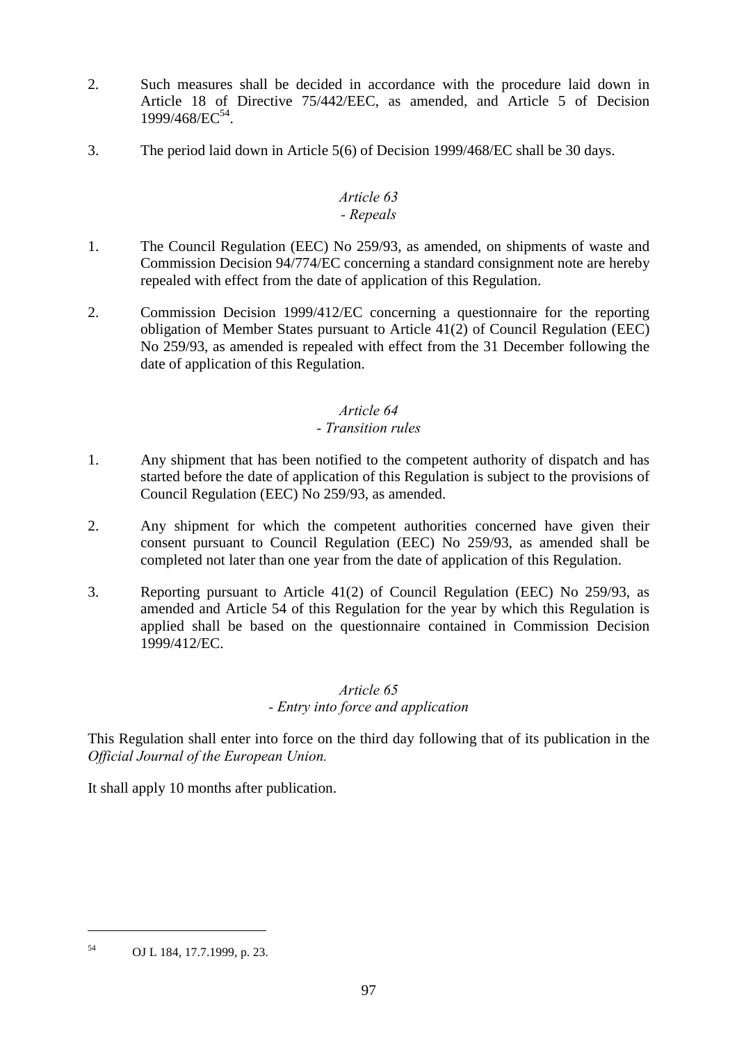- 2. Such measures shall be decided in accordance with the procedure laid down in Article 18 of Directive 75/442/EEC, as amended, and Article 5 of Decision 1999/468/EC54.
- 3. The period laid down in Article 5(6) of Decision 1999/468/EC shall be 30 days.

#### *Article 63 - Repeals*

- 1. The Council Regulation (EEC) No 259/93, as amended, on shipments of waste and Commission Decision 94/774/EC concerning a standard consignment note are hereby repealed with effect from the date of application of this Regulation.
- 2. Commission Decision 1999/412/EC concerning a questionnaire for the reporting obligation of Member States pursuant to Article 41(2) of Council Regulation (EEC) No 259/93, as amended is repealed with effect from the 31 December following the date of application of this Regulation.

### *Article 64*

### *- Transition rules*

- 1. Any shipment that has been notified to the competent authority of dispatch and has started before the date of application of this Regulation is subject to the provisions of Council Regulation (EEC) No 259/93, as amended.
- 2. Any shipment for which the competent authorities concerned have given their consent pursuant to Council Regulation (EEC) No 259/93, as amended shall be completed not later than one year from the date of application of this Regulation.
- 3. Reporting pursuant to Article 41(2) of Council Regulation (EEC) No 259/93, as amended and Article 54 of this Regulation for the year by which this Regulation is applied shall be based on the questionnaire contained in Commission Decision 1999/412/EC.

### *Article 65*

### *- Entry into force and application*

This Regulation shall enter into force on the third day following that of its publication in the *Official Journal of the European Union.*

It shall apply 10 months after publication.

 $\overline{a}$ 

<sup>54</sup> OJ L 184, 17.7.1999, p. 23.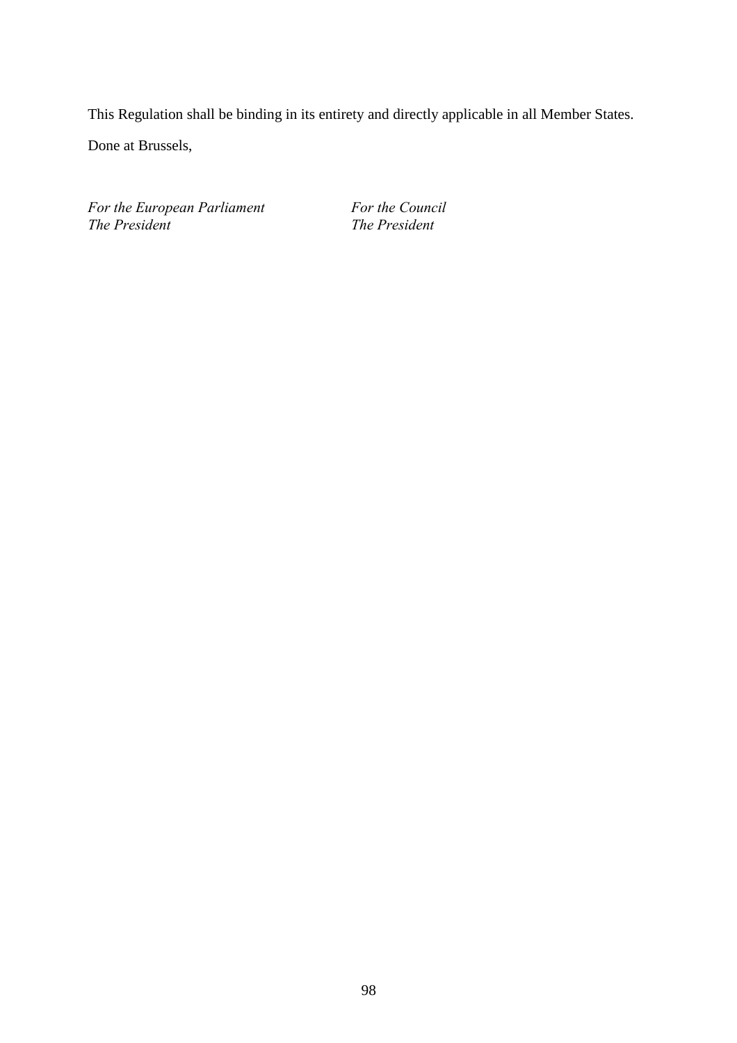This Regulation shall be binding in its entirety and directly applicable in all Member States.

Done at Brussels,

For the European Parliament For the Council *The President The President*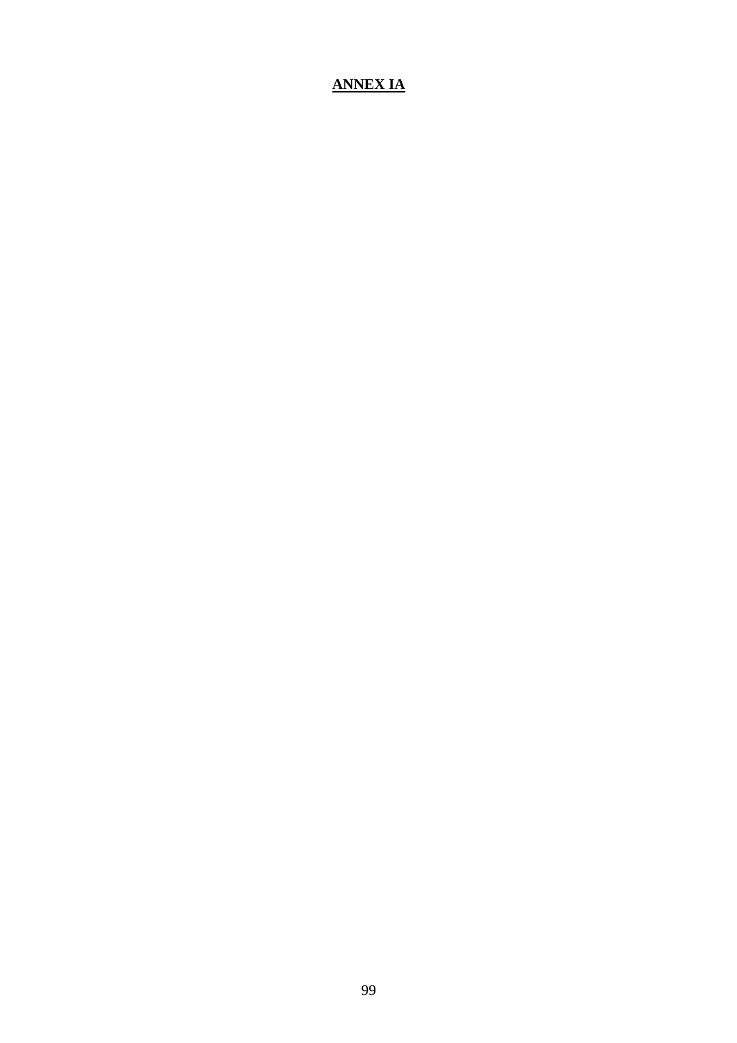## **ANNEX IA**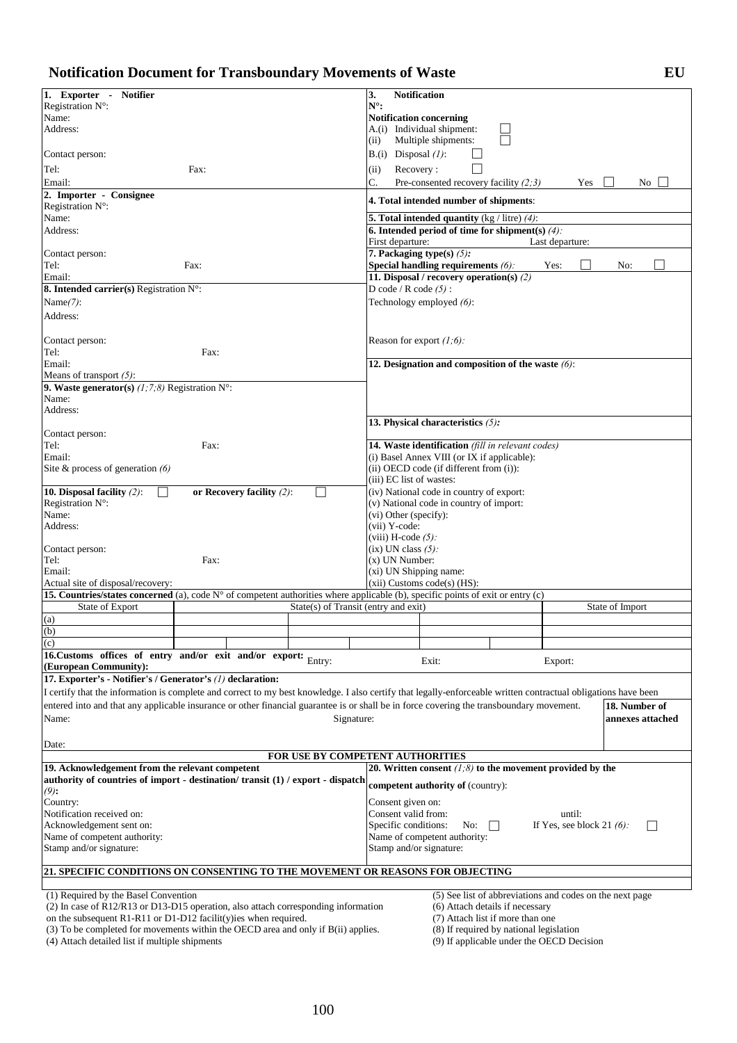| <b>Notification Document for Transboundary Movements of Waste</b> | EU |
|-------------------------------------------------------------------|----|
|-------------------------------------------------------------------|----|

| 1. Exporter - Notifier                                                                                                                                         | 3.<br><b>Notification</b>                                                   |  |  |  |
|----------------------------------------------------------------------------------------------------------------------------------------------------------------|-----------------------------------------------------------------------------|--|--|--|
| Registration N°:                                                                                                                                               | $N^{\circ}$ :                                                               |  |  |  |
| Name:                                                                                                                                                          | <b>Notification concerning</b>                                              |  |  |  |
| Address:                                                                                                                                                       | A.(i) Individual shipment:                                                  |  |  |  |
|                                                                                                                                                                | Multiple shipments:<br>(ii)                                                 |  |  |  |
| Contact person:                                                                                                                                                | $B(i)$ Disposal $(l)$ :                                                     |  |  |  |
| Tel:<br>Fax:                                                                                                                                                   | Recovery:<br>(ii)                                                           |  |  |  |
| Email:                                                                                                                                                         | C.<br>Pre-consented recovery facility $(2,3)$<br>Yes<br>No                  |  |  |  |
| 2. Importer - Consignee                                                                                                                                        |                                                                             |  |  |  |
| Registration N°:                                                                                                                                               | 4. Total intended number of shipments:                                      |  |  |  |
| Name:                                                                                                                                                          | <b>5. Total intended quantity</b> (kg / litre) $(4)$ :                      |  |  |  |
| Address:                                                                                                                                                       | 6. Intended period of time for shipment(s) $(4)$ :                          |  |  |  |
|                                                                                                                                                                | First departure:<br>Last departure:                                         |  |  |  |
| Contact person:                                                                                                                                                | 7. Packaging type(s) $(5)$ :                                                |  |  |  |
| Tel:<br>Fax:                                                                                                                                                   | Special handling requirements $(6)$ :<br>Yes:<br>No:                        |  |  |  |
| Email:                                                                                                                                                         | 11. Disposal / recovery operation(s) (2)                                    |  |  |  |
| 8. Intended carrier(s) Registration $N^{\circ}$ :                                                                                                              | D code / R code $(5)$ :                                                     |  |  |  |
| Name $(7)$ :                                                                                                                                                   | Technology employed (6):                                                    |  |  |  |
| Address:                                                                                                                                                       |                                                                             |  |  |  |
|                                                                                                                                                                |                                                                             |  |  |  |
| Contact person:                                                                                                                                                | Reason for export $(1,6)$ :                                                 |  |  |  |
| Tel:<br>Fax:                                                                                                                                                   |                                                                             |  |  |  |
| Email:                                                                                                                                                         | 12. Designation and composition of the waste $(6)$ :                        |  |  |  |
| Means of transport $(5)$ :                                                                                                                                     |                                                                             |  |  |  |
| 9. Waste generator(s) $(1, 7, 8)$ Registration N°:<br>Name:                                                                                                    |                                                                             |  |  |  |
| Address:                                                                                                                                                       |                                                                             |  |  |  |
|                                                                                                                                                                | 13. Physical characteristics $(5)$ :                                        |  |  |  |
| Contact person:                                                                                                                                                |                                                                             |  |  |  |
| Tel:<br>Fax:                                                                                                                                                   | 14. Waste identification (fill in relevant codes)                           |  |  |  |
| Email:                                                                                                                                                         | (i) Basel Annex VIII (or IX if applicable):                                 |  |  |  |
| Site & process of generation $(6)$                                                                                                                             | (ii) OECD code (if different from (i)):                                     |  |  |  |
|                                                                                                                                                                | (iii) EC list of wastes:                                                    |  |  |  |
| 10. Disposal facility $(2)$ :<br>or Recovery facility $(2)$ :                                                                                                  | (iv) National code in country of export:                                    |  |  |  |
| Registration N°:                                                                                                                                               | (v) National code in country of import:                                     |  |  |  |
| Name:                                                                                                                                                          | (vi) Other (specify):                                                       |  |  |  |
| Address:                                                                                                                                                       | (vii) Y-code:                                                               |  |  |  |
|                                                                                                                                                                | (viii) H-code $(5)$ :                                                       |  |  |  |
| Contact person:                                                                                                                                                | $(ix)$ UN class $(5)$ :                                                     |  |  |  |
| Tel:<br>Fax:<br>Email:                                                                                                                                         | $(x)$ UN Number:<br>(xi) UN Shipping name:                                  |  |  |  |
| Actual site of disposal/recovery:                                                                                                                              | $(xii)$ Customs code $(s)$ (HS):                                            |  |  |  |
| 15. Countries/states concerned (a), code N° of competent authorities where applicable (b), specific points of exit or entry (c)                                |                                                                             |  |  |  |
| State(s) of Transit (entry and exit)<br>State of Export                                                                                                        | State of Import                                                             |  |  |  |
| (a)                                                                                                                                                            |                                                                             |  |  |  |
| (b)                                                                                                                                                            |                                                                             |  |  |  |
| $\overline{c}$                                                                                                                                                 |                                                                             |  |  |  |
| 16. Customs offices of entry and/or exit and/or export:<br>Entry:                                                                                              |                                                                             |  |  |  |
| (European Community):                                                                                                                                          | Exit:<br>Export:                                                            |  |  |  |
| 17. Exporter's - Notifier's / Generator's (1) declaration:                                                                                                     |                                                                             |  |  |  |
| I certify that the information is complete and correct to my best knowledge. I also certify that legally-enforceable written contractual obligations have been |                                                                             |  |  |  |
| entered into and that any applicable insurance or other financial guarantee is or shall be in force covering the transboundary movement.                       | 18. Number of                                                               |  |  |  |
| Name:<br>Signature:                                                                                                                                            | annexes attached                                                            |  |  |  |
|                                                                                                                                                                |                                                                             |  |  |  |
| Date:                                                                                                                                                          |                                                                             |  |  |  |
|                                                                                                                                                                | FOR USE BY COMPETENT AUTHORITIES                                            |  |  |  |
| 19. Acknowledgement from the relevant competent                                                                                                                | 20. Written consent $(1,8)$ to the movement provided by the                 |  |  |  |
| authority of countries of import - destination/transit (1) / export - dispatch                                                                                 | <b>competent authority of (country):</b>                                    |  |  |  |
| $(9)$ :                                                                                                                                                        |                                                                             |  |  |  |
| Country:                                                                                                                                                       | Consent given on:                                                           |  |  |  |
| Notification received on:                                                                                                                                      | Consent valid from:<br>until:                                               |  |  |  |
| Acknowledgement sent on:                                                                                                                                       | Specific conditions:<br>If Yes, see block 21 $(6)$ :<br>No:<br>$\mathbf{I}$ |  |  |  |
| Name of competent authority:                                                                                                                                   | Name of competent authority:                                                |  |  |  |
| Stamp and/or signature:                                                                                                                                        | Stamp and/or signature:                                                     |  |  |  |
| 21. SPECIFIC CONDITIONS ON CONSENTING TO THE MOVEMENT OR REASONS FOR OBJECTING                                                                                 |                                                                             |  |  |  |
|                                                                                                                                                                |                                                                             |  |  |  |
| (1) Required by the Basel Convention                                                                                                                           | (5) See list of abbreviations and codes on the next page                    |  |  |  |
| $(2)$ In case of R12/R13 or D13-D15 operation, also attach corresponding information                                                                           | (6) Attach details if necessary                                             |  |  |  |
| on the subsequent R1-R11 or D1-D12 facilit(y)ies when required.                                                                                                | (7) Attach list if more than one                                            |  |  |  |
| (3) To be completed for movements within the OECD area and only if B(ii) applies.                                                                              | (8) If required by national legislation                                     |  |  |  |
| (4) Attach detailed list if multiple shipments<br>(9) If applicable under the OECD Decision                                                                    |                                                                             |  |  |  |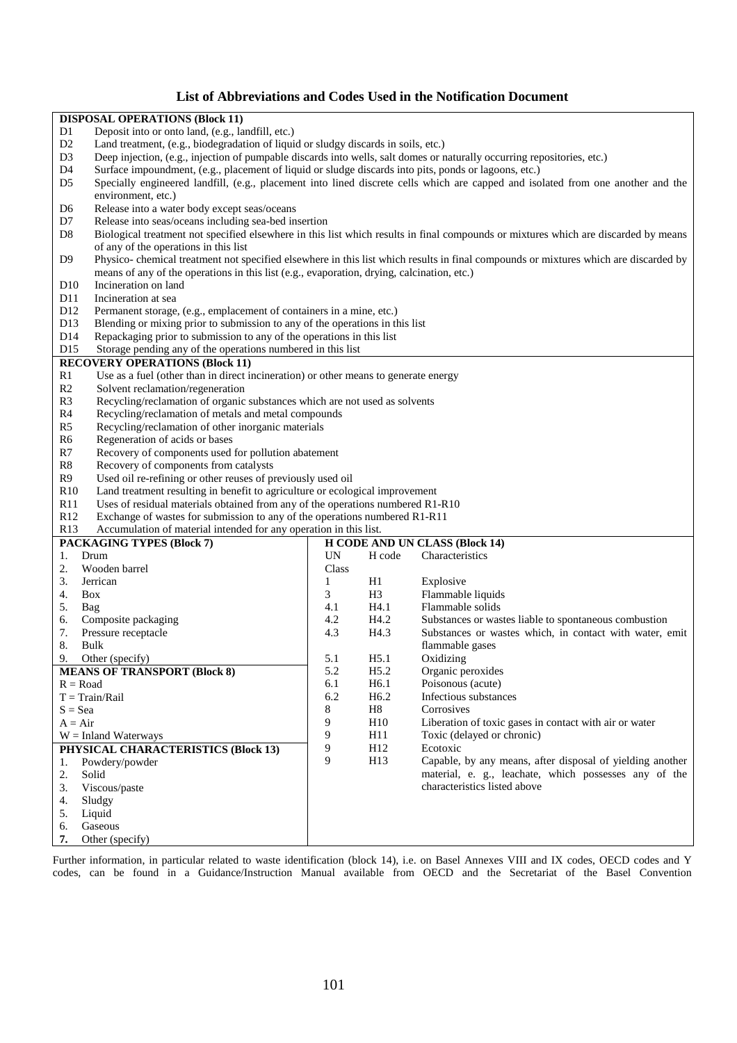#### **List of Abbreviations and Codes Used in the Notification Document**

|                      | <b>DISPOSAL OPERATIONS (Block 11)</b>                                                                                   |                          |                  |                                                                                                                                     |  |  |
|----------------------|-------------------------------------------------------------------------------------------------------------------------|--------------------------|------------------|-------------------------------------------------------------------------------------------------------------------------------------|--|--|
| D1                   | Deposit into or onto land, (e.g., landfill, etc.)                                                                       |                          |                  |                                                                                                                                     |  |  |
| D <sub>2</sub>       | Land treatment, (e.g., biodegradation of liquid or sludgy discards in soils, etc.)                                      |                          |                  |                                                                                                                                     |  |  |
| D <sub>3</sub>       | Deep injection, (e.g., injection of pumpable discards into wells, salt domes or naturally occurring repositories, etc.) |                          |                  |                                                                                                                                     |  |  |
| D <sub>4</sub>       | Surface impoundment, (e.g., placement of liquid or sludge discards into pits, ponds or lagoons, etc.)                   |                          |                  |                                                                                                                                     |  |  |
| D <sub>5</sub>       |                                                                                                                         |                          |                  | Specially engineered landfill, (e.g., placement into lined discrete cells which are capped and isolated from one another and the    |  |  |
|                      | environment, etc.)                                                                                                      |                          |                  |                                                                                                                                     |  |  |
| D <sub>6</sub>       | Release into a water body except seas/oceans                                                                            |                          |                  |                                                                                                                                     |  |  |
| D7                   | Release into seas/oceans including sea-bed insertion                                                                    |                          |                  |                                                                                                                                     |  |  |
| D <sub>8</sub>       |                                                                                                                         |                          |                  | Biological treatment not specified elsewhere in this list which results in final compounds or mixtures which are discarded by means |  |  |
|                      | of any of the operations in this list                                                                                   |                          |                  |                                                                                                                                     |  |  |
| D <sub>9</sub>       |                                                                                                                         |                          |                  | Physico-chemical treatment not specified elsewhere in this list which results in final compounds or mixtures which are discarded by |  |  |
|                      | means of any of the operations in this list (e.g., evaporation, drying, calcination, etc.)                              |                          |                  |                                                                                                                                     |  |  |
| D10                  | Incineration on land                                                                                                    |                          |                  |                                                                                                                                     |  |  |
|                      |                                                                                                                         |                          |                  |                                                                                                                                     |  |  |
| D11                  | Incineration at sea                                                                                                     |                          |                  |                                                                                                                                     |  |  |
| D <sub>12</sub>      | Permanent storage, (e.g., emplacement of containers in a mine, etc.)                                                    |                          |                  |                                                                                                                                     |  |  |
| D13                  | Blending or mixing prior to submission to any of the operations in this list                                            |                          |                  |                                                                                                                                     |  |  |
| D <sub>14</sub>      | Repackaging prior to submission to any of the operations in this list                                                   |                          |                  |                                                                                                                                     |  |  |
| D15                  | Storage pending any of the operations numbered in this list                                                             |                          |                  |                                                                                                                                     |  |  |
|                      | <b>RECOVERY OPERATIONS (Block 11)</b>                                                                                   |                          |                  |                                                                                                                                     |  |  |
| R <sub>1</sub>       | Use as a fuel (other than in direct incineration) or other means to generate energy                                     |                          |                  |                                                                                                                                     |  |  |
| R <sub>2</sub>       | Solvent reclamation/regeneration                                                                                        |                          |                  |                                                                                                                                     |  |  |
| R3                   | Recycling/reclamation of organic substances which are not used as solvents                                              |                          |                  |                                                                                                                                     |  |  |
| R <sub>4</sub>       | Recycling/reclamation of metals and metal compounds                                                                     |                          |                  |                                                                                                                                     |  |  |
| R <sub>5</sub>       | Recycling/reclamation of other inorganic materials                                                                      |                          |                  |                                                                                                                                     |  |  |
| R <sub>6</sub>       | Regeneration of acids or bases                                                                                          |                          |                  |                                                                                                                                     |  |  |
| R7                   | Recovery of components used for pollution abatement                                                                     |                          |                  |                                                                                                                                     |  |  |
| R8                   | Recovery of components from catalysts                                                                                   |                          |                  |                                                                                                                                     |  |  |
|                      |                                                                                                                         |                          |                  |                                                                                                                                     |  |  |
| R <sub>9</sub>       | Used oil re-refining or other reuses of previously used oil                                                             |                          |                  |                                                                                                                                     |  |  |
| R10                  | Land treatment resulting in benefit to agriculture or ecological improvement                                            |                          |                  |                                                                                                                                     |  |  |
| R11                  | Uses of residual materials obtained from any of the operations numbered R1-R10                                          |                          |                  |                                                                                                                                     |  |  |
|                      | R12<br>Exchange of wastes for submission to any of the operations numbered R1-R11                                       |                          |                  |                                                                                                                                     |  |  |
| R13                  | Accumulation of material intended for any operation in this list.                                                       |                          |                  |                                                                                                                                     |  |  |
|                      | <b>PACKAGING TYPES (Block 7)</b>                                                                                        |                          |                  | <b>H CODE AND UN CLASS (Block 14)</b>                                                                                               |  |  |
| 1.                   | Drum                                                                                                                    | $\ensuremath{\text{UN}}$ | H code           | Characteristics                                                                                                                     |  |  |
| 2.                   | Wooden barrel                                                                                                           | Class                    |                  |                                                                                                                                     |  |  |
| 3.                   | Jerrican                                                                                                                | $\mathbf{1}$             | H1               | Explosive                                                                                                                           |  |  |
| 4.                   | Box                                                                                                                     | 3                        | H <sub>3</sub>   | Flammable liquids                                                                                                                   |  |  |
| 5.                   | Bag                                                                                                                     | 4.1                      | H4.1             | Flammable solids                                                                                                                    |  |  |
| 6.                   | Composite packaging                                                                                                     | 4.2                      | H4.2             | Substances or wastes liable to spontaneous combustion                                                                               |  |  |
| 7.                   | Pressure receptacle                                                                                                     | 4.3                      | H4.3             | Substances or wastes which, in contact with water, emit                                                                             |  |  |
| 8.                   | Bulk                                                                                                                    |                          |                  | flammable gases                                                                                                                     |  |  |
| 9.                   | Other (specify)                                                                                                         | 5.1                      | H5.1             | Oxidizing                                                                                                                           |  |  |
|                      | <b>MEANS OF TRANSPORT (Block 8)</b>                                                                                     | 5.2                      | H5.2             | Organic peroxides                                                                                                                   |  |  |
| $R = Road$           |                                                                                                                         | 6.1                      | H <sub>6.1</sub> | Poisonous (acute)                                                                                                                   |  |  |
|                      |                                                                                                                         |                          |                  | Infectious substances                                                                                                               |  |  |
|                      | $T = Train/Rail$                                                                                                        | 6.2                      | H <sub>6.2</sub> |                                                                                                                                     |  |  |
| $S = Sea$            |                                                                                                                         | 8                        | H <sub>8</sub>   | Corrosives                                                                                                                          |  |  |
| $A = Air$            |                                                                                                                         | 9                        | H10              | Liberation of toxic gases in contact with air or water                                                                              |  |  |
|                      | $W = Inland Waterways$                                                                                                  | 9                        | H11              | Toxic (delayed or chronic)                                                                                                          |  |  |
|                      | PHYSICAL CHARACTERISTICS (Block 13)                                                                                     | 9<br>9                   | H12              | Ecotoxic                                                                                                                            |  |  |
| Powdery/powder<br>1. |                                                                                                                         |                          | H13              | Capable, by any means, after disposal of yielding another                                                                           |  |  |
| 2.<br>Solid          |                                                                                                                         |                          |                  | material, e. g., leachate, which possesses any of the                                                                               |  |  |
| 3.                   | Viscous/paste                                                                                                           |                          |                  | characteristics listed above                                                                                                        |  |  |
| 4.                   | Sludgy                                                                                                                  |                          |                  |                                                                                                                                     |  |  |
| 5.                   | Liquid                                                                                                                  |                          |                  |                                                                                                                                     |  |  |
| 6.                   | Gaseous                                                                                                                 |                          |                  |                                                                                                                                     |  |  |
| 7.                   | Other (specify)                                                                                                         |                          |                  |                                                                                                                                     |  |  |

Further information, in particular related to waste identification (block 14), i.e. on Basel Annexes VIII and IX codes, OECD codes and Y codes, can be found in a Guidance/Instruction Manual available from OECD and the Secretariat of the Basel Convention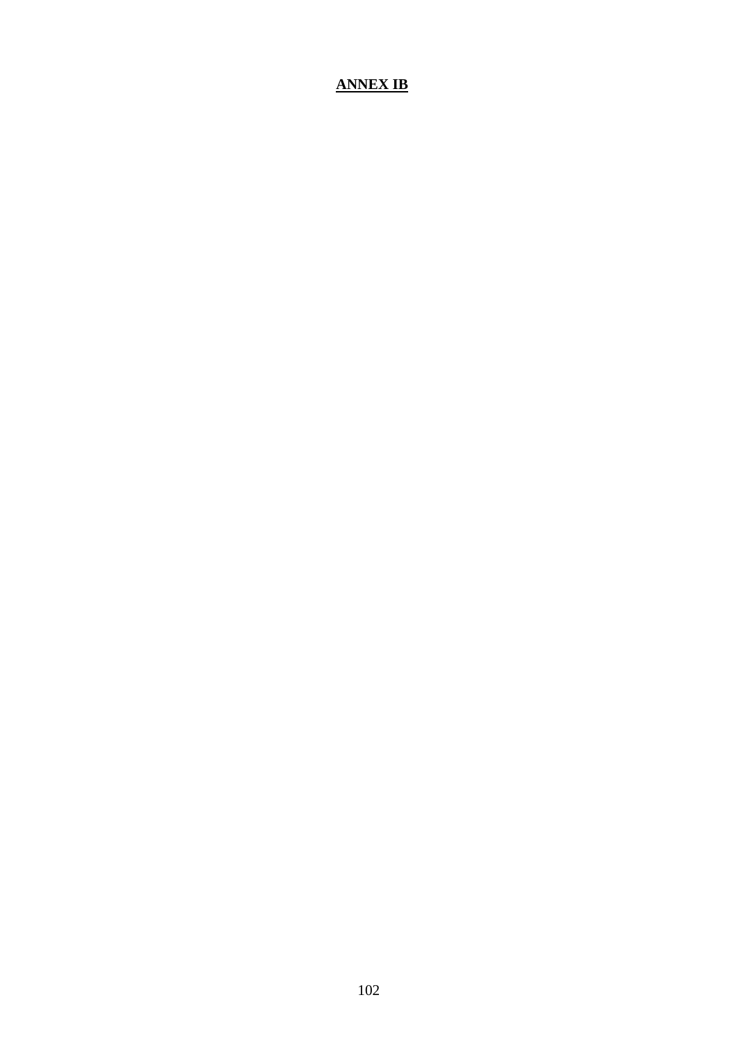### **ANNEX IB**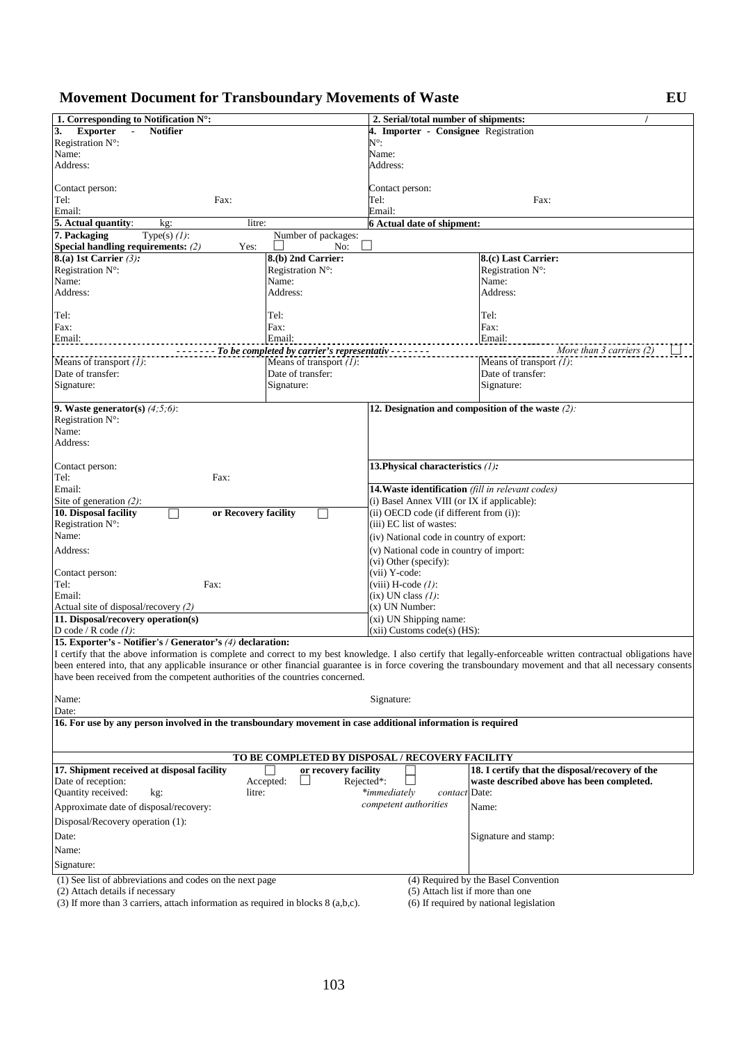# **Movement Document for Transboundary Movements of Waste EU**

| 1. Corresponding to Notification N°:                                                                        |                                              | 2. Serial/total number of shipments:              |                                                                                                                                                                 |  |  |
|-------------------------------------------------------------------------------------------------------------|----------------------------------------------|---------------------------------------------------|-----------------------------------------------------------------------------------------------------------------------------------------------------------------|--|--|
| 3.<br><b>Exporter</b><br><b>Notifier</b>                                                                    |                                              | 4. Importer - Consignee Registration              |                                                                                                                                                                 |  |  |
| Registration N°:                                                                                            |                                              | N°:                                               |                                                                                                                                                                 |  |  |
| Name:                                                                                                       |                                              | Name:                                             |                                                                                                                                                                 |  |  |
| Address:                                                                                                    |                                              | Address:                                          |                                                                                                                                                                 |  |  |
|                                                                                                             |                                              |                                                   |                                                                                                                                                                 |  |  |
| Contact person:<br>Tel:<br>Fax:                                                                             |                                              | Contact person:<br>Tel:                           | Fax:                                                                                                                                                            |  |  |
| Email:                                                                                                      |                                              | Email:                                            |                                                                                                                                                                 |  |  |
| 5. Actual quantity:<br>litre:<br>kg:                                                                        |                                              | 6 Actual date of shipment:                        |                                                                                                                                                                 |  |  |
| 7. Packaging<br>Type(s) $(l)$ :                                                                             | Number of packages:                          |                                                   |                                                                                                                                                                 |  |  |
| Special handling requirements: (2)<br>Yes:                                                                  | No:                                          |                                                   |                                                                                                                                                                 |  |  |
| $\overline{8(a)}$ 1st Carrier (3):                                                                          | 8.(b) 2nd Carrier:                           |                                                   | 8.(c) Last Carrier:                                                                                                                                             |  |  |
| Registration N°:                                                                                            | Registration $N^{\circ}$ :                   |                                                   | Registration $N^{\circ}$ :                                                                                                                                      |  |  |
| Name:                                                                                                       | Name:                                        |                                                   | Name:                                                                                                                                                           |  |  |
| Address:                                                                                                    | Address:                                     |                                                   | Address:                                                                                                                                                        |  |  |
|                                                                                                             |                                              |                                                   |                                                                                                                                                                 |  |  |
| Tel:                                                                                                        | Tel:                                         |                                                   | Tel:                                                                                                                                                            |  |  |
| Fax:                                                                                                        | Fax:                                         |                                                   | Fax:                                                                                                                                                            |  |  |
| Email:                                                                                                      | Email:                                       |                                                   | Email:                                                                                                                                                          |  |  |
|                                                                                                             | - To be completed by carrier's representativ |                                                   | More than 3 carriers (2)                                                                                                                                        |  |  |
| Means of transport $(l)$ :                                                                                  | Means of transport $(1)$ :                   |                                                   | Means of transport $(1)$ :                                                                                                                                      |  |  |
| Date of transfer:                                                                                           | Date of transfer:                            |                                                   | Date of transfer:                                                                                                                                               |  |  |
| Signature:                                                                                                  | Signature:                                   |                                                   | Signature:                                                                                                                                                      |  |  |
|                                                                                                             |                                              |                                                   |                                                                                                                                                                 |  |  |
| 9. Waste generator(s) $(4,5,6)$ :                                                                           |                                              |                                                   | 12. Designation and composition of the waste $(2)$ :                                                                                                            |  |  |
| Registration $N^{\circ}$ :                                                                                  |                                              |                                                   |                                                                                                                                                                 |  |  |
| Name:<br>Address:                                                                                           |                                              |                                                   |                                                                                                                                                                 |  |  |
|                                                                                                             |                                              |                                                   |                                                                                                                                                                 |  |  |
| Contact person:                                                                                             |                                              | 13. Physical characteristics (1):                 |                                                                                                                                                                 |  |  |
| Tel:<br>Fax:                                                                                                |                                              |                                                   |                                                                                                                                                                 |  |  |
| Email:                                                                                                      |                                              | 14. Waste identification (fill in relevant codes) |                                                                                                                                                                 |  |  |
| Site of generation $(2)$ :                                                                                  |                                              | (i) Basel Annex VIII (or IX if applicable):       |                                                                                                                                                                 |  |  |
| 10. Disposal facility<br>or Recovery facility                                                               |                                              | (ii) OECD code (if different from (i)):           |                                                                                                                                                                 |  |  |
| Registration N°:                                                                                            |                                              | (iii) EC list of wastes:                          |                                                                                                                                                                 |  |  |
| Name:                                                                                                       |                                              | (iv) National code in country of export:          |                                                                                                                                                                 |  |  |
| Address:                                                                                                    |                                              | (v) National code in country of import:           |                                                                                                                                                                 |  |  |
|                                                                                                             |                                              | (vi) Other (specify):                             |                                                                                                                                                                 |  |  |
| Contact person:                                                                                             |                                              | (vii) Y-code:                                     |                                                                                                                                                                 |  |  |
| Tel:<br>Fax:                                                                                                |                                              | (viii) H-code $(l)$ :                             |                                                                                                                                                                 |  |  |
| Email:                                                                                                      |                                              | $(ix)$ UN class $(l)$ :                           |                                                                                                                                                                 |  |  |
| Actual site of disposal/recovery (2)                                                                        |                                              | (x) UN Number:                                    |                                                                                                                                                                 |  |  |
| 11. Disposal/recovery operation(s)                                                                          |                                              | (xi) UN Shipping name:                            |                                                                                                                                                                 |  |  |
| D code / R code $(1)$ :                                                                                     |                                              | $(xii)$ Customs code $(s)$ (HS):                  |                                                                                                                                                                 |  |  |
| 15. Exporter's - Notifier's / Generator's (4) declaration:                                                  |                                              |                                                   |                                                                                                                                                                 |  |  |
|                                                                                                             |                                              |                                                   | I certify that the above information is complete and correct to my best knowledge. I also certify that legally-enforceable written contractual obligations have |  |  |
|                                                                                                             |                                              |                                                   | been entered into, that any applicable insurance or other financial guarantee is in force covering the transboundary movement and that all necessary consents   |  |  |
| have been received from the competent authorities of the countries concerned.                               |                                              |                                                   |                                                                                                                                                                 |  |  |
|                                                                                                             |                                              |                                                   |                                                                                                                                                                 |  |  |
| Name:<br>Date:                                                                                              |                                              | Signature:                                        |                                                                                                                                                                 |  |  |
| 16. For use by any person involved in the transboundary movement in case additional information is required |                                              |                                                   |                                                                                                                                                                 |  |  |
|                                                                                                             |                                              |                                                   |                                                                                                                                                                 |  |  |
|                                                                                                             |                                              |                                                   |                                                                                                                                                                 |  |  |
|                                                                                                             |                                              | TO BE COMPLETED BY DISPOSAL / RECOVERY FACILITY   |                                                                                                                                                                 |  |  |
| 17. Shipment received at disposal facility                                                                  | or recovery facility                         |                                                   | 18. I certify that the disposal/recovery of the                                                                                                                 |  |  |
| Date of reception:                                                                                          | Accepted:<br>Rejected*:                      |                                                   | waste described above has been completed.                                                                                                                       |  |  |
| <b>Ouantity received:</b><br>kg:<br>litre:                                                                  |                                              | *immediately<br><i>contact</i> Date:              |                                                                                                                                                                 |  |  |
| Approximate date of disposal/recovery:                                                                      |                                              | competent authorities                             | Name:                                                                                                                                                           |  |  |
| Disposal/Recovery operation (1):                                                                            |                                              |                                                   |                                                                                                                                                                 |  |  |
|                                                                                                             |                                              |                                                   |                                                                                                                                                                 |  |  |
| Date:                                                                                                       |                                              |                                                   | Signature and stamp:                                                                                                                                            |  |  |
| Name:                                                                                                       |                                              |                                                   |                                                                                                                                                                 |  |  |
| Signature:                                                                                                  |                                              |                                                   |                                                                                                                                                                 |  |  |
| (1) See list of abbreviations and codes on the next page                                                    |                                              |                                                   | (4) Required by the Basel Convention                                                                                                                            |  |  |
| (2) Attach details if necessary                                                                             |                                              | (5) Attach list if more than one                  |                                                                                                                                                                 |  |  |
| $(3)$ If more than 3 carriers, attach information as required in blocks 8 (a,b,c).                          |                                              |                                                   | (6) If required by national legislation                                                                                                                         |  |  |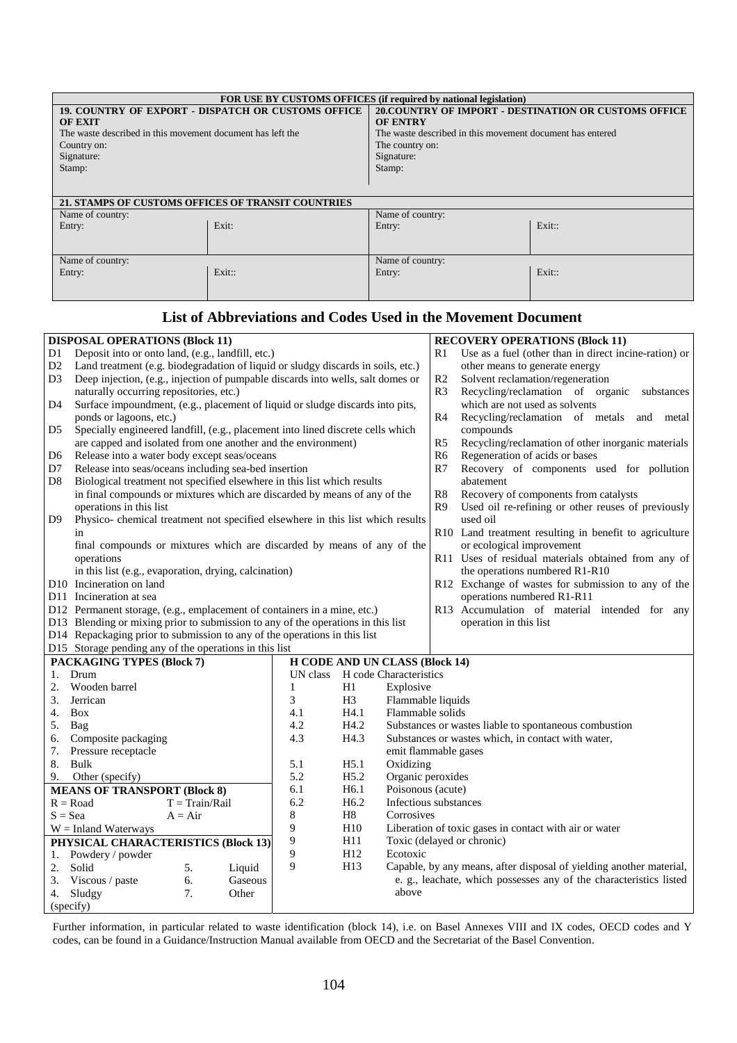| <b>FOR USE BY CUSTOMS OFFICES (if required by national legislation)</b> |                                                    |                                                           |        |  |
|-------------------------------------------------------------------------|----------------------------------------------------|-----------------------------------------------------------|--------|--|
|                                                                         | 19. COUNTRY OF EXPORT - DISPATCH OR CUSTOMS OFFICE | 20. COUNTRY OF IMPORT - DESTINATION OR CUSTOMS OFFICE     |        |  |
| <b>OF EXIT</b>                                                          |                                                    | <b>OF ENTRY</b>                                           |        |  |
| The waste described in this movement document has left the              |                                                    | The waste described in this movement document has entered |        |  |
| Country on:                                                             |                                                    | The country on:                                           |        |  |
| Signature:                                                              |                                                    | Signature:                                                |        |  |
| Stamp:                                                                  |                                                    | Stamp:                                                    |        |  |
|                                                                         |                                                    |                                                           |        |  |
|                                                                         |                                                    |                                                           |        |  |
| 21. STAMPS OF CUSTOMS OFFICES OF TRANSIT COUNTRIES                      |                                                    |                                                           |        |  |
| Name of country:                                                        |                                                    | Name of country:                                          |        |  |
| Entry:                                                                  | Exit:                                              | Entry:                                                    | Exit:  |  |
|                                                                         |                                                    |                                                           |        |  |
|                                                                         |                                                    |                                                           |        |  |
| Name of country:                                                        |                                                    | Name of country:                                          |        |  |
| Entry:                                                                  | Exit::                                             | Entry:                                                    | Exit:: |  |
|                                                                         |                                                    |                                                           |        |  |
|                                                                         |                                                    |                                                           |        |  |

#### **List of Abbreviations and Codes Used in the Movement Document**

|                | <b>DISPOSAL OPERATIONS (Block 11)</b>                                                                     |                  |           |                            |                                                              |                                       |                              | <b>RECOVERY OPERATIONS (Block 11)</b>                               |
|----------------|-----------------------------------------------------------------------------------------------------------|------------------|-----------|----------------------------|--------------------------------------------------------------|---------------------------------------|------------------------------|---------------------------------------------------------------------|
| D1             | Deposit into or onto land, (e.g., landfill, etc.)                                                         |                  |           | R1                         | Use as a fuel (other than in direct incine-ration) or        |                                       |                              |                                                                     |
| D <sub>2</sub> | Land treatment (e.g. biodegradation of liquid or sludgy discards in soils, etc.)                          |                  |           |                            | other means to generate energy                               |                                       |                              |                                                                     |
| D3             | Deep injection, (e.g., injection of pumpable discards into wells, salt domes or                           |                  |           | R2                         | Solvent reclamation/regeneration                             |                                       |                              |                                                                     |
|                | naturally occurring repositories, etc.)                                                                   |                  |           |                            |                                                              |                                       | R <sub>3</sub>               | Recycling/reclamation of organic substances                         |
| D4             | Surface impoundment, (e.g., placement of liquid or sludge discards into pits,                             |                  |           |                            |                                                              |                                       |                              | which are not used as solvents                                      |
|                | ponds or lagoons, etc.)                                                                                   |                  |           |                            |                                                              |                                       | R <sub>4</sub>               | Recycling/reclamation of metals<br>and metal                        |
| D <sub>5</sub> | Specially engineered landfill, (e.g., placement into lined discrete cells which                           |                  |           |                            |                                                              |                                       |                              | compounds                                                           |
|                | are capped and isolated from one another and the environment)                                             |                  |           |                            |                                                              |                                       | R5                           | Recycling/reclamation of other inorganic materials                  |
| D6             | Release into a water body except seas/oceans                                                              |                  |           |                            |                                                              |                                       | R <sub>6</sub>               | Regeneration of acids or bases                                      |
| D7             | Release into seas/oceans including sea-bed insertion                                                      |                  |           |                            |                                                              |                                       | R7                           | Recovery of components used for pollution                           |
| D8             | Biological treatment not specified elsewhere in this list which results                                   |                  |           |                            |                                                              |                                       |                              | abatement                                                           |
|                | in final compounds or mixtures which are discarded by means of any of the                                 |                  |           |                            |                                                              |                                       | ${\bf R8}$<br>R <sub>9</sub> | Recovery of components from catalysts                               |
| D <sub>9</sub> | operations in this list<br>Physico- chemical treatment not specified elsewhere in this list which results |                  |           |                            |                                                              |                                       |                              | Used oil re-refining or other reuses of previously<br>used oil      |
|                | in                                                                                                        |                  |           |                            |                                                              |                                       |                              | R10 Land treatment resulting in benefit to agriculture              |
|                | final compounds or mixtures which are discarded by means of any of the                                    |                  |           |                            |                                                              |                                       |                              | or ecological improvement                                           |
|                | operations                                                                                                |                  |           |                            |                                                              |                                       |                              | R11 Uses of residual materials obtained from any of                 |
|                | in this list (e.g., evaporation, drying, calcination)                                                     |                  |           |                            |                                                              |                                       |                              | the operations numbered R1-R10                                      |
|                | D10 Incineration on land                                                                                  |                  |           |                            |                                                              |                                       |                              | R12 Exchange of wastes for submission to any of the                 |
|                | D11 Incineration at sea                                                                                   |                  |           |                            |                                                              |                                       |                              | operations numbered R1-R11                                          |
|                | D12 Permanent storage, (e.g., emplacement of containers in a mine, etc.)                                  |                  |           |                            |                                                              |                                       |                              | R13 Accumulation of material intended for any                       |
|                | D13 Blending or mixing prior to submission to any of the operations in this list                          |                  |           |                            |                                                              |                                       |                              | operation in this list                                              |
|                | D14 Repackaging prior to submission to any of the operations in this list                                 |                  |           |                            |                                                              |                                       |                              |                                                                     |
|                | D15 Storage pending any of the operations in this list                                                    |                  |           |                            |                                                              |                                       |                              |                                                                     |
|                | <b>PACKAGING TYPES (Block 7)</b>                                                                          |                  |           |                            |                                                              | <b>H CODE AND UN CLASS (Block 14)</b> |                              |                                                                     |
| 1.             | Drum                                                                                                      |                  |           | UN class                   |                                                              | H code Characteristics                |                              |                                                                     |
| 2.             | Wooden barrel                                                                                             |                  |           | 1                          | H1                                                           | Explosive                             |                              |                                                                     |
| 3.<br>4.       | Jerrican<br><b>Box</b>                                                                                    |                  |           |                            | 3<br>H <sub>3</sub><br>Flammable liquids<br>Flammable solids |                                       |                              |                                                                     |
| 5. Bag         |                                                                                                           |                  |           | H4.1<br>4.1<br>4.2<br>H4.2 |                                                              |                                       |                              | Substances or wastes liable to spontaneous combustion               |
| 6.             | Composite packaging                                                                                       |                  |           | 4.3                        | H <sub>4.3</sub>                                             |                                       |                              | Substances or wastes which, in contact with water,                  |
| 7.             | Pressure receptacle<br>emit flammable gases                                                               |                  |           |                            |                                                              |                                       |                              |                                                                     |
| 8.             | Bulk<br>5.1<br>H5.1                                                                                       |                  | Oxidizing |                            |                                                              |                                       |                              |                                                                     |
| 9.             | 5.2<br>H5.2<br>Other (specify)                                                                            |                  |           | Organic peroxides          |                                                              |                                       |                              |                                                                     |
|                | <b>MEANS OF TRANSPORT (Block 8)</b>                                                                       |                  |           | 6.1                        | H6.1                                                         | Poisonous (acute)                     |                              |                                                                     |
|                | $R = Road$                                                                                                | $T = Train/Rail$ |           | 6.2                        | H <sub>6.2</sub>                                             | Infectious substances                 |                              |                                                                     |
|                | 8<br>H8<br>Corrosives<br>$S = Sea$<br>$A = Air$                                                           |                  |           |                            |                                                              |                                       |                              |                                                                     |
|                | $W = Inland Waterways$                                                                                    |                  |           | 9                          | H10                                                          |                                       |                              | Liberation of toxic gases in contact with air or water              |
|                | PHYSICAL CHARACTERISTICS (Block 13)                                                                       |                  |           | 9                          | H11                                                          |                                       |                              | Toxic (delayed or chronic)                                          |
| 1.             | Powdery / powder                                                                                          |                  |           | 9                          | H <sub>12</sub>                                              | Ecotoxic                              |                              |                                                                     |
| 2.             | Solid                                                                                                     | 5.               | Liquid    | 9                          | H13                                                          |                                       |                              | Capable, by any means, after disposal of yielding another material, |
|                | 3. Viscous / paste                                                                                        | 6.               | Gaseous   |                            |                                                              |                                       |                              | e. g., leachate, which possesses any of the characteristics listed  |
|                | 4. Sludgy                                                                                                 | 7.               | Other     |                            |                                                              | above                                 |                              |                                                                     |
|                | (specify)                                                                                                 |                  |           |                            |                                                              |                                       |                              |                                                                     |

Further information, in particular related to waste identification (block 14), i.e. on Basel Annexes VIII and IX codes, OECD codes and Y codes, can be found in a Guidance/Instruction Manual available from OECD and the Secretariat of the Basel Convention.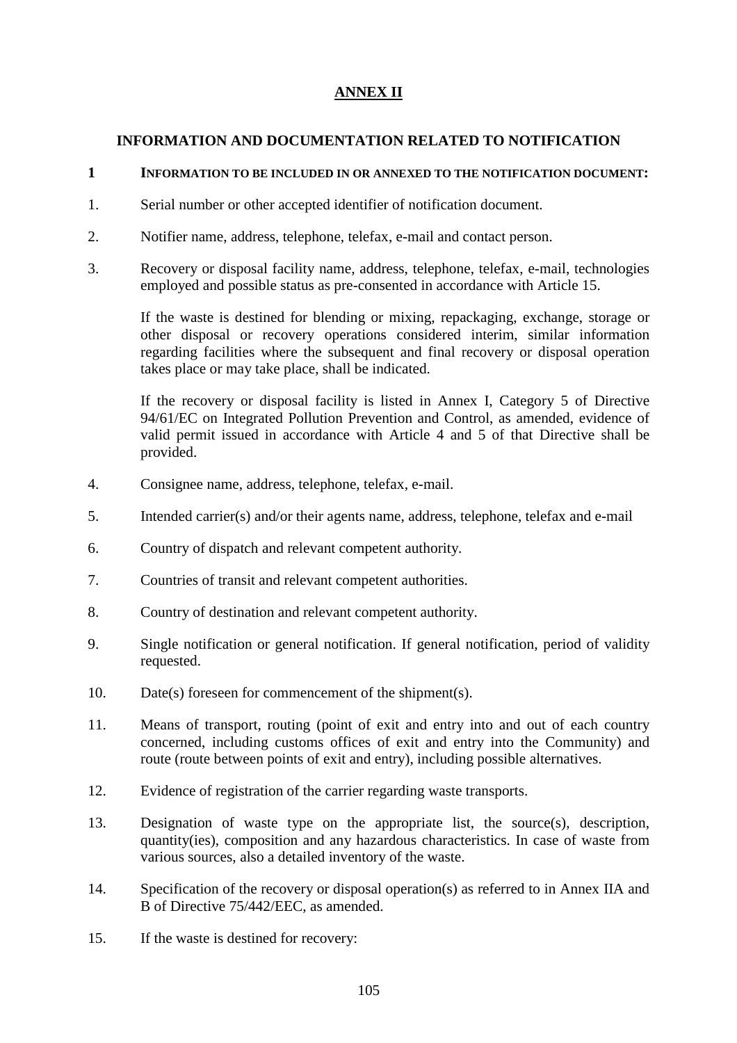## **ANNEX II**

### **INFORMATION AND DOCUMENTATION RELATED TO NOTIFICATION**

### **1 INFORMATION TO BE INCLUDED IN OR ANNEXED TO THE NOTIFICATION DOCUMENT:**

- 1. Serial number or other accepted identifier of notification document.
- 2. Notifier name, address, telephone, telefax, e-mail and contact person.
- 3. Recovery or disposal facility name, address, telephone, telefax, e-mail, technologies employed and possible status as pre-consented in accordance with Article 15.

If the waste is destined for blending or mixing, repackaging, exchange, storage or other disposal or recovery operations considered interim, similar information regarding facilities where the subsequent and final recovery or disposal operation takes place or may take place, shall be indicated.

If the recovery or disposal facility is listed in Annex I, Category 5 of Directive 94/61/EC on Integrated Pollution Prevention and Control, as amended, evidence of valid permit issued in accordance with Article 4 and 5 of that Directive shall be provided.

- 4. Consignee name, address, telephone, telefax, e-mail.
- 5. Intended carrier(s) and/or their agents name, address, telephone, telefax and e-mail
- 6. Country of dispatch and relevant competent authority.
- 7. Countries of transit and relevant competent authorities.
- 8. Country of destination and relevant competent authority.
- 9. Single notification or general notification. If general notification, period of validity requested.
- 10. Date(s) foreseen for commencement of the shipment(s).
- 11. Means of transport, routing (point of exit and entry into and out of each country concerned, including customs offices of exit and entry into the Community) and route (route between points of exit and entry), including possible alternatives.
- 12. Evidence of registration of the carrier regarding waste transports.
- 13. Designation of waste type on the appropriate list, the source(s), description, quantity(ies), composition and any hazardous characteristics. In case of waste from various sources, also a detailed inventory of the waste.
- 14. Specification of the recovery or disposal operation(s) as referred to in Annex IIA and B of Directive 75/442/EEC, as amended.
- 15. If the waste is destined for recovery: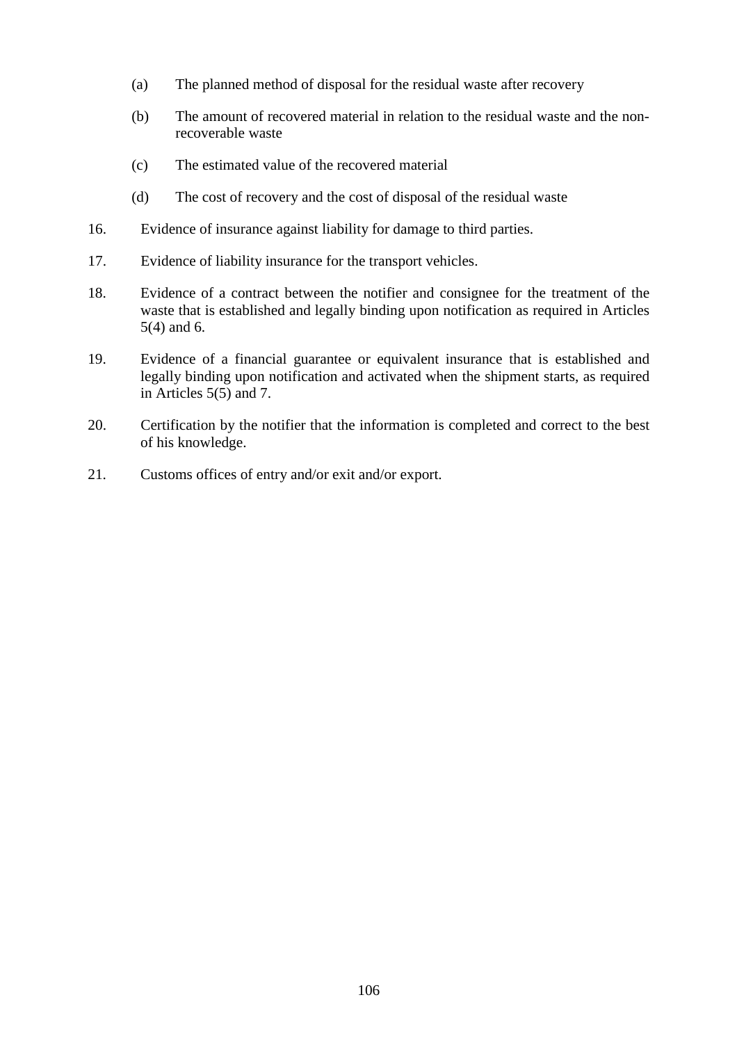- (a) The planned method of disposal for the residual waste after recovery
- (b) The amount of recovered material in relation to the residual waste and the nonrecoverable waste
- (c) The estimated value of the recovered material
- (d) The cost of recovery and the cost of disposal of the residual waste
- 16. Evidence of insurance against liability for damage to third parties.
- 17. Evidence of liability insurance for the transport vehicles.
- 18. Evidence of a contract between the notifier and consignee for the treatment of the waste that is established and legally binding upon notification as required in Articles 5(4) and 6.
- 19. Evidence of a financial guarantee or equivalent insurance that is established and legally binding upon notification and activated when the shipment starts, as required in Articles 5(5) and 7.
- 20. Certification by the notifier that the information is completed and correct to the best of his knowledge.
- 21. Customs offices of entry and/or exit and/or export.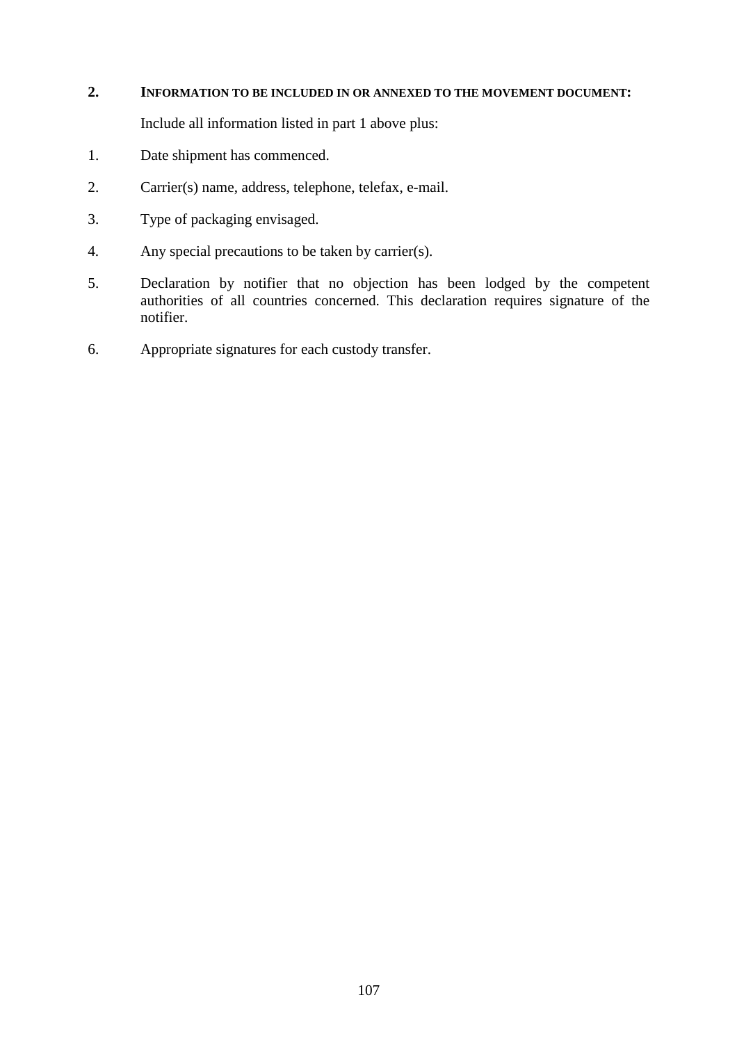### **2. INFORMATION TO BE INCLUDED IN OR ANNEXED TO THE MOVEMENT DOCUMENT:**

Include all information listed in part 1 above plus:

- 1. Date shipment has commenced.
- 2. Carrier(s) name, address, telephone, telefax, e-mail.
- 3. Type of packaging envisaged.
- 4. Any special precautions to be taken by carrier(s).
- 5. Declaration by notifier that no objection has been lodged by the competent authorities of all countries concerned. This declaration requires signature of the notifier.
- 6. Appropriate signatures for each custody transfer.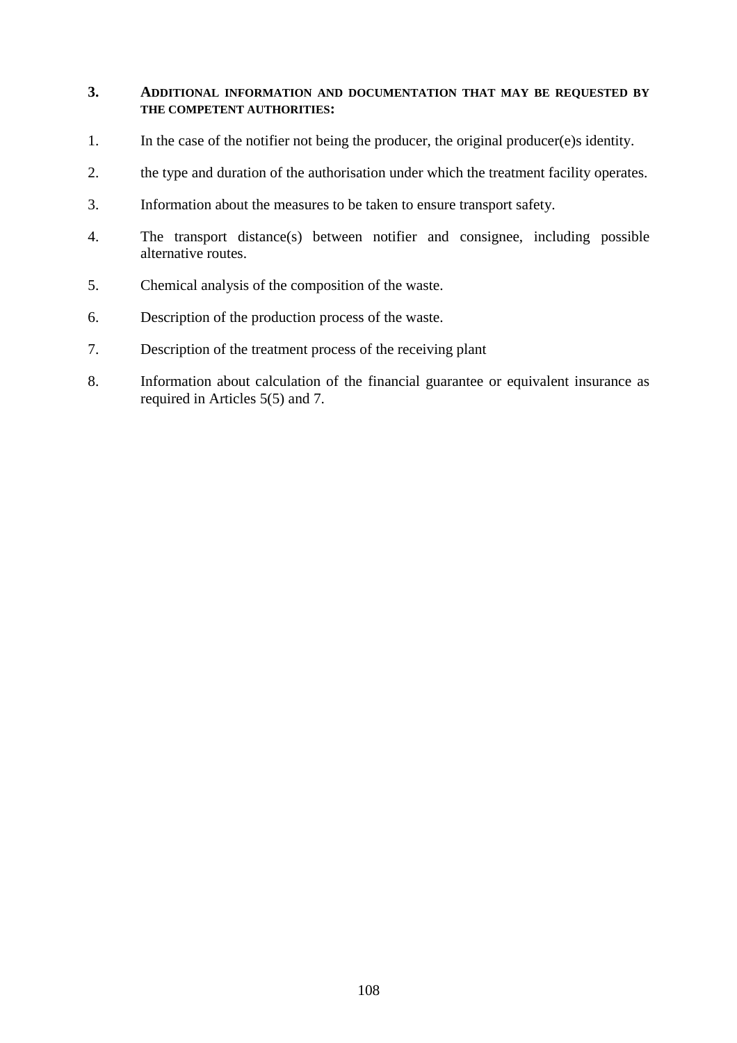### **3. ADDITIONAL INFORMATION AND DOCUMENTATION THAT MAY BE REQUESTED BY THE COMPETENT AUTHORITIES:**

- 1. In the case of the notifier not being the producer, the original producer(e)s identity.
- 2. the type and duration of the authorisation under which the treatment facility operates.
- 3. Information about the measures to be taken to ensure transport safety.
- 4. The transport distance(s) between notifier and consignee, including possible alternative routes.
- 5. Chemical analysis of the composition of the waste.
- 6. Description of the production process of the waste.
- 7. Description of the treatment process of the receiving plant
- 8. Information about calculation of the financial guarantee or equivalent insurance as required in Articles 5(5) and 7.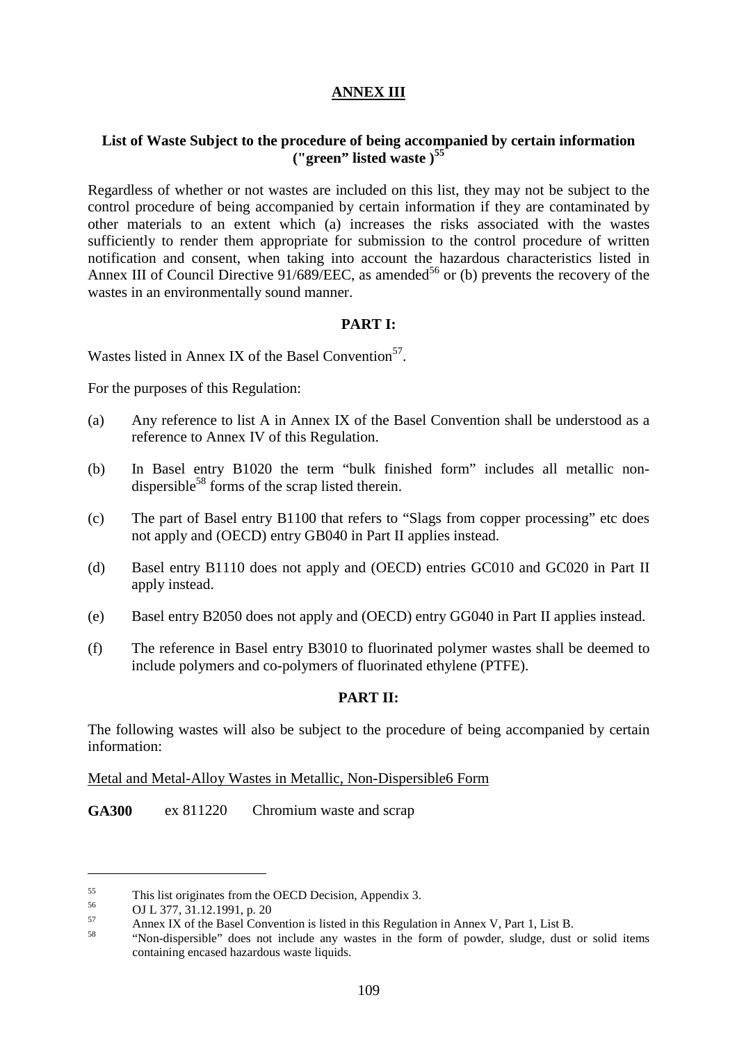# **ANNEX III**

# **List of Waste Subject to the procedure of being accompanied by certain information ("green" listed waste )<sup>55</sup>**

Regardless of whether or not wastes are included on this list, they may not be subject to the control procedure of being accompanied by certain information if they are contaminated by other materials to an extent which (a) increases the risks associated with the wastes sufficiently to render them appropriate for submission to the control procedure of written notification and consent, when taking into account the hazardous characteristics listed in Annex III of Council Directive  $91/689/EEC$ , as amended<sup>56</sup> or (b) prevents the recovery of the wastes in an environmentally sound manner.

# **PART I:**

Wastes listed in Annex IX of the Basel Convention<sup>57</sup>.

For the purposes of this Regulation:

- (a) Any reference to list A in Annex IX of the Basel Convention shall be understood as a reference to Annex IV of this Regulation.
- (b) In Basel entry B1020 the term "bulk finished form" includes all metallic nondispersible<sup>58</sup> forms of the scrap listed therein.
- (c) The part of Basel entry B1100 that refers to "Slags from copper processing" etc does not apply and (OECD) entry GB040 in Part II applies instead.
- (d) Basel entry B1110 does not apply and (OECD) entries GC010 and GC020 in Part II apply instead.
- (e) Basel entry B2050 does not apply and (OECD) entry GG040 in Part II applies instead.
- (f) The reference in Basel entry B3010 to fluorinated polymer wastes shall be deemed to include polymers and co-polymers of fluorinated ethylene (PTFE).

# **PART II:**

The following wastes will also be subject to the procedure of being accompanied by certain information:

Metal and Metal-Alloy Wastes in Metallic, Non-Dispersible6 Form

**GA300** ex 811220 Chromium waste and scrap

This list originates from the OECD Decision, Appendix 3.<br>
OJ L 377, 31.12.1991, p. 20<br>
Annex IX of the Basel Convention is listed in this Regulation in Annex V, Part 1, List B.<br>
"Non-dispersible" does not include any waste containing encased hazardous waste liquids.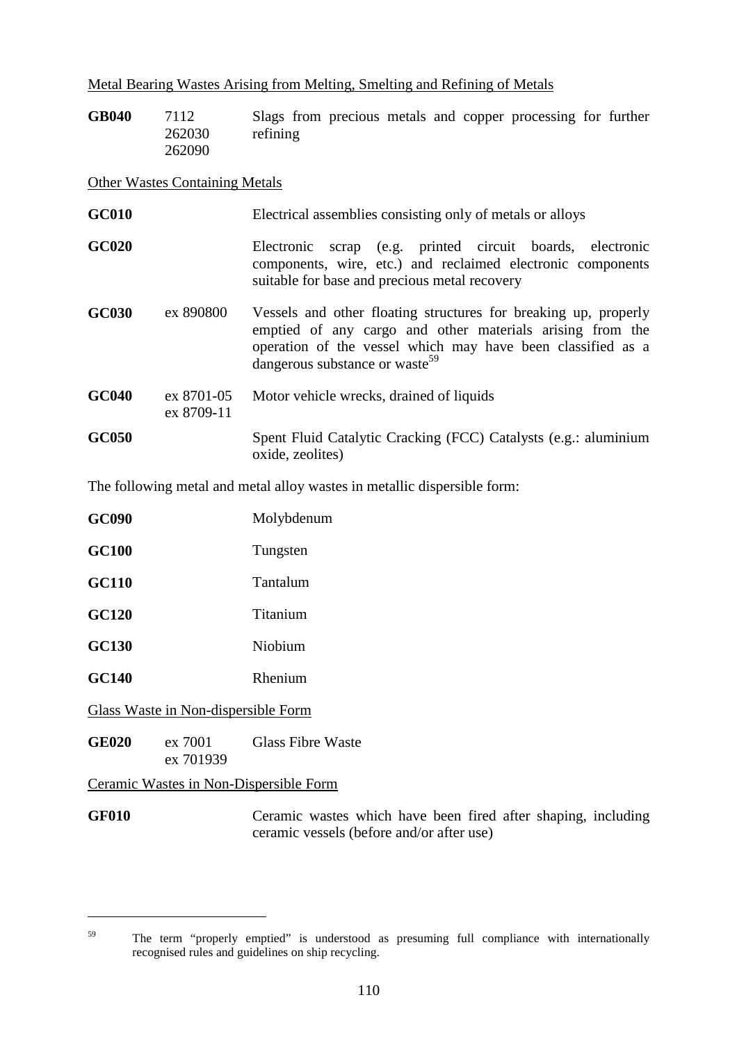# Metal Bearing Wastes Arising from Melting, Smelting and Refining of Metals

| <b>GB040</b> | 7112   | Slags from precious metals and copper processing for further |  |
|--------------|--------|--------------------------------------------------------------|--|
|              | 262030 | refining                                                     |  |
|              | 262090 |                                                              |  |

#### Other Wastes Containing Metals

| <b>GC010</b> |                          | Electrical assemblies consisting only of metals or alloys                                                                                                                                                                                 |
|--------------|--------------------------|-------------------------------------------------------------------------------------------------------------------------------------------------------------------------------------------------------------------------------------------|
| <b>GC020</b> |                          | scrap (e.g. printed circuit boards, electronic<br>Electronic<br>components, wire, etc.) and reclaimed electronic components<br>suitable for base and precious metal recovery                                                              |
| <b>GC030</b> | ex 890800                | Vessels and other floating structures for breaking up, properly<br>emptied of any cargo and other materials arising from the<br>operation of the vessel which may have been classified as a<br>dangerous substance or waste <sup>59</sup> |
| <b>GC040</b> | ex 8701-05<br>ex 8709-11 | Motor vehicle wrecks, drained of liquids                                                                                                                                                                                                  |
| <b>GC050</b> |                          | Spent Fluid Catalytic Cracking (FCC) Catalysts (e.g.: aluminium<br>oxide, zeolites)                                                                                                                                                       |

The following metal and metal alloy wastes in metallic dispersible form:

| <b>GC090</b> |                                     | Molybdenum               |
|--------------|-------------------------------------|--------------------------|
| <b>GC100</b> |                                     | Tungsten                 |
| <b>GC110</b> |                                     | Tantalum                 |
| <b>GC120</b> |                                     | Titanium                 |
| <b>GC130</b> |                                     | Niobium                  |
| <b>GC140</b> |                                     | Rhenium                  |
|              | Glass Waste in Non-dispersible Form |                          |
| <b>GE020</b> | ex 7001<br>ex 701939                | <b>Glass Fibre Waste</b> |

Ceramic Wastes in Non-Dispersible Form

 $\overline{a}$ 

GF010 Ceramic wastes which have been fired after shaping, including ceramic vessels (before and/or after use)

<sup>&</sup>lt;sup>59</sup> The term "properly emptied" is understood as presuming full compliance with internationally recognised rules and guidelines on ship recycling.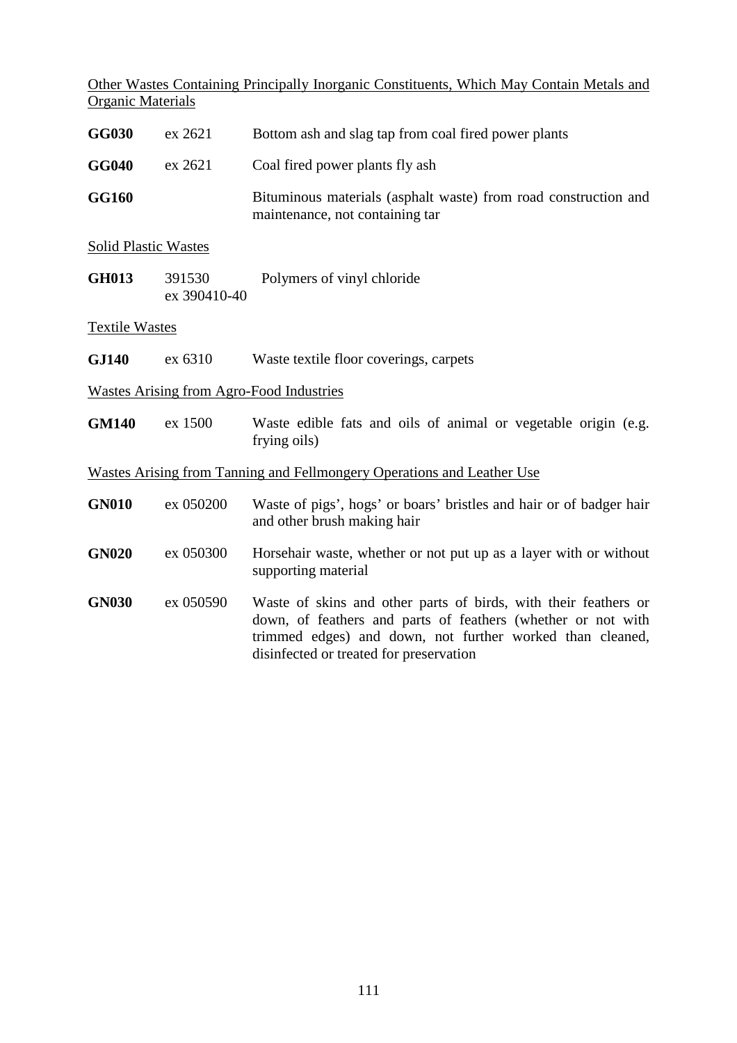Other Wastes Containing Principally Inorganic Constituents, Which May Contain Metals and Organic Materials

| <b>GG030</b> | ex 2621 | Bottom ash and slag tap from coal fired power plants                                               |
|--------------|---------|----------------------------------------------------------------------------------------------------|
| <b>GG040</b> | ex 2621 | Coal fired power plants fly ash                                                                    |
| <b>GG160</b> |         | Bituminous materials (asphalt waste) from road construction and<br>maintenance, not containing tar |

Solid Plastic Wastes

**GH013** 391530 ex 390410-40 Polymers of vinyl chloride

Textile Wastes

| <b>GJ140</b> | ex 6310 | Waste textile floor coverings, carpets |  |
|--------------|---------|----------------------------------------|--|
|              |         |                                        |  |

Wastes Arising from Agro-Food Industries

GM140 ex 1500 Waste edible fats and oils of animal or vegetable origin (e.g. frying oils)

# Wastes Arising from Tanning and Fellmongery Operations and Leather Use

| <b>GN010</b> | ex 050200 | Waste of pigs', hogs' or boars' bristles and hair or of badger hair<br>and other brush making hair                                                                                                                                      |
|--------------|-----------|-----------------------------------------------------------------------------------------------------------------------------------------------------------------------------------------------------------------------------------------|
| <b>GN020</b> | ex 050300 | Horsehair waste, whether or not put up as a layer with or without<br>supporting material                                                                                                                                                |
| <b>GN030</b> | ex 050590 | Waste of skins and other parts of birds, with their feathers or<br>down, of feathers and parts of feathers (whether or not with<br>trimmed edges) and down, not further worked than cleaned,<br>disinfected or treated for preservation |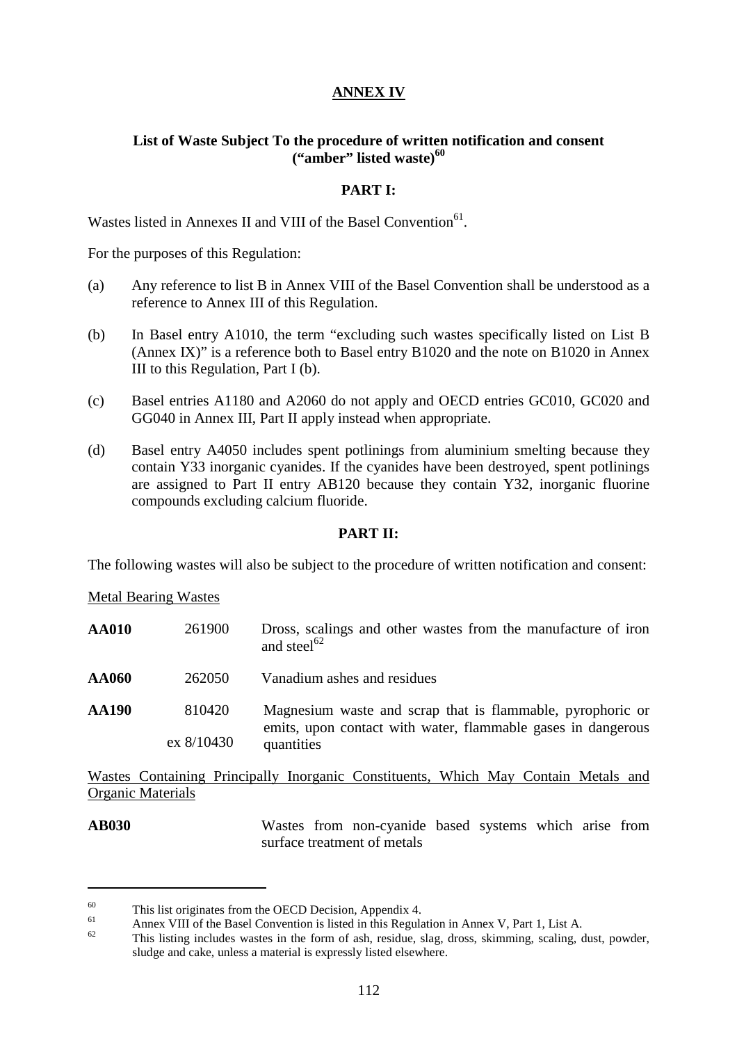# **ANNEX IV**

# **List of Waste Subject To the procedure of written notification and consent ("amber" listed waste)<sup>60</sup>**

## **PART I:**

Wastes listed in Annexes II and VIII of the Basel Convention<sup>61</sup>.

For the purposes of this Regulation:

- (a) Any reference to list B in Annex VIII of the Basel Convention shall be understood as a reference to Annex III of this Regulation.
- (b) In Basel entry A1010, the term "excluding such wastes specifically listed on List B (Annex IX)" is a reference both to Basel entry B1020 and the note on B1020 in Annex III to this Regulation, Part I (b).
- (c) Basel entries A1180 and A2060 do not apply and OECD entries GC010, GC020 and GG040 in Annex III, Part II apply instead when appropriate.
- (d) Basel entry A4050 includes spent potlinings from aluminium smelting because they contain Y33 inorganic cyanides. If the cyanides have been destroyed, spent potlinings are assigned to Part II entry AB120 because they contain Y32, inorganic fluorine compounds excluding calcium fluoride.

## **PART II:**

The following wastes will also be subject to the procedure of written notification and consent:

Metal Bearing Wastes

 $\overline{a}$ 

| <b>AA010</b> | 261900               | Dross, scalings and other wastes from the manufacture of iron<br>and steel <sup>62</sup>                                                 |
|--------------|----------------------|------------------------------------------------------------------------------------------------------------------------------------------|
| AA060        | 262050               | Vanadium ashes and residues                                                                                                              |
| <b>AA190</b> | 810420<br>ex 8/10430 | Magnesium waste and scrap that is flammable, pyrophoric or<br>emits, upon contact with water, flammable gases in dangerous<br>quantities |

Wastes Containing Principally Inorganic Constituents, Which May Contain Metals and Organic Materials

**AB030** Wastes from non-cyanide based systems which arise from surface treatment of metals

<sup>&</sup>lt;sup>60</sup><br>This list originates from the OECD Decision, Appendix 4.<br>Annex VIII of the Basel Convention is listed in this Regulation in Annex V, Part 1, List A.<br>This listing includes wastes in the form of ash, residue, slag, dro sludge and cake, unless a material is expressly listed elsewhere.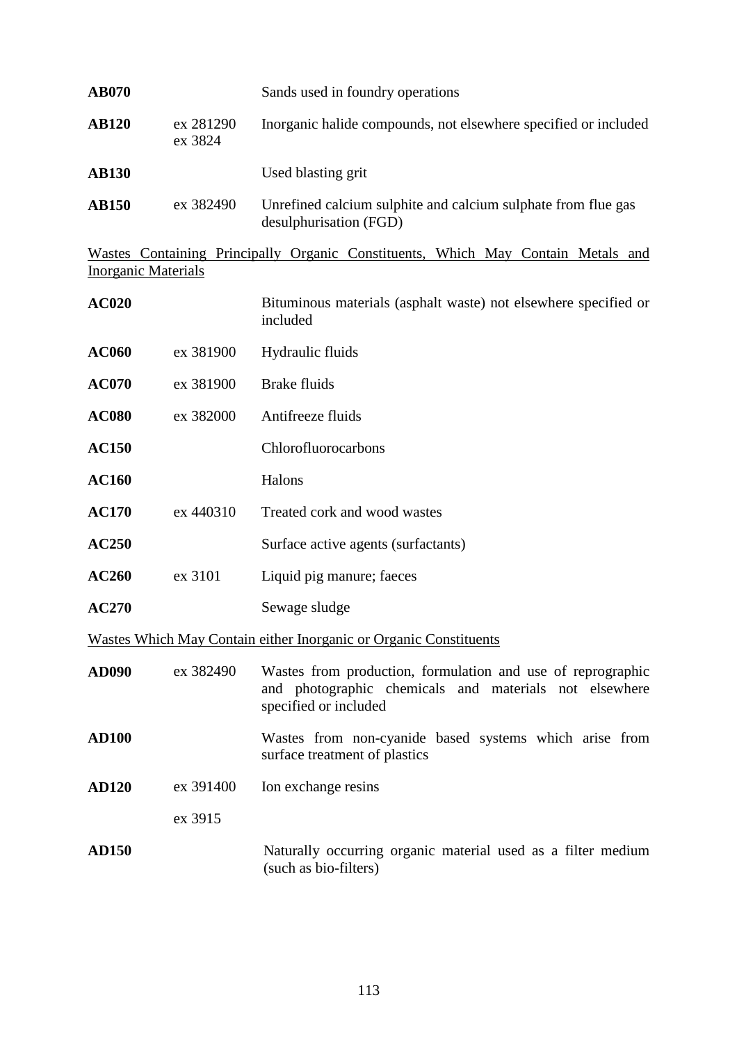| <b>AB070</b> |                      | Sands used in foundry operations                                                        |
|--------------|----------------------|-----------------------------------------------------------------------------------------|
| <b>AB120</b> | ex 281290<br>ex 3824 | Inorganic halide compounds, not elsewhere specified or included                         |
| <b>AB130</b> |                      | Used blasting grit                                                                      |
| <b>AB150</b> | ex 382490            | Unrefined calcium sulphite and calcium sulphate from flue gas<br>desulphurisation (FGD) |

Wastes Containing Principally Organic Constituents, Which May Contain Metals and **Inorganic Materials** 

| <b>AC020</b> |           | Bituminous materials (asphalt waste) not elsewhere specified or<br>included                                                                    |
|--------------|-----------|------------------------------------------------------------------------------------------------------------------------------------------------|
| <b>AC060</b> | ex 381900 | Hydraulic fluids                                                                                                                               |
| <b>AC070</b> | ex 381900 | <b>Brake fluids</b>                                                                                                                            |
| <b>AC080</b> | ex 382000 | Antifreeze fluids                                                                                                                              |
| <b>AC150</b> |           | Chlorofluorocarbons                                                                                                                            |
| <b>AC160</b> |           | Halons                                                                                                                                         |
| <b>AC170</b> | ex 440310 | Treated cork and wood wastes                                                                                                                   |
| <b>AC250</b> |           | Surface active agents (surfactants)                                                                                                            |
| <b>AC260</b> | ex 3101   | Liquid pig manure; faeces                                                                                                                      |
| <b>AC270</b> |           | Sewage sludge                                                                                                                                  |
|              |           | Wastes Which May Contain either Inorganic or Organic Constituents                                                                              |
| <b>AD090</b> | ex 382490 | Wastes from production, formulation and use of reprographic<br>and photographic chemicals and materials not elsewhere<br>specified or included |
| <b>AD100</b> |           | Wastes from non-cyanide based systems which arise from<br>surface treatment of plastics                                                        |
| <b>AD120</b> | ex 391400 | Ion exchange resins                                                                                                                            |
|              | ex 3915   |                                                                                                                                                |
| <b>AD150</b> |           | Naturally occurring organic material used as a filter medium<br>(such as bio-filters)                                                          |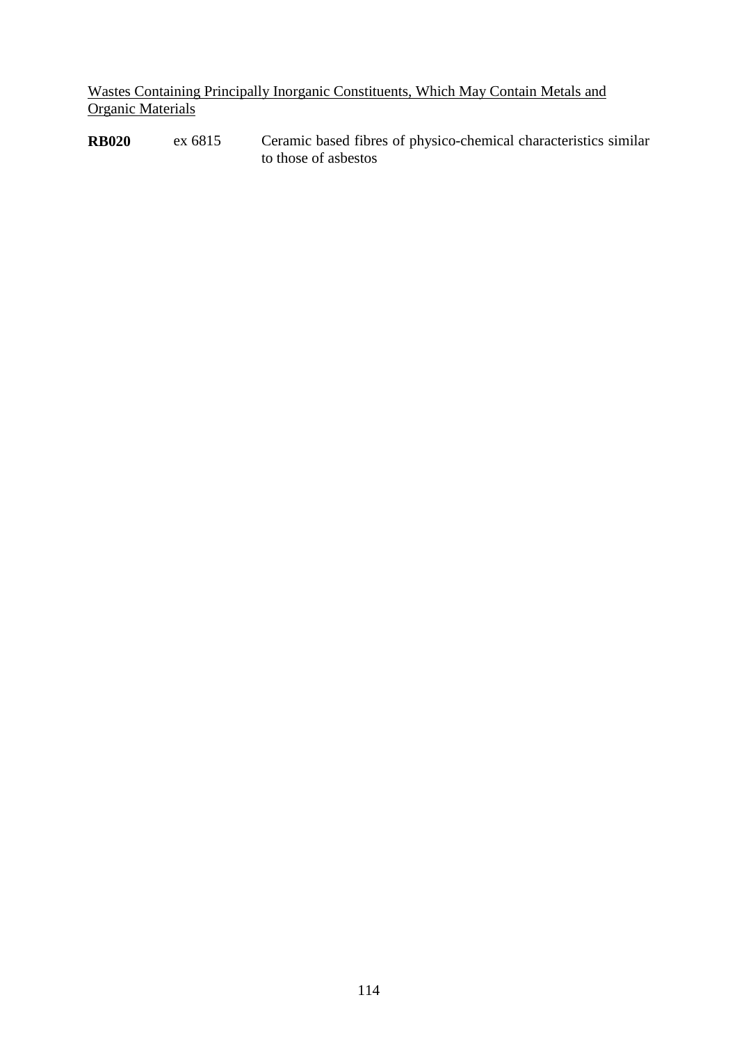Wastes Containing Principally Inorganic Constituents, Which May Contain Metals and **Organic Materials** 

**RB020** ex 6815 Ceramic based fibres of physico-chemical characteristics similar to those of asbestos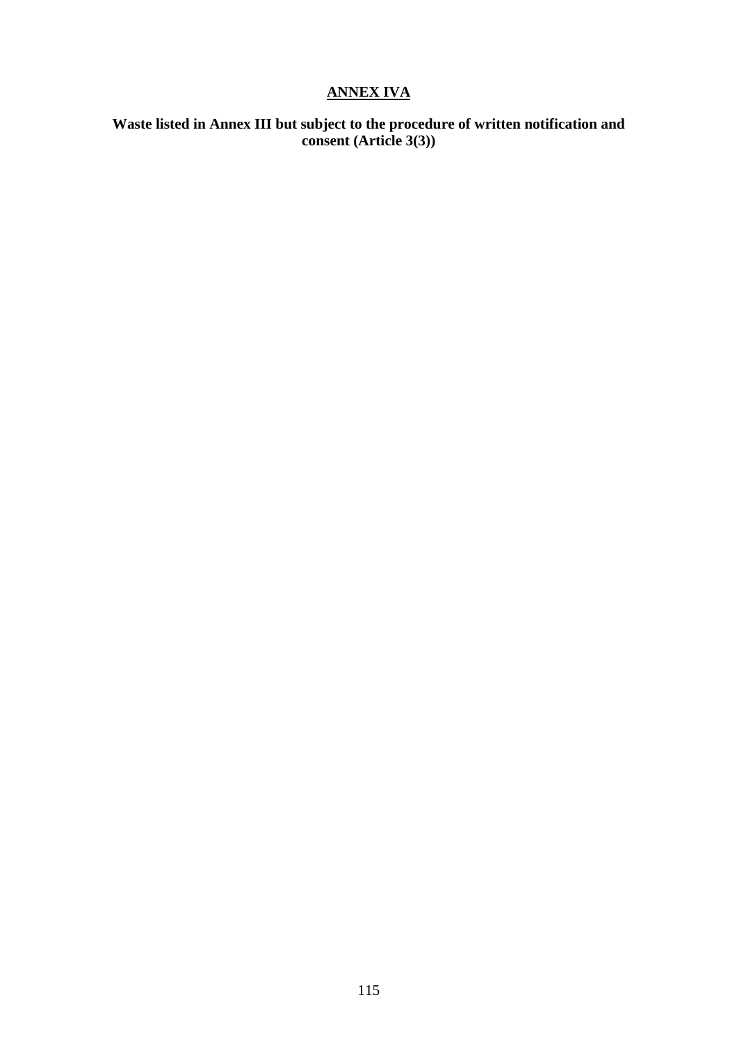# **ANNEX IVA**

# **Waste listed in Annex III but subject to the procedure of written notification and consent (Article 3(3))**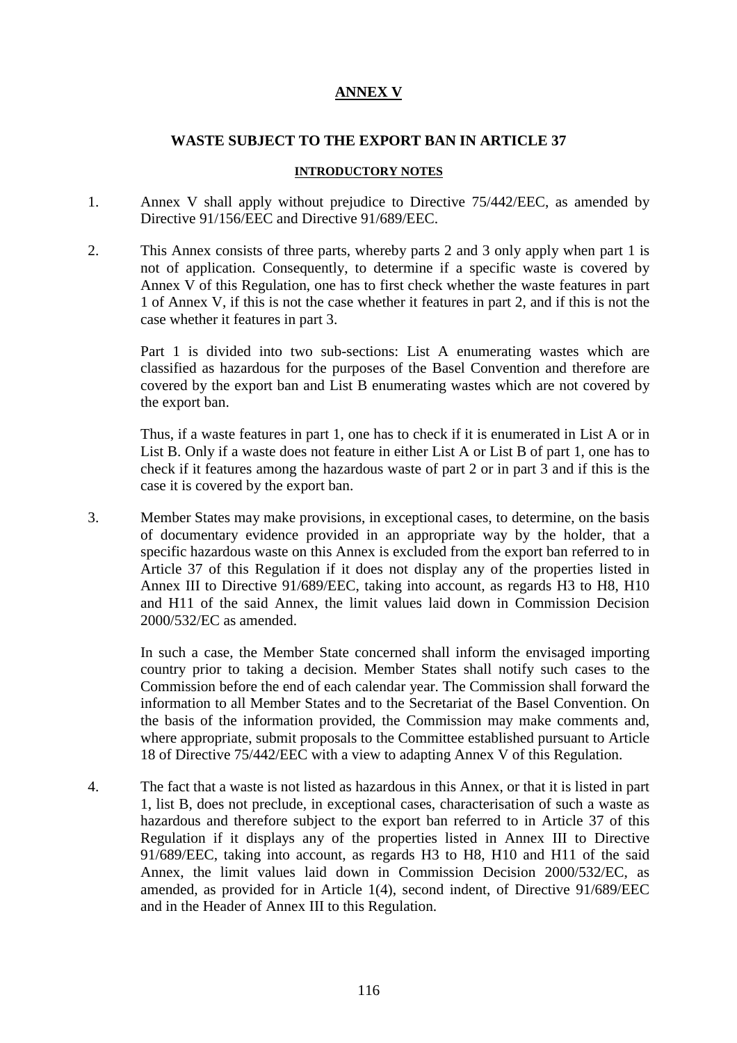# **ANNEX V**

## **WASTE SUBJECT TO THE EXPORT BAN IN ARTICLE 37**

#### **INTRODUCTORY NOTES**

- 1. Annex V shall apply without prejudice to Directive 75/442/EEC, as amended by Directive 91/156/EEC and Directive 91/689/EEC.
- 2. This Annex consists of three parts, whereby parts 2 and 3 only apply when part 1 is not of application. Consequently, to determine if a specific waste is covered by Annex V of this Regulation, one has to first check whether the waste features in part 1 of Annex V, if this is not the case whether it features in part 2, and if this is not the case whether it features in part 3.

Part 1 is divided into two sub-sections: List A enumerating wastes which are classified as hazardous for the purposes of the Basel Convention and therefore are covered by the export ban and List B enumerating wastes which are not covered by the export ban.

Thus, if a waste features in part 1, one has to check if it is enumerated in List A or in List B. Only if a waste does not feature in either List A or List B of part 1, one has to check if it features among the hazardous waste of part 2 or in part 3 and if this is the case it is covered by the export ban.

3. Member States may make provisions, in exceptional cases, to determine, on the basis of documentary evidence provided in an appropriate way by the holder, that a specific hazardous waste on this Annex is excluded from the export ban referred to in Article 37 of this Regulation if it does not display any of the properties listed in Annex III to Directive 91/689/EEC, taking into account, as regards H3 to H8, H10 and H11 of the said Annex, the limit values laid down in Commission Decision 2000/532/EC as amended.

In such a case, the Member State concerned shall inform the envisaged importing country prior to taking a decision. Member States shall notify such cases to the Commission before the end of each calendar year. The Commission shall forward the information to all Member States and to the Secretariat of the Basel Convention. On the basis of the information provided, the Commission may make comments and, where appropriate, submit proposals to the Committee established pursuant to Article 18 of Directive 75/442/EEC with a view to adapting Annex V of this Regulation.

4. The fact that a waste is not listed as hazardous in this Annex, or that it is listed in part 1, list B, does not preclude, in exceptional cases, characterisation of such a waste as hazardous and therefore subject to the export ban referred to in Article 37 of this Regulation if it displays any of the properties listed in Annex III to Directive 91/689/EEC, taking into account, as regards H3 to H8, H10 and H11 of the said Annex, the limit values laid down in Commission Decision 2000/532/EC, as amended, as provided for in Article 1(4), second indent, of Directive 91/689/EEC and in the Header of Annex III to this Regulation.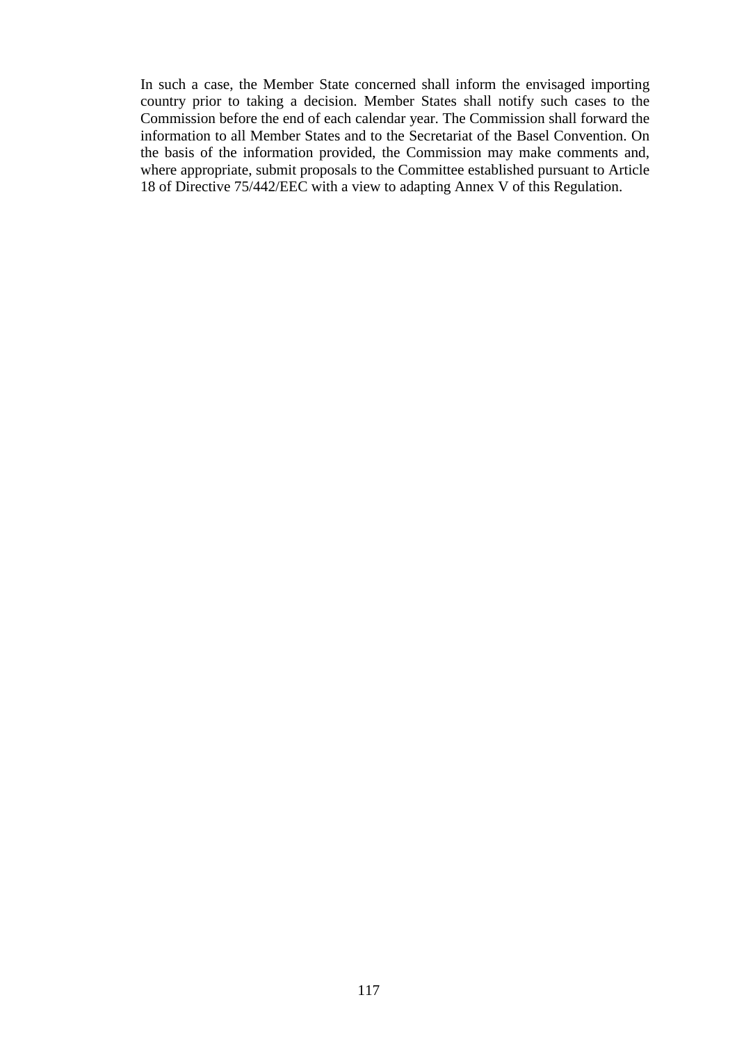In such a case, the Member State concerned shall inform the envisaged importing country prior to taking a decision. Member States shall notify such cases to the Commission before the end of each calendar year. The Commission shall forward the information to all Member States and to the Secretariat of the Basel Convention. On the basis of the information provided, the Commission may make comments and, where appropriate, submit proposals to the Committee established pursuant to Article 18 of Directive 75/442/EEC with a view to adapting Annex V of this Regulation.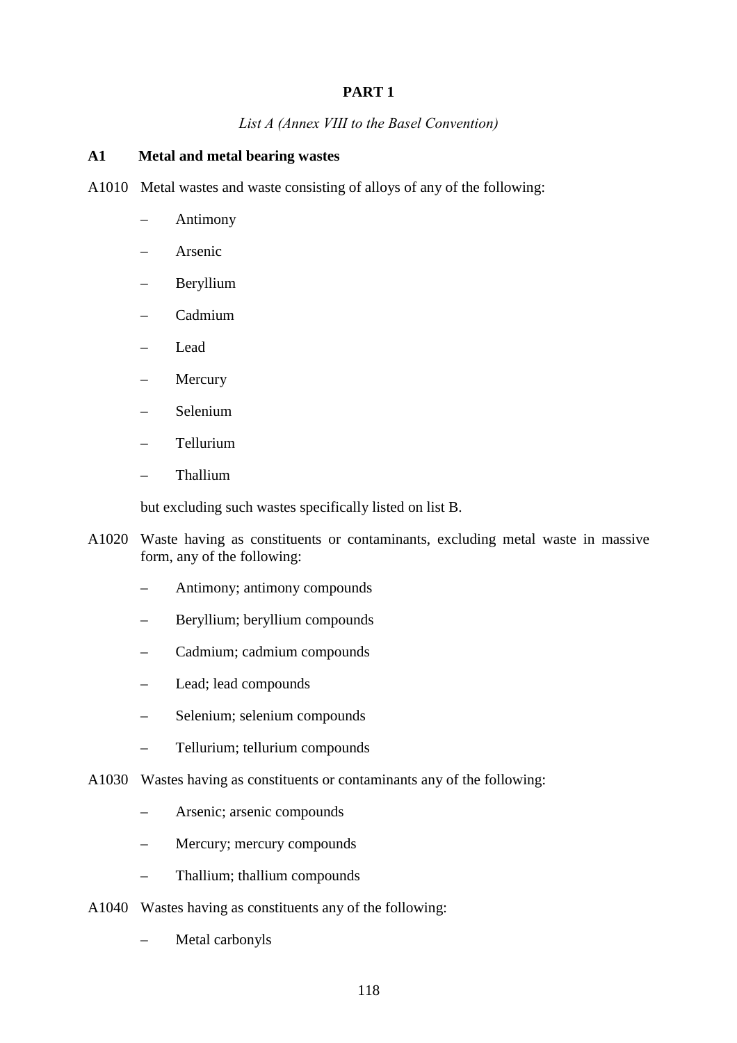# **PART 1**

# *List A (Annex VIII to the Basel Convention)*

# **A1 Metal and metal bearing wastes**

- A1010 Metal wastes and waste consisting of alloys of any of the following:
	- Antimony
	- Arsenic
	- Beryllium
	- Cadmium
	- Lead
	- **Mercury**
	- Selenium
	- Tellurium
	- Thallium

but excluding such wastes specifically listed on list B.

- A1020 Waste having as constituents or contaminants, excluding metal waste in massive form, any of the following:
	- Antimony; antimony compounds
	- Beryllium; beryllium compounds
	- Cadmium; cadmium compounds
	- Lead; lead compounds
	- Selenium; selenium compounds
	- Tellurium; tellurium compounds
- A1030 Wastes having as constituents or contaminants any of the following:
	- Arsenic; arsenic compounds
	- Mercury; mercury compounds
	- Thallium; thallium compounds
- A1040 Wastes having as constituents any of the following:
	- Metal carbonyls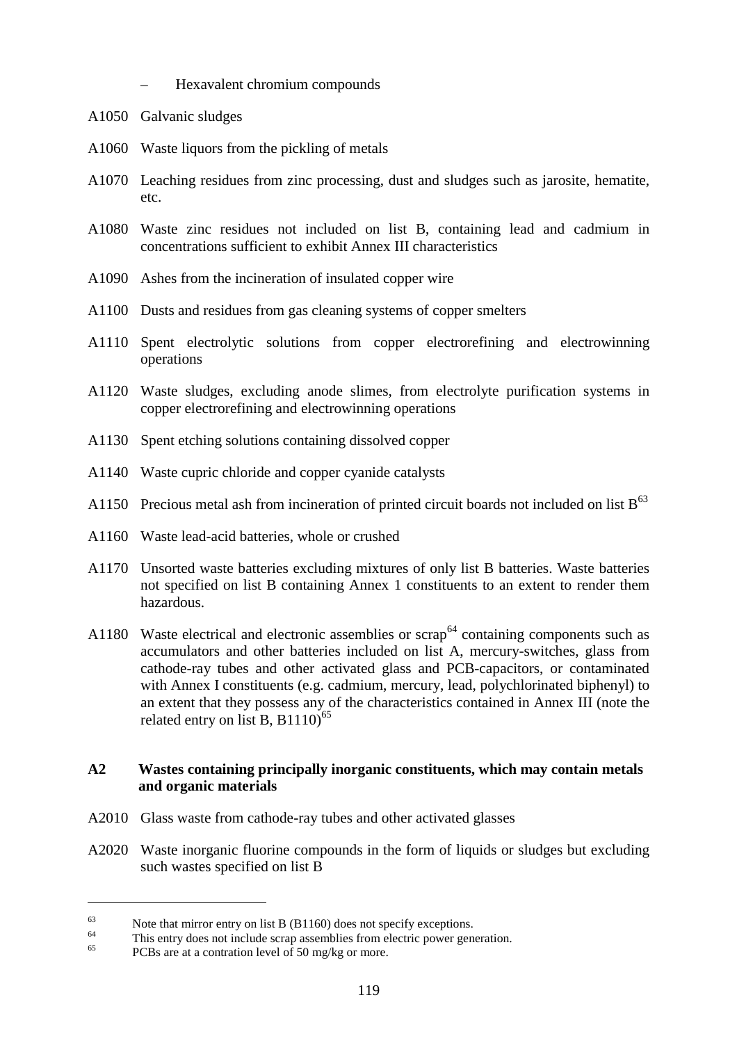- Hexavalent chromium compounds
- A1050 Galvanic sludges
- A1060 Waste liquors from the pickling of metals
- A1070 Leaching residues from zinc processing, dust and sludges such as jarosite, hematite, etc.
- A1080 Waste zinc residues not included on list B, containing lead and cadmium in concentrations sufficient to exhibit Annex III characteristics
- A1090 Ashes from the incineration of insulated copper wire
- A1100 Dusts and residues from gas cleaning systems of copper smelters
- A1110 Spent electrolytic solutions from copper electrorefining and electrowinning operations
- A1120 Waste sludges, excluding anode slimes, from electrolyte purification systems in copper electrorefining and electrowinning operations
- A1130 Spent etching solutions containing dissolved copper
- A1140 Waste cupric chloride and copper cyanide catalysts
- A1150 Precious metal ash from incineration of printed circuit boards not included on list  $B^{63}$
- A1160 Waste lead-acid batteries, whole or crushed
- A1170 Unsorted waste batteries excluding mixtures of only list B batteries. Waste batteries not specified on list B containing Annex 1 constituents to an extent to render them hazardous.
- A1180 Waste electrical and electronic assemblies or  $scrap<sup>64</sup>$  containing components such as accumulators and other batteries included on list A, mercury-switches, glass from cathode-ray tubes and other activated glass and PCB-capacitors, or contaminated with Annex I constituents (e.g. cadmium, mercury, lead, polychlorinated biphenyl) to an extent that they possess any of the characteristics contained in Annex III (note the related entry on list B,  $B1110$ <sup>65</sup>

# **A2 Wastes containing principally inorganic constituents, which may contain metals and organic materials**

- A2010 Glass waste from cathode-ray tubes and other activated glasses
- A2020 Waste inorganic fluorine compounds in the form of liquids or sludges but excluding such wastes specified on list B

<sup>&</sup>lt;sup>63</sup><br>
This entry does not include scrap assemblies from electric power generation.<br>
<sup>65</sup><br>
PCBs are at a contration level of 50 mg/kg or more.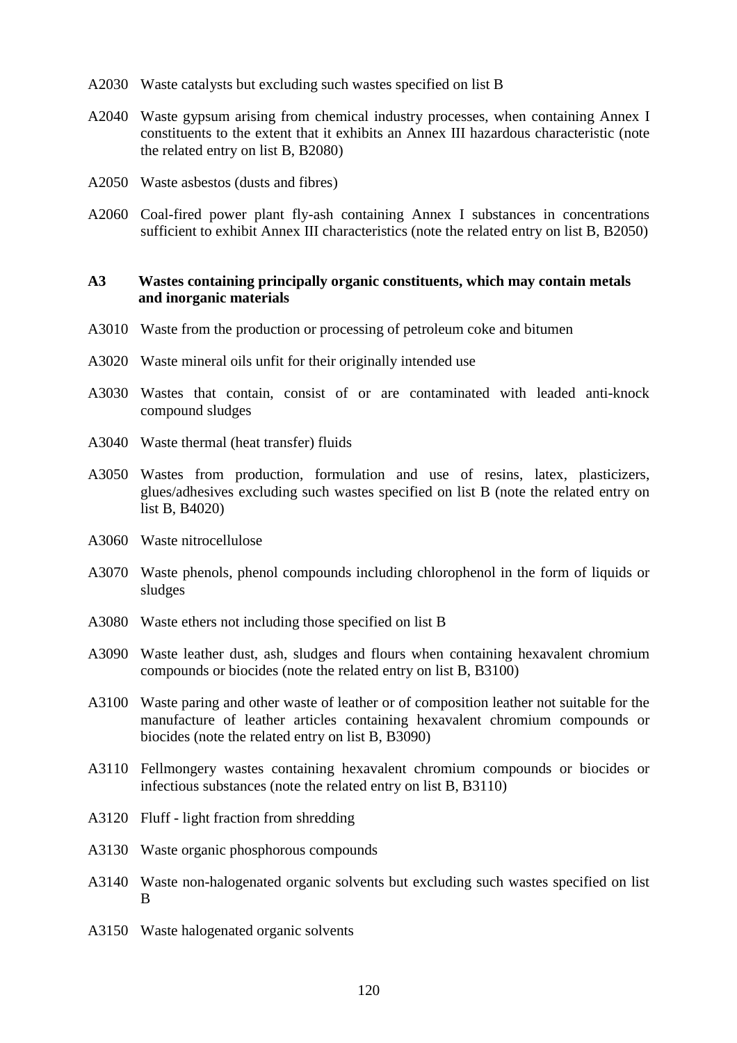- A2030 Waste catalysts but excluding such wastes specified on list B
- A2040 Waste gypsum arising from chemical industry processes, when containing Annex I constituents to the extent that it exhibits an Annex III hazardous characteristic (note the related entry on list B, B2080)
- A2050 Waste asbestos (dusts and fibres)
- A2060 Coal-fired power plant fly-ash containing Annex I substances in concentrations sufficient to exhibit Annex III characteristics (note the related entry on list B, B2050)

#### **A3 Wastes containing principally organic constituents, which may contain metals and inorganic materials**

- A3010 Waste from the production or processing of petroleum coke and bitumen
- A3020 Waste mineral oils unfit for their originally intended use
- A3030 Wastes that contain, consist of or are contaminated with leaded anti-knock compound sludges
- A3040 Waste thermal (heat transfer) fluids
- A3050 Wastes from production, formulation and use of resins, latex, plasticizers, glues/adhesives excluding such wastes specified on list B (note the related entry on list B, B4020)
- A3060 Waste nitrocellulose
- A3070 Waste phenols, phenol compounds including chlorophenol in the form of liquids or sludges
- A3080 Waste ethers not including those specified on list B
- A3090 Waste leather dust, ash, sludges and flours when containing hexavalent chromium compounds or biocides (note the related entry on list B, B3100)
- A3100 Waste paring and other waste of leather or of composition leather not suitable for the manufacture of leather articles containing hexavalent chromium compounds or biocides (note the related entry on list B, B3090)
- A3110 Fellmongery wastes containing hexavalent chromium compounds or biocides or infectious substances (note the related entry on list B, B3110)
- A3120 Fluff light fraction from shredding
- A3130 Waste organic phosphorous compounds
- A3140 Waste non-halogenated organic solvents but excluding such wastes specified on list B
- A3150 Waste halogenated organic solvents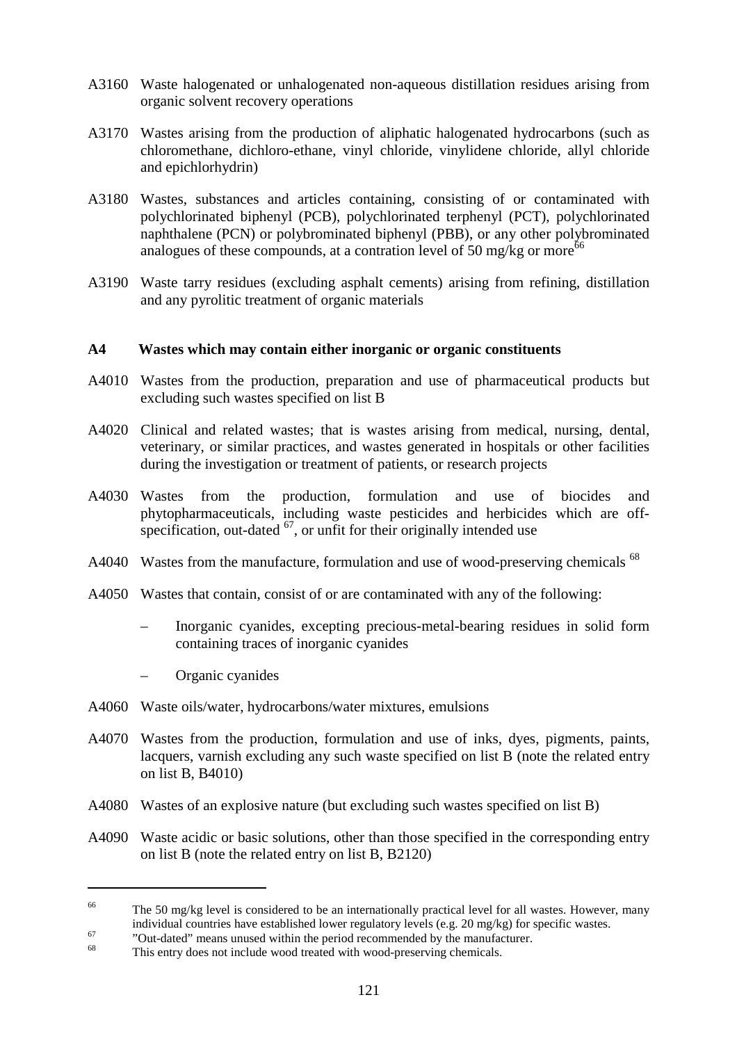- A3160 Waste halogenated or unhalogenated non-aqueous distillation residues arising from organic solvent recovery operations
- A3170 Wastes arising from the production of aliphatic halogenated hydrocarbons (such as chloromethane, dichloro-ethane, vinyl chloride, vinylidene chloride, allyl chloride and epichlorhydrin)
- A3180 Wastes, substances and articles containing, consisting of or contaminated with polychlorinated biphenyl (PCB), polychlorinated terphenyl (PCT), polychlorinated naphthalene (PCN) or polybrominated biphenyl (PBB), or any other polybrominated analogues of these compounds, at a contration level of 50 mg/kg or more<sup>66</sup>
- A3190 Waste tarry residues (excluding asphalt cements) arising from refining, distillation and any pyrolitic treatment of organic materials

## **A4 Wastes which may contain either inorganic or organic constituents**

- A4010 Wastes from the production, preparation and use of pharmaceutical products but excluding such wastes specified on list B
- A4020 Clinical and related wastes; that is wastes arising from medical, nursing, dental, veterinary, or similar practices, and wastes generated in hospitals or other facilities during the investigation or treatment of patients, or research projects
- A4030 Wastes from the production, formulation and use of biocides and phytopharmaceuticals, including waste pesticides and herbicides which are offspecification, out-dated  $^{67}$ , or unfit for their originally intended use
- A4040 Wastes from the manufacture, formulation and use of wood-preserving chemicals <sup>68</sup>
- A4050 Wastes that contain, consist of or are contaminated with any of the following:
	- Inorganic cyanides, excepting precious-metal-bearing residues in solid form containing traces of inorganic cyanides
	- Organic cyanides

- A4060 Waste oils/water, hydrocarbons/water mixtures, emulsions
- A4070 Wastes from the production, formulation and use of inks, dyes, pigments, paints, lacquers, varnish excluding any such waste specified on list B (note the related entry on list B, B4010)
- A4080 Wastes of an explosive nature (but excluding such wastes specified on list B)
- A4090 Waste acidic or basic solutions, other than those specified in the corresponding entry on list B (note the related entry on list B, B2120)

<sup>&</sup>lt;sup>66</sup> The 50 mg/kg level is considered to be an internationally practical level for all wastes. However, many individual countries have established lower regulatory levels (e.g. 20 mg/kg) for specific wastes.<br>
"Out-dated" means unused within the period recommended by the manufacturer.<br>
This entry does not include wood treated with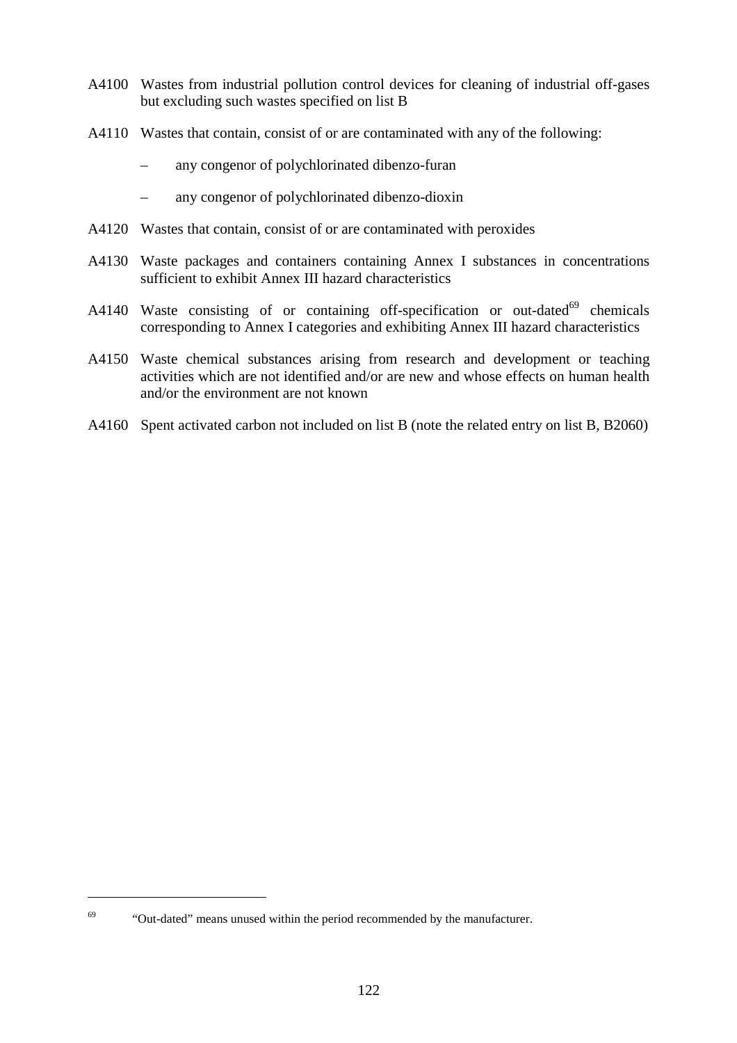- A4100 Wastes from industrial pollution control devices for cleaning of industrial off-gases but excluding such wastes specified on list B
- A4110 Wastes that contain, consist of or are contaminated with any of the following:
	- any congenor of polychlorinated dibenzo-furan
	- any congenor of polychlorinated dibenzo-dioxin
- A4120 Wastes that contain, consist of or are contaminated with peroxides
- A4130 Waste packages and containers containing Annex I substances in concentrations sufficient to exhibit Annex III hazard characteristics
- A4140 Waste consisting of or containing off-specification or out-dated $^{69}$  chemicals corresponding to Annex I categories and exhibiting Annex III hazard characteristics
- A4150 Waste chemical substances arising from research and development or teaching activities which are not identified and/or are new and whose effects on human health and/or the environment are not known
- A4160 Spent activated carbon not included on list B (note the related entry on list B, B2060)

 $\overline{a}$ 

<sup>&</sup>lt;sup>69</sup> "Out-dated" means unused within the period recommended by the manufacturer.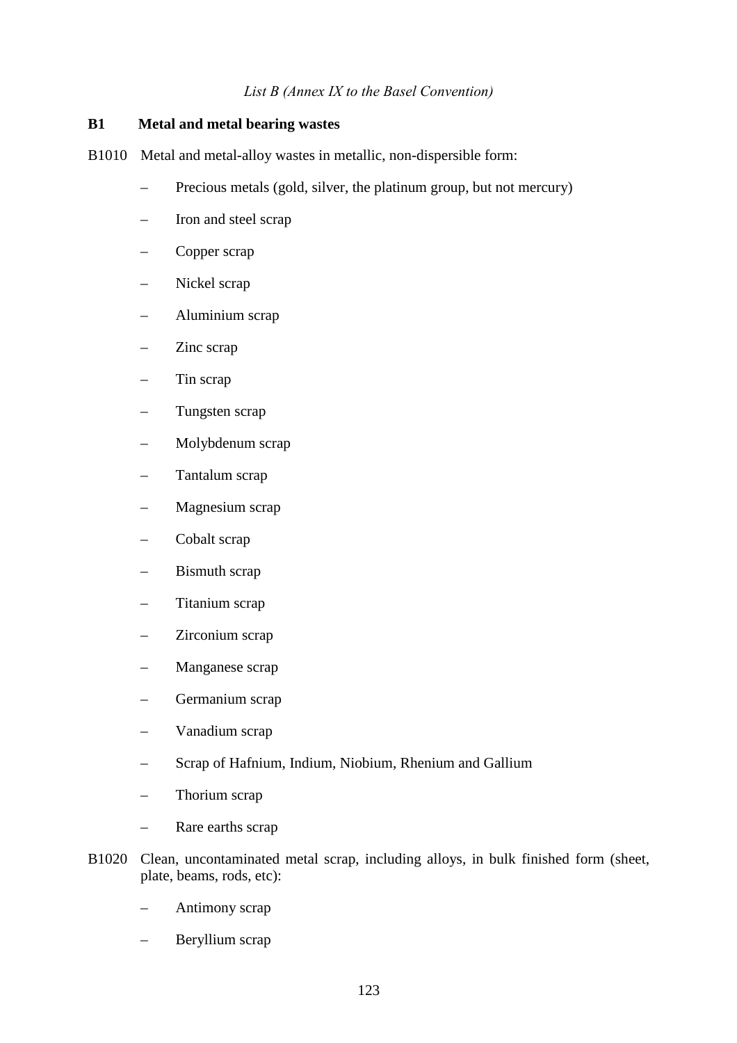## *List B (Annex IX to the Basel Convention)*

# **B1 Metal and metal bearing wastes**

- B1010 Metal and metal-alloy wastes in metallic, non-dispersible form:
	- Precious metals (gold, silver, the platinum group, but not mercury)
	- Iron and steel scrap
	- Copper scrap
	- Nickel scrap
	- Aluminium scrap
	- Zinc scrap
	- Tin scrap
	- Tungsten scrap
	- Molybdenum scrap
	- Tantalum scrap
	- Magnesium scrap
	- Cobalt scrap
	- Bismuth scrap
	- Titanium scrap
	- Zirconium scrap
	- Manganese scrap
	- Germanium scrap
	- Vanadium scrap
	- Scrap of Hafnium, Indium, Niobium, Rhenium and Gallium
	- Thorium scrap
	- Rare earths scrap
- B1020 Clean, uncontaminated metal scrap, including alloys, in bulk finished form (sheet, plate, beams, rods, etc):
	- Antimony scrap
	- Beryllium scrap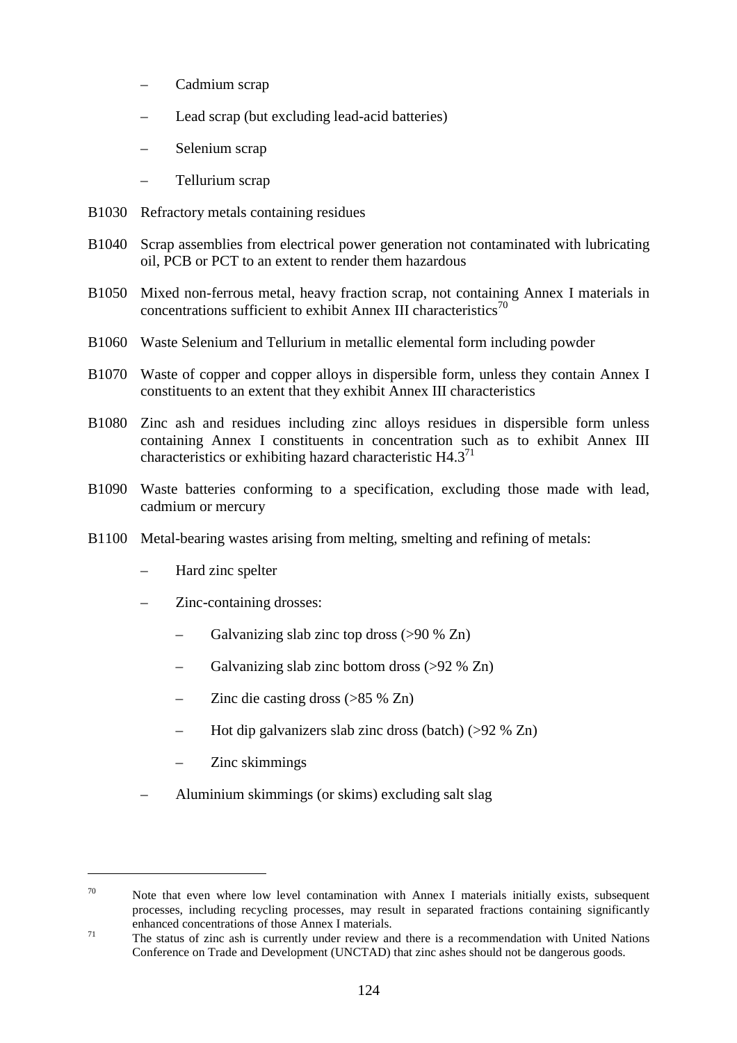- Cadmium scrap
- Lead scrap (but excluding lead-acid batteries)
- Selenium scrap
- Tellurium scrap
- B1030 Refractory metals containing residues
- B1040 Scrap assemblies from electrical power generation not contaminated with lubricating oil, PCB or PCT to an extent to render them hazardous
- B1050 Mixed non-ferrous metal, heavy fraction scrap, not containing Annex I materials in concentrations sufficient to exhibit Annex III characteristics<sup>70</sup>
- B1060 Waste Selenium and Tellurium in metallic elemental form including powder
- B1070 Waste of copper and copper alloys in dispersible form, unless they contain Annex I constituents to an extent that they exhibit Annex III characteristics
- B1080 Zinc ash and residues including zinc alloys residues in dispersible form unless containing Annex I constituents in concentration such as to exhibit Annex III characteristics or exhibiting hazard characteristic  $H4.3<sup>71</sup>$
- B1090 Waste batteries conforming to a specification, excluding those made with lead, cadmium or mercury
- B1100 Metal-bearing wastes arising from melting, smelting and refining of metals:
	- Hard zinc spelter
	- Zinc-containing drosses:
		- Galvanizing slab zinc top dross (>90 % Zn)
		- Galvanizing slab zinc bottom dross (>92 % Zn)
		- Zinc die casting dross (>85 % Zn)
		- Hot dip galvanizers slab zinc dross (batch) (>92 % Zn)
		- Zinc skimmings

 $\overline{a}$ 

– Aluminium skimmings (or skims) excluding salt slag

 $70$  Note that even where low level contamination with Annex I materials initially exists, subsequent processes, including recycling processes, may result in separated fractions containing significantly

enhanced concentrations of those Annex I materials.<br><sup>71</sup> The status of zinc ash is currently under review and there is a recommendation with United Nations Conference on Trade and Development (UNCTAD) that zinc ashes should not be dangerous goods.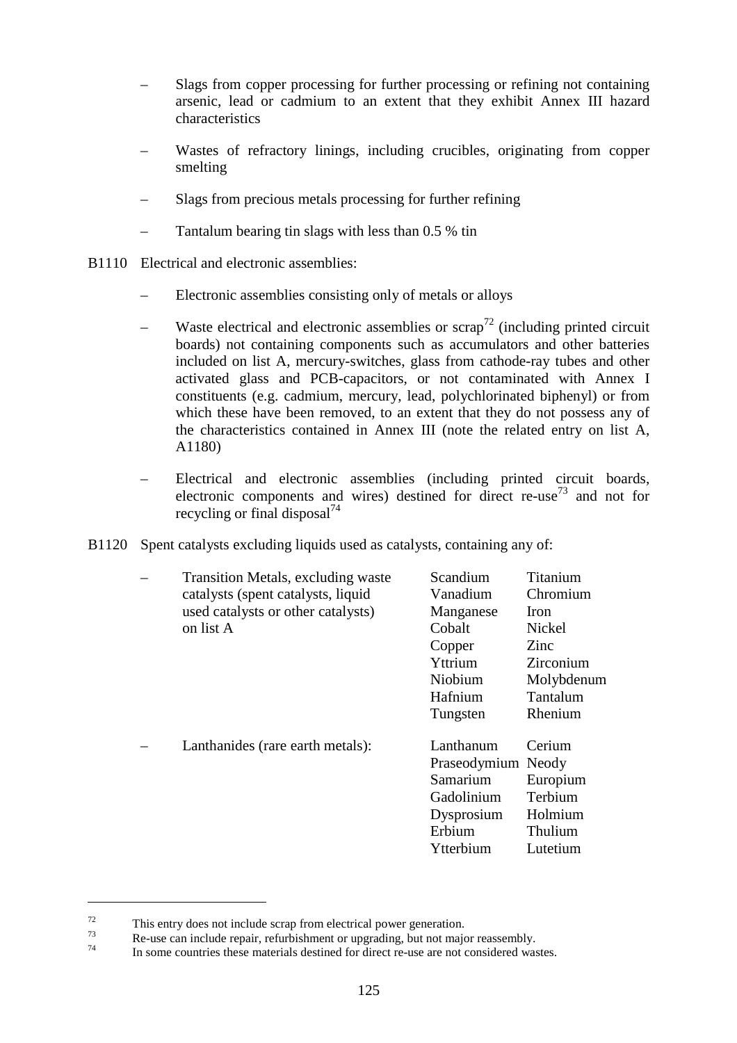- Slags from copper processing for further processing or refining not containing arsenic, lead or cadmium to an extent that they exhibit Annex III hazard characteristics
- Wastes of refractory linings, including crucibles, originating from copper smelting
- Slags from precious metals processing for further refining
- Tantalum bearing tin slags with less than 0.5 % tin
- B1110 Electrical and electronic assemblies:
	- Electronic assemblies consisting only of metals or alloys
	- Waste electrical and electronic assemblies or  $\text{scrap}^{\frac{72}{}}$  (including printed circuit boards) not containing components such as accumulators and other batteries included on list A, mercury-switches, glass from cathode-ray tubes and other activated glass and PCB-capacitors, or not contaminated with Annex I constituents (e.g. cadmium, mercury, lead, polychlorinated biphenyl) or from which these have been removed, to an extent that they do not possess any of the characteristics contained in Annex III (note the related entry on list A, A1180)
	- Electrical and electronic assemblies (including printed circuit boards, electronic components and wires) destined for direct re-use<sup>73</sup> and not for recycling or final disposal<sup>74</sup>
- B1120 Spent catalysts excluding liquids used as catalysts, containing any of:

| Transition Metals, excluding waste | Scandium           | Titanium    |
|------------------------------------|--------------------|-------------|
| catalysts (spent catalysts, liquid | Vanadium           | Chromium    |
| used catalysts or other catalysts) | Manganese          | <b>Iron</b> |
| on list A                          | Cobalt             | Nickel      |
|                                    | Copper             | Zinc        |
|                                    | Yttrium            | Zirconium   |
|                                    | Niobium            | Molybdenum  |
|                                    | Hafnium            | Tantalum    |
|                                    | Tungsten           | Rhenium     |
| Lanthanides (rare earth metals):   | Lanthanum          | Cerium      |
|                                    | Praseodymium Neody |             |
|                                    | Samarium           | Europium    |
|                                    | Gadolinium         | Terbium     |
|                                    | Dysprosium         | Holmium     |
|                                    | Erbium             | Thulium     |
|                                    | Ytterbium          | Lutetium    |
|                                    |                    |             |

<sup>&</sup>lt;sup>72</sup><br>This entry does not include scrap from electrical power generation.<br>Re-use can include repair, refurbishment or upgrading, but not major reassembly.<br>In some countries these materials destined for direct re-use are no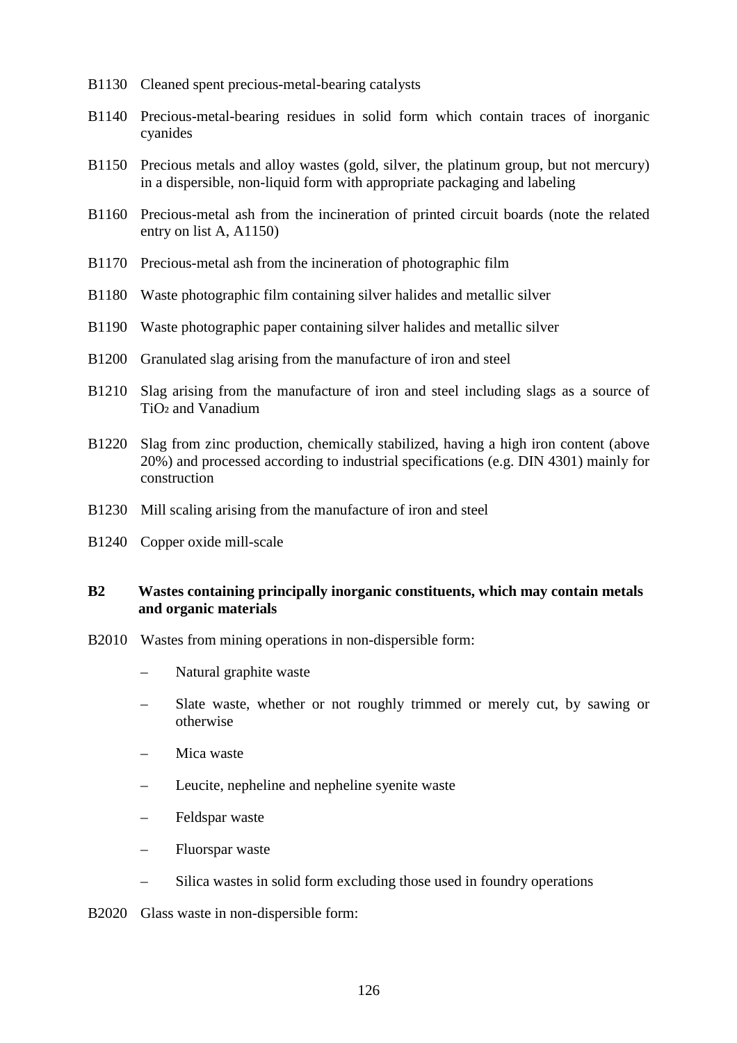- B1130 Cleaned spent precious-metal-bearing catalysts
- B1140 Precious-metal-bearing residues in solid form which contain traces of inorganic cyanides
- B1150 Precious metals and alloy wastes (gold, silver, the platinum group, but not mercury) in a dispersible, non-liquid form with appropriate packaging and labeling
- B1160 Precious-metal ash from the incineration of printed circuit boards (note the related entry on list A, A1150)
- B1170 Precious-metal ash from the incineration of photographic film
- B1180 Waste photographic film containing silver halides and metallic silver
- B1190 Waste photographic paper containing silver halides and metallic silver
- B1200 Granulated slag arising from the manufacture of iron and steel
- B1210 Slag arising from the manufacture of iron and steel including slags as a source of  $TiO<sub>2</sub>$  and Vanadium
- B1220 Slag from zinc production, chemically stabilized, having a high iron content (above 20%) and processed according to industrial specifications (e.g. DIN 4301) mainly for construction
- B1230 Mill scaling arising from the manufacture of iron and steel
- B1240 Copper oxide mill-scale

# **B2 Wastes containing principally inorganic constituents, which may contain metals and organic materials**

- B2010 Wastes from mining operations in non-dispersible form:
	- Natural graphite waste
	- Slate waste, whether or not roughly trimmed or merely cut, by sawing or otherwise
	- Mica waste
	- Leucite, nepheline and nepheline syenite waste
	- Feldspar waste
	- Fluorspar waste
	- Silica wastes in solid form excluding those used in foundry operations
- B2020 Glass waste in non-dispersible form: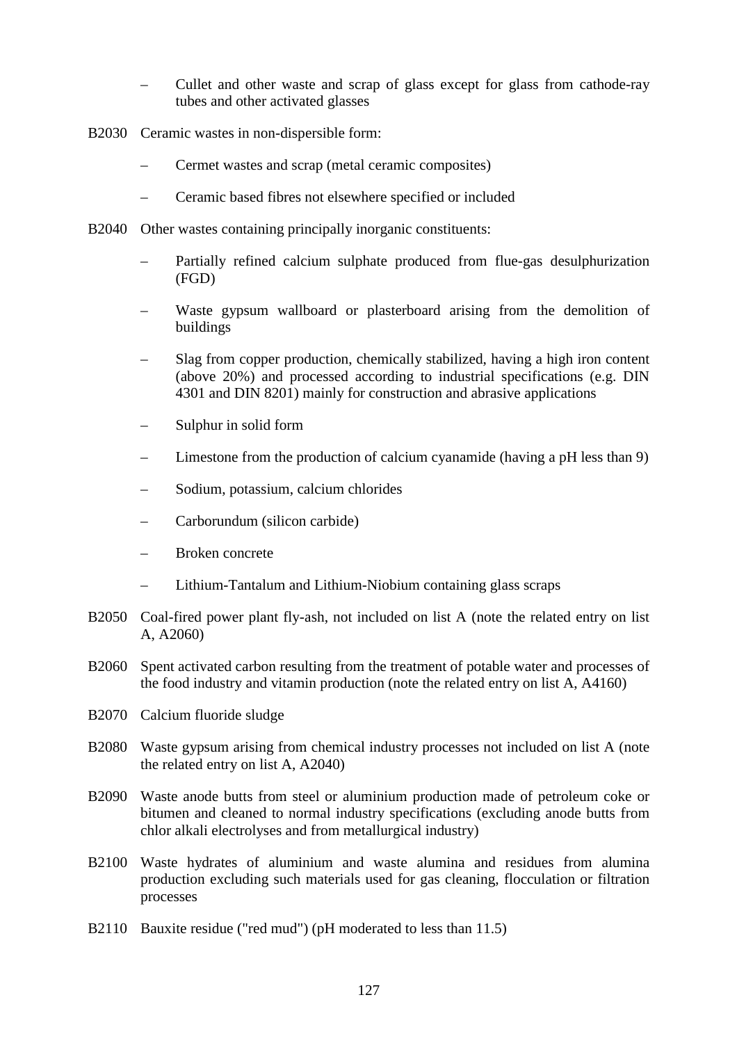- Cullet and other waste and scrap of glass except for glass from cathode-ray tubes and other activated glasses
- B2030 Ceramic wastes in non-dispersible form:
	- Cermet wastes and scrap (metal ceramic composites)
	- Ceramic based fibres not elsewhere specified or included
- B2040 Other wastes containing principally inorganic constituents:
	- Partially refined calcium sulphate produced from flue-gas desulphurization (FGD)
	- Waste gypsum wallboard or plasterboard arising from the demolition of buildings
	- Slag from copper production, chemically stabilized, having a high iron content (above 20%) and processed according to industrial specifications (e.g. DIN 4301 and DIN 8201) mainly for construction and abrasive applications
	- Sulphur in solid form
	- Limestone from the production of calcium cyanamide (having a pH less than 9)
	- Sodium, potassium, calcium chlorides
	- Carborundum (silicon carbide)
	- Broken concrete
	- Lithium-Tantalum and Lithium-Niobium containing glass scraps
- B2050 Coal-fired power plant fly-ash, not included on list A (note the related entry on list A, A2060)
- B2060 Spent activated carbon resulting from the treatment of potable water and processes of the food industry and vitamin production (note the related entry on list A, A4160)
- B2070 Calcium fluoride sludge
- B2080 Waste gypsum arising from chemical industry processes not included on list A (note the related entry on list A, A2040)
- B2090 Waste anode butts from steel or aluminium production made of petroleum coke or bitumen and cleaned to normal industry specifications (excluding anode butts from chlor alkali electrolyses and from metallurgical industry)
- B2100 Waste hydrates of aluminium and waste alumina and residues from alumina production excluding such materials used for gas cleaning, flocculation or filtration processes
- B2110 Bauxite residue ("red mud") (pH moderated to less than 11.5)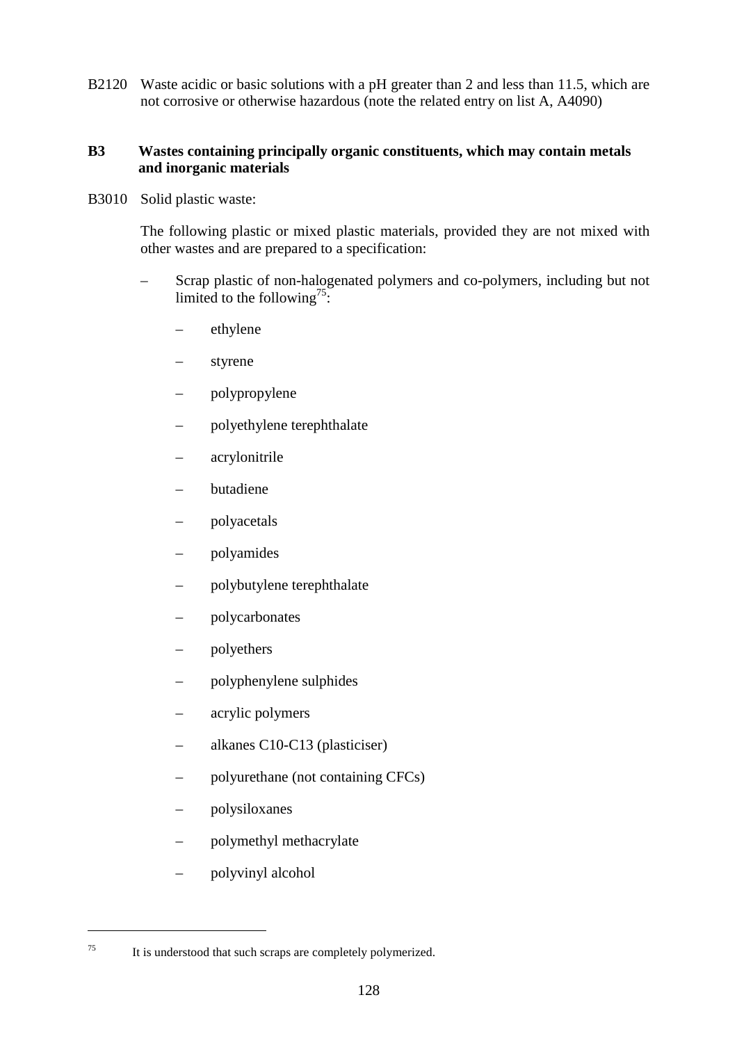B2120 Waste acidic or basic solutions with a pH greater than 2 and less than 11.5, which are not corrosive or otherwise hazardous (note the related entry on list A, A4090)

# **B3 Wastes containing principally organic constituents, which may contain metals and inorganic materials**

B3010 Solid plastic waste:

The following plastic or mixed plastic materials, provided they are not mixed with other wastes and are prepared to a specification:

- Scrap plastic of non-halogenated polymers and co-polymers, including but not limited to the following<sup>75</sup>:
	- ethylene
	- styrene
	- polypropylene
	- polyethylene terephthalate
	- acrylonitrile
	- butadiene
	- polyacetals
	- polyamides
	- polybutylene terephthalate
	- polycarbonates
	- polyethers
	- polyphenylene sulphides
	- acrylic polymers
	- alkanes C10-C13 (plasticiser)
	- polyurethane (not containing CFCs)
	- polysiloxanes
	- polymethyl methacrylate
	- polyvinyl alcohol

<sup>75</sup> It is understood that such scraps are completely polymerized.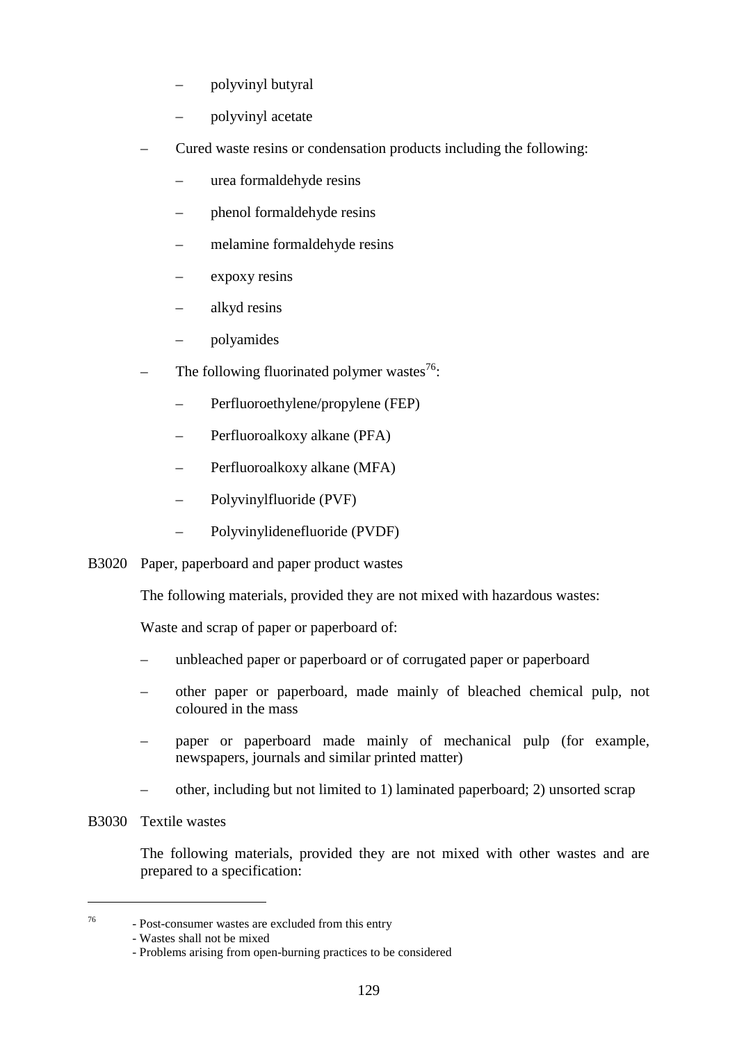- polyvinyl butyral
- polyvinyl acetate
- Cured waste resins or condensation products including the following:
	- urea formaldehyde resins
	- phenol formaldehyde resins
	- melamine formaldehyde resins
	- expoxy resins
	- alkyd resins
	- polyamides
- The following fluorinated polymer wastes $^{76}$ :
	- Perfluoroethylene/propylene (FEP)
	- Perfluoroalkoxy alkane (PFA)
	- Perfluoroalkoxy alkane (MFA)
	- Polyvinylfluoride (PVF)
	- Polyvinylidenefluoride (PVDF)
- B3020 Paper, paperboard and paper product wastes

The following materials, provided they are not mixed with hazardous wastes:

Waste and scrap of paper or paperboard of:

- unbleached paper or paperboard or of corrugated paper or paperboard
- other paper or paperboard, made mainly of bleached chemical pulp, not coloured in the mass
- paper or paperboard made mainly of mechanical pulp (for example, newspapers, journals and similar printed matter)
- other, including but not limited to 1) laminated paperboard; 2) unsorted scrap
- B3030 Textile wastes

 $\overline{a}$ 

The following materials, provided they are not mixed with other wastes and are prepared to a specification:

<sup>76</sup> - Post-consumer wastes are excluded from this entry

<sup>-</sup> Wastes shall not be mixed

<sup>-</sup> Problems arising from open-burning practices to be considered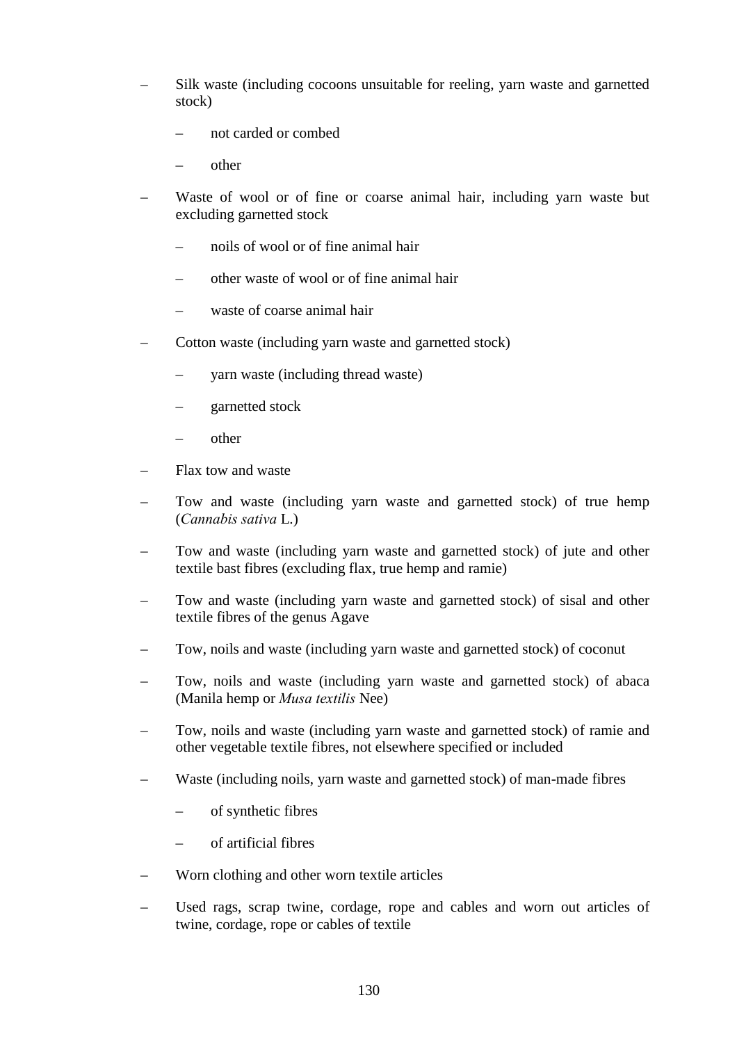- Silk waste (including cocoons unsuitable for reeling, yarn waste and garnetted stock)
	- not carded or combed
	- other
- Waste of wool or of fine or coarse animal hair, including yarn waste but excluding garnetted stock
	- noils of wool or of fine animal hair
	- other waste of wool or of fine animal hair
	- waste of coarse animal hair
- Cotton waste (including yarn waste and garnetted stock)
	- yarn waste (including thread waste)
	- garnetted stock
	- other
- Flax tow and waste
- Tow and waste (including yarn waste and garnetted stock) of true hemp (*Cannabis sativa* L.)
- Tow and waste (including yarn waste and garnetted stock) of jute and other textile bast fibres (excluding flax, true hemp and ramie)
- Tow and waste (including yarn waste and garnetted stock) of sisal and other textile fibres of the genus Agave
- Tow, noils and waste (including yarn waste and garnetted stock) of coconut
- Tow, noils and waste (including yarn waste and garnetted stock) of abaca (Manila hemp or *Musa textilis* Nee)
- Tow, noils and waste (including yarn waste and garnetted stock) of ramie and other vegetable textile fibres, not elsewhere specified or included
- Waste (including noils, yarn waste and garnetted stock) of man-made fibres
	- of synthetic fibres
	- of artificial fibres
- Worn clothing and other worn textile articles
- Used rags, scrap twine, cordage, rope and cables and worn out articles of twine, cordage, rope or cables of textile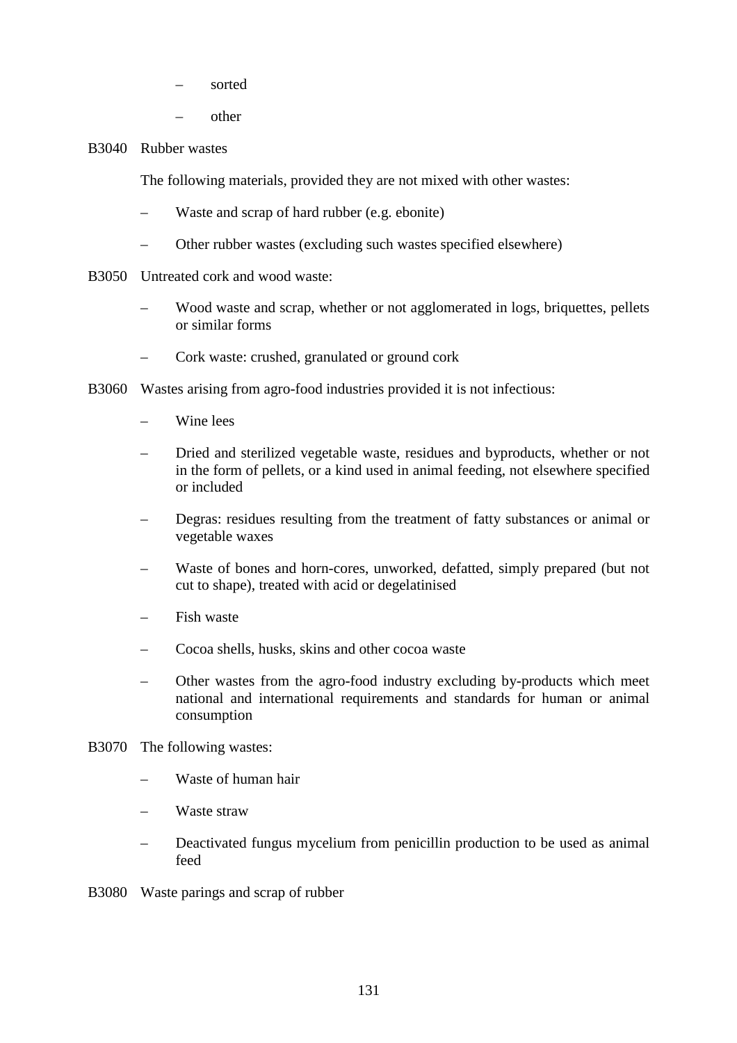- sorted
- other

## B3040 Rubber wastes

The following materials, provided they are not mixed with other wastes:

- Waste and scrap of hard rubber (e.g. ebonite)
- Other rubber wastes (excluding such wastes specified elsewhere)
- B3050 Untreated cork and wood waste:
	- Wood waste and scrap, whether or not agglomerated in logs, briquettes, pellets or similar forms
	- Cork waste: crushed, granulated or ground cork
- B3060 Wastes arising from agro-food industries provided it is not infectious:
	- Wine lees
	- Dried and sterilized vegetable waste, residues and byproducts, whether or not in the form of pellets, or a kind used in animal feeding, not elsewhere specified or included
	- Degras: residues resulting from the treatment of fatty substances or animal or vegetable waxes
	- Waste of bones and horn-cores, unworked, defatted, simply prepared (but not cut to shape), treated with acid or degelatinised
	- Fish waste
	- Cocoa shells, husks, skins and other cocoa waste
	- Other wastes from the agro-food industry excluding by-products which meet national and international requirements and standards for human or animal consumption
- B3070 The following wastes:
	- Waste of human hair
	- Waste straw
	- Deactivated fungus mycelium from penicillin production to be used as animal feed
- B3080 Waste parings and scrap of rubber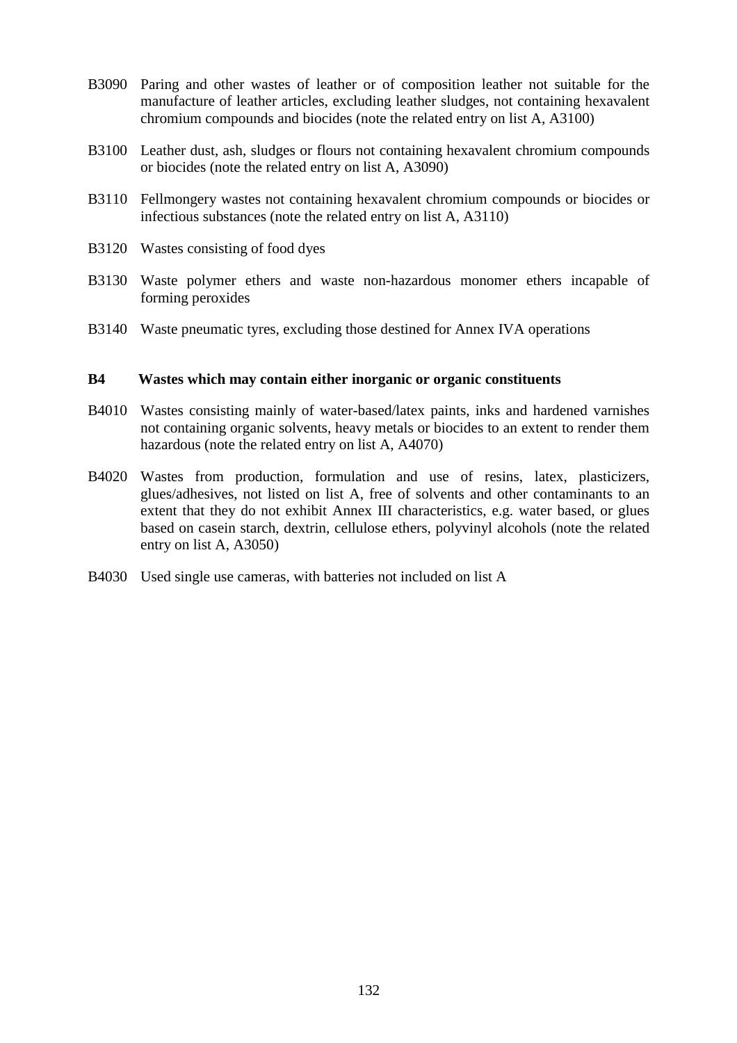- B3090 Paring and other wastes of leather or of composition leather not suitable for the manufacture of leather articles, excluding leather sludges, not containing hexavalent chromium compounds and biocides (note the related entry on list A, A3100)
- B3100 Leather dust, ash, sludges or flours not containing hexavalent chromium compounds or biocides (note the related entry on list A, A3090)
- B3110 Fellmongery wastes not containing hexavalent chromium compounds or biocides or infectious substances (note the related entry on list A, A3110)
- B3120 Wastes consisting of food dyes
- B3130 Waste polymer ethers and waste non-hazardous monomer ethers incapable of forming peroxides
- B3140 Waste pneumatic tyres, excluding those destined for Annex IVA operations

#### **B4 Wastes which may contain either inorganic or organic constituents**

- B4010 Wastes consisting mainly of water-based/latex paints, inks and hardened varnishes not containing organic solvents, heavy metals or biocides to an extent to render them hazardous (note the related entry on list A, A4070)
- B4020 Wastes from production, formulation and use of resins, latex, plasticizers, glues/adhesives, not listed on list A, free of solvents and other contaminants to an extent that they do not exhibit Annex III characteristics, e.g. water based, or glues based on casein starch, dextrin, cellulose ethers, polyvinyl alcohols (note the related entry on list A, A3050)
- B4030 Used single use cameras, with batteries not included on list A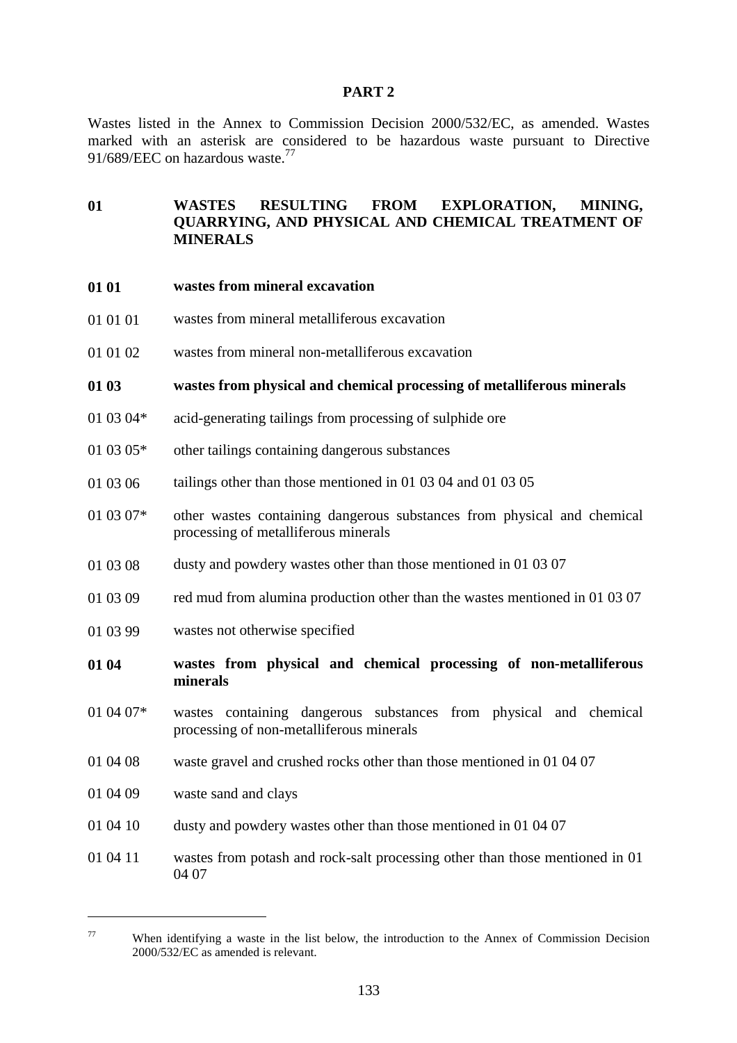#### **PART 2**

Wastes listed in the Annex to Commission Decision 2000/532/EC, as amended. Wastes marked with an asterisk are considered to be hazardous waste pursuant to Directive 91/689/EEC on hazardous waste.<sup>77</sup>

# **01 WASTES RESULTING FROM EXPLORATION, MINING, QUARRYING, AND PHYSICAL AND CHEMICAL TREATMENT OF MINERALS**

- **01 01 wastes from mineral excavation**
- 01 01 01 wastes from mineral metalliferous excavation
- 01 01 02 wastes from mineral non-metalliferous excavation

#### **01 03 wastes from physical and chemical processing of metalliferous minerals**

- 01 03 04\* acid-generating tailings from processing of sulphide ore
- 01 03 05\* other tailings containing dangerous substances
- 01 03 06 tailings other than those mentioned in 01 03 04 and 01 03 05
- 01 03 07\* other wastes containing dangerous substances from physical and chemical processing of metalliferous minerals
- 01 03 08 dusty and powdery wastes other than those mentioned in 01 03 07
- 01 03 09 red mud from alumina production other than the wastes mentioned in 01 03 07
- 01 03 99 wastes not otherwise specified
- **01 04 wastes from physical and chemical processing of non-metalliferous minerals**
- 01 04 07\* wastes containing dangerous substances from physical and chemical processing of non-metalliferous minerals
- 01 04 08 waste gravel and crushed rocks other than those mentioned in 01 04 07
- 01 04 09 waste sand and clays

- 01 04 10 dusty and powdery wastes other than those mentioned in 01 04 07
- 01 04 11 wastes from potash and rock-salt processing other than those mentioned in 01 04 07

<sup>77</sup> When identifying a waste in the list below, the introduction to the Annex of Commission Decision 2000/532/EC as amended is relevant.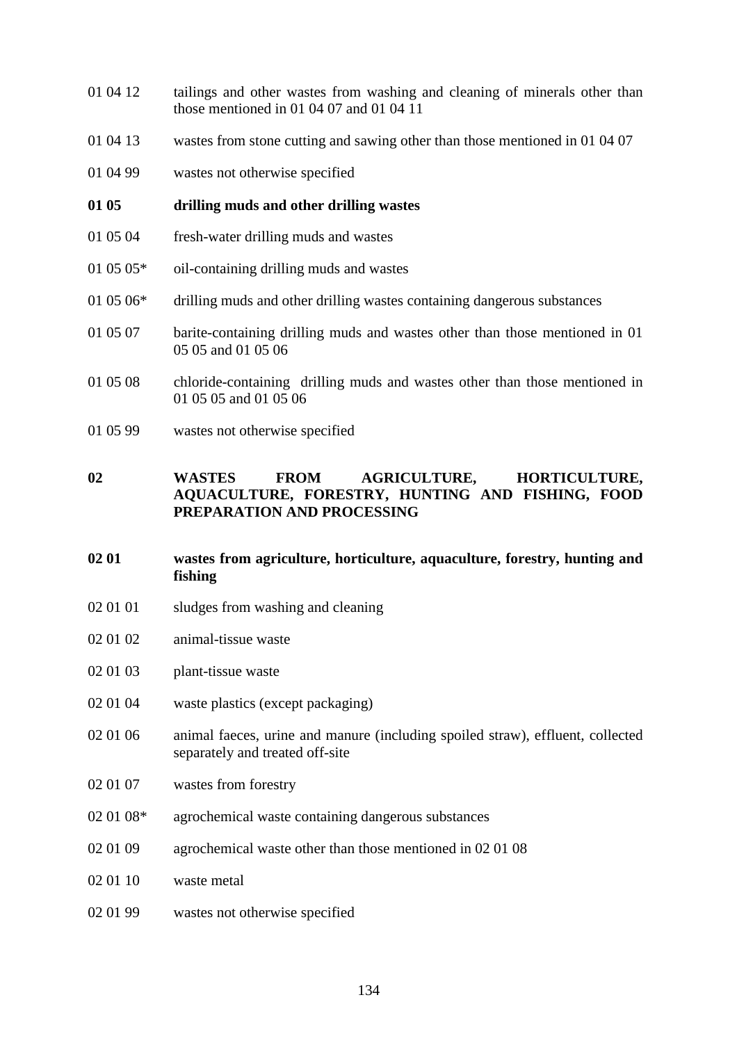- 01 04 12 tailings and other wastes from washing and cleaning of minerals other than those mentioned in 01 04 07 and 01 04 11
- 01 04 13 wastes from stone cutting and sawing other than those mentioned in 01 04 07
- 01 04 99 wastes not otherwise specified
- **01 05 drilling muds and other drilling wastes**
- 01 05 04 fresh-water drilling muds and wastes
- 01 05 05\* oil-containing drilling muds and wastes
- 01 05 06\* drilling muds and other drilling wastes containing dangerous substances
- 01 05 07 barite-containing drilling muds and wastes other than those mentioned in 01 05 05 and 01 05 06
- 01 05 08 chloride-containing drilling muds and wastes other than those mentioned in 01 05 05 and 01 05 06
- 01 05 99 wastes not otherwise specified

# **02 WASTES FROM AGRICULTURE, HORTICULTURE, AQUACULTURE, FORESTRY, HUNTING AND FISHING, FOOD PREPARATION AND PROCESSING**

- **02 01 wastes from agriculture, horticulture, aquaculture, forestry, hunting and fishing**
- 02 01 01 sludges from washing and cleaning
- 02 01 02 animal-tissue waste
- 02 01 03 plant-tissue waste
- 02 01 04 waste plastics (except packaging)
- 02 01 06 animal faeces, urine and manure (including spoiled straw), effluent, collected separately and treated off-site
- 02 01 07 wastes from forestry
- 02 01 08\* agrochemical waste containing dangerous substances
- 02 01 09 agrochemical waste other than those mentioned in 02 01 08
- 02 01 10 waste metal
- 02 01 99 wastes not otherwise specified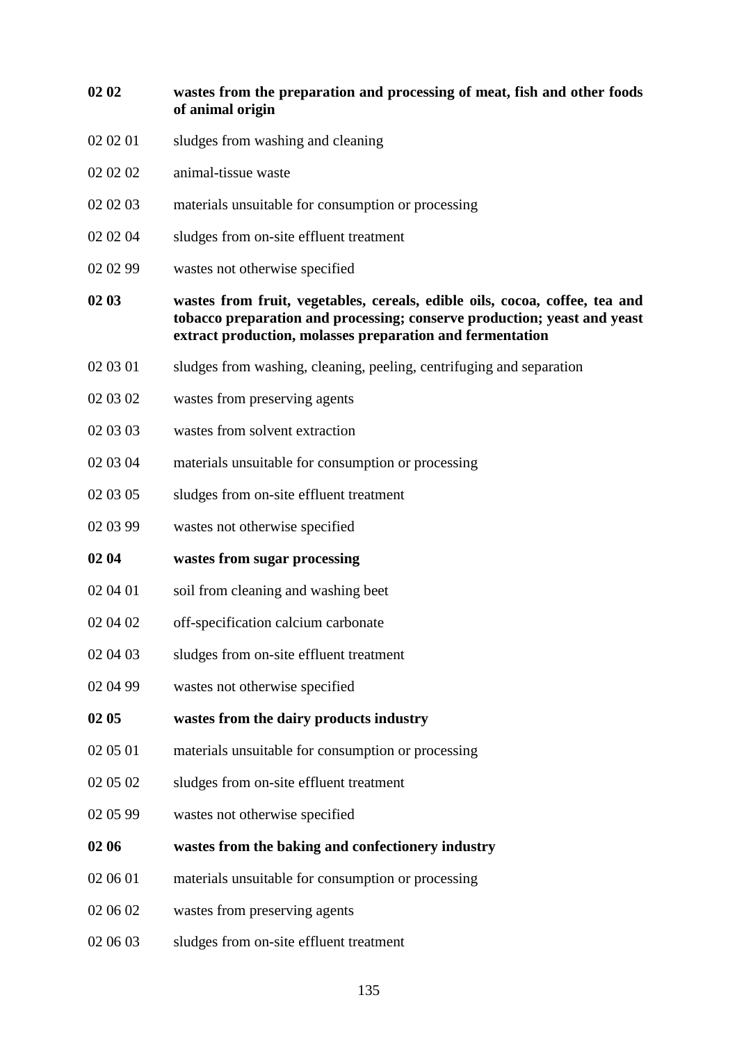| 02 02    | wastes from the preparation and processing of meat, fish and other foods<br>of animal origin                                                                                                                         |
|----------|----------------------------------------------------------------------------------------------------------------------------------------------------------------------------------------------------------------------|
| 02 02 01 | sludges from washing and cleaning                                                                                                                                                                                    |
| 02 02 02 | animal-tissue waste                                                                                                                                                                                                  |
| 02 02 03 | materials unsuitable for consumption or processing                                                                                                                                                                   |
| 02 02 04 | sludges from on-site effluent treatment                                                                                                                                                                              |
| 02 02 99 | wastes not otherwise specified                                                                                                                                                                                       |
| 02 03    | wastes from fruit, vegetables, cereals, edible oils, cocoa, coffee, tea and<br>tobacco preparation and processing; conserve production; yeast and yeast<br>extract production, molasses preparation and fermentation |
| 02 03 01 | sludges from washing, cleaning, peeling, centrifuging and separation                                                                                                                                                 |
| 02 03 02 | wastes from preserving agents                                                                                                                                                                                        |
| 02 03 03 | wastes from solvent extraction                                                                                                                                                                                       |
| 02 03 04 | materials unsuitable for consumption or processing                                                                                                                                                                   |
| 02 03 05 | sludges from on-site effluent treatment                                                                                                                                                                              |
| 02 03 99 | wastes not otherwise specified                                                                                                                                                                                       |
| 02 04    | wastes from sugar processing                                                                                                                                                                                         |
| 02 04 01 | soil from cleaning and washing beet                                                                                                                                                                                  |
| 02 04 02 | off-specification calcium carbonate                                                                                                                                                                                  |
| 02 04 03 | sludges from on-site effluent treatment                                                                                                                                                                              |
| 02 04 99 | wastes not otherwise specified                                                                                                                                                                                       |
| 02 05    | wastes from the dairy products industry                                                                                                                                                                              |
| 02 05 01 | materials unsuitable for consumption or processing                                                                                                                                                                   |
| 02 05 02 | sludges from on-site effluent treatment                                                                                                                                                                              |
| 02 05 99 | wastes not otherwise specified                                                                                                                                                                                       |
| 02 06    | wastes from the baking and confectionery industry                                                                                                                                                                    |
| 02 06 01 | materials unsuitable for consumption or processing                                                                                                                                                                   |
| 02 06 02 | wastes from preserving agents                                                                                                                                                                                        |
| 02 06 03 | sludges from on-site effluent treatment                                                                                                                                                                              |
|          |                                                                                                                                                                                                                      |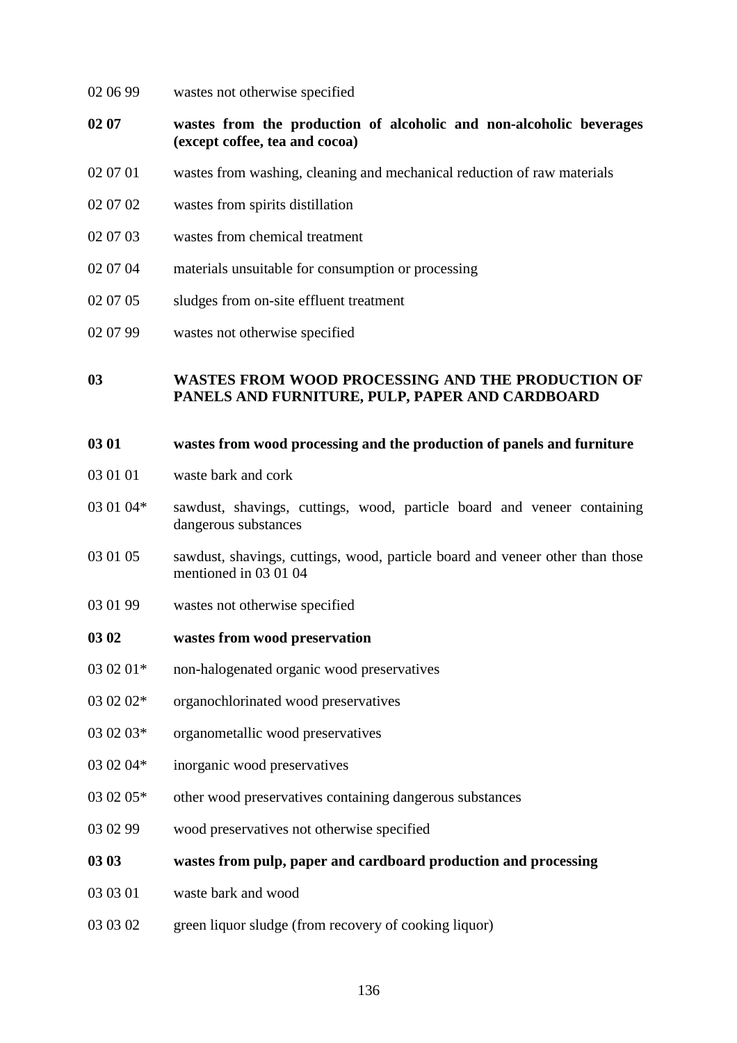- 02 06 99 wastes not otherwise specified
- **02 07 wastes from the production of alcoholic and non-alcoholic beverages (except coffee, tea and cocoa)**
- 02 07 01 wastes from washing, cleaning and mechanical reduction of raw materials
- 02 07 02 wastes from spirits distillation
- 02 07 03 wastes from chemical treatment
- 02 07 04 materials unsuitable for consumption or processing
- 02 07 05 sludges from on-site effluent treatment
- 02 07 99 wastes not otherwise specified

# **03 WASTES FROM WOOD PROCESSING AND THE PRODUCTION OF PANELS AND FURNITURE, PULP, PAPER AND CARDBOARD**

#### **03 01 wastes from wood processing and the production of panels and furniture**

- 03 01 01 waste bark and cork
- 03 01 04\* sawdust, shavings, cuttings, wood, particle board and veneer containing dangerous substances
- 03 01 05 sawdust, shavings, cuttings, wood, particle board and veneer other than those mentioned in 03 01 04
- 03 01 99 wastes not otherwise specified

#### **03 02 wastes from wood preservation**

- 03 02 01\* non-halogenated organic wood preservatives
- 03 02 02\* organochlorinated wood preservatives
- 03 02 03\* organometallic wood preservatives
- 03 02 04\* inorganic wood preservatives
- 03 02 05\* other wood preservatives containing dangerous substances
- 03 02 99 wood preservatives not otherwise specified
- **03 03 wastes from pulp, paper and cardboard production and processing**
- 03 03 01 waste bark and wood
- 03 03 02 green liquor sludge (from recovery of cooking liquor)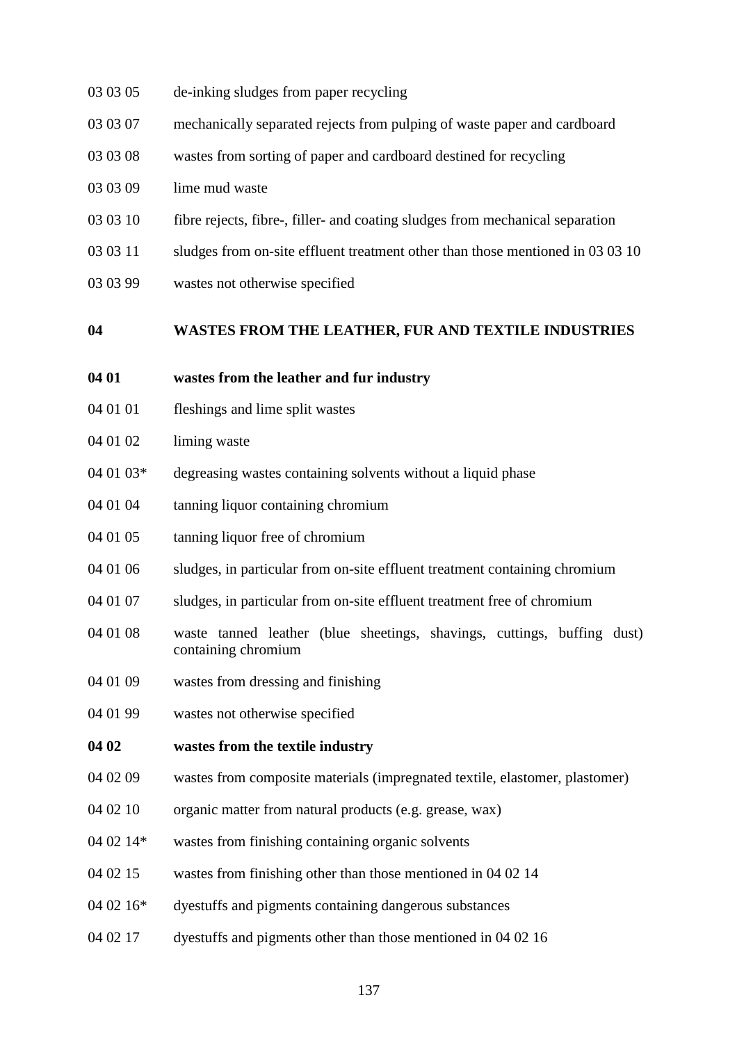- 03 03 05 de-inking sludges from paper recycling
- 03 03 07 mechanically separated rejects from pulping of waste paper and cardboard
- 03 03 08 wastes from sorting of paper and cardboard destined for recycling
- 03 03 09 lime mud waste
- 03 03 10 fibre rejects, fibre-, filler- and coating sludges from mechanical separation
- 03 03 11 sludges from on-site effluent treatment other than those mentioned in 03 03 10
- 03 03 99 wastes not otherwise specified

#### **04 WASTES FROM THE LEATHER, FUR AND TEXTILE INDUSTRIES**

#### **04 01 wastes from the leather and fur industry**

- 04 01 01 fleshings and lime split wastes
- 04 01 02 liming waste
- $04\ 01\ 03*$  degreasing wastes containing solvents without a liquid phase
- 04 01 04 tanning liquor containing chromium
- 04 01 05 tanning liquor free of chromium
- 04 01 06 sludges, in particular from on-site effluent treatment containing chromium
- 04 01 07 sludges, in particular from on-site effluent treatment free of chromium
- 04 01 08 waste tanned leather (blue sheetings, shavings, cuttings, buffing dust) containing chromium
- 04 01 09 wastes from dressing and finishing
- 04 01 99 wastes not otherwise specified

# **04 02 wastes from the textile industry**

- 04 02 09 wastes from composite materials (impregnated textile, elastomer, plastomer)
- 04 02 10 organic matter from natural products (e.g. grease, wax)
- 04 02 14\* wastes from finishing containing organic solvents
- 04 02 15 wastes from finishing other than those mentioned in 04 02 14
- 04 02 16\* dyestuffs and pigments containing dangerous substances
- 04 02 17 dyestuffs and pigments other than those mentioned in 04 02 16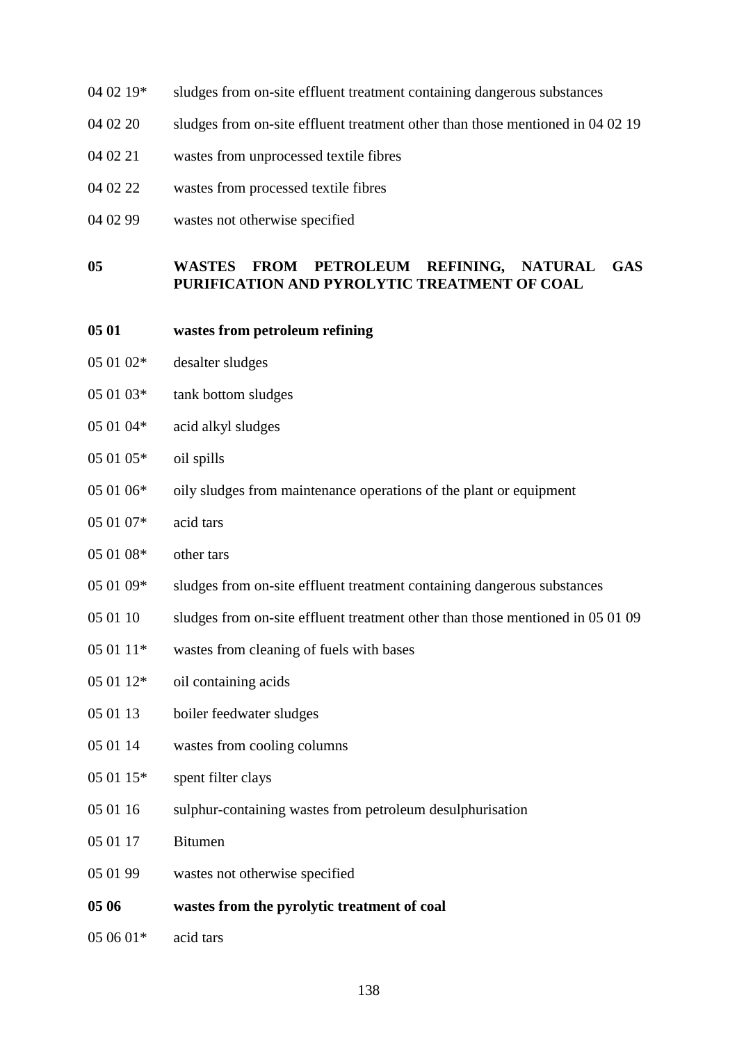- 04 02 19\* sludges from on-site effluent treatment containing dangerous substances
- 04 02 20 sludges from on-site effluent treatment other than those mentioned in 04 02 19
- 04 02 21 wastes from unprocessed textile fibres
- 04 02 22 wastes from processed textile fibres
- 04 02 99 wastes not otherwise specified

## **05 WASTES FROM PETROLEUM REFINING, NATURAL GAS PURIFICATION AND PYROLYTIC TREATMENT OF COAL**

- **05 01 wastes from petroleum refining**
- 05 01 02\* desalter sludges
- 05 01 03\* tank bottom sludges
- 05 01 04\* acid alkyl sludges
- 05 01 05\* oil spills
- 05 01 06\* oily sludges from maintenance operations of the plant or equipment
- 05 01 07\* acid tars
- 05 01 08\* other tars
- 05 01 09\* sludges from on-site effluent treatment containing dangerous substances
- 05 01 10 sludges from on-site effluent treatment other than those mentioned in 05 01 09
- $050111*$  wastes from cleaning of fuels with bases
- 05 01 12\* oil containing acids
- 05 01 13 boiler feedwater sludges
- 05 01 14 wastes from cooling columns
- 05 01 15\* spent filter clays
- 05 01 16 sulphur-containing wastes from petroleum desulphurisation
- 05 01 17 Bitumen
- 05 01 99 wastes not otherwise specified
- **05 06 wastes from the pyrolytic treatment of coal**
- 05 06 01\* acid tars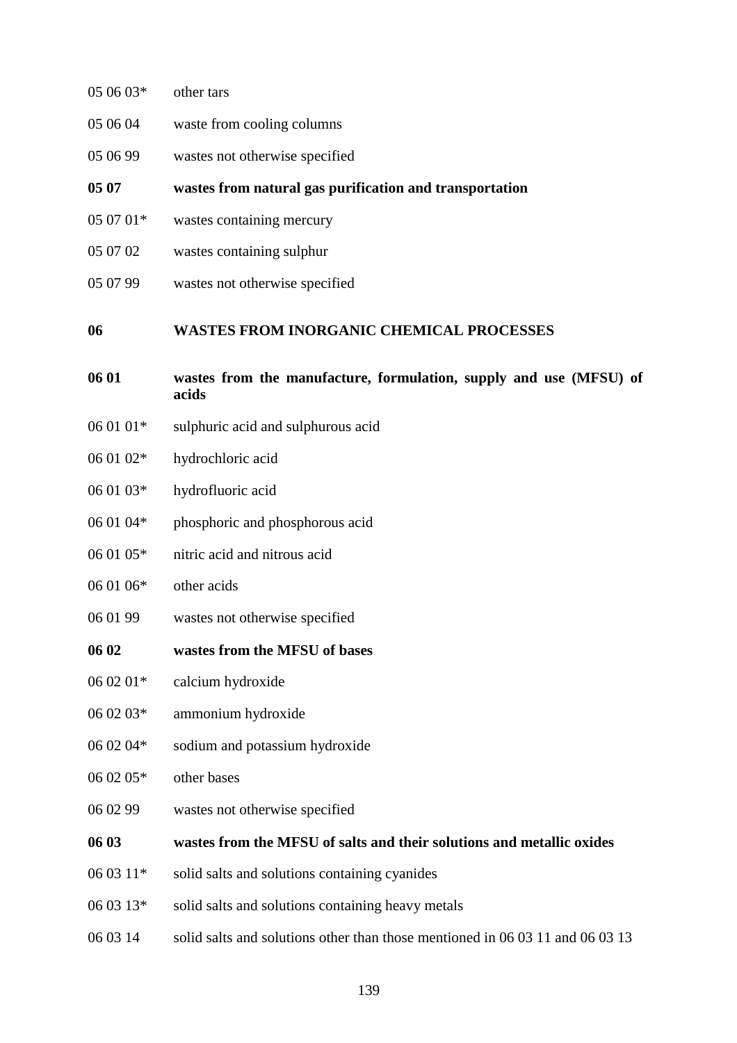| 05 06 03* | other tars                                                                    |
|-----------|-------------------------------------------------------------------------------|
| 05 06 04  | waste from cooling columns                                                    |
| 05 06 99  | wastes not otherwise specified                                                |
| 05 07     | wastes from natural gas purification and transportation                       |
| 05 07 01* | wastes containing mercury                                                     |
| 05 07 02  | wastes containing sulphur                                                     |
| 05 07 99  | wastes not otherwise specified                                                |
| 06        | <b>WASTES FROM INORGANIC CHEMICAL PROCESSES</b>                               |
| 06 01     | wastes from the manufacture, formulation, supply and use (MFSU) of<br>acids   |
| 06 01 01* | sulphuric acid and sulphurous acid                                            |
| 06 01 02* | hydrochloric acid                                                             |
| 06 01 03* | hydrofluoric acid                                                             |
| 06 01 04* | phosphoric and phosphorous acid                                               |
| 06 01 05* | nitric acid and nitrous acid                                                  |
| 06 01 06* | other acids                                                                   |
| 06 01 99  | wastes not otherwise specified                                                |
| 06 02     | wastes from the MFSU of bases                                                 |
| 06 02 01* | calcium hydroxide                                                             |
| 06 02 03* | ammonium hydroxide                                                            |
| 06 02 04* | sodium and potassium hydroxide                                                |
| 06 02 05* | other bases                                                                   |
| 06 02 99  | wastes not otherwise specified                                                |
| 06 03     | wastes from the MFSU of salts and their solutions and metallic oxides         |
| 06 03 11* | solid salts and solutions containing cyanides                                 |
| 06 03 13* | solid salts and solutions containing heavy metals                             |
| 06 03 14  | solid salts and solutions other than those mentioned in 06 03 11 and 06 03 13 |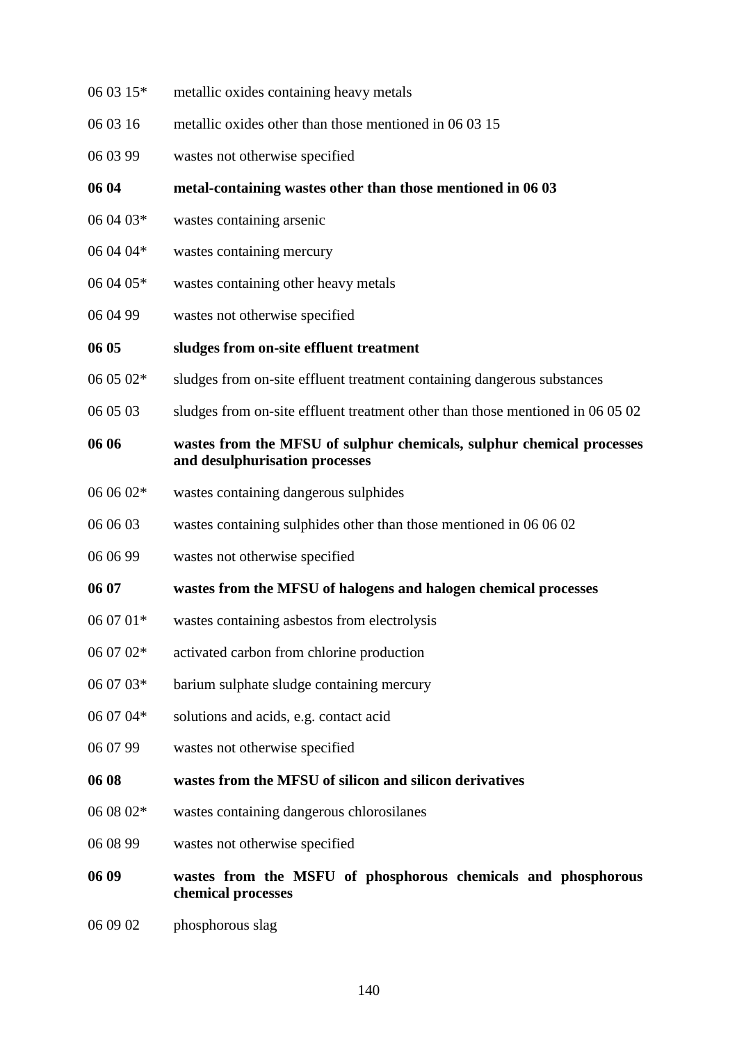- 06 03 15\* metallic oxides containing heavy metals
- 06 03 16 metallic oxides other than those mentioned in 06 03 15
- 06 03 99 wastes not otherwise specified

**06 04 metal-containing wastes other than those mentioned in 06 03**

- 06 04 03\* wastes containing arsenic
- 06 04 04\* wastes containing mercury
- 06 04 05\* wastes containing other heavy metals
- 06 04 99 wastes not otherwise specified

#### **06 05 sludges from on-site effluent treatment**

- 06 05 02\* sludges from on-site effluent treatment containing dangerous substances
- 06 05 03 sludges from on-site effluent treatment other than those mentioned in 06 05 02

# **06 06 wastes from the MFSU of sulphur chemicals, sulphur chemical processes and desulphurisation processes**

- 06 06 02\* wastes containing dangerous sulphides
- 06 06 03 wastes containing sulphides other than those mentioned in 06 06 02
- 06 06 99 wastes not otherwise specified

#### **06 07 wastes from the MFSU of halogens and halogen chemical processes**

- 06 07 01\* wastes containing asbestos from electrolysis
- 06 07 02\* activated carbon from chlorine production
- 06 07 03\* barium sulphate sludge containing mercury
- 06 07 04\* solutions and acids, e.g. contact acid
- 06 07 99 wastes not otherwise specified

# **06 08 wastes from the MFSU of silicon and silicon derivatives**

- 06 08 02\* wastes containing dangerous chlorosilanes
- 06 08 99 wastes not otherwise specified

# **06 09 wastes from the MSFU of phosphorous chemicals and phosphorous chemical processes**

06 09 02 phosphorous slag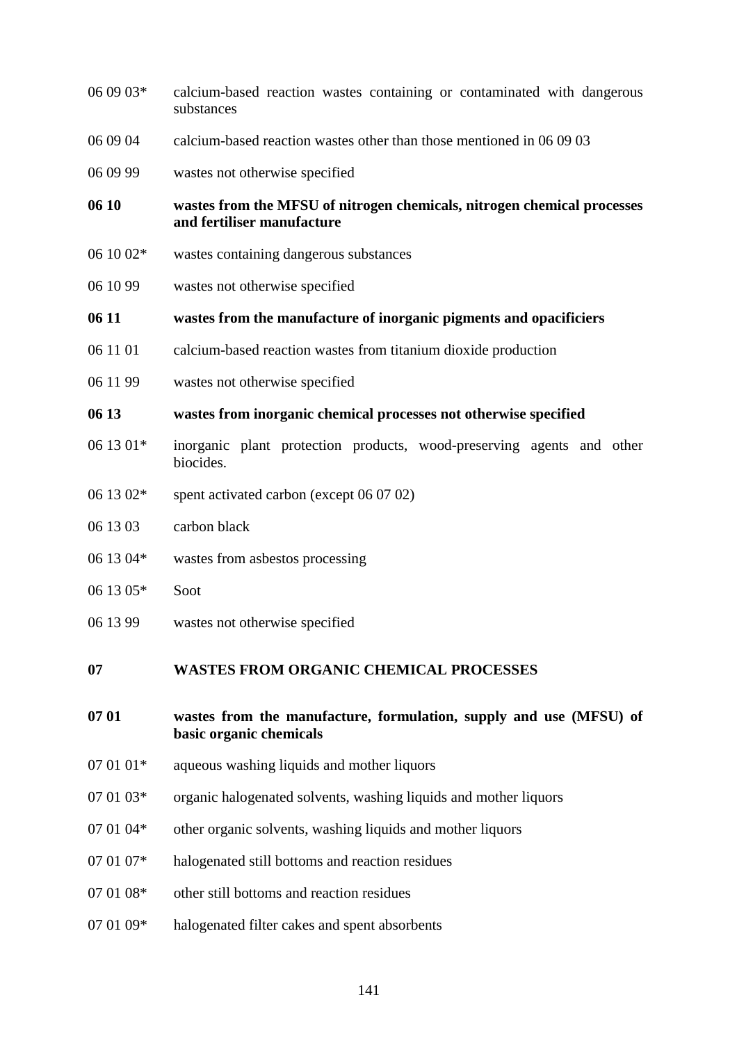| 06 09 03* | calcium-based reaction wastes containing or contaminated with dangerous<br>substances                 |
|-----------|-------------------------------------------------------------------------------------------------------|
| 06 09 04  | calcium-based reaction wastes other than those mentioned in 06 09 03                                  |
| 06 09 99  | wastes not otherwise specified                                                                        |
| 06 10     | wastes from the MFSU of nitrogen chemicals, nitrogen chemical processes<br>and fertiliser manufacture |
| 06 10 02* | wastes containing dangerous substances                                                                |
| 06 10 99  | wastes not otherwise specified                                                                        |
| 06 11     | wastes from the manufacture of inorganic pigments and opacificiers                                    |
| 06 11 01  | calcium-based reaction wastes from titanium dioxide production                                        |
| 06 11 99  | wastes not otherwise specified                                                                        |
| 06 13     | wastes from inorganic chemical processes not otherwise specified                                      |
|           |                                                                                                       |
| 06 13 01* | inorganic plant protection products, wood-preserving agents and other<br>biocides.                    |
| 06 13 02* | spent activated carbon (except 06 07 02)                                                              |
| 06 13 03  | carbon black                                                                                          |
| 06 13 04* | wastes from asbestos processing                                                                       |
| 06 13 05* | Soot                                                                                                  |
| 06 13 99  | wastes not otherwise specified                                                                        |
| 07        | <b>WASTES FROM ORGANIC CHEMICAL PROCESSES</b>                                                         |
| 07 01     | wastes from the manufacture, formulation, supply and use (MFSU) of<br>basic organic chemicals         |

- 07 01 03\* organic halogenated solvents, washing liquids and mother liquors
- 07 01 04\* other organic solvents, washing liquids and mother liquors
- 07 01 07\* halogenated still bottoms and reaction residues
- 07 01 08\* other still bottoms and reaction residues
- 07 01 09\* halogenated filter cakes and spent absorbents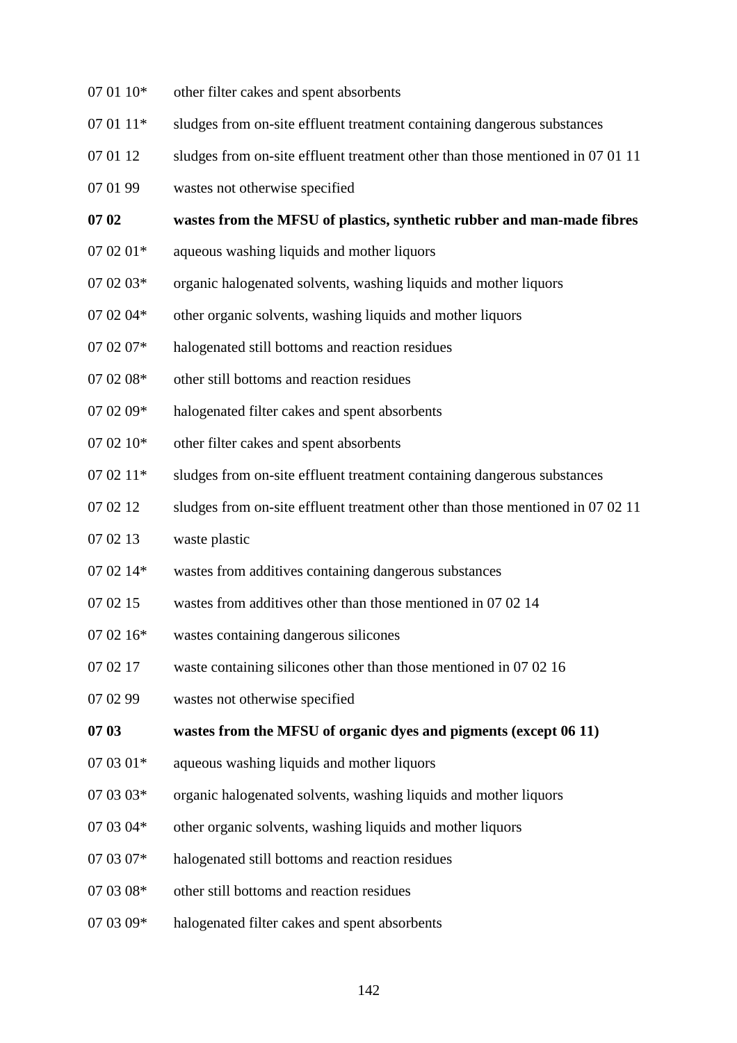- $07 01 10*$  other filter cakes and spent absorbents
- 07 01 11<sup>\*</sup> sludges from on-site effluent treatment containing dangerous substances
- 07 01 12 sludges from on-site effluent treatment other than those mentioned in 07 01 11
- 07 01 99 wastes not otherwise specified

#### **07 02 wastes from the MFSU of plastics, synthetic rubber and man-made fibres**

- $07 02 01*$  aqueous washing liquids and mother liquors
- 07 02 03\* organic halogenated solvents, washing liquids and mother liquors
- 07 02 04\* other organic solvents, washing liquids and mother liquors
- 07 02 07\* halogenated still bottoms and reaction residues
- 07 02 08\* other still bottoms and reaction residues
- 07 02 09\* halogenated filter cakes and spent absorbents
- 07 02 10<sup>\*</sup> other filter cakes and spent absorbents
- 07 02 11<sup>\*</sup> sludges from on-site effluent treatment containing dangerous substances
- 07 02 12 sludges from on-site effluent treatment other than those mentioned in 07 02 11
- 07 02 13 waste plastic
- 07 02 14\* wastes from additives containing dangerous substances
- 07 02 15 wastes from additives other than those mentioned in 07 02 14
- 07 02 16\* wastes containing dangerous silicones
- 07 02 17 waste containing silicones other than those mentioned in 07 02 16
- 07 02 99 wastes not otherwise specified

#### **07 03 wastes from the MFSU of organic dyes and pigments (except 06 11)**

- $07 03 01*$  aqueous washing liquids and mother liquors
- 07 03 03<sup>\*</sup> organic halogenated solvents, washing liquids and mother liquors
- 07 03 04<sup>\*</sup> other organic solvents, washing liquids and mother liquors
- 07 03 07\* halogenated still bottoms and reaction residues
- 07 03 08\* other still bottoms and reaction residues
- 07 03 09\* halogenated filter cakes and spent absorbents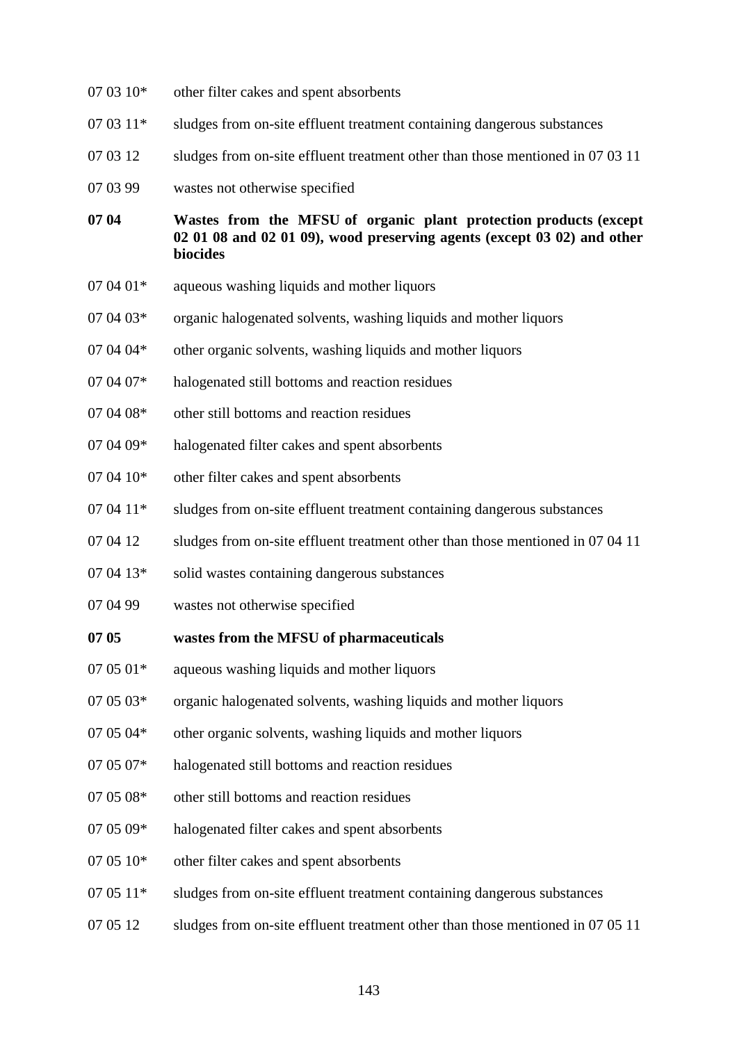- $07 03 10*$  other filter cakes and spent absorbents
- 07 03 11<sup>\*</sup> sludges from on-site effluent treatment containing dangerous substances
- 07 03 12 sludges from on-site effluent treatment other than those mentioned in 07 03 11
- 07 03 99 wastes not otherwise specified

**07 04 Wastes from the MFSU of organic plant protection products (except 02 01 08 and 02 01 09), wood preserving agents (except 03 02) and other biocides**

- $07 04 01*$  aqueous washing liquids and mother liquors
- 07 04 03\* organic halogenated solvents, washing liquids and mother liquors
- 07 04 04<sup>\*</sup> other organic solvents, washing liquids and mother liquors
- 07 04 07\* halogenated still bottoms and reaction residues
- 07 04 08<sup>\*</sup> other still bottoms and reaction residues
- 07 04 09\* halogenated filter cakes and spent absorbents
- 07 04 10<sup>\*</sup> other filter cakes and spent absorbents
- 07 04 11<sup>\*</sup> sludges from on-site effluent treatment containing dangerous substances
- 07 04 12 sludges from on-site effluent treatment other than those mentioned in 07 04 11
- 07 04 13\* solid wastes containing dangerous substances
- 07 04 99 wastes not otherwise specified

#### **07 05 wastes from the MFSU of pharmaceuticals**

- $07 05 01*$  aqueous washing liquids and mother liquors
- 07 05 03\* organic halogenated solvents, washing liquids and mother liquors
- 07 05 04<sup>\*</sup> other organic solvents, washing liquids and mother liquors
- 07 05 07\* halogenated still bottoms and reaction residues
- 07 05 08\* other still bottoms and reaction residues
- 07 05 09\* halogenated filter cakes and spent absorbents
- $07 05 10*$  other filter cakes and spent absorbents
- 07 05 11\* sludges from on-site effluent treatment containing dangerous substances
- 07 05 12 sludges from on-site effluent treatment other than those mentioned in 07 05 11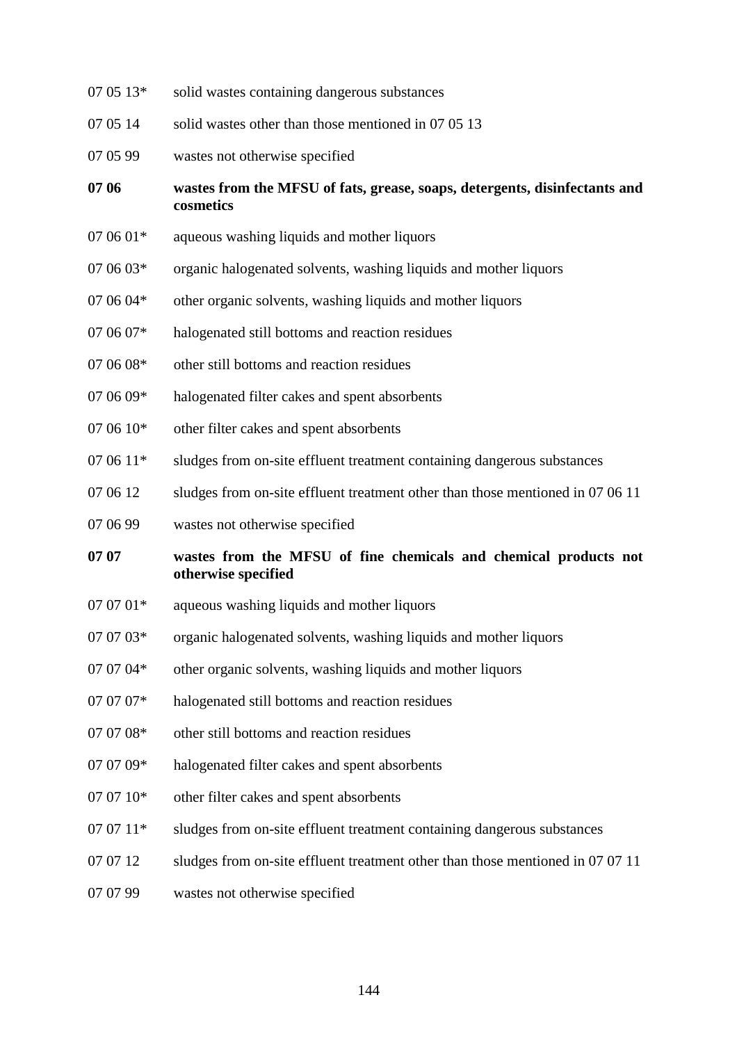- 07 05 13\* solid wastes containing dangerous substances
- 07 05 14 solid wastes other than those mentioned in 07 05 13
- 07 05 99 wastes not otherwise specified
- **07 06 wastes from the MFSU of fats, grease, soaps, detergents, disinfectants and cosmetics**
- $07 06 01*$  aqueous washing liquids and mother liquors
- $07 06 03*$  organic halogenated solvents, washing liquids and mother liquors
- 07 06 04\* other organic solvents, washing liquids and mother liquors
- 07 06 07\* halogenated still bottoms and reaction residues
- 07 06 08<sup>\*</sup> other still bottoms and reaction residues
- 07 06 09\* halogenated filter cakes and spent absorbents
- $07 06 10*$  other filter cakes and spent absorbents
- 07 06 11<sup>\*</sup> sludges from on-site effluent treatment containing dangerous substances
- 07 06 12 sludges from on-site effluent treatment other than those mentioned in 07 06 11
- 07 06 99 wastes not otherwise specified
- **07 07 wastes from the MFSU of fine chemicals and chemical products not otherwise specified**
- $07 07 01*$  aqueous washing liquids and mother liquors
- 07 07 03\* organic halogenated solvents, washing liquids and mother liquors
- 07 07 04\* other organic solvents, washing liquids and mother liquors
- 07 07 07<sup>\*</sup> halogenated still bottoms and reaction residues
- 07 07 08\* other still bottoms and reaction residues
- 07 07 09\* halogenated filter cakes and spent absorbents
- 07 07 10<sup>\*</sup> other filter cakes and spent absorbents
- 07 07 11<sup>\*</sup> sludges from on-site effluent treatment containing dangerous substances
- 07 07 12 sludges from on-site effluent treatment other than those mentioned in 07 07 11
- 07 07 99 wastes not otherwise specified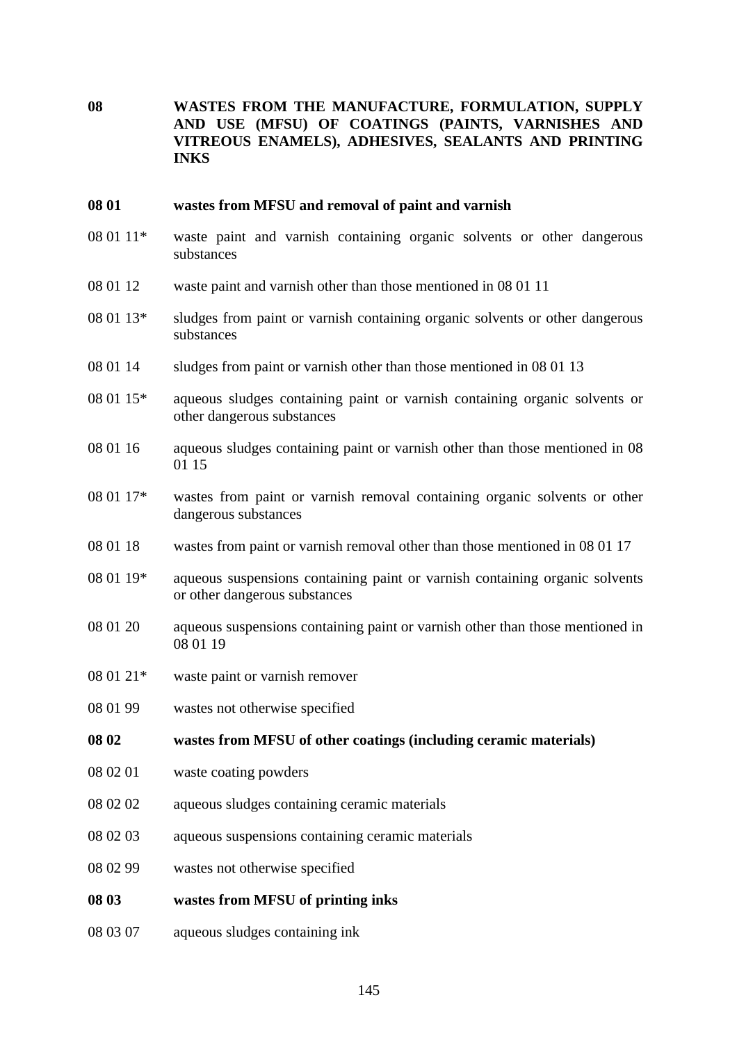**08 WASTES FROM THE MANUFACTURE, FORMULATION, SUPPLY AND USE (MFSU) OF COATINGS (PAINTS, VARNISHES AND VITREOUS ENAMELS), ADHESIVES, SEALANTS AND PRINTING INKS**

#### **08 01 wastes from MFSU and removal of paint and varnish**

- 08 01 11\* waste paint and varnish containing organic solvents or other dangerous substances
- 08 01 12 waste paint and varnish other than those mentioned in 08 01 11
- 08 01 13\* sludges from paint or varnish containing organic solvents or other dangerous substances
- 08 01 14 sludges from paint or varnish other than those mentioned in 08 01 13
- 08 01 15\* aqueous sludges containing paint or varnish containing organic solvents or other dangerous substances
- 08 01 16 aqueous sludges containing paint or varnish other than those mentioned in 08 01 15
- 08 01 17\* wastes from paint or varnish removal containing organic solvents or other dangerous substances
- 08 01 18 wastes from paint or varnish removal other than those mentioned in 08 01 17
- 08 01 19\* aqueous suspensions containing paint or varnish containing organic solvents or other dangerous substances
- 08 01 20 aqueous suspensions containing paint or varnish other than those mentioned in 08 01 19
- 08 01 21\* waste paint or varnish remover
- 08 01 99 wastes not otherwise specified

**08 02 wastes from MFSU of other coatings (including ceramic materials)**

- 08 02 01 waste coating powders
- 08 02 02 aqueous sludges containing ceramic materials
- 08 02 03 aqueous suspensions containing ceramic materials
- 08 02 99 wastes not otherwise specified
- **08 03 wastes from MFSU of printing inks**
- 08 03 07 aqueous sludges containing ink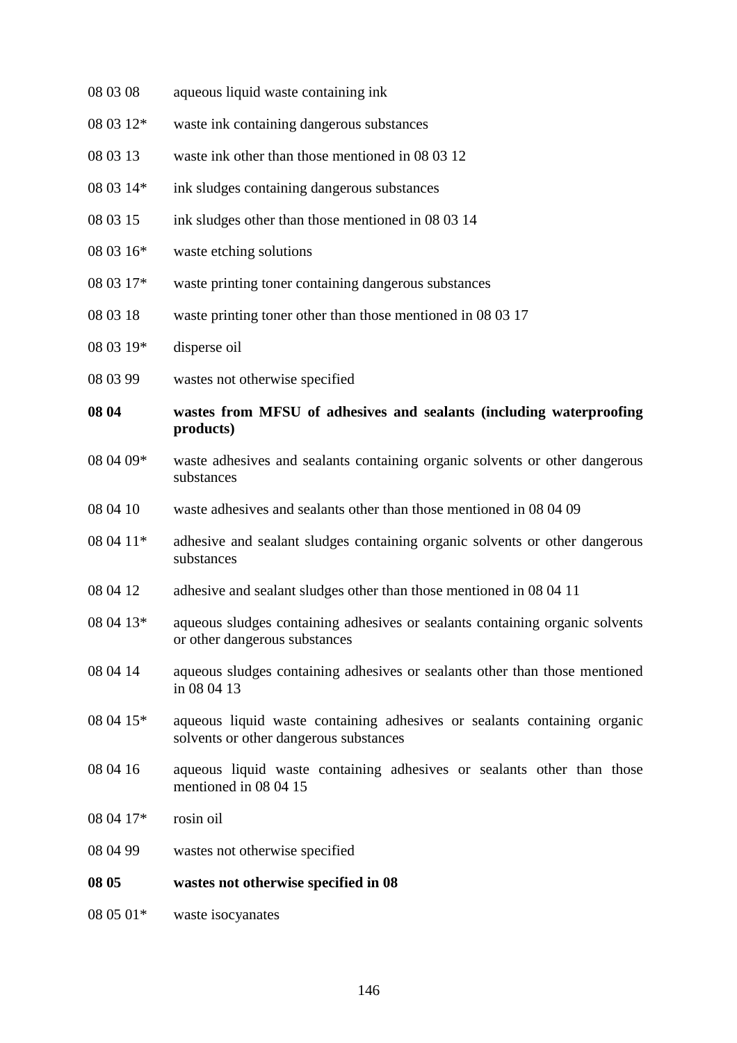| 08 03 08  | aqueous liquid waste containing ink                                                                                |
|-----------|--------------------------------------------------------------------------------------------------------------------|
| 08 03 12* | waste ink containing dangerous substances                                                                          |
| 08 03 13  | waste ink other than those mentioned in 08 03 12                                                                   |
| 08 03 14* | ink sludges containing dangerous substances                                                                        |
| 08 03 15  | ink sludges other than those mentioned in 08 03 14                                                                 |
| 08 03 16* | waste etching solutions                                                                                            |
| 08 03 17* | waste printing toner containing dangerous substances                                                               |
| 08 03 18  | waste printing toner other than those mentioned in 08 03 17                                                        |
| 08 03 19* | disperse oil                                                                                                       |
| 08 03 99  | wastes not otherwise specified                                                                                     |
| 08 04     | wastes from MFSU of adhesives and sealants (including waterproofing<br>products)                                   |
| 08 04 09* | waste adhesives and sealants containing organic solvents or other dangerous<br>substances                          |
| 08 04 10  | waste adhesives and sealants other than those mentioned in 08 04 09                                                |
| 08 04 11* | adhesive and sealant sludges containing organic solvents or other dangerous<br>substances                          |
| 08 04 12  | adhesive and sealant sludges other than those mentioned in 08 04 11                                                |
| 08 04 13* | aqueous sludges containing adhesives or sealants containing organic solvents<br>or other dangerous substances      |
| 08 04 14  | aqueous sludges containing adhesives or sealants other than those mentioned<br>in 08 04 13                         |
| 08 04 15* | aqueous liquid waste containing adhesives or sealants containing organic<br>solvents or other dangerous substances |
| 08 04 16  | aqueous liquid waste containing adhesives or sealants other than those<br>mentioned in 08 04 15                    |
| 08 04 17* | rosin oil                                                                                                          |
| 08 04 99  | wastes not otherwise specified                                                                                     |
| 08 05     | wastes not otherwise specified in 08                                                                               |
| 08 05 01* | waste isocyanates                                                                                                  |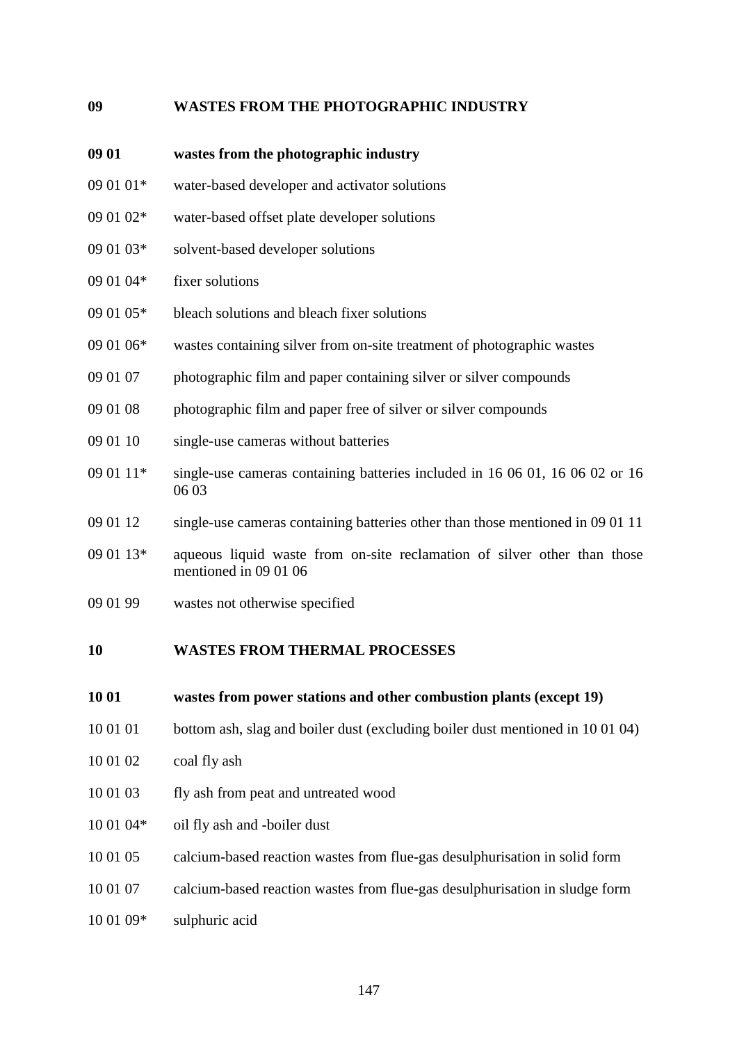#### **09 WASTES FROM THE PHOTOGRAPHIC INDUSTRY**

- **09 01 wastes from the photographic industry**
- 09 01 01\* water-based developer and activator solutions
- 09 01 02\* water-based offset plate developer solutions
- 09 01 03\* solvent-based developer solutions
- 09 01 04\* fixer solutions
- 09 01 05\* bleach solutions and bleach fixer solutions
- 09 01 06\* wastes containing silver from on-site treatment of photographic wastes
- 09 01 07 photographic film and paper containing silver or silver compounds
- 09 01 08 photographic film and paper free of silver or silver compounds
- 09 01 10 single-use cameras without batteries
- 09 01 11\* single-use cameras containing batteries included in 16 06 01, 16 06 02 or 16 06 03
- 09 01 12 single-use cameras containing batteries other than those mentioned in 09 01 11
- 09 01 13\* aqueous liquid waste from on-site reclamation of silver other than those mentioned in 09 01 06
- 09 01 99 wastes not otherwise specified

#### **10 WASTES FROM THERMAL PROCESSES**

#### **10 01 wastes from power stations and other combustion plants (except 19)**

- 10 01 01 bottom ash, slag and boiler dust (excluding boiler dust mentioned in 10 01 04)
- 10 01 02 coal fly ash
- 10 01 03 fly ash from peat and untreated wood
- 10 01 04\* oil fly ash and -boiler dust
- 10 01 05 calcium-based reaction wastes from flue-gas desulphurisation in solid form
- 10 01 07 calcium-based reaction wastes from flue-gas desulphurisation in sludge form
- 10 01 09\* sulphuric acid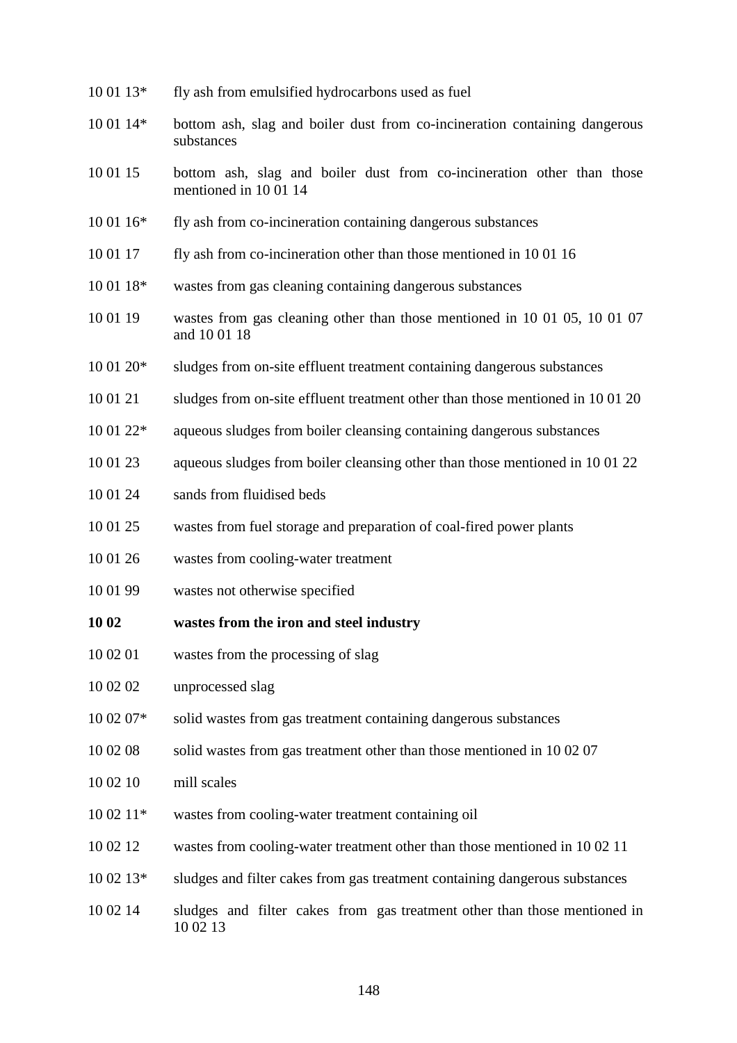- 10 01 13\* fly ash from emulsified hydrocarbons used as fuel
- 10 01 14\* bottom ash, slag and boiler dust from co-incineration containing dangerous substances
- 10 01 15 bottom ash, slag and boiler dust from co-incineration other than those mentioned in 10 01 14
- 10 01 16\* fly ash from co-incineration containing dangerous substances
- 10 01 17 fly ash from co-incineration other than those mentioned in 10 01 16
- 10 01 18\* wastes from gas cleaning containing dangerous substances
- 10 01 19 wastes from gas cleaning other than those mentioned in 10 01 05, 10 01 07 and 10 01 18
- 10 01 20\* sludges from on-site effluent treatment containing dangerous substances
- 10 01 21 sludges from on-site effluent treatment other than those mentioned in 10 01 20
- 10 01 22\* aqueous sludges from boiler cleansing containing dangerous substances
- 10 01 23 aqueous sludges from boiler cleansing other than those mentioned in 10 01 22
- 10 01 24 sands from fluidised beds
- 10 01 25 wastes from fuel storage and preparation of coal-fired power plants
- 10 01 26 wastes from cooling-water treatment
- 10 01 99 wastes not otherwise specified
- **10 02 wastes from the iron and steel industry**
- 10 02 01 wastes from the processing of slag
- 10 02 02 unprocessed slag
- 10 02 07\* solid wastes from gas treatment containing dangerous substances
- 10 02 08 solid wastes from gas treatment other than those mentioned in 10 02 07
- 10 02 10 mill scales
- 10 02 11\* wastes from cooling-water treatment containing oil
- 10 02 12 wastes from cooling-water treatment other than those mentioned in 10 02 11
- 10 02 13\* sludges and filter cakes from gas treatment containing dangerous substances
- 10 02 14 sludges and filter cakes from gas treatment other than those mentioned in 10 02 13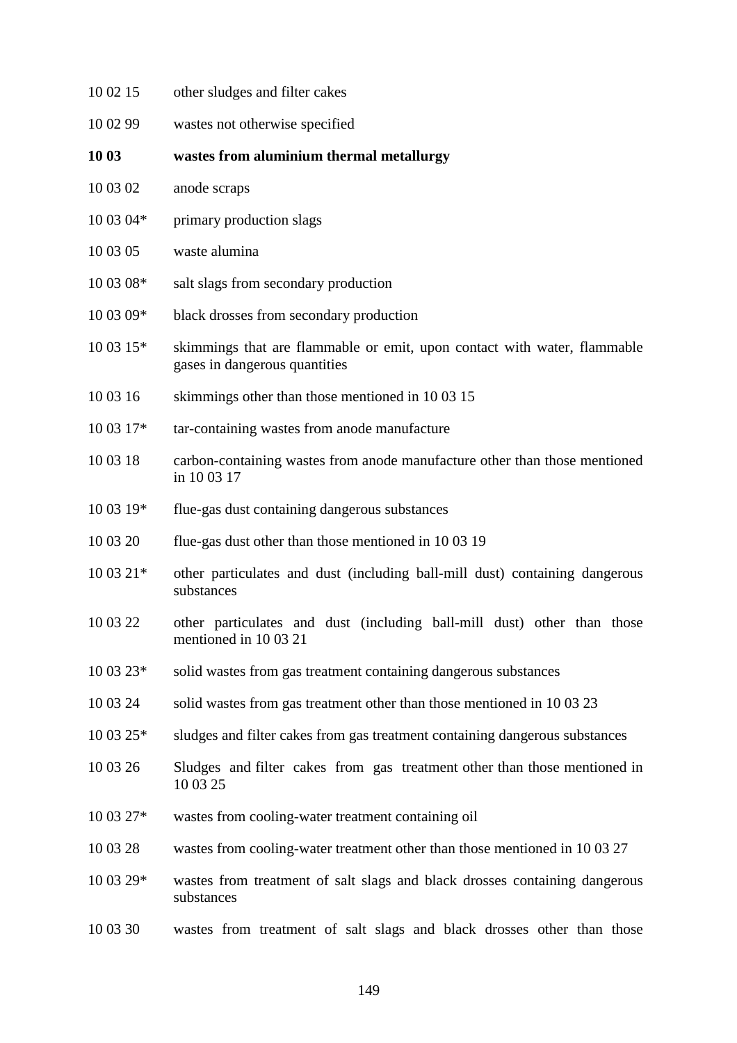| 10 02 15  | other sludges and filter cakes                                                                            |
|-----------|-----------------------------------------------------------------------------------------------------------|
| 10 02 99  | wastes not otherwise specified                                                                            |
| 10 03     | wastes from aluminium thermal metallurgy                                                                  |
| 10 03 02  | anode scraps                                                                                              |
| 10 03 04* | primary production slags                                                                                  |
| 10 03 05  | waste alumina                                                                                             |
| 10 03 08* | salt slags from secondary production                                                                      |
| 10 03 09* | black drosses from secondary production                                                                   |
| 10 03 15* | skimmings that are flammable or emit, upon contact with water, flammable<br>gases in dangerous quantities |
| 10 03 16  | skimmings other than those mentioned in 1003 15                                                           |
| 10 03 17* | tar-containing wastes from anode manufacture                                                              |
| 10 03 18  | carbon-containing wastes from anode manufacture other than those mentioned<br>in 10 03 17                 |
| 10 03 19* | flue-gas dust containing dangerous substances                                                             |
| 10 03 20  | flue-gas dust other than those mentioned in 1003 19                                                       |
| 10 03 21* | other particulates and dust (including ball-mill dust) containing dangerous<br>substances                 |
| 10 03 22  | other particulates and dust (including ball-mill dust) other than those<br>mentioned in 10 03 21          |
| 10 03 23* | solid wastes from gas treatment containing dangerous substances                                           |
| 10 03 24  | solid wastes from gas treatment other than those mentioned in 100323                                      |
| 10 03 25* | sludges and filter cakes from gas treatment containing dangerous substances                               |
| 10 03 26  | Sludges and filter cakes from gas treatment other than those mentioned in<br>10 03 25                     |
| 10 03 27* | wastes from cooling-water treatment containing oil                                                        |
| 10 03 28  | wastes from cooling-water treatment other than those mentioned in 100327                                  |
| 10 03 29* | wastes from treatment of salt slags and black drosses containing dangerous<br>substances                  |
| 10 03 30  | wastes from treatment of salt slags and black drosses other than those                                    |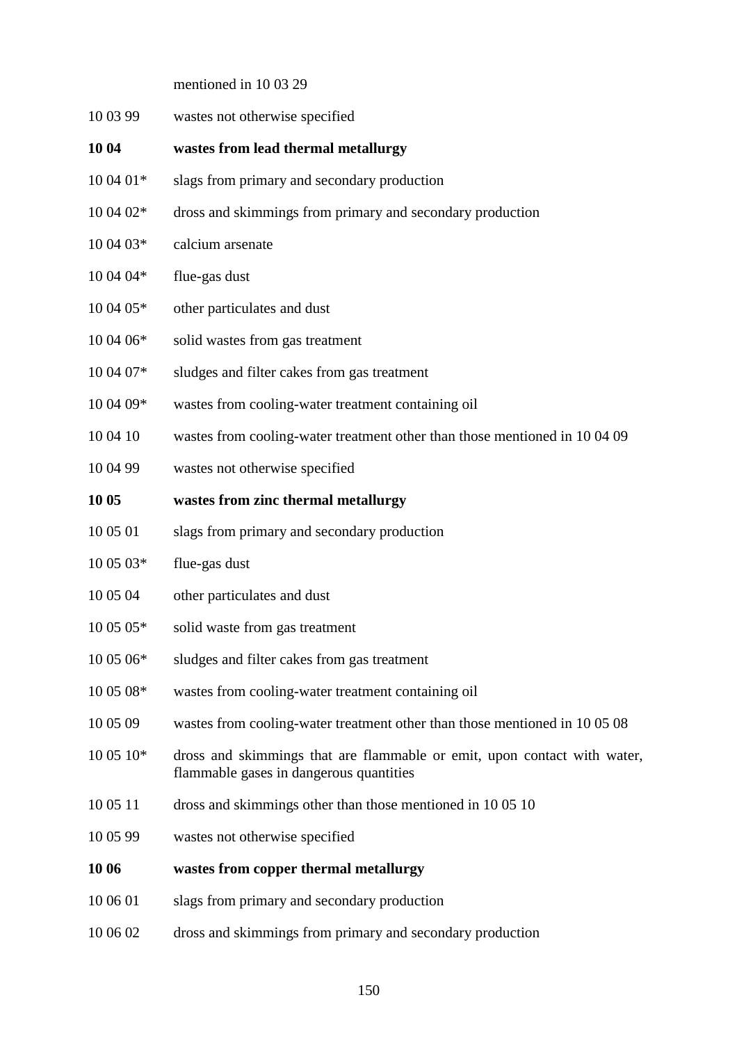mentioned in 10 03 29

- 10 03 99 wastes not otherwise specified
- **10 04 wastes from lead thermal metallurgy**
- 10 04 01\* slags from primary and secondary production
- 10 04 02\* dross and skimmings from primary and secondary production
- 10 04 03\* calcium arsenate
- $10\,04\,04*$  flue-gas dust
- 10 04 05\* other particulates and dust
- 10 04 06\* solid wastes from gas treatment
- 10 04 07\* sludges and filter cakes from gas treatment
- 10 04 09\* wastes from cooling-water treatment containing oil
- 10 04 10 wastes from cooling-water treatment other than those mentioned in 10 04 09
- 10 04 99 wastes not otherwise specified
- **10 05 wastes from zinc thermal metallurgy**
- 10 05 01 slags from primary and secondary production
- $10\,05\,03^*$  flue-gas dust
- 10 05 04 other particulates and dust
- 10 05 05\* solid waste from gas treatment
- 10 05 06\* sludges and filter cakes from gas treatment
- 10 05 08\* wastes from cooling-water treatment containing oil
- 10 05 09 wastes from cooling-water treatment other than those mentioned in 10 05 08
- 10 05 10\* dross and skimmings that are flammable or emit, upon contact with water, flammable gases in dangerous quantities
- 10 05 11 dross and skimmings other than those mentioned in 10 05 10
- 10 05 99 wastes not otherwise specified
- **10 06 wastes from copper thermal metallurgy**
- 10 06 01 slags from primary and secondary production
- 10 06 02 dross and skimmings from primary and secondary production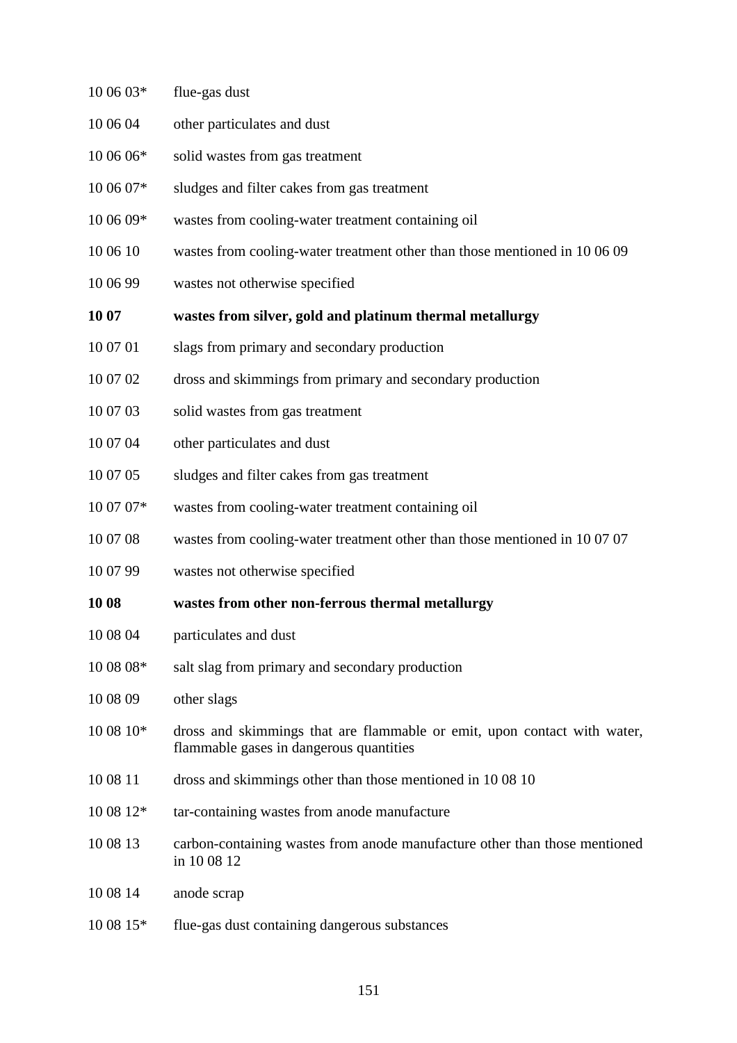| 10 06 03* | flue-gas dust                                                                                                       |
|-----------|---------------------------------------------------------------------------------------------------------------------|
| 10 06 04  | other particulates and dust                                                                                         |
| 10 06 06* | solid wastes from gas treatment                                                                                     |
| 10 06 07* | sludges and filter cakes from gas treatment                                                                         |
| 10 06 09* | wastes from cooling-water treatment containing oil                                                                  |
| 10 06 10  | wastes from cooling-water treatment other than those mentioned in 10 06 09                                          |
| 10 06 99  | wastes not otherwise specified                                                                                      |
| 10 07     | wastes from silver, gold and platinum thermal metallurgy                                                            |
| 10 07 01  | slags from primary and secondary production                                                                         |
| 10 07 02  | dross and skimmings from primary and secondary production                                                           |
| 10 07 03  | solid wastes from gas treatment                                                                                     |
| 10 07 04  | other particulates and dust                                                                                         |
| 10 07 05  | sludges and filter cakes from gas treatment                                                                         |
| 10 07 07* | wastes from cooling-water treatment containing oil                                                                  |
| 10 07 08  | wastes from cooling-water treatment other than those mentioned in 100707                                            |
| 10 07 99  | wastes not otherwise specified                                                                                      |
| 10 08     | wastes from other non-ferrous thermal metallurgy                                                                    |
| 10 08 04  | particulates and dust                                                                                               |
| 10 08 08* | salt slag from primary and secondary production                                                                     |
| 10 08 09  | other slags                                                                                                         |
| 10 08 10* | dross and skimmings that are flammable or emit, upon contact with water,<br>flammable gases in dangerous quantities |
| 10 08 11  | dross and skimmings other than those mentioned in 1008 10                                                           |
| 10 08 12* | tar-containing wastes from anode manufacture                                                                        |
| 10 08 13  | carbon-containing wastes from anode manufacture other than those mentioned<br>in 1008 12                            |
| 10 08 14  | anode scrap                                                                                                         |
| 10 08 15* | flue-gas dust containing dangerous substances                                                                       |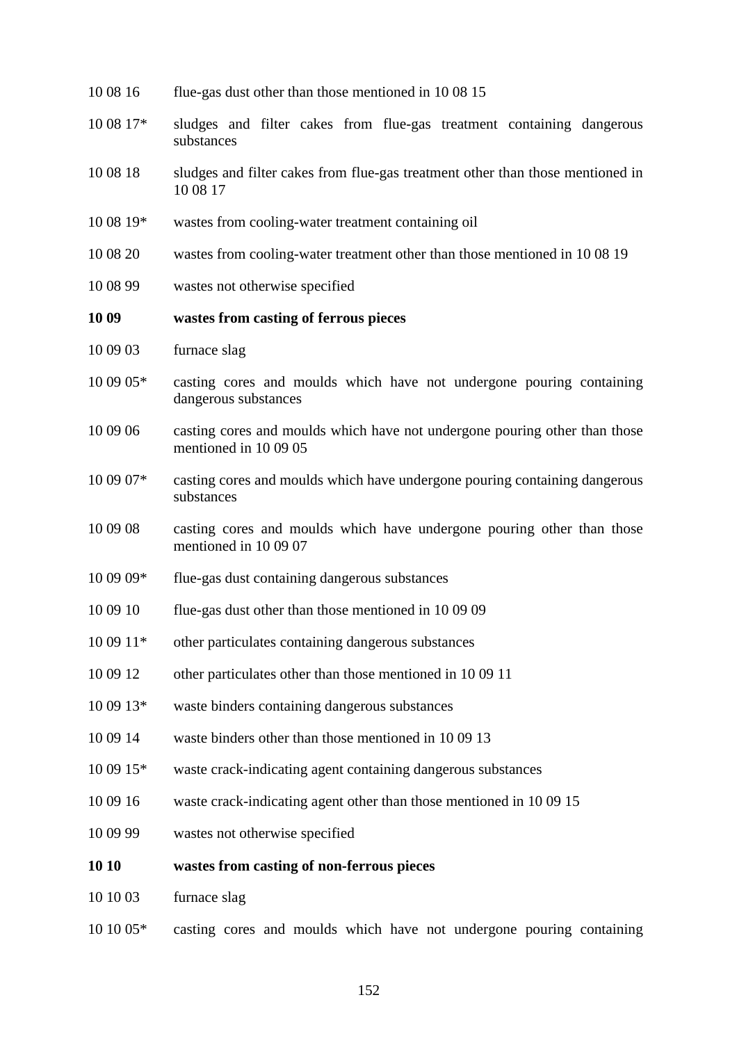| 10 08 17* | sludges and filter cakes from flue-gas treatment containing dangerous<br>substances                 |
|-----------|-----------------------------------------------------------------------------------------------------|
| 10 08 18  | sludges and filter cakes from flue-gas treatment other than those mentioned in<br>10 08 17          |
| 10 08 19* | wastes from cooling-water treatment containing oil                                                  |
| 10 08 20  | wastes from cooling-water treatment other than those mentioned in 1008 19                           |
| 10 08 99  | wastes not otherwise specified                                                                      |
| 10 09     | wastes from casting of ferrous pieces                                                               |
| 10 09 03  | furnace slag                                                                                        |
| 10 09 05* | casting cores and moulds which have not undergone pouring containing<br>dangerous substances        |
| 10 09 06  | casting cores and moulds which have not undergone pouring other than those<br>mentioned in 10 09 05 |
| 10 09 07* | casting cores and moulds which have undergone pouring containing dangerous<br>substances            |
| 10 09 08  | casting cores and moulds which have undergone pouring other than those<br>mentioned in 10 09 07     |
| 10 09 09* | flue-gas dust containing dangerous substances                                                       |
| 10 09 10  | flue-gas dust other than those mentioned in 10 09 09                                                |
| 10 09 11* | other particulates containing dangerous substances                                                  |
| 10 09 12  | other particulates other than those mentioned in 10 09 11                                           |
| 10 09 13* | waste binders containing dangerous substances                                                       |
| 10 09 14  | waste binders other than those mentioned in 1009 13                                                 |
| 10 09 15* | waste crack-indicating agent containing dangerous substances                                        |
| 10 09 16  | waste crack-indicating agent other than those mentioned in 10 09 15                                 |
| 10 09 99  | wastes not otherwise specified                                                                      |
| 10 10     | wastes from casting of non-ferrous pieces                                                           |
| 10 10 03  | furnace slag                                                                                        |
| 10 10 05* | casting cores and moulds which have not undergone pouring containing                                |
|           | 152                                                                                                 |

10 08 16 flue-gas dust other than those mentioned in 10 08 15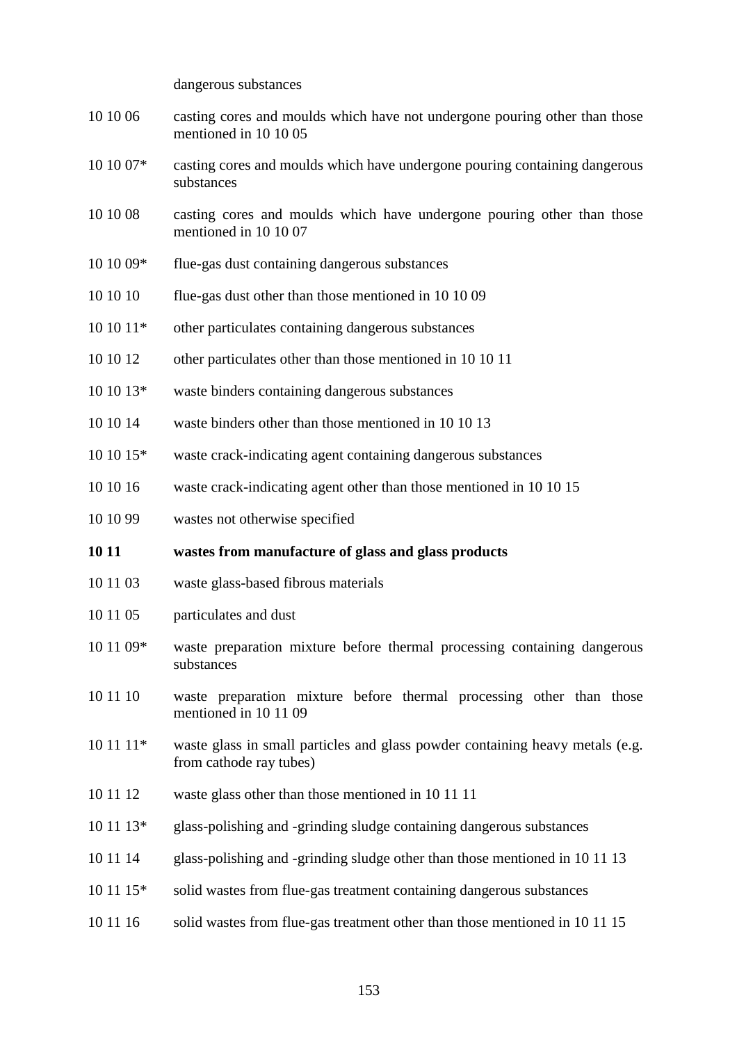dangerous substances

- 10 10 06 casting cores and moulds which have not undergone pouring other than those mentioned in 10 10 05
- 10 10 07\* casting cores and moulds which have undergone pouring containing dangerous substances
- 10 10 08 casting cores and moulds which have undergone pouring other than those mentioned in 10 10 07
- 10 10 09\* flue-gas dust containing dangerous substances
- 10 10 10 flue-gas dust other than those mentioned in 10 10 09
- 10 10 11\* other particulates containing dangerous substances
- 10 10 12 other particulates other than those mentioned in 10 10 11
- 10 10 13\* waste binders containing dangerous substances
- 10 10 14 waste binders other than those mentioned in 10 10 13
- 10 10 15\* waste crack-indicating agent containing dangerous substances
- 10 10 16 waste crack-indicating agent other than those mentioned in 10 10 15
- 10 10 99 wastes not otherwise specified

#### **10 11 wastes from manufacture of glass and glass products**

- 10 11 03 waste glass-based fibrous materials
- 10 11 05 particulates and dust
- 10 11 09\* waste preparation mixture before thermal processing containing dangerous substances
- 10 11 10 waste preparation mixture before thermal processing other than those mentioned in 10 11 09
- $10\ 11\ 11*$  waste glass in small particles and glass powder containing heavy metals (e.g. from cathode ray tubes)
- 10 11 12 waste glass other than those mentioned in 10 11 11
- 10 11 13\* glass-polishing and -grinding sludge containing dangerous substances
- 10 11 14 glass-polishing and -grinding sludge other than those mentioned in 10 11 13
- 10 11 15\* solid wastes from flue-gas treatment containing dangerous substances
- 10 11 16 solid wastes from flue-gas treatment other than those mentioned in 10 11 15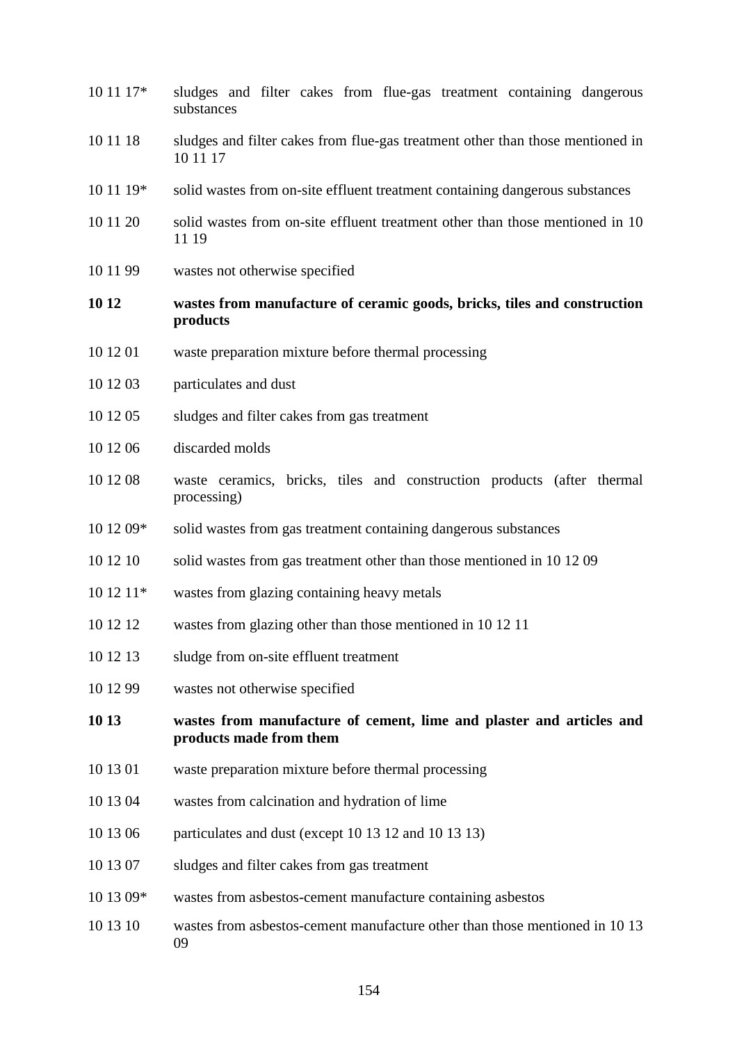10 11 17\* sludges and filter cakes from flue-gas treatment containing dangerous substances 10 11 18 sludges and filter cakes from flue-gas treatment other than those mentioned in 10 11 17 10 11 19\* solid wastes from on-site effluent treatment containing dangerous substances 10 11 20 solid wastes from on-site effluent treatment other than those mentioned in 10 11 19 10 11 99 wastes not otherwise specified **10 12 wastes from manufacture of ceramic goods, bricks, tiles and construction products** 10 12 01 waste preparation mixture before thermal processing 10 12 03 particulates and dust 10 12 05 sludges and filter cakes from gas treatment 10 12 06 discarded molds 10 12 08 waste ceramics, bricks, tiles and construction products (after thermal processing) 10 12 09\* solid wastes from gas treatment containing dangerous substances 10 12 10 solid wastes from gas treatment other than those mentioned in 10 12 09 10 12 11\* wastes from glazing containing heavy metals 10 12 12 wastes from glazing other than those mentioned in 10 12 11 10 12 13 sludge from on-site effluent treatment 10 12 99 wastes not otherwise specified **10 13 wastes from manufacture of cement, lime and plaster and articles and products made from them** 10 13 01 waste preparation mixture before thermal processing 10 13 04 wastes from calcination and hydration of lime 10 13 06 particulates and dust (except 10 13 12 and 10 13 13) 10 13 07 sludges and filter cakes from gas treatment 10 13 09\* wastes from asbestos-cement manufacture containing asbestos 10 13 10 wastes from asbestos-cement manufacture other than those mentioned in 10 13 09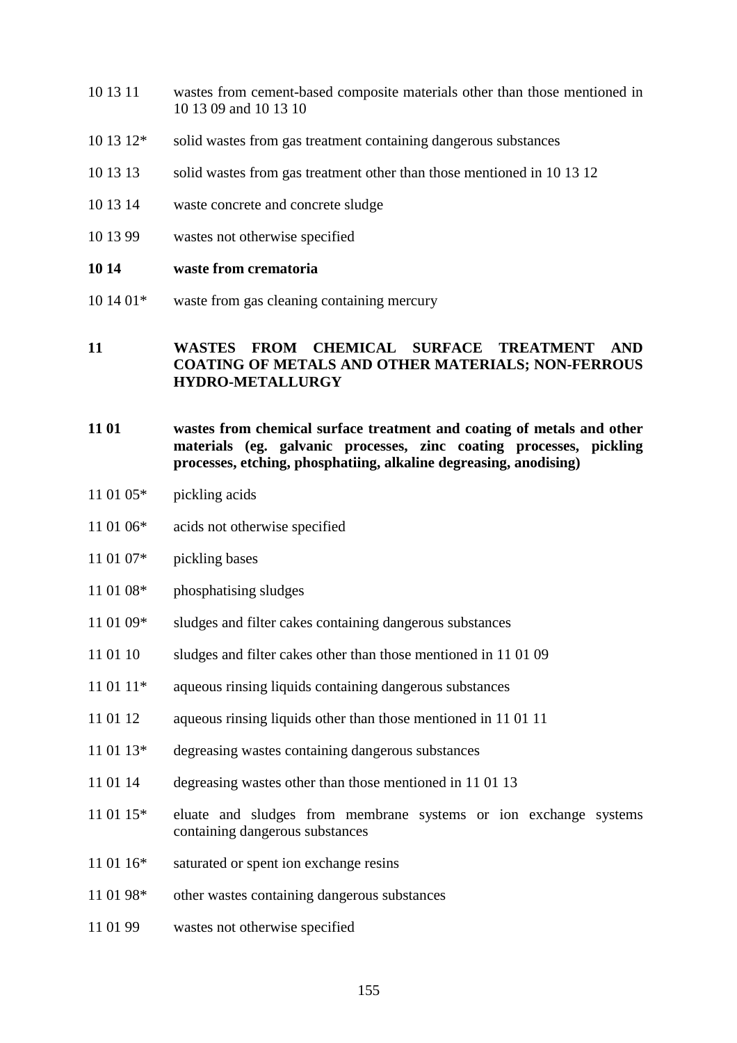- 10 13 11 wastes from cement-based composite materials other than those mentioned in 10 13 09 and 10 13 10
- 10 13 12\* solid wastes from gas treatment containing dangerous substances
- 10 13 13 solid wastes from gas treatment other than those mentioned in 10 13 12
- 10 13 14 waste concrete and concrete sludge
- 10 13 99 wastes not otherwise specified

#### **10 14 waste from crematoria**

 $10\ 14\ 01*$  waste from gas cleaning containing mercury

#### **11 WASTES FROM CHEMICAL SURFACE TREATMENT AND COATING OF METALS AND OTHER MATERIALS; NON-FERROUS HYDRO-METALLURGY**

- **11 01 wastes from chemical surface treatment and coating of metals and other materials (eg. galvanic processes, zinc coating processes, pickling processes, etching, phosphatiing, alkaline degreasing, anodising)**
- 11 01 05\* pickling acids
- 11 01 06\* acids not otherwise specified
- 11 01 07\* pickling bases
- 11 01 08\* phosphatising sludges
- 11 01 09<sup>\*</sup> sludges and filter cakes containing dangerous substances
- 11 01 10 sludges and filter cakes other than those mentioned in 11 01 09
- 11 01 11\* aqueous rinsing liquids containing dangerous substances
- 11 01 12 aqueous rinsing liquids other than those mentioned in 11 01 11
- 11 01 13\* degreasing wastes containing dangerous substances
- 11 01 14 degreasing wastes other than those mentioned in 11 01 13
- 11 01 15\* eluate and sludges from membrane systems or ion exchange systems containing dangerous substances
- 11 01 16<sup>\*</sup> saturated or spent ion exchange resins
- 11 01 98\* other wastes containing dangerous substances
- 11 01 99 wastes not otherwise specified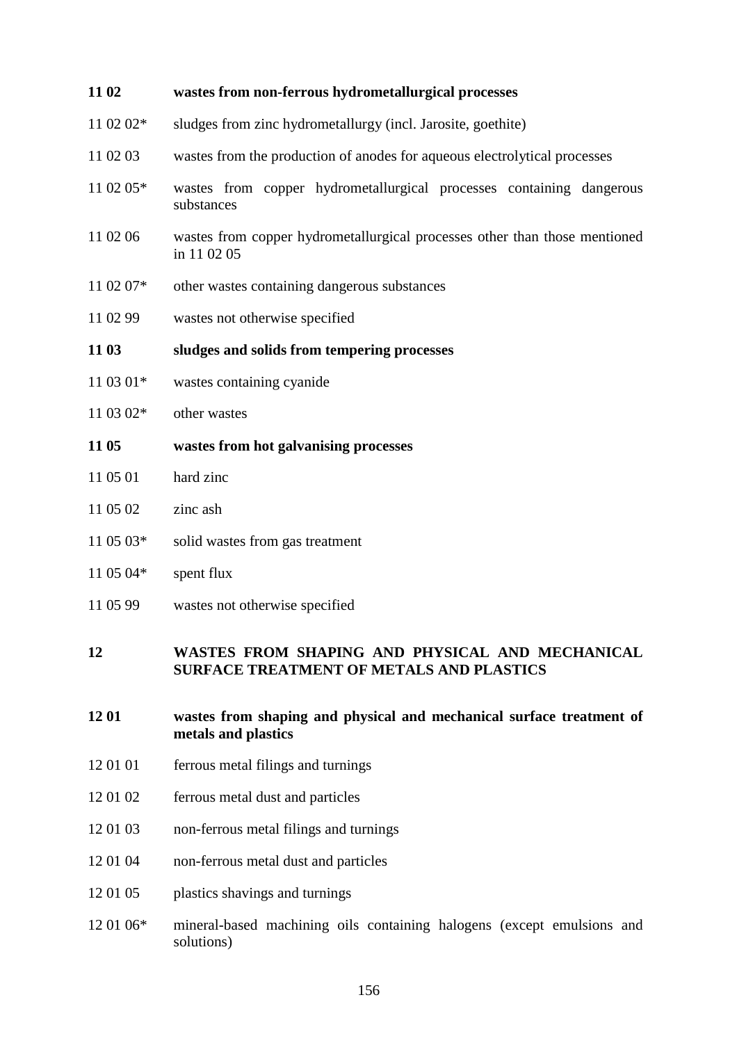| 11 02     | wastes from non-ferrous hydrometallurgical processes                                      |
|-----------|-------------------------------------------------------------------------------------------|
| 11 02 02* | sludges from zinc hydrometallurgy (incl. Jarosite, goethite)                              |
| 11 02 03  | wastes from the production of anodes for aqueous electrolytical processes                 |
| 11 02 05* | wastes from copper hydrometallurgical processes containing dangerous<br>substances        |
| 11 02 06  | wastes from copper hydrometallurgical processes other than those mentioned<br>in 11 02 05 |
| 11 02 07* | other wastes containing dangerous substances                                              |
| 11 02 99  | wastes not otherwise specified                                                            |
| 11 03     | sludges and solids from tempering processes                                               |
| 11 03 01* | wastes containing cyanide                                                                 |
| 11 03 02* | other wastes                                                                              |
| 11 05     | wastes from hot galvanising processes                                                     |
| 11 05 01  | hard zinc                                                                                 |
| 11 05 02  | zinc ash                                                                                  |
| 11 05 03* | solid wastes from gas treatment                                                           |
| 11 05 04* | spent flux                                                                                |
| 11 05 99  | wastes not otherwise specified                                                            |

#### **12 WASTES FROM SHAPING AND PHYSICAL AND MECHANICAL SURFACE TREATMENT OF METALS AND PLASTICS**

- **12 01 wastes from shaping and physical and mechanical surface treatment of metals and plastics**
- 12 01 01 ferrous metal filings and turnings
- 12 01 02 ferrous metal dust and particles
- 12 01 03 non-ferrous metal filings and turnings
- 12 01 04 non-ferrous metal dust and particles
- 12 01 05 plastics shavings and turnings
- 12 01 06\* mineral-based machining oils containing halogens (except emulsions and solutions)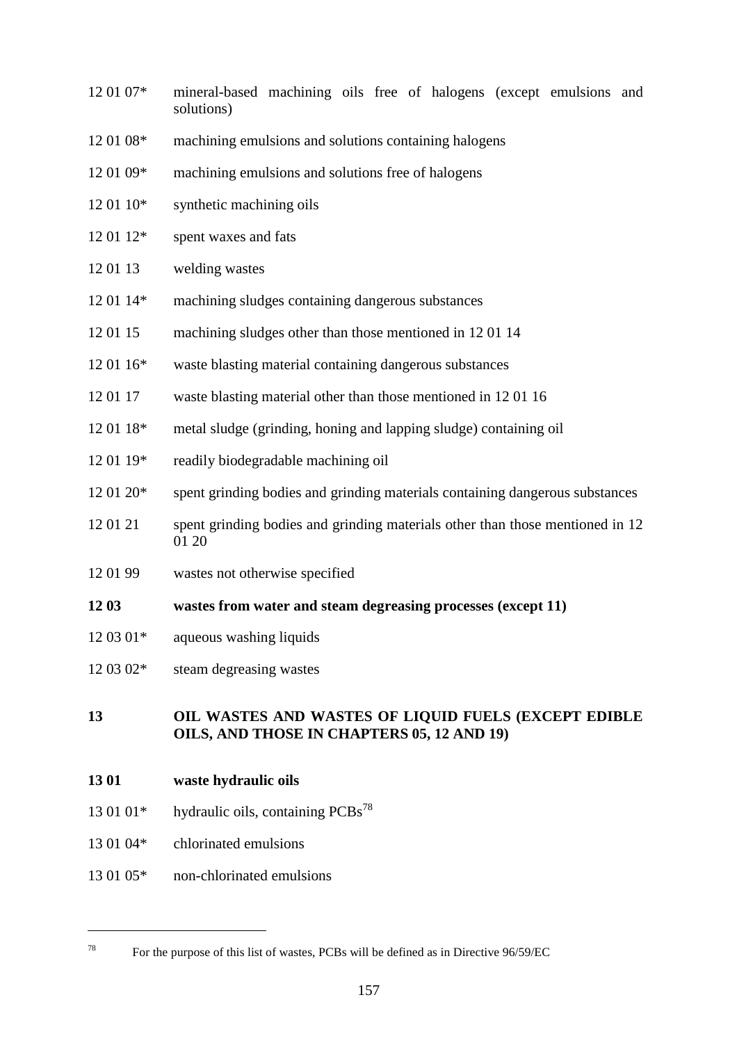- 12 01 07\* mineral-based machining oils free of halogens (except emulsions and solutions)
- 12 01 08\* machining emulsions and solutions containing halogens
- 12 01 09\* machining emulsions and solutions free of halogens
- 12 01 10\* synthetic machining oils
- 12 01 12\* spent waxes and fats
- 12 01 13 welding wastes
- 12 01 14\* machining sludges containing dangerous substances
- 12 01 15 machining sludges other than those mentioned in 12 01 14
- 12 01 16\* waste blasting material containing dangerous substances
- 12 01 17 waste blasting material other than those mentioned in 12 01 16
- 12 01 18\* metal sludge (grinding, honing and lapping sludge) containing oil
- 12 01 19\* readily biodegradable machining oil
- 12 01 20\* spent grinding bodies and grinding materials containing dangerous substances
- 12 01 21 spent grinding bodies and grinding materials other than those mentioned in 12 01 20
- 12 01 99 wastes not otherwise specified
- **12 03 wastes from water and steam degreasing processes (except 11)**
- 12 03 01\* aqueous washing liquids
- 12 03 02\* steam degreasing wastes

#### **13 OIL WASTES AND WASTES OF LIQUID FUELS (EXCEPT EDIBLE OILS, AND THOSE IN CHAPTERS 05, 12 AND 19)**

- **13 01 waste hydraulic oils**
- 13 01 01\* hydraulic oils, containing  $PCBs^{78}$
- 13 01 04\* chlorinated emulsions

 $\overline{a}$ 

13 01 05\* non-chlorinated emulsions

<sup>&</sup>lt;sup>78</sup> For the purpose of this list of wastes, PCBs will be defined as in Directive  $96/59/EC$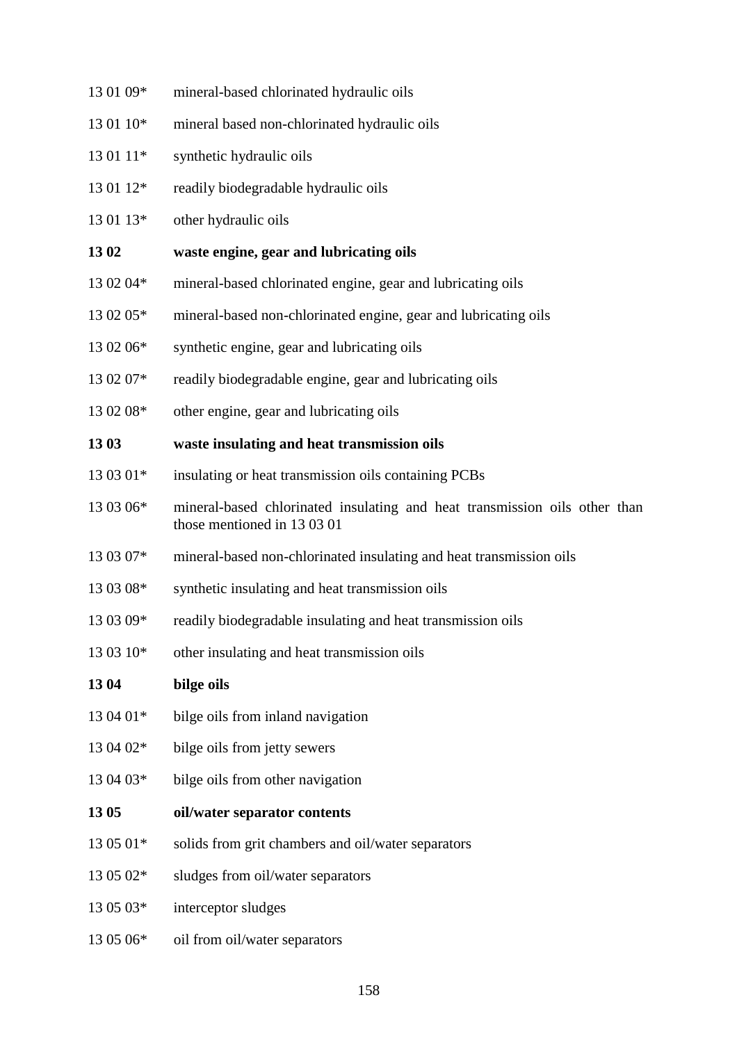13 01 09\* mineral-based chlorinated hydraulic oils 13 01 10\* mineral based non-chlorinated hydraulic oils 13 01 11<sup>\*</sup> synthetic hydraulic oils 13 01 12\* readily biodegradable hydraulic oils 13 01 13\* other hydraulic oils **13 02 waste engine, gear and lubricating oils** 13 02 04\* mineral-based chlorinated engine, gear and lubricating oils 13 02 05\* mineral-based non-chlorinated engine, gear and lubricating oils 13 02 06\* synthetic engine, gear and lubricating oils 13 02 07\* readily biodegradable engine, gear and lubricating oils 13 02 08\* other engine, gear and lubricating oils **13 03 waste insulating and heat transmission oils** 13 03 01<sup>\*</sup> insulating or heat transmission oils containing PCBs 13 03 06\* mineral-based chlorinated insulating and heat transmission oils other than those mentioned in 13 03 01 13 03 07\* mineral-based non-chlorinated insulating and heat transmission oils 13 03 08\* synthetic insulating and heat transmission oils 13 03 09\* readily biodegradable insulating and heat transmission oils  $13\,03\,10^*$  other insulating and heat transmission oils **13 04 bilge oils**  $13.04.01*$  bilge oils from inland navigation 13 04 02\* bilge oils from jetty sewers 13 04 03\* bilge oils from other navigation **13 05 oil/water separator contents**  $13\,05\,01*$  solids from grit chambers and oil/water separators 13 05 02\* sludges from oil/water separators 13 05 03\* interceptor sludges 13 05 06\* oil from oil/water separators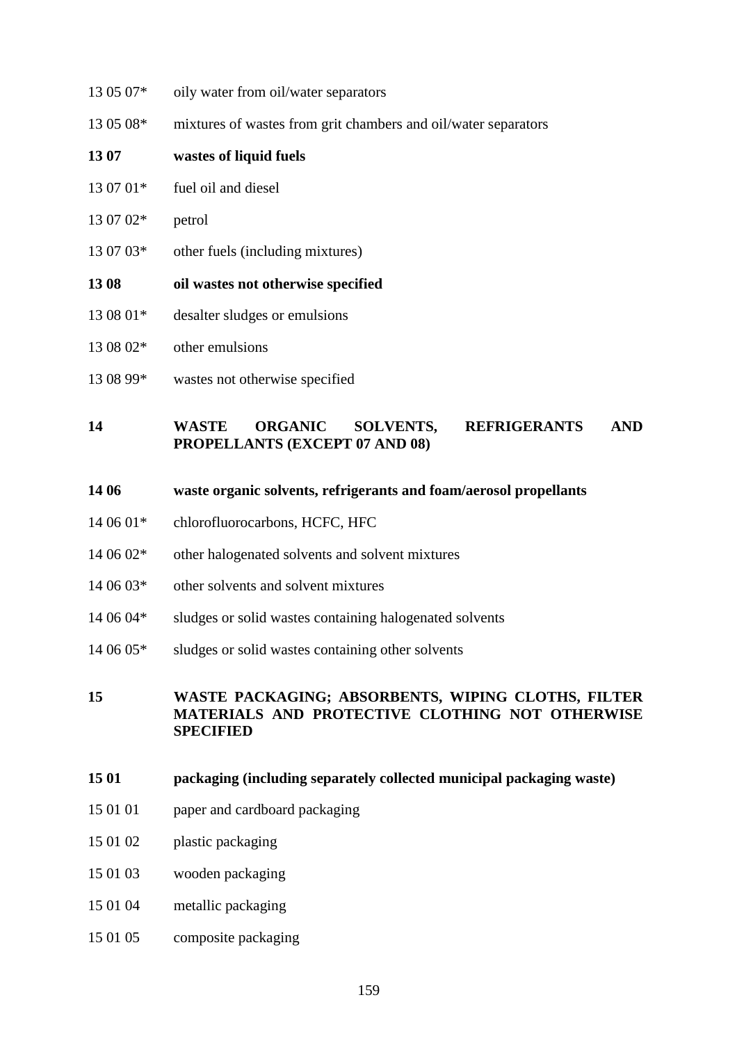- 13 05 07\* oily water from oil/water separators 13 05 08\* mixtures of wastes from grit chambers and oil/water separators **13 07 wastes of liquid fuels** 13 07 01\* fuel oil and diesel 13 07 02\* petrol 13 07 03\* other fuels (including mixtures) **13 08 oil wastes not otherwise specified** 13 08 01\* desalter sludges or emulsions 13 08 02\* other emulsions
- 13 08 99\* wastes not otherwise specified

#### **14 WASTE ORGANIC SOLVENTS, REFRIGERANTS AND PROPELLANTS (EXCEPT 07 AND 08)**

#### **14 06 waste organic solvents, refrigerants and foam/aerosol propellants**

- 14 06 01\* chlorofluorocarbons, HCFC, HFC
- 14 06 02\* other halogenated solvents and solvent mixtures
- 14 06 03\* other solvents and solvent mixtures
- 14 06 04\* sludges or solid wastes containing halogenated solvents
- 14 06 05\* sludges or solid wastes containing other solvents

#### **15 WASTE PACKAGING; ABSORBENTS, WIPING CLOTHS, FILTER MATERIALS AND PROTECTIVE CLOTHING NOT OTHERWISE SPECIFIED**

- **15 01 packaging (including separately collected municipal packaging waste)**
- 15 01 01 paper and cardboard packaging
- 15 01 02 plastic packaging
- 15 01 03 wooden packaging
- 15 01 04 metallic packaging
- 15 01 05 composite packaging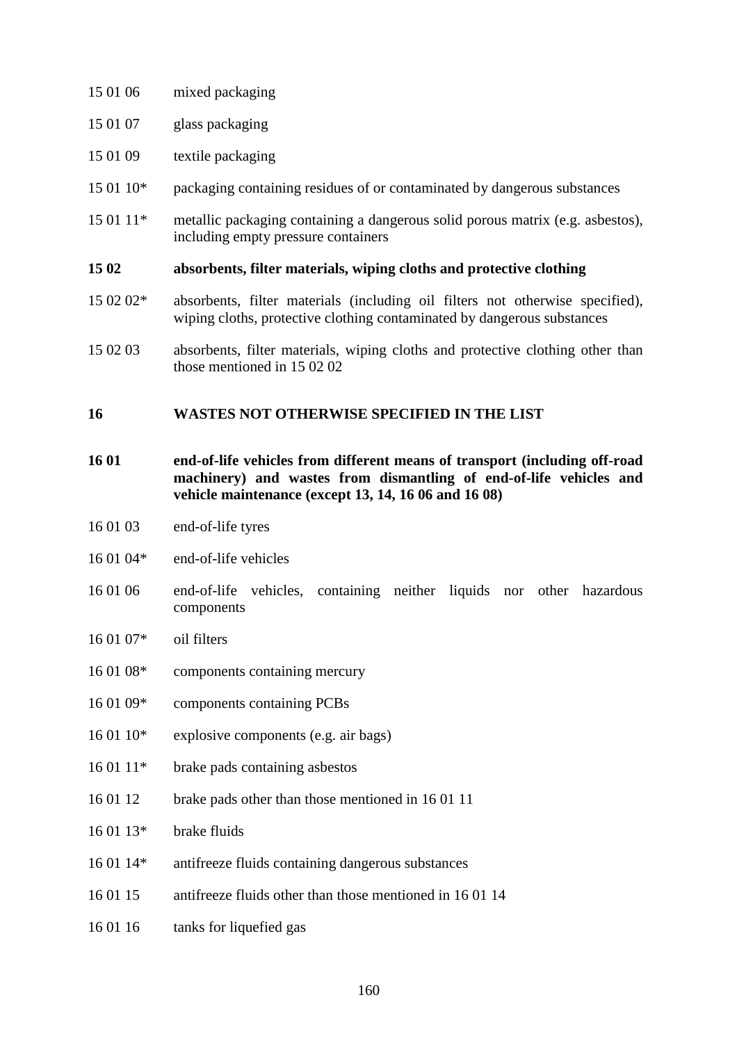- 15 01 06 mixed packaging
- 15 01 07 glass packaging
- 15 01 09 textile packaging
- 15 01 10\* packaging containing residues of or contaminated by dangerous substances
- 15 01 11\* metallic packaging containing a dangerous solid porous matrix (e.g. asbestos), including empty pressure containers

#### **15 02 absorbents, filter materials, wiping cloths and protective clothing**

- 15 02 02\* absorbents, filter materials (including oil filters not otherwise specified), wiping cloths, protective clothing contaminated by dangerous substances
- 15 02 03 absorbents, filter materials, wiping cloths and protective clothing other than those mentioned in 15 02 02

#### **16 WASTES NOT OTHERWISE SPECIFIED IN THE LIST**

- **16 01 end-of-life vehicles from different means of transport (including off-road machinery) and wastes from dismantling of end-of-life vehicles and vehicle maintenance (except 13, 14, 16 06 and 16 08)**
- 16 01 03 end-of-life tyres
- 16 01 04\* end-of-life vehicles
- 16 01 06 end-of-life vehicles, containing neither liquids nor other hazardous components
- 16 01 07\* oil filters
- 16 01 08\* components containing mercury
- 16 01 09\* components containing PCBs
- 16 01 10\* explosive components (e.g. air bags)
- 16 01 11\* brake pads containing asbestos
- 16 01 12 brake pads other than those mentioned in 16 01 11
- 16 01 13\* brake fluids
- 16 01 14\* antifreeze fluids containing dangerous substances
- 16 01 15 antifreeze fluids other than those mentioned in 16 01 14
- 16 01 16 tanks for liquefied gas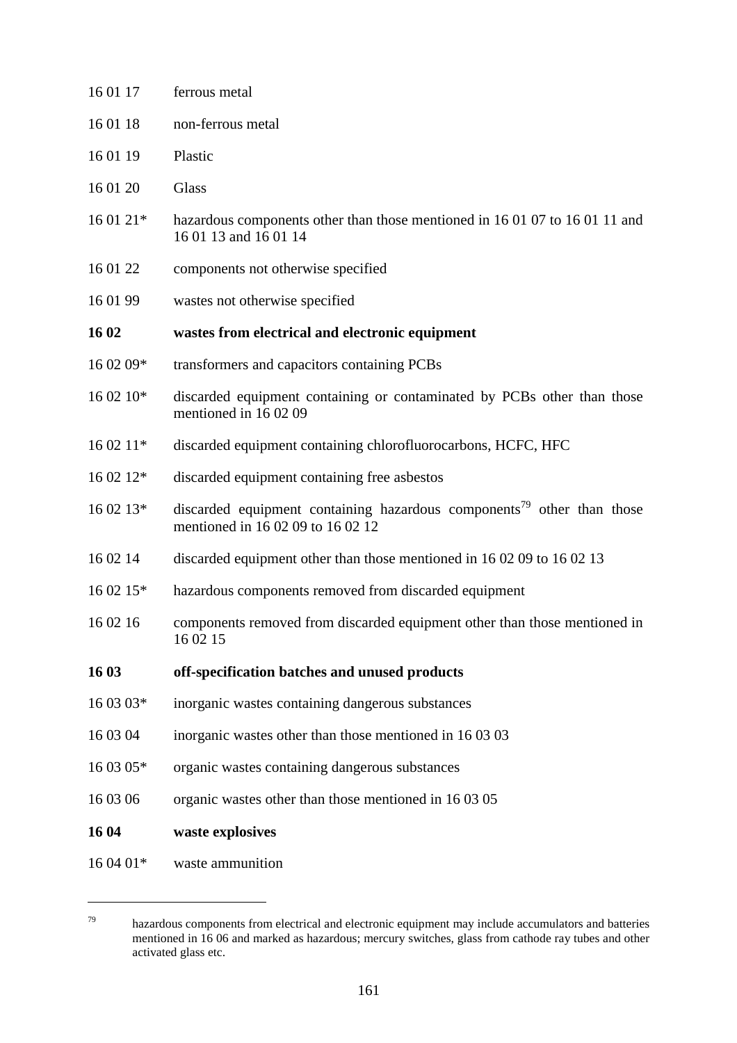| 16 01 17  | ferrous metal                                                                                                           |
|-----------|-------------------------------------------------------------------------------------------------------------------------|
| 16 01 18  | non-ferrous metal                                                                                                       |
| 16 01 19  | Plastic                                                                                                                 |
| 16 01 20  | Glass                                                                                                                   |
| 16 01 21* | hazardous components other than those mentioned in 16 01 07 to 16 01 11 and<br>16 01 13 and 16 01 14                    |
| 16 01 22  | components not otherwise specified                                                                                      |
| 16 01 99  | wastes not otherwise specified                                                                                          |
| 16 02     | wastes from electrical and electronic equipment                                                                         |
| 16 02 09* | transformers and capacitors containing PCBs                                                                             |
| 16 02 10* | discarded equipment containing or contaminated by PCBs other than those<br>mentioned in 160209                          |
| 16 02 11* | discarded equipment containing chlorofluorocarbons, HCFC, HFC                                                           |
| 16 02 12* | discarded equipment containing free asbestos                                                                            |
| 16 02 13* | discarded equipment containing hazardous components <sup>79</sup> other than those<br>mentioned in 16 02 09 to 16 02 12 |
| 16 02 14  | discarded equipment other than those mentioned in 16 02 09 to 16 02 13                                                  |
| 16 02 15* | hazardous components removed from discarded equipment                                                                   |
| 16 02 16  | components removed from discarded equipment other than those mentioned in<br>16 02 15                                   |
| 16 03     | off-specification batches and unused products                                                                           |
| 16 03 03* | inorganic wastes containing dangerous substances                                                                        |
| 16 03 04  | inorganic wastes other than those mentioned in 16 03 03                                                                 |
| 16 03 05* | organic wastes containing dangerous substances                                                                          |
| 16 03 06  | organic wastes other than those mentioned in 16 03 05                                                                   |
| 16 04     | waste explosives                                                                                                        |
| 16 04 01* | waste ammunition                                                                                                        |

 $\overline{a}$ 

<sup>79</sup> hazardous components from electrical and electronic equipment may include accumulators and batteries mentioned in 16 06 and marked as hazardous; mercury switches, glass from cathode ray tubes and other activated glass etc.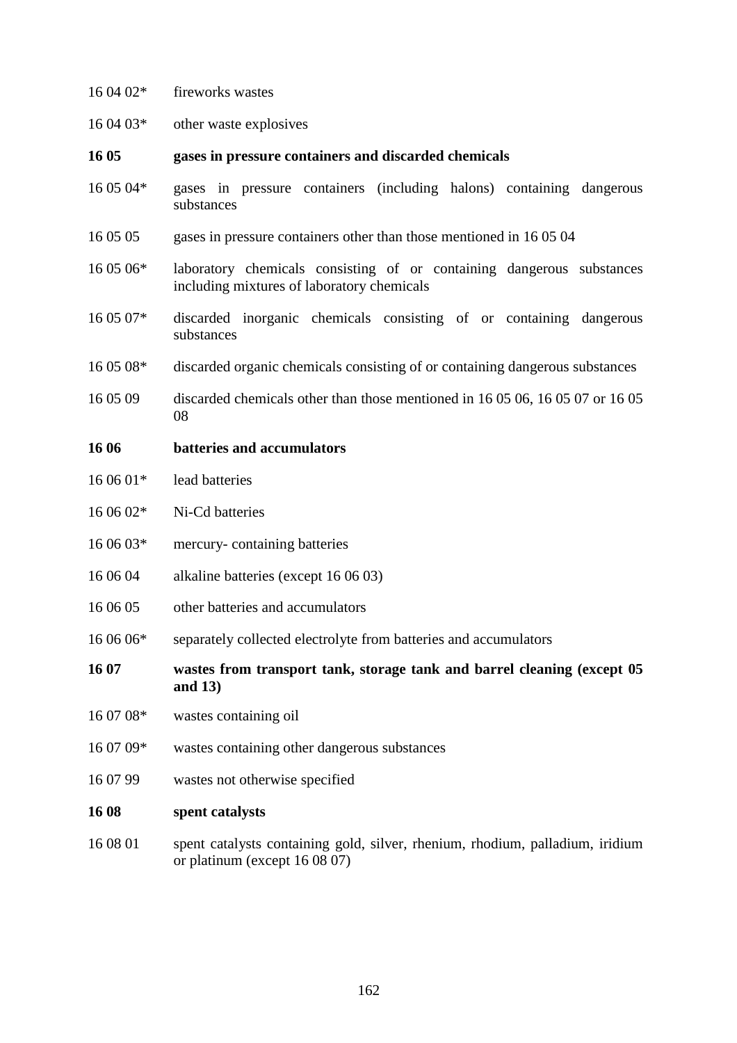| 16 04 02* | fireworks wastes                                                                                                    |
|-----------|---------------------------------------------------------------------------------------------------------------------|
| 16 04 03* | other waste explosives                                                                                              |
| 16 05     | gases in pressure containers and discarded chemicals                                                                |
| 16 05 04* | gases in pressure containers (including halons) containing dangerous<br>substances                                  |
| 16 05 05  | gases in pressure containers other than those mentioned in 160504                                                   |
| 16 05 06* | laboratory chemicals consisting of or containing dangerous substances<br>including mixtures of laboratory chemicals |
| 16 05 07* | discarded inorganic chemicals consisting of or containing dangerous<br>substances                                   |
| 16 05 08* | discarded organic chemicals consisting of or containing dangerous substances                                        |
| 16 05 09  | discarded chemicals other than those mentioned in 16 05 06, 16 05 07 or 16 05<br>08                                 |
| 16 06     | batteries and accumulators                                                                                          |
| 16 06 01* | lead batteries                                                                                                      |
| 16 06 02* | Ni-Cd batteries                                                                                                     |
| 16 06 03* | mercury-containing batteries                                                                                        |
| 16 06 04  | alkaline batteries (except 16 06 03)                                                                                |
| 16 06 05  | other batteries and accumulators                                                                                    |
| 16 06 06* | separately collected electrolyte from batteries and accumulators                                                    |
| 16 07     | wastes from transport tank, storage tank and barrel cleaning (except 05)<br>and $13)$                               |
| 16 07 08* | wastes containing oil                                                                                               |
| 16 07 09* | wastes containing other dangerous substances                                                                        |
| 16 07 99  | wastes not otherwise specified                                                                                      |
| 16 08     | spent catalysts                                                                                                     |
| 16 08 01  | spent catalysts containing gold, silver, rhenium, rhodium, palladium, iridium<br>or platinum (except 16 08 07)      |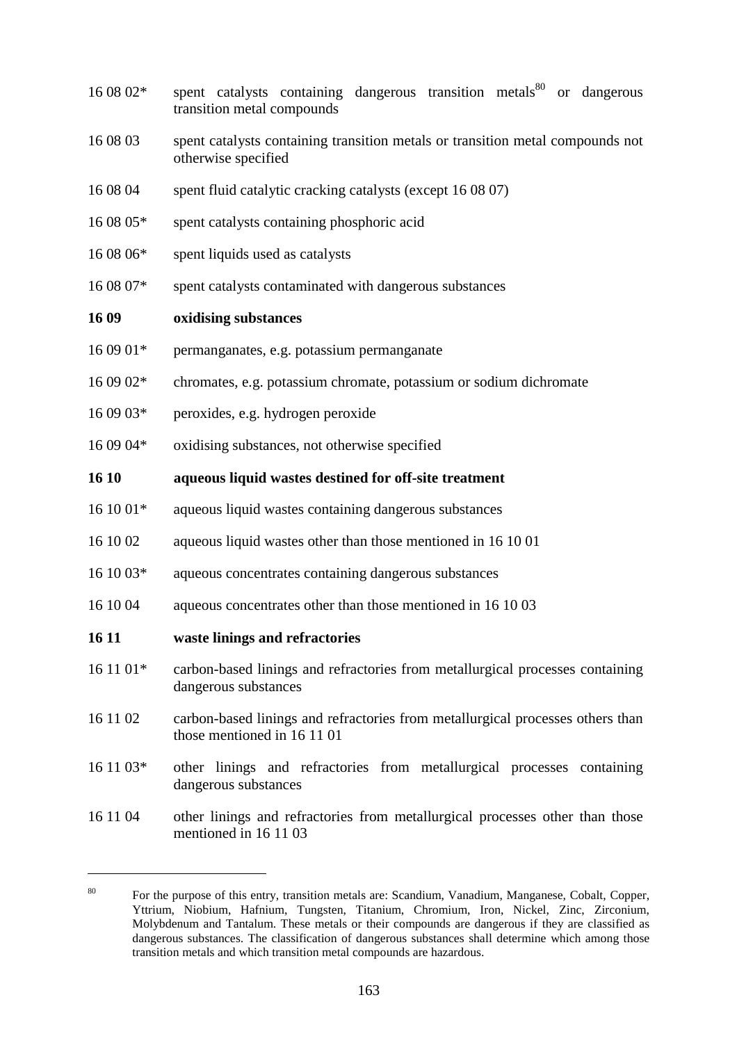- $160802*$  spent catalysts containing dangerous transition metals<sup>80</sup> or dangerous transition metal compounds
- 16 08 03 spent catalysts containing transition metals or transition metal compounds not otherwise specified
- 16 08 04 spent fluid catalytic cracking catalysts (except 16 08 07)
- 16 08 05\* spent catalysts containing phosphoric acid
- 16 08 06\* spent liquids used as catalysts
- 16 08 07\* spent catalysts contaminated with dangerous substances

#### **16 09 oxidising substances**

- 16 09 01\* permanganates, e.g. potassium permanganate
- 16 09 02\* chromates, e.g. potassium chromate, potassium or sodium dichromate
- 16 09 03\* peroxides, e.g. hydrogen peroxide
- 16 09 04\* oxidising substances, not otherwise specified

#### **16 10 aqueous liquid wastes destined for off-site treatment**

- 16 10 01\* aqueous liquid wastes containing dangerous substances
- 16 10 02 aqueous liquid wastes other than those mentioned in 16 10 01
- 16 10 03\* aqueous concentrates containing dangerous substances
- 16 10 04 aqueous concentrates other than those mentioned in 16 10 03

#### **16 11 waste linings and refractories**

 $\overline{a}$ 

- 16 11 01\* carbon-based linings and refractories from metallurgical processes containing dangerous substances
- 16 11 02 carbon-based linings and refractories from metallurgical processes others than those mentioned in 16 11 01
- 16 11 03\* other linings and refractories from metallurgical processes containing dangerous substances
- 16 11 04 other linings and refractories from metallurgical processes other than those mentioned in 16 11 03

<sup>80</sup> For the purpose of this entry, transition metals are: Scandium, Vanadium, Manganese, Cobalt, Copper, Yttrium, Niobium, Hafnium, Tungsten, Titanium, Chromium, Iron, Nickel, Zinc, Zirconium, Molybdenum and Tantalum. These metals or their compounds are dangerous if they are classified as dangerous substances. The classification of dangerous substances shall determine which among those transition metals and which transition metal compounds are hazardous.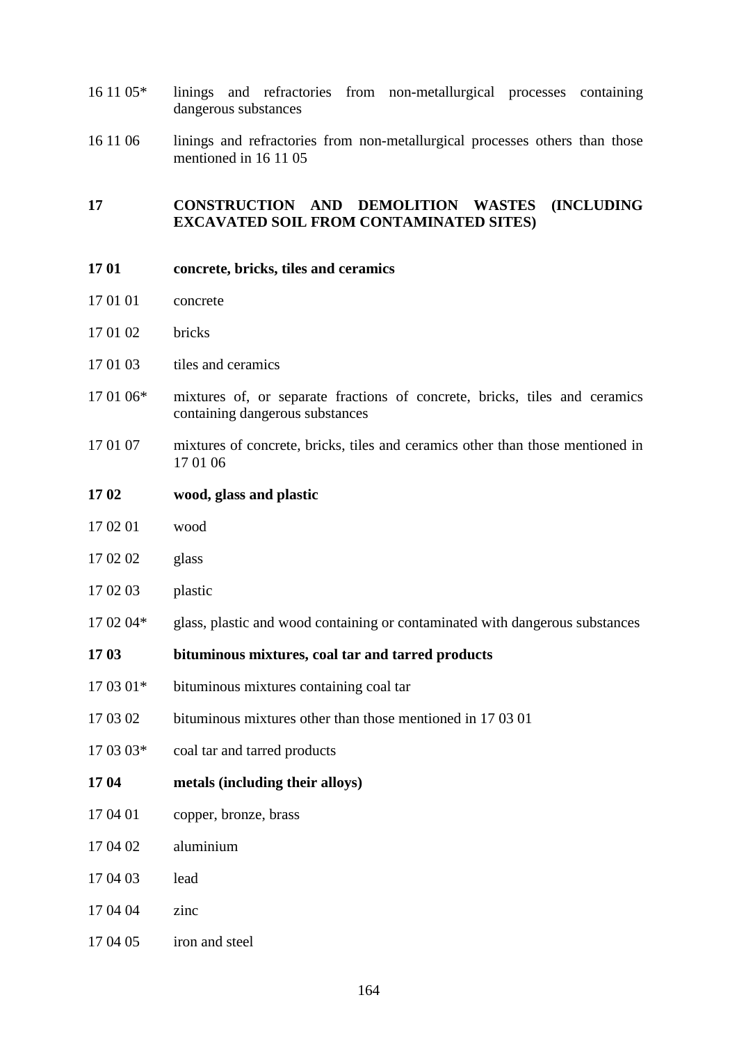- 16 11 05\* linings and refractories from non-metallurgical processes containing dangerous substances
- 16 11 06 linings and refractories from non-metallurgical processes others than those mentioned in 16 11 05

#### **17 CONSTRUCTION AND DEMOLITION WASTES (INCLUDING EXCAVATED SOIL FROM CONTAMINATED SITES)**

- **17 01 concrete, bricks, tiles and ceramics**
- 17 01 01 concrete
- 17 01 02 bricks
- 17 01 03 tiles and ceramics
- 17 01 06\* mixtures of, or separate fractions of concrete, bricks, tiles and ceramics containing dangerous substances
- 17 01 07 mixtures of concrete, bricks, tiles and ceramics other than those mentioned in 17 01 06
- **17 02 wood, glass and plastic**
- 17 02 01 wood
- 17 02 02 glass
- 17 02 03 plastic
- 17 02 04\* glass, plastic and wood containing or contaminated with dangerous substances

#### **17 03 bituminous mixtures, coal tar and tarred products**

- 17 03 01\* bituminous mixtures containing coal tar
- 17 03 02 bituminous mixtures other than those mentioned in 17 03 01
- 17 03 03\* coal tar and tarred products
- **17 04 metals (including their alloys)**
- 17 04 01 copper, bronze, brass
- 17 04 02 aluminium
- 17 04 03 lead
- 17 04 04 zinc
- 17 04 05 iron and steel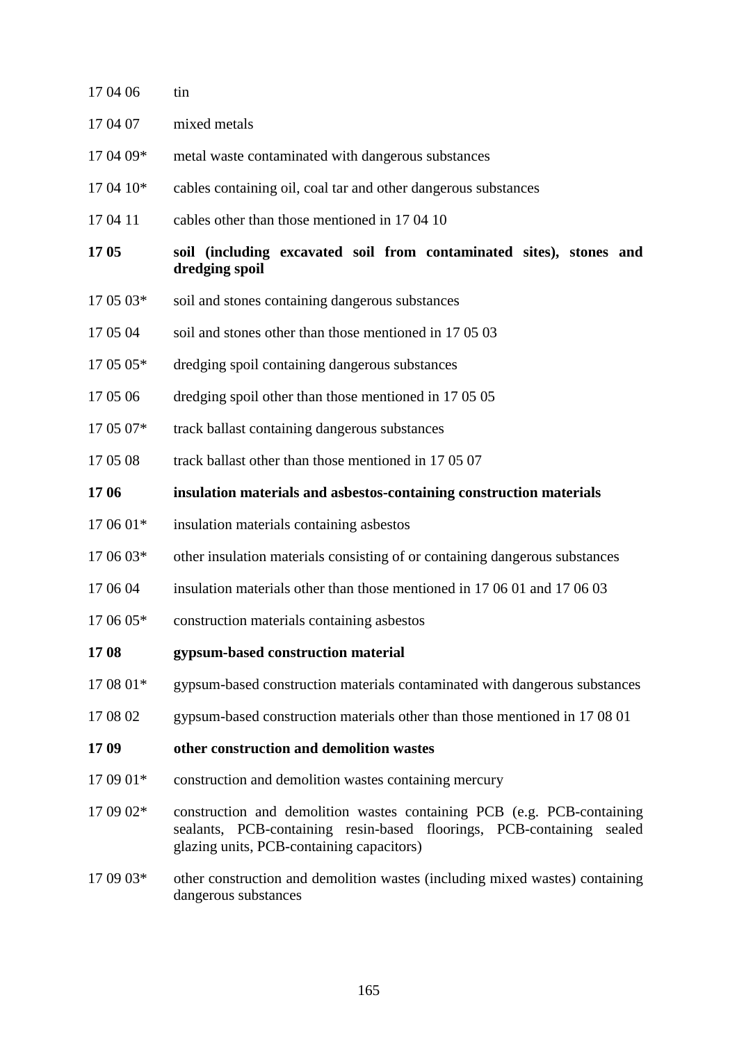| 17 04 06  | tin                                                                                                                                                                                             |
|-----------|-------------------------------------------------------------------------------------------------------------------------------------------------------------------------------------------------|
| 17 04 07  | mixed metals                                                                                                                                                                                    |
| 17 04 09* | metal waste contaminated with dangerous substances                                                                                                                                              |
| 17 04 10* | cables containing oil, coal tar and other dangerous substances                                                                                                                                  |
| 17 04 11  | cables other than those mentioned in 17 04 10                                                                                                                                                   |
| 17 05     | soil (including excavated soil from contaminated sites), stones and<br>dredging spoil                                                                                                           |
| 17 05 03* | soil and stones containing dangerous substances                                                                                                                                                 |
| 17 05 04  | soil and stones other than those mentioned in 170503                                                                                                                                            |
| 17 05 05* | dredging spoil containing dangerous substances                                                                                                                                                  |
| 17 05 06  | dredging spoil other than those mentioned in 17 05 05                                                                                                                                           |
| 17 05 07* | track ballast containing dangerous substances                                                                                                                                                   |
| 17 05 08  | track ballast other than those mentioned in 17 05 07                                                                                                                                            |
| 17 06     | insulation materials and asbestos-containing construction materials                                                                                                                             |
| 17 06 01* | insulation materials containing asbestos                                                                                                                                                        |
| 17 06 03* | other insulation materials consisting of or containing dangerous substances                                                                                                                     |
| 17 06 04  | insulation materials other than those mentioned in 17 06 01 and 17 06 03                                                                                                                        |
| 17 06 05* | construction materials containing asbestos                                                                                                                                                      |
| 1708      | gypsum-based construction material                                                                                                                                                              |
| 17 08 01* | gypsum-based construction materials contaminated with dangerous substances                                                                                                                      |
| 17 08 02  | gypsum-based construction materials other than those mentioned in 170801                                                                                                                        |
| 1709      | other construction and demolition wastes                                                                                                                                                        |
| 17 09 01* | construction and demolition wastes containing mercury                                                                                                                                           |
| 17 09 02* | construction and demolition wastes containing PCB (e.g. PCB-containing<br>sealants, PCB-containing resin-based floorings, PCB-containing<br>sealed<br>glazing units, PCB-containing capacitors) |
| 17 09 03* | other construction and demolition wastes (including mixed wastes) containing<br>dangerous substances                                                                                            |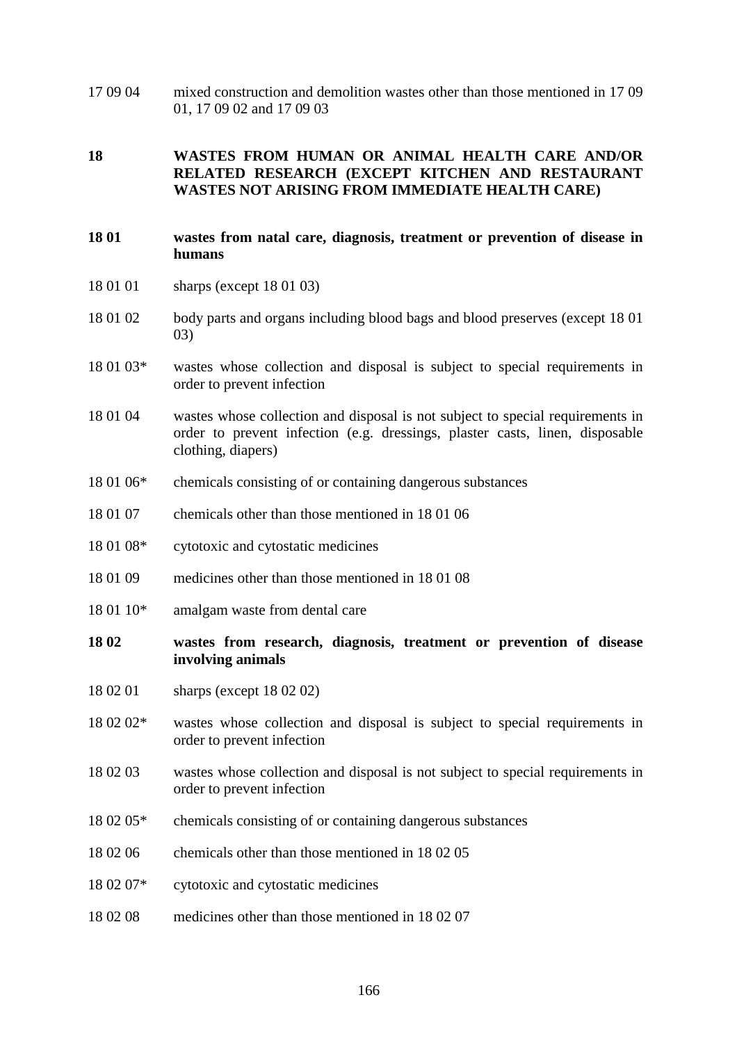17 09 04 mixed construction and demolition wastes other than those mentioned in 17 09 01, 17 09 02 and 17 09 03

#### **18 WASTES FROM HUMAN OR ANIMAL HEALTH CARE AND/OR RELATED RESEARCH (EXCEPT KITCHEN AND RESTAURANT WASTES NOT ARISING FROM IMMEDIATE HEALTH CARE)**

#### **18 01 wastes from natal care, diagnosis, treatment or prevention of disease in humans**

- 18 01 01 sharps (except 18 01 03)
- 18 01 02 body parts and organs including blood bags and blood preserves (except 18 01 03)
- 18 01 03\* wastes whose collection and disposal is subject to special requirements in order to prevent infection
- 18 01 04 wastes whose collection and disposal is not subject to special requirements in order to prevent infection (e.g. dressings, plaster casts, linen, disposable clothing, diapers)
- 18 01 06\* chemicals consisting of or containing dangerous substances
- 18 01 07 chemicals other than those mentioned in 18 01 06
- 18 01 08\* cytotoxic and cytostatic medicines
- 18 01 09 medicines other than those mentioned in 18 01 08
- 18 01 10<sup>\*</sup> amalgam waste from dental care

#### **18 02 wastes from research, diagnosis, treatment or prevention of disease involving animals**

- 18 02 01 sharps (except 18 02 02)
- 18 02 02\* wastes whose collection and disposal is subject to special requirements in order to prevent infection
- 18 02 03 wastes whose collection and disposal is not subject to special requirements in order to prevent infection
- 18 02 05\* chemicals consisting of or containing dangerous substances
- 18 02 06 chemicals other than those mentioned in 18 02 05
- 18 02 07\* cytotoxic and cytostatic medicines
- 18 02 08 medicines other than those mentioned in 18 02 07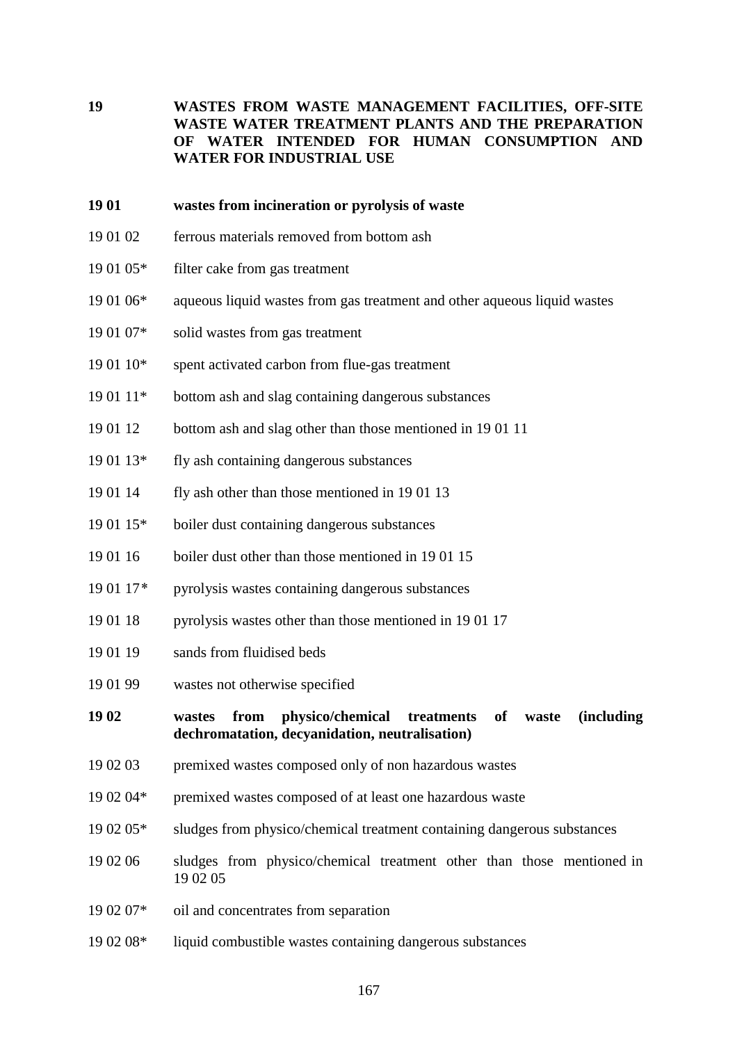**19 WASTES FROM WASTE MANAGEMENT FACILITIES, OFF-SITE WASTE WATER TREATMENT PLANTS AND THE PREPARATION OF WATER INTENDED FOR HUMAN CONSUMPTION AND WATER FOR INDUSTRIAL USE**

#### **19 01 wastes from incineration or pyrolysis of waste**

- 19 01 02 ferrous materials removed from bottom ash
- 19 01 05\* filter cake from gas treatment
- 19 01 06\* aqueous liquid wastes from gas treatment and other aqueous liquid wastes
- 19 01 07\* solid wastes from gas treatment
- 19 01 10\* spent activated carbon from flue-gas treatment
- 19 01 11\* bottom ash and slag containing dangerous substances
- 19 01 12 bottom ash and slag other than those mentioned in 19 01 11
- 19 01 13\* fly ash containing dangerous substances
- 19 01 14 fly ash other than those mentioned in 19 01 13
- 19 01 15\* boiler dust containing dangerous substances
- 19 01 16 boiler dust other than those mentioned in 19 01 15
- 19 01 17*\** pyrolysis wastes containing dangerous substances
- 19 01 18 pyrolysis wastes other than those mentioned in 19 01 17
- 19 01 19 sands from fluidised beds
- 19 01 99 wastes not otherwise specified

#### **19 02 wastes from physico/chemical treatments of waste (including dechromatation, decyanidation, neutralisation)**

- 19 02 03 premixed wastes composed only of non hazardous wastes
- 19 02 04\* premixed wastes composed of at least one hazardous waste
- 19 02 05\* sludges from physico/chemical treatment containing dangerous substances
- 19 02 06 sludges from physico/chemical treatment other than those mentioned in 19 02 05
- 19 02 07\* oil and concentrates from separation
- 19 02 08\* liquid combustible wastes containing dangerous substances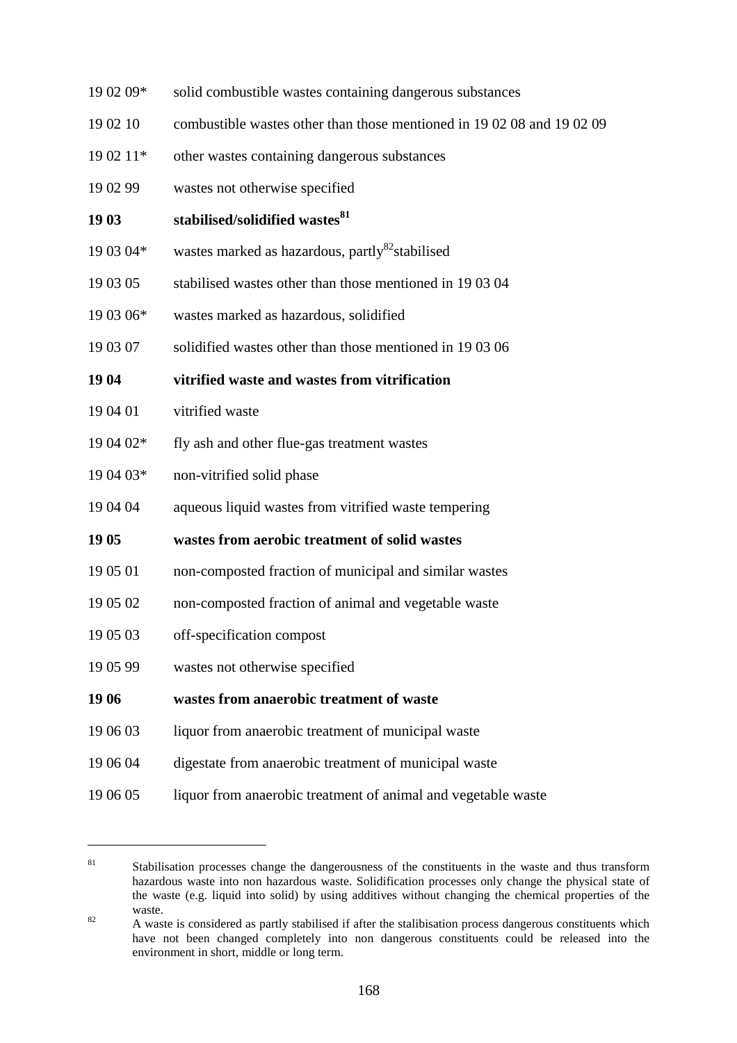- 19 02 09\* solid combustible wastes containing dangerous substances
- 19 02 10 combustible wastes other than those mentioned in 19 02 08 and 19 02 09
- 19 02 11\* other wastes containing dangerous substances
- 19 02 99 wastes not otherwise specified

#### **19 03 stabilised/solidified wastes<sup>81</sup>**

- 19 03 04 $*$  wastes marked as hazardous, partly<sup>82</sup> stabilised
- 19 03 05 stabilised wastes other than those mentioned in 19 03 04
- 19 03 06\* wastes marked as hazardous, solidified
- 19 03 07 solidified wastes other than those mentioned in 19 03 06

#### **19 04 vitrified waste and wastes from vitrification**

- 19 04 01 vitrified waste
- 19 04 02\* fly ash and other flue-gas treatment wastes
- 19 04 03\* non-vitrified solid phase
- 19 04 04 aqueous liquid wastes from vitrified waste tempering

#### **19 05 wastes from aerobic treatment of solid wastes**

- 19 05 01 non-composted fraction of municipal and similar wastes
- 19 05 02 non-composted fraction of animal and vegetable waste
- 19 05 03 off-specification compost

 $\overline{a}$ 

19 05 99 wastes not otherwise specified

#### **19 06 wastes from anaerobic treatment of waste**

- 19 06 03 liquor from anaerobic treatment of municipal waste
- 19 06 04 digestate from anaerobic treatment of municipal waste
- 19 06 05 liquor from anaerobic treatment of animal and vegetable waste

<sup>&</sup>lt;sup>81</sup> Stabilisation processes change the dangerousness of the constituents in the waste and thus transform hazardous waste into non hazardous waste. Solidification processes only change the physical state of the waste (e.g. liquid into solid) by using additives without changing the chemical properties of the

waste.<br><sup>82</sup> A waste is considered as partly stabilised if after the stalibisation process dangerous constituents which have not been changed completely into non dangerous constituents could be released into the environment in short, middle or long term.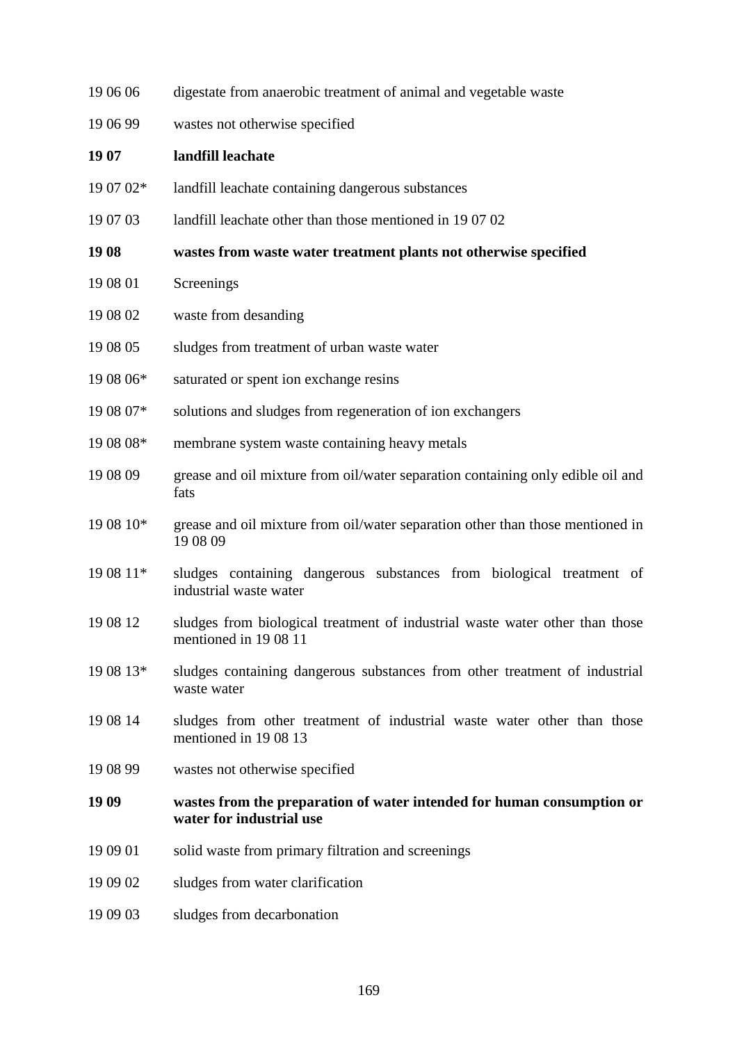| 19 06 06  | digestate from anaerobic treatment of animal and vegetable waste                                     |
|-----------|------------------------------------------------------------------------------------------------------|
| 19 06 99  | wastes not otherwise specified                                                                       |
| 19 07     | landfill leachate                                                                                    |
| 19 07 02* | landfill leachate containing dangerous substances                                                    |
| 19 07 03  | landfill leachate other than those mentioned in 190702                                               |
| 19 08     | wastes from waste water treatment plants not otherwise specified                                     |
| 19 08 01  | Screenings                                                                                           |
| 19 08 02  | waste from desanding                                                                                 |
| 19 08 05  | sludges from treatment of urban waste water                                                          |
| 19 08 06* | saturated or spent ion exchange resins                                                               |
| 19 08 07* | solutions and sludges from regeneration of ion exchangers                                            |
| 19 08 08* | membrane system waste containing heavy metals                                                        |
| 19 08 09  | grease and oil mixture from oil/water separation containing only edible oil and<br>fats              |
| 19 08 10* | grease and oil mixture from oil/water separation other than those mentioned in<br>19 08 09           |
| 19 08 11* | sludges containing dangerous substances from biological treatment of<br>industrial waste water       |
| 19 08 12  | sludges from biological treatment of industrial waste water other than those<br>mentioned in 1908 11 |
| 19 08 13* | sludges containing dangerous substances from other treatment of industrial<br>waste water            |
| 19 08 14  | sludges from other treatment of industrial waste water other than those<br>mentioned in 1908 13      |
| 19 08 99  | wastes not otherwise specified                                                                       |
| 19 09     | wastes from the preparation of water intended for human consumption or<br>water for industrial use   |
| 19 09 01  | solid waste from primary filtration and screenings                                                   |
| 19 09 02  | sludges from water clarification                                                                     |
| 19 09 03  | sludges from decarbonation                                                                           |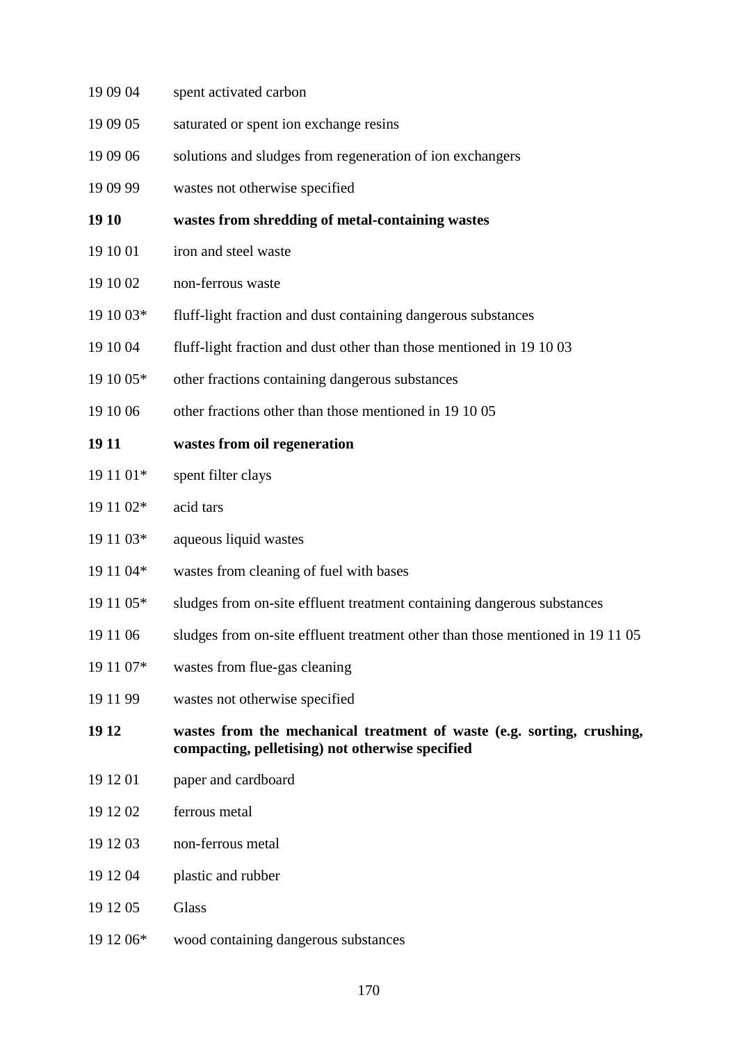| 19 09 04  | spent activated carbon                                                                                                     |
|-----------|----------------------------------------------------------------------------------------------------------------------------|
| 19 09 05  | saturated or spent ion exchange resins                                                                                     |
| 19 09 06  | solutions and sludges from regeneration of ion exchangers                                                                  |
| 19 09 99  | wastes not otherwise specified                                                                                             |
| 19 10     | wastes from shredding of metal-containing wastes                                                                           |
| 19 10 01  | iron and steel waste                                                                                                       |
| 19 10 02  | non-ferrous waste                                                                                                          |
| 19 10 03* | fluff-light fraction and dust containing dangerous substances                                                              |
| 19 10 04  | fluff-light fraction and dust other than those mentioned in 19 10 03                                                       |
| 19 10 05* | other fractions containing dangerous substances                                                                            |
| 19 10 06  | other fractions other than those mentioned in 19 10 05                                                                     |
| 19 11     | wastes from oil regeneration                                                                                               |
| 19 11 01* | spent filter clays                                                                                                         |
| 19 11 02* | acid tars                                                                                                                  |
| 19 11 03* | aqueous liquid wastes                                                                                                      |
| 19 11 04* | wastes from cleaning of fuel with bases                                                                                    |
| 19 11 05* | sludges from on-site effluent treatment containing dangerous substances                                                    |
| 19 11 06  | sludges from on-site effluent treatment other than those mentioned in 19 11 05                                             |
| 19 11 07* | wastes from flue-gas cleaning                                                                                              |
| 19 11 99  | wastes not otherwise specified                                                                                             |
| 19 12     | wastes from the mechanical treatment of waste (e.g. sorting, crushing,<br>compacting, pelletising) not otherwise specified |
| 19 12 01  | paper and cardboard                                                                                                        |
| 19 12 02  | ferrous metal                                                                                                              |
| 19 12 03  | non-ferrous metal                                                                                                          |
| 19 12 04  | plastic and rubber                                                                                                         |
| 19 12 05  | Glass                                                                                                                      |
| 19 12 06* | wood containing dangerous substances                                                                                       |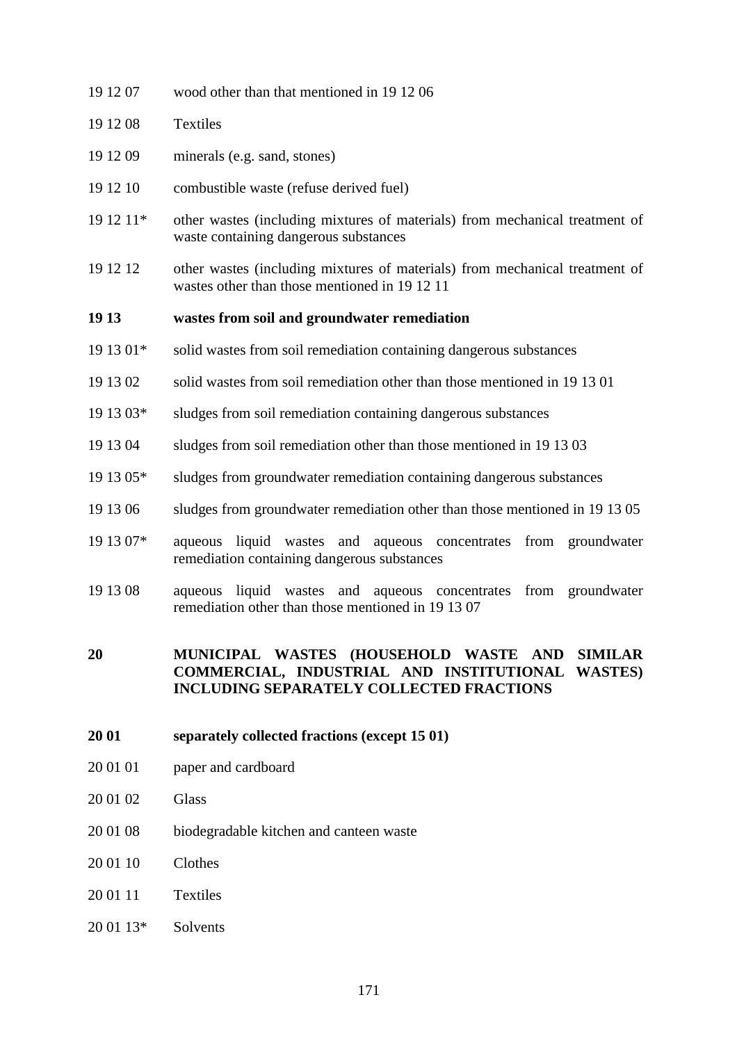| 19 12 07  | wood other than that mentioned in 191206                                                                                     |
|-----------|------------------------------------------------------------------------------------------------------------------------------|
| 19 12 08  | <b>Textiles</b>                                                                                                              |
| 19 12 09  | minerals (e.g. sand, stones)                                                                                                 |
| 19 12 10  | combustible waste (refuse derived fuel)                                                                                      |
| 19 12 11* | other wastes (including mixtures of materials) from mechanical treatment of<br>waste containing dangerous substances         |
| 19 12 12  | other wastes (including mixtures of materials) from mechanical treatment of<br>wastes other than those mentioned in 19 12 11 |
| 19 13     | wastes from soil and groundwater remediation                                                                                 |
| 19 13 01* | solid wastes from soil remediation containing dangerous substances                                                           |
| 19 13 02  | solid wastes from soil remediation other than those mentioned in 19 13 01                                                    |
| 19 13 03* | sludges from soil remediation containing dangerous substances                                                                |
| 19 13 04  | sludges from soil remediation other than those mentioned in 19 13 03                                                         |

- 19 13 05\* sludges from groundwater remediation containing dangerous substances
- 19 13 06 sludges from groundwater remediation other than those mentioned in 19 13 05
- 19 13 07\* aqueous liquid wastes and aqueous concentrates from groundwater remediation containing dangerous substances
- 19 13 08 aqueous liquid wastes and aqueous concentrates from groundwater remediation other than those mentioned in 19 13 07

#### **20 MUNICIPAL WASTES (HOUSEHOLD WASTE AND SIMILAR COMMERCIAL, INDUSTRIAL AND INSTITUTIONAL WASTES) INCLUDING SEPARATELY COLLECTED FRACTIONS**

- **20 01 separately collected fractions (except 15 01)**
- 20 01 01 paper and cardboard
- 20 01 02 Glass
- 20 01 08 biodegradable kitchen and canteen waste
- 20 01 10 Clothes
- 20 01 11 Textiles
- 20 01 13\* Solvents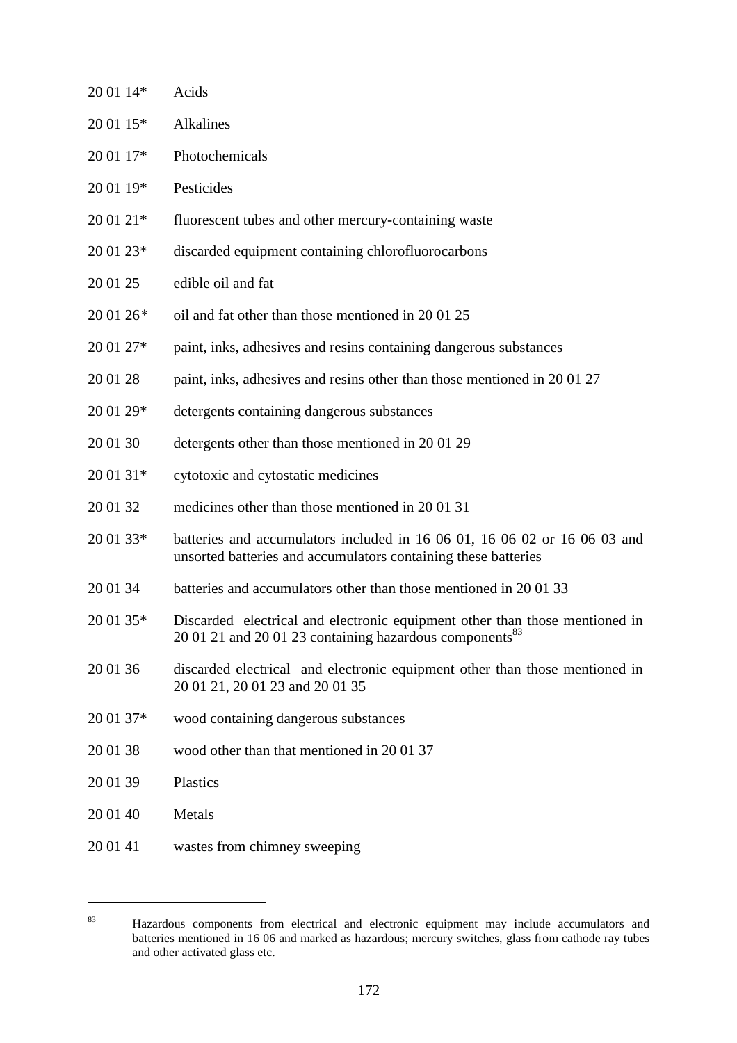| 20 01 14* | Acids                                                                                                                                              |
|-----------|----------------------------------------------------------------------------------------------------------------------------------------------------|
| 20 01 15* | Alkalines                                                                                                                                          |
| 20 01 17* | Photochemicals                                                                                                                                     |
| 20 01 19* | Pesticides                                                                                                                                         |
| 20 01 21* | fluorescent tubes and other mercury-containing waste                                                                                               |
| 20 01 23* | discarded equipment containing chlorofluorocarbons                                                                                                 |
| 20 01 25  | edible oil and fat                                                                                                                                 |
| 20 01 26* | oil and fat other than those mentioned in 2001 25                                                                                                  |
| 20 01 27* | paint, inks, adhesives and resins containing dangerous substances                                                                                  |
| 20 01 28  | paint, inks, adhesives and resins other than those mentioned in 200127                                                                             |
| 20 01 29* | detergents containing dangerous substances                                                                                                         |
| 20 01 30  | detergents other than those mentioned in 2001 29                                                                                                   |
| 20 01 31* | cytotoxic and cytostatic medicines                                                                                                                 |
| 20 01 32  | medicines other than those mentioned in 2001 31                                                                                                    |
| 20 01 33* | batteries and accumulators included in 16 06 01, 16 06 02 or 16 06 03 and<br>unsorted batteries and accumulators containing these batteries        |
| 20 01 34  | batteries and accumulators other than those mentioned in 2001 33                                                                                   |
| 20 01 35* | Discarded electrical and electronic equipment other than those mentioned in<br>20 01 21 and 20 01 23 containing hazardous components <sup>83</sup> |
| 20 01 36  | discarded electrical and electronic equipment other than those mentioned in<br>20 01 21, 20 01 23 and 20 01 35                                     |
| 20 01 37* | wood containing dangerous substances                                                                                                               |
| 20 01 38  | wood other than that mentioned in 2001 37                                                                                                          |
| 20 01 39  | Plastics                                                                                                                                           |
| 20 01 40  | Metals                                                                                                                                             |
| 20 01 41  | wastes from chimney sweeping                                                                                                                       |

 $\overline{a}$ 

<sup>83</sup> Hazardous components from electrical and electronic equipment may include accumulators and batteries mentioned in 16 06 and marked as hazardous; mercury switches, glass from cathode ray tubes and other activated glass etc.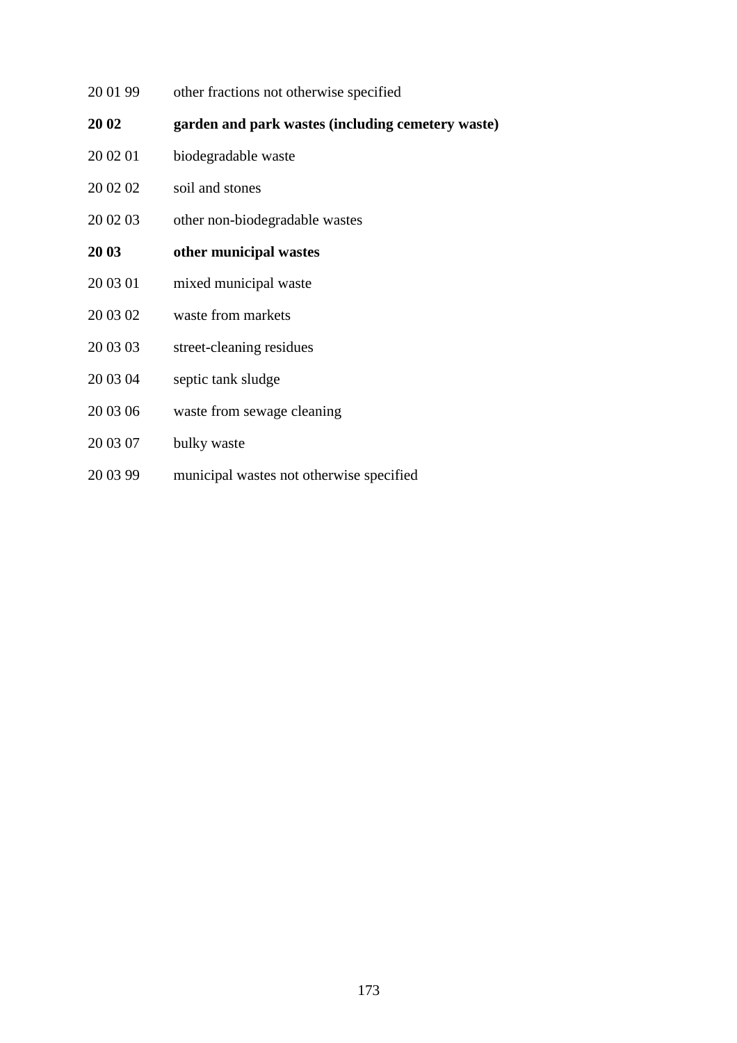- 20 01 99 other fractions not otherwise specified
- **20 02 garden and park wastes (including cemetery waste)**
- 20 02 01 biodegradable waste
- 20 02 02 soil and stones
- 20 02 03 other non-biodegradable wastes
- **20 03 other municipal wastes**
- 20 03 01 mixed municipal waste
- 20 03 02 waste from markets
- 20 03 03 street-cleaning residues
- 20 03 04 septic tank sludge
- 20 03 06 waste from sewage cleaning
- 20 03 07 bulky waste
- 20 03 99 municipal wastes not otherwise specified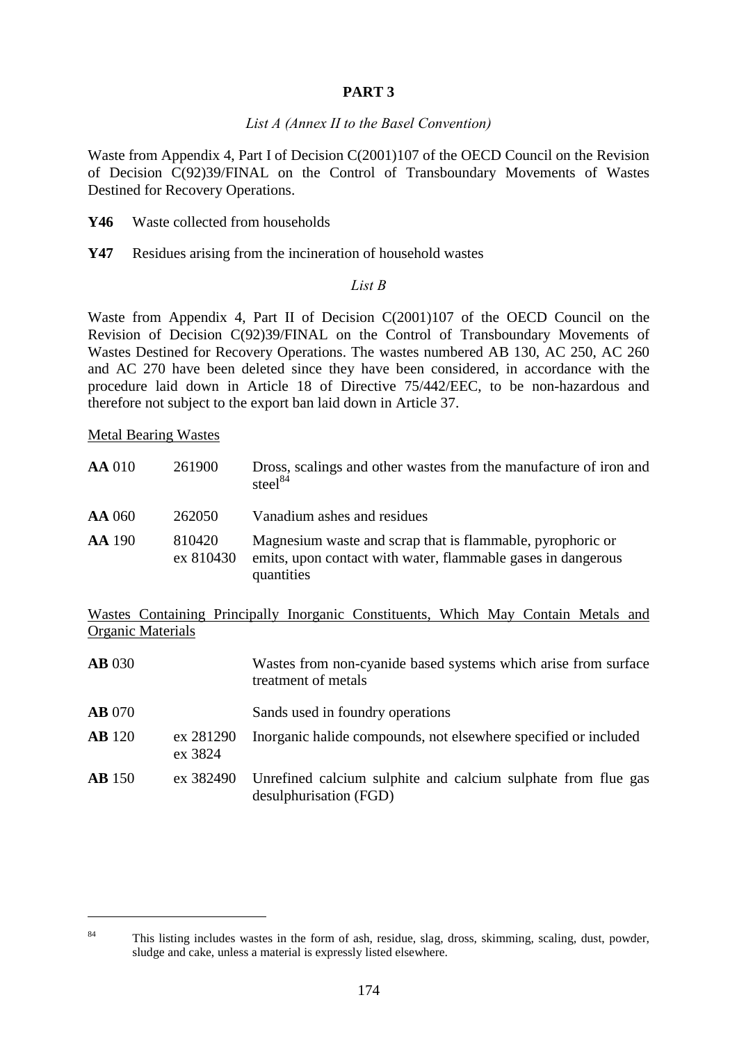### **PART 3**

#### *List A (Annex II to the Basel Convention)*

Waste from Appendix 4, Part I of Decision C(2001)107 of the OECD Council on the Revision of Decision C(92)39/FINAL on the Control of Transboundary Movements of Wastes Destined for Recovery Operations.

- **Y46** Waste collected from households
- **Y47** Residues arising from the incineration of household wastes

#### *List B*

Waste from Appendix 4, Part II of Decision C(2001)107 of the OECD Council on the Revision of Decision C(92)39/FINAL on the Control of Transboundary Movements of Wastes Destined for Recovery Operations. The wastes numbered AB 130, AC 250, AC 260 and AC 270 have been deleted since they have been considered, in accordance with the procedure laid down in Article 18 of Directive 75/442/EEC, to be non-hazardous and therefore not subject to the export ban laid down in Article 37.

Metal Bearing Wastes

 $\overline{a}$ 

| <b>AA</b> 010 | 261900              | Dross, scalings and other wastes from the manufacture of iron and<br>steel <sup>84</sup>                                                 |
|---------------|---------------------|------------------------------------------------------------------------------------------------------------------------------------------|
| <b>AA</b> 060 | 262050              | Vanadium ashes and residues                                                                                                              |
| <b>AA</b> 190 | 810420<br>ex 810430 | Magnesium waste and scrap that is flammable, pyrophoric or<br>emits, upon contact with water, flammable gases in dangerous<br>quantities |

Wastes Containing Principally Inorganic Constituents, Which May Contain Metals and Organic Materials

| <b>AB</b> 030 |                      | Wastes from non-cyanide based systems which arise from surface<br>treatment of metals   |
|---------------|----------------------|-----------------------------------------------------------------------------------------|
| <b>AB</b> 070 |                      | Sands used in foundry operations                                                        |
| <b>AB</b> 120 | ex 281290<br>ex 3824 | Inorganic halide compounds, not elsewhere specified or included                         |
| <b>AB</b> 150 | ex 382490            | Unrefined calcium sulphite and calcium sulphate from flue gas<br>desulphurisation (FGD) |

<sup>&</sup>lt;sup>84</sup> This listing includes wastes in the form of ash, residue, slag, dross, skimming, scaling, dust, powder, sludge and cake, unless a material is expressly listed elsewhere.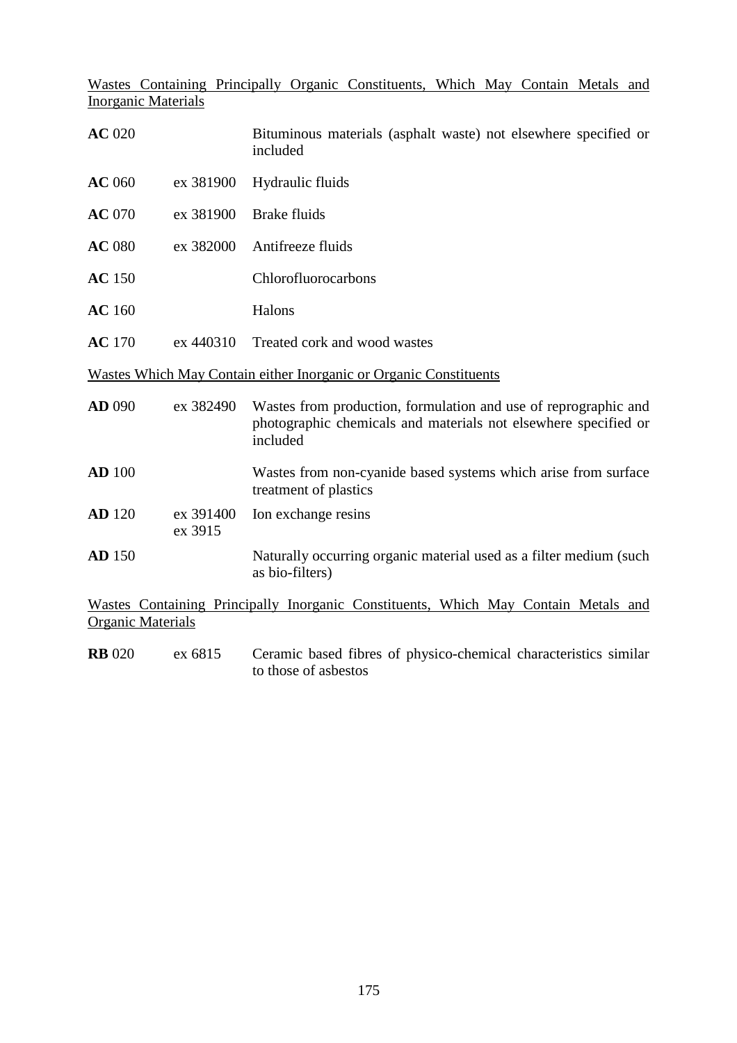Wastes Containing Principally Organic Constituents, Which May Contain Metals and Inorganic Materials

| <b>AC</b> 020 |                      | Bituminous materials (asphalt waste) not elsewhere specified or<br>included                                                                    |
|---------------|----------------------|------------------------------------------------------------------------------------------------------------------------------------------------|
| <b>AC</b> 060 | ex 381900            | Hydraulic fluids                                                                                                                               |
| <b>AC</b> 070 | ex 381900            | <b>Brake fluids</b>                                                                                                                            |
| <b>AC</b> 080 | ex 382000            | Antifreeze fluids                                                                                                                              |
| <b>AC</b> 150 |                      | Chlorofluorocarbons                                                                                                                            |
| <b>AC</b> 160 |                      | Halons                                                                                                                                         |
| <b>AC</b> 170 | ex 440310            | Treated cork and wood wastes                                                                                                                   |
|               |                      | Wastes Which May Contain either Inorganic or Organic Constituents                                                                              |
| <b>AD</b> 090 | ex 382490            | Wastes from production, formulation and use of reprographic and<br>photographic chemicals and materials not elsewhere specified or<br>included |
| <b>AD</b> 100 |                      | Wastes from non-cyanide based systems which arise from surface<br>treatment of plastics                                                        |
| <b>AD</b> 120 | ex 391400<br>ex 3915 | Ion exchange resins                                                                                                                            |
| <b>AD</b> 150 |                      | Naturally occurring organic material used as a filter medium (such<br>as bio-filters)                                                          |
|               |                      | Wastes Containing Principally Inorganic Constituents, Which May Contain Metals and                                                             |

Organic Materials

**RB** 020 ex 6815 Ceramic based fibres of physico-chemical characteristics similar to those of asbestos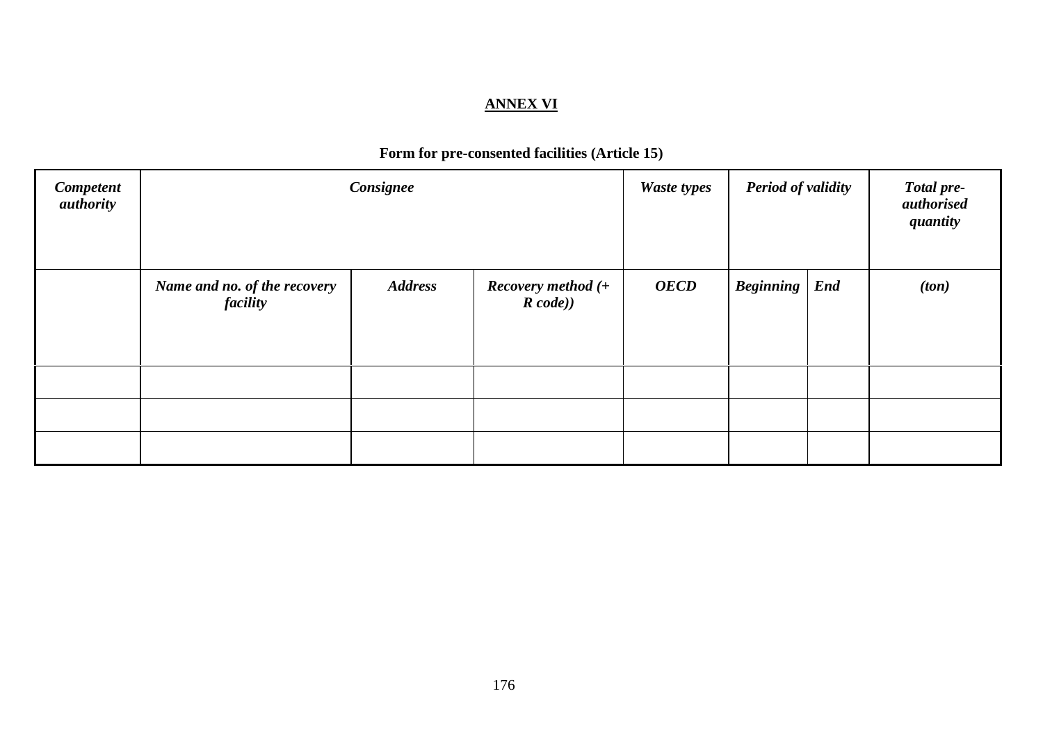#### **ANNEX VI**

# **Form for pre-consented facilities (Article 15)**

| <b>Competent</b><br><i>authority</i> | Consignee                                |                |                                  | <b>Waste types</b> | <b>Period of validity</b> |            | <b>Total pre-</b><br>authorised<br>quantity |
|--------------------------------------|------------------------------------------|----------------|----------------------------------|--------------------|---------------------------|------------|---------------------------------------------|
|                                      | Name and no. of the recovery<br>facility | <b>Address</b> | Recovery method $(+)$<br>R code) | <b>OECD</b>        | <b>Beginning</b>          | <b>End</b> | (ton)                                       |
|                                      |                                          |                |                                  |                    |                           |            |                                             |
|                                      |                                          |                |                                  |                    |                           |            |                                             |
|                                      |                                          |                |                                  |                    |                           |            |                                             |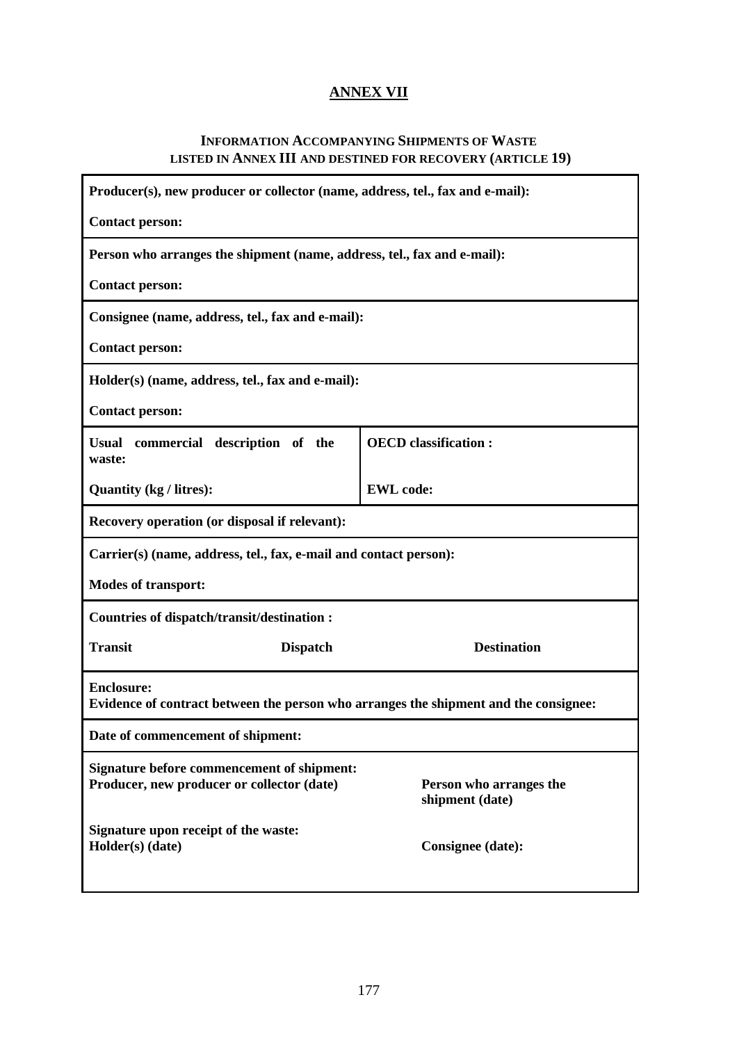# **ANNEX VII**

#### **INFORMATION ACCOMPANYING SHIPMENTS OF WASTE LISTED IN ANNEX III AND DESTINED FOR RECOVERY (ARTICLE 19)**

| Producer(s), new producer or collector (name, address, tel., fax and e-mail):                             |                              |  |  |  |  |  |
|-----------------------------------------------------------------------------------------------------------|------------------------------|--|--|--|--|--|
| <b>Contact person:</b>                                                                                    |                              |  |  |  |  |  |
| Person who arranges the shipment (name, address, tel., fax and e-mail):                                   |                              |  |  |  |  |  |
| <b>Contact person:</b>                                                                                    |                              |  |  |  |  |  |
| Consignee (name, address, tel., fax and e-mail):                                                          |                              |  |  |  |  |  |
| <b>Contact person:</b>                                                                                    |                              |  |  |  |  |  |
| Holder(s) (name, address, tel., fax and e-mail):                                                          |                              |  |  |  |  |  |
| <b>Contact person:</b>                                                                                    |                              |  |  |  |  |  |
| commercial description of the<br><b>Usual</b><br>waste:                                                   | <b>OECD</b> classification : |  |  |  |  |  |
| Quantity (kg / litres):                                                                                   | <b>EWL</b> code:             |  |  |  |  |  |
| Recovery operation (or disposal if relevant):                                                             |                              |  |  |  |  |  |
| Carrier(s) (name, address, tel., fax, e-mail and contact person):                                         |                              |  |  |  |  |  |
| <b>Modes of transport:</b>                                                                                |                              |  |  |  |  |  |
| Countries of dispatch/transit/destination :                                                               |                              |  |  |  |  |  |
| <b>Transit</b><br><b>Dispatch</b>                                                                         | <b>Destination</b>           |  |  |  |  |  |
| <b>Enclosure:</b><br>Evidence of contract between the person who arranges the shipment and the consignee: |                              |  |  |  |  |  |
| Date of commencement of shipment:                                                                         |                              |  |  |  |  |  |
| <b>Signature before commencement of shipment:</b>                                                         |                              |  |  |  |  |  |
| Producer, new producer or collector (date)<br>Person who arranges the<br>shipment (date)                  |                              |  |  |  |  |  |
| Signature upon receipt of the waste:                                                                      |                              |  |  |  |  |  |
| Holder(s) (date)<br>Consignee (date):                                                                     |                              |  |  |  |  |  |
|                                                                                                           |                              |  |  |  |  |  |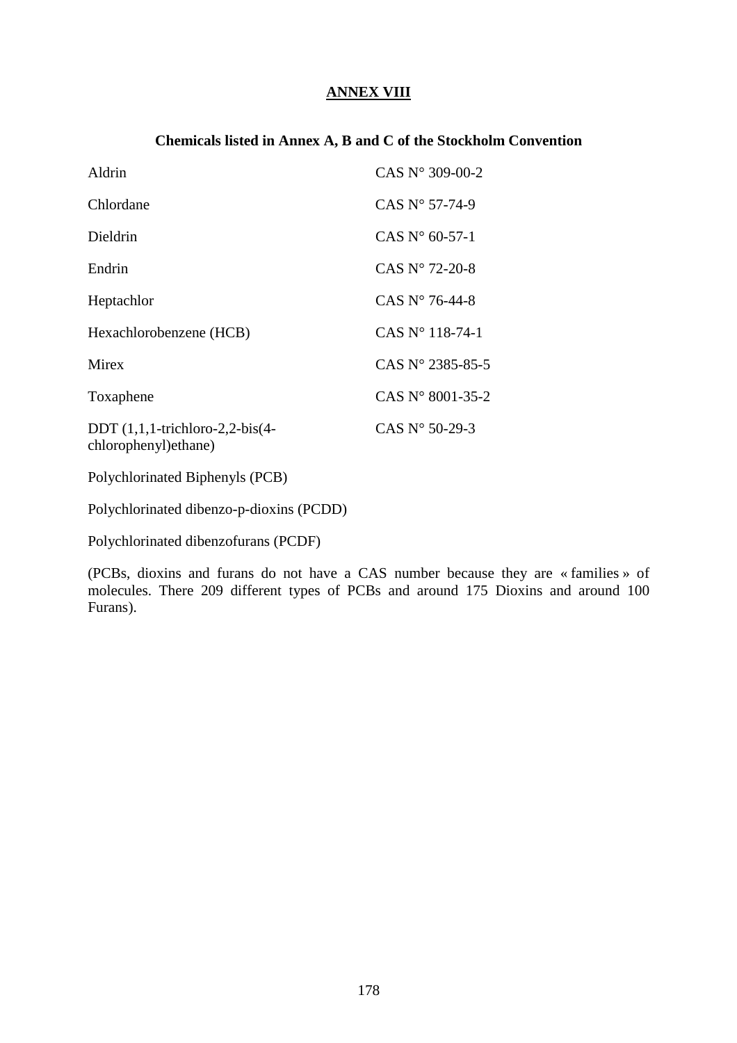## **ANNEX VIII**

#### **Chemicals listed in Annex A, B and C of the Stockholm Convention**

| Aldrin                                                         | CAS $N^{\circ}$ 309-00-2  |
|----------------------------------------------------------------|---------------------------|
| Chlordane                                                      | CAS $N^{\circ}$ 57-74-9   |
| Dieldrin                                                       | CAS $N^{\circ}$ 60-57-1   |
| Endrin                                                         | CAS $N^{\circ}$ 72-20-8   |
| Heptachlor                                                     | CAS $N^{\circ}$ 76-44-8   |
| Hexachlorobenzene (HCB)                                        | CAS $N^{\circ}$ 118-74-1  |
| <b>Mirex</b>                                                   | CAS $N^{\circ}$ 2385-85-5 |
| Toxaphene                                                      | CAS $N^{\circ}$ 8001-35-2 |
| DDT $(1,1,1$ -trichloro-2,2-bis $(4-$<br>chlorophenyl) ethane) | CAS $N^{\circ}$ 50-29-3   |

Polychlorinated Biphenyls (PCB)

Polychlorinated dibenzo-p-dioxins (PCDD)

Polychlorinated dibenzofurans (PCDF)

(PCBs, dioxins and furans do not have a CAS number because they are « families » of molecules. There 209 different types of PCBs and around 175 Dioxins and around 100 Furans).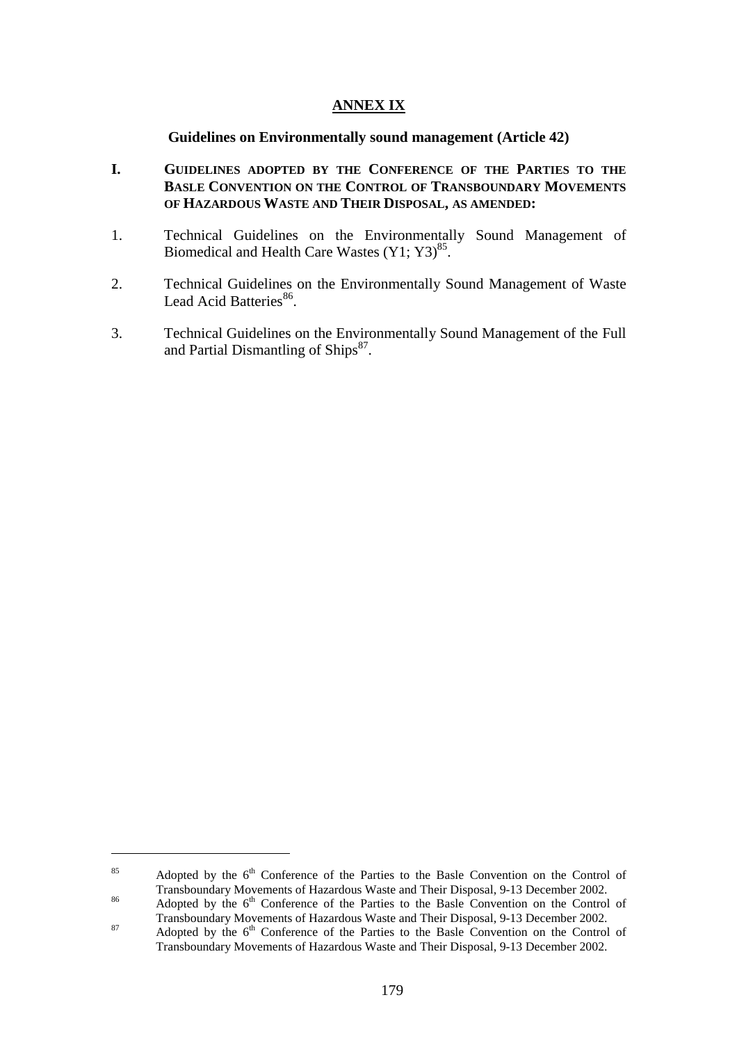#### **ANNEX IX**

#### **Guidelines on Environmentally sound management (Article 42)**

- **I. GUIDELINES ADOPTED BY THE CONFERENCE OF THE PARTIES TO THE BASLE CONVENTION ON THE CONTROL OF TRANSBOUNDARY MOVEMENTS OF HAZARDOUS WASTE AND THEIR DISPOSAL, AS AMENDED:**
- 1. Technical Guidelines on the Environmentally Sound Management of Biomedical and Health Care Wastes  $(Y1; Y3)^{85}$ .
- 2. Technical Guidelines on the Environmentally Sound Management of Waste Lead Acid Batteries<sup>86</sup>.
- 3. Technical Guidelines on the Environmentally Sound Management of the Full and Partial Dismantling of  $\text{Ships}^{87}$ .

 $\overline{a}$ 

<sup>&</sup>lt;sup>85</sup> Adopted by the  $6<sup>th</sup>$  Conference of the Parties to the Basle Convention on the Control of Transboundary Movements of Hazardous Waste and Their Disposal, 9-13 December 2002.

Transboundary Movements of Hazardous Waste and Their Disposal, 9-13 December 2002.<br>
Adopted by the 6<sup>th</sup> Conference of the Parties to the Basle Convention on the Control of Transboundary Movements of Hazardous Waste and Th  $T_{\text{Hamboomian}}$  Movements of Hazardous Waste and Their Disposal, 9-13 December 2002.<br>Adopted by the  $6<sup>th</sup>$  Conference of the Parties to the Basle Convention on the Control of

Transboundary Movements of Hazardous Waste and Their Disposal, 9-13 December 2002.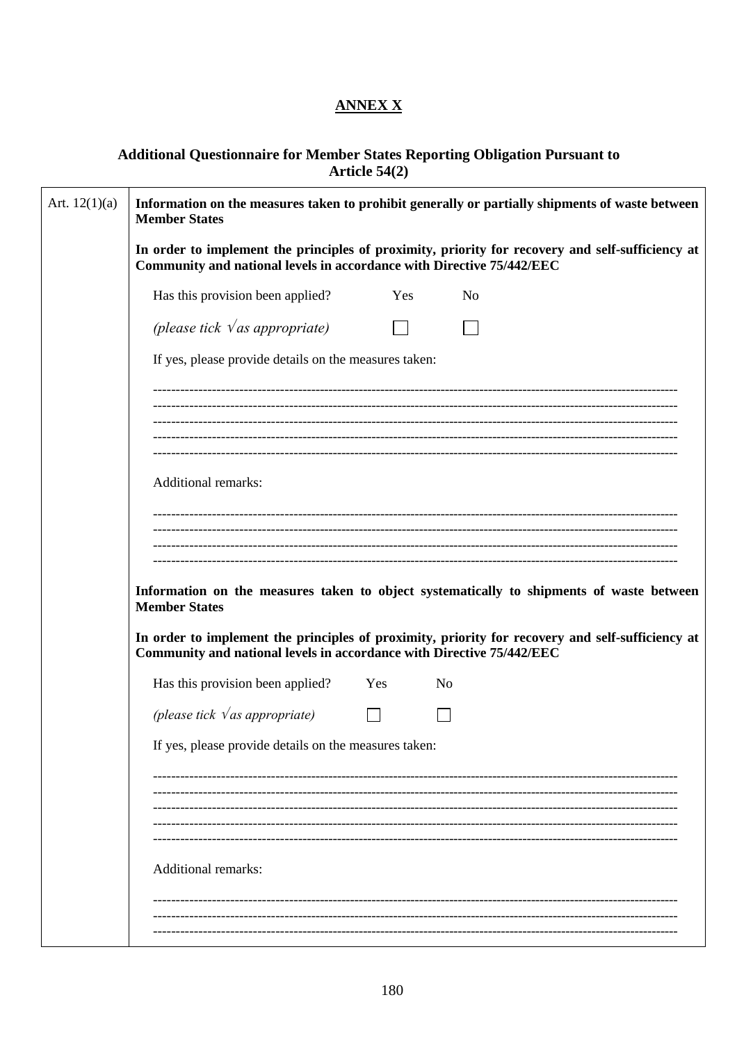## **ANNEX X**

# Additional Questionnaire for Member States Reporting Obligation Pursuant to<br>Article 54(2)

| Art. $12(1)(a)$ | Information on the measures taken to prohibit generally or partially shipments of waste between<br><b>Member States</b>                                                   |                                                                                          |           |  |  |  |  |
|-----------------|---------------------------------------------------------------------------------------------------------------------------------------------------------------------------|------------------------------------------------------------------------------------------|-----------|--|--|--|--|
|                 | In order to implement the principles of proximity, priority for recovery and self-sufficiency at<br>Community and national levels in accordance with Directive 75/442/EEC |                                                                                          |           |  |  |  |  |
|                 | Has this provision been applied?                                                                                                                                          | Yes                                                                                      | No        |  |  |  |  |
|                 | (please tick $\sqrt{as}$ appropriate)                                                                                                                                     |                                                                                          |           |  |  |  |  |
|                 | If yes, please provide details on the measures taken:                                                                                                                     |                                                                                          |           |  |  |  |  |
|                 |                                                                                                                                                                           |                                                                                          |           |  |  |  |  |
|                 |                                                                                                                                                                           |                                                                                          |           |  |  |  |  |
|                 | <b>Additional remarks:</b>                                                                                                                                                |                                                                                          |           |  |  |  |  |
|                 |                                                                                                                                                                           |                                                                                          |           |  |  |  |  |
|                 |                                                                                                                                                                           |                                                                                          |           |  |  |  |  |
|                 | <b>Member States</b>                                                                                                                                                      | Information on the measures taken to object systematically to shipments of waste between |           |  |  |  |  |
|                 | In order to implement the principles of proximity, priority for recovery and self-sufficiency at<br>Community and national levels in accordance with Directive 75/442/EEC |                                                                                          |           |  |  |  |  |
|                 | Has this provision been applied? Yes                                                                                                                                      |                                                                                          | <b>No</b> |  |  |  |  |
|                 | (please tick $\sqrt{as}$ appropriate)                                                                                                                                     |                                                                                          |           |  |  |  |  |
|                 |                                                                                                                                                                           |                                                                                          |           |  |  |  |  |
|                 |                                                                                                                                                                           |                                                                                          |           |  |  |  |  |
|                 |                                                                                                                                                                           |                                                                                          |           |  |  |  |  |
|                 |                                                                                                                                                                           |                                                                                          |           |  |  |  |  |
|                 | <b>Additional remarks:</b>                                                                                                                                                |                                                                                          |           |  |  |  |  |
|                 |                                                                                                                                                                           |                                                                                          |           |  |  |  |  |
|                 |                                                                                                                                                                           |                                                                                          |           |  |  |  |  |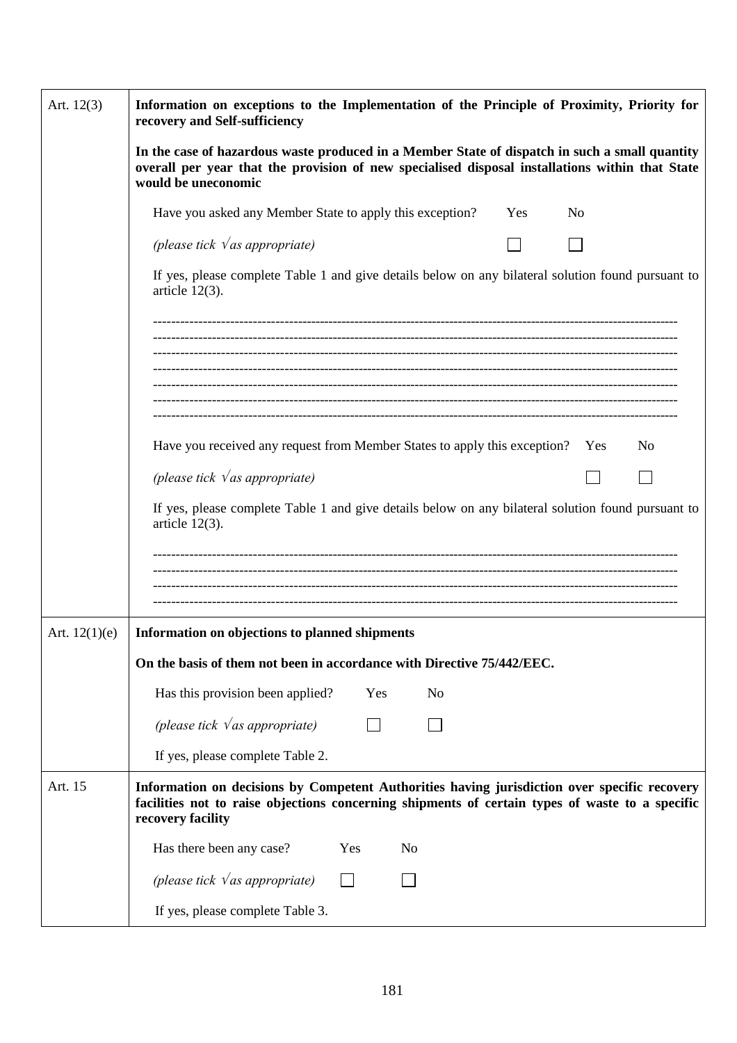| Art. $12(3)$    | Information on exceptions to the Implementation of the Principle of Proximity, Priority for<br>recovery and Self-sufficiency                                                                                             |  |  |  |  |  |  |
|-----------------|--------------------------------------------------------------------------------------------------------------------------------------------------------------------------------------------------------------------------|--|--|--|--|--|--|
|                 | In the case of hazardous waste produced in a Member State of dispatch in such a small quantity<br>overall per year that the provision of new specialised disposal installations within that State<br>would be uneconomic |  |  |  |  |  |  |
|                 | Have you asked any Member State to apply this exception?<br>N <sub>o</sub><br>Yes                                                                                                                                        |  |  |  |  |  |  |
|                 | (please tick $\sqrt{as}$ appropriate)                                                                                                                                                                                    |  |  |  |  |  |  |
|                 | If yes, please complete Table 1 and give details below on any bilateral solution found pursuant to<br>article $12(3)$ .                                                                                                  |  |  |  |  |  |  |
|                 |                                                                                                                                                                                                                          |  |  |  |  |  |  |
|                 |                                                                                                                                                                                                                          |  |  |  |  |  |  |
|                 | Have you received any request from Member States to apply this exception? Yes<br>No                                                                                                                                      |  |  |  |  |  |  |
|                 | (please tick $\sqrt{as}$ appropriate)                                                                                                                                                                                    |  |  |  |  |  |  |
|                 | If yes, please complete Table 1 and give details below on any bilateral solution found pursuant to<br>article $12(3)$ .                                                                                                  |  |  |  |  |  |  |
|                 |                                                                                                                                                                                                                          |  |  |  |  |  |  |
|                 |                                                                                                                                                                                                                          |  |  |  |  |  |  |
| Art. $12(1)(e)$ | Information on objections to planned shipments                                                                                                                                                                           |  |  |  |  |  |  |
|                 | On the basis of them not been in accordance with Directive 75/442/EEC.                                                                                                                                                   |  |  |  |  |  |  |
|                 | Has this provision been applied?<br>Yes<br>N <sub>o</sub>                                                                                                                                                                |  |  |  |  |  |  |
|                 | (please tick $\sqrt{as}$ appropriate)                                                                                                                                                                                    |  |  |  |  |  |  |
|                 | If yes, please complete Table 2.                                                                                                                                                                                         |  |  |  |  |  |  |
| Art. 15         | Information on decisions by Competent Authorities having jurisdiction over specific recovery<br>facilities not to raise objections concerning shipments of certain types of waste to a specific<br>recovery facility     |  |  |  |  |  |  |
|                 | Has there been any case?<br>Yes<br>N <sub>0</sub>                                                                                                                                                                        |  |  |  |  |  |  |
|                 | (please tick $\sqrt{as}$ appropriate)                                                                                                                                                                                    |  |  |  |  |  |  |
|                 | If yes, please complete Table 3.                                                                                                                                                                                         |  |  |  |  |  |  |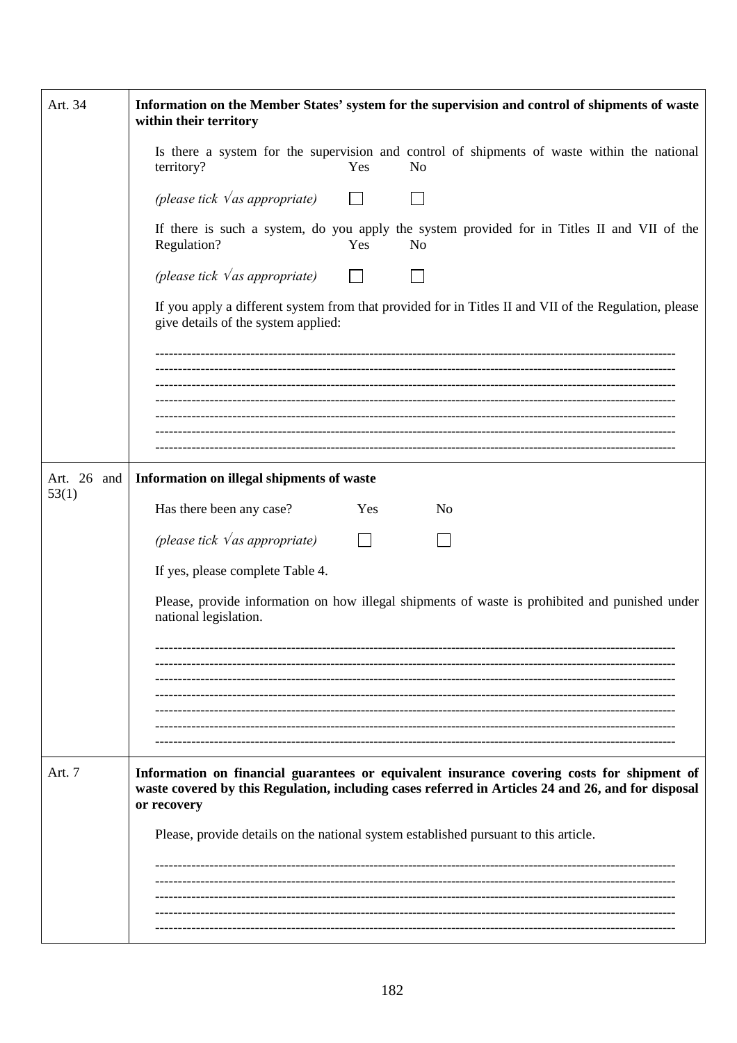| Art. 34              | Information on the Member States' system for the supervision and control of shipments of waste<br>within their territory                                                                                        |  |  |  |  |
|----------------------|-----------------------------------------------------------------------------------------------------------------------------------------------------------------------------------------------------------------|--|--|--|--|
|                      | Is there a system for the supervision and control of shipments of waste within the national<br>territory?<br>Yes<br>N <sub>o</sub>                                                                              |  |  |  |  |
|                      | (please tick $\sqrt{as}$ appropriate)                                                                                                                                                                           |  |  |  |  |
|                      | If there is such a system, do you apply the system provided for in Titles II and VII of the<br>Regulation?<br>Yes<br>N <sub>o</sub>                                                                             |  |  |  |  |
|                      | (please tick $\sqrt{as}$ appropriate) $\Box$                                                                                                                                                                    |  |  |  |  |
|                      | If you apply a different system from that provided for in Titles II and VII of the Regulation, please<br>give details of the system applied:                                                                    |  |  |  |  |
|                      |                                                                                                                                                                                                                 |  |  |  |  |
|                      |                                                                                                                                                                                                                 |  |  |  |  |
|                      |                                                                                                                                                                                                                 |  |  |  |  |
| Art. 26 and<br>53(1) | Information on illegal shipments of waste                                                                                                                                                                       |  |  |  |  |
|                      | Has there been any case?<br>Yes<br>N <sub>o</sub>                                                                                                                                                               |  |  |  |  |
|                      | (please tick $\sqrt{as}$ appropriate)<br>$\Box$                                                                                                                                                                 |  |  |  |  |
|                      | If yes, please complete Table 4.                                                                                                                                                                                |  |  |  |  |
|                      | Please, provide information on how illegal shipments of waste is prohibited and punished under<br>national legislation.                                                                                         |  |  |  |  |
|                      |                                                                                                                                                                                                                 |  |  |  |  |
|                      |                                                                                                                                                                                                                 |  |  |  |  |
|                      |                                                                                                                                                                                                                 |  |  |  |  |
|                      |                                                                                                                                                                                                                 |  |  |  |  |
| Art. 7               | Information on financial guarantees or equivalent insurance covering costs for shipment of<br>waste covered by this Regulation, including cases referred in Articles 24 and 26, and for disposal<br>or recovery |  |  |  |  |
|                      | Please, provide details on the national system established pursuant to this article.                                                                                                                            |  |  |  |  |
|                      |                                                                                                                                                                                                                 |  |  |  |  |
|                      |                                                                                                                                                                                                                 |  |  |  |  |
|                      |                                                                                                                                                                                                                 |  |  |  |  |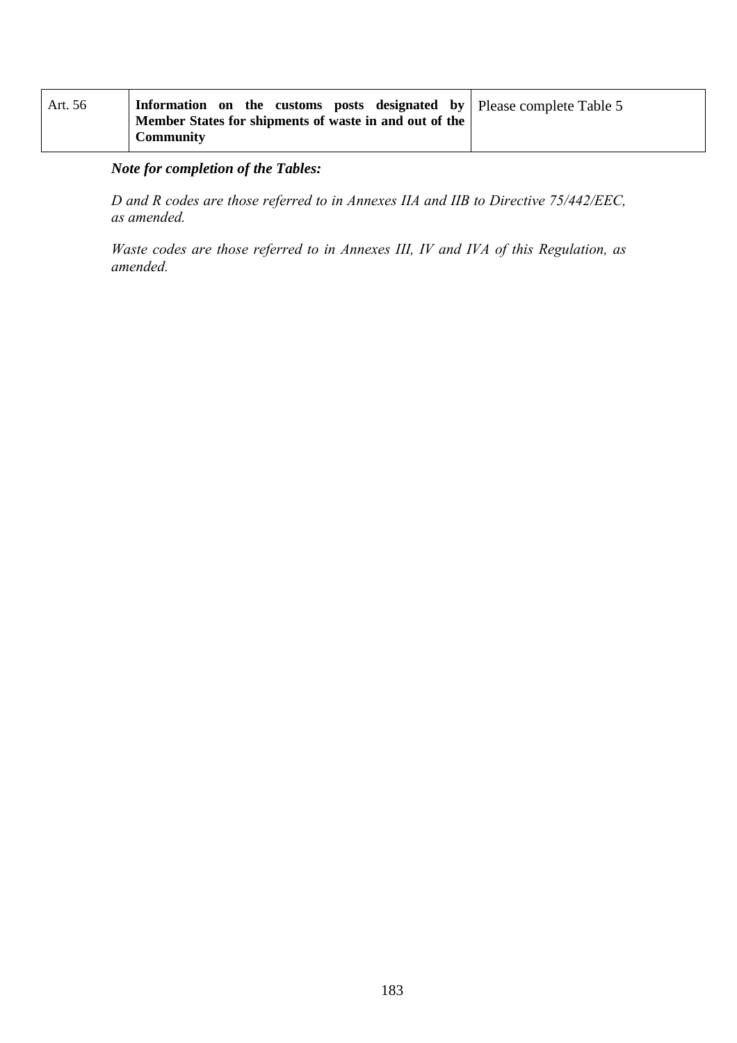| Art. 56 | Information on the customs posts designated by Please complete Table 5<br>Member States for shipments of waste in and out of the |  |
|---------|----------------------------------------------------------------------------------------------------------------------------------|--|
|         | Community                                                                                                                        |  |

# *Note for completion of the Tables:*

*D and R codes are those referred to in Annexes IIA and IIB to Directive 75/442/EEC, as amended.*

*Waste codes are those referred to in Annexes III, IV and IVA of this Regulation, as amended.*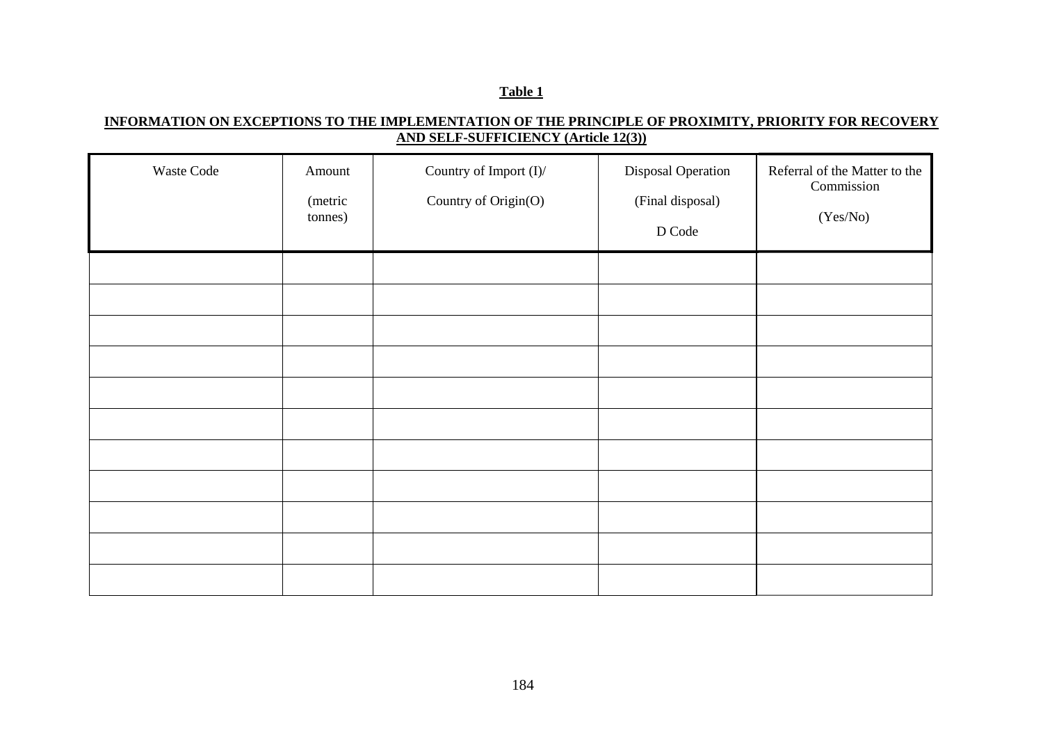### **INFORMATION ON EXCEPTIONS TO THE IMPLEMENTATION OF THE PRINCIPLE OF PROXIMITY, PRIORITY FOR RECOVERY AND SELF-SUFFICIENCY (Article 12(3))**

| Waste Code | Amount<br>(metric<br>tonnes) | Country of Import (I)/<br>Country of Origin(O) | Disposal Operation<br>(Final disposal)<br>D Code | Referral of the Matter to the<br>Commission<br>(Yes/No) |
|------------|------------------------------|------------------------------------------------|--------------------------------------------------|---------------------------------------------------------|
|            |                              |                                                |                                                  |                                                         |
|            |                              |                                                |                                                  |                                                         |
|            |                              |                                                |                                                  |                                                         |
|            |                              |                                                |                                                  |                                                         |
|            |                              |                                                |                                                  |                                                         |
|            |                              |                                                |                                                  |                                                         |
|            |                              |                                                |                                                  |                                                         |
|            |                              |                                                |                                                  |                                                         |
|            |                              |                                                |                                                  |                                                         |
|            |                              |                                                |                                                  |                                                         |
|            |                              |                                                |                                                  |                                                         |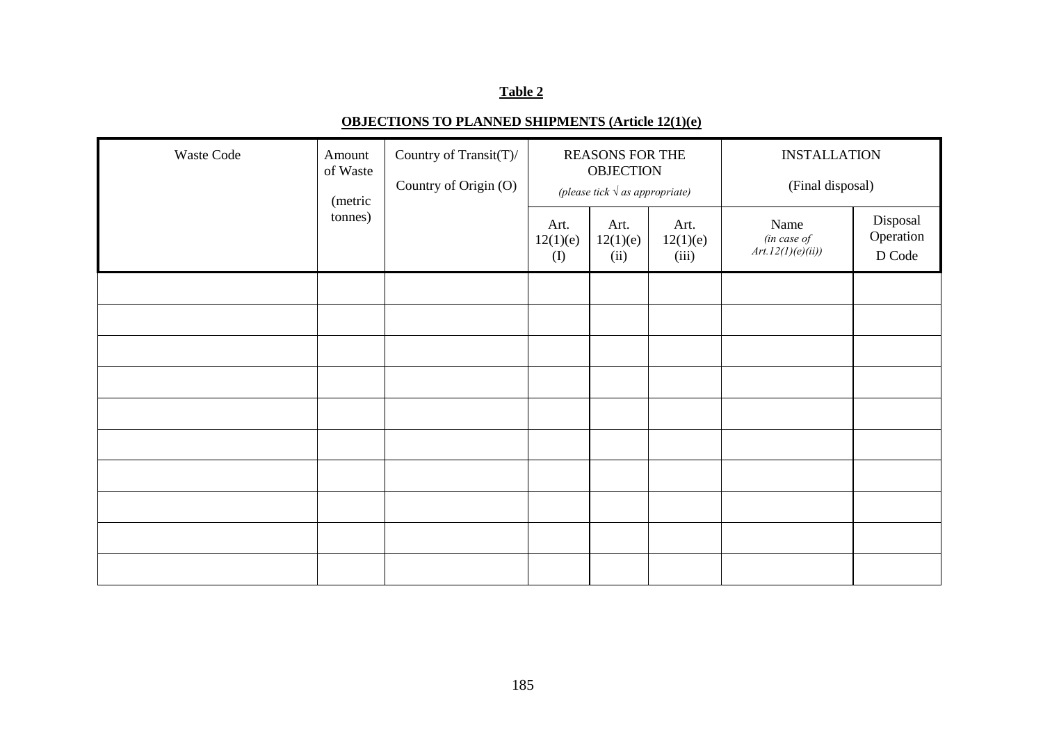## **OBJECTIONS TO PLANNED SHIPMENTS (Article 12(1)(e)**

| Waste Code | Country of Transit(T)/<br>Amount<br>of Waste<br>Country of Origin (O)<br>(metric |  |                              | <b>REASONS FOR THE</b><br><b>OBJECTION</b><br>(please tick $\sqrt{as$ appropriate) |                           | <b>INSTALLATION</b><br>(Final disposal)  |                                 |
|------------|----------------------------------------------------------------------------------|--|------------------------------|------------------------------------------------------------------------------------|---------------------------|------------------------------------------|---------------------------------|
|            | tonnes)                                                                          |  | Art.<br>12(1)(e)<br>$\rm(D)$ | Art.<br>12(1)(e)<br>(ii)                                                           | Art.<br>12(1)(e)<br>(iii) | Name<br>(in case of<br>Art.12(1)(e)(ii)) | Disposal<br>Operation<br>D Code |
|            |                                                                                  |  |                              |                                                                                    |                           |                                          |                                 |
|            |                                                                                  |  |                              |                                                                                    |                           |                                          |                                 |
|            |                                                                                  |  |                              |                                                                                    |                           |                                          |                                 |
|            |                                                                                  |  |                              |                                                                                    |                           |                                          |                                 |
|            |                                                                                  |  |                              |                                                                                    |                           |                                          |                                 |
|            |                                                                                  |  |                              |                                                                                    |                           |                                          |                                 |
|            |                                                                                  |  |                              |                                                                                    |                           |                                          |                                 |
|            |                                                                                  |  |                              |                                                                                    |                           |                                          |                                 |
|            |                                                                                  |  |                              |                                                                                    |                           |                                          |                                 |
|            |                                                                                  |  |                              |                                                                                    |                           |                                          |                                 |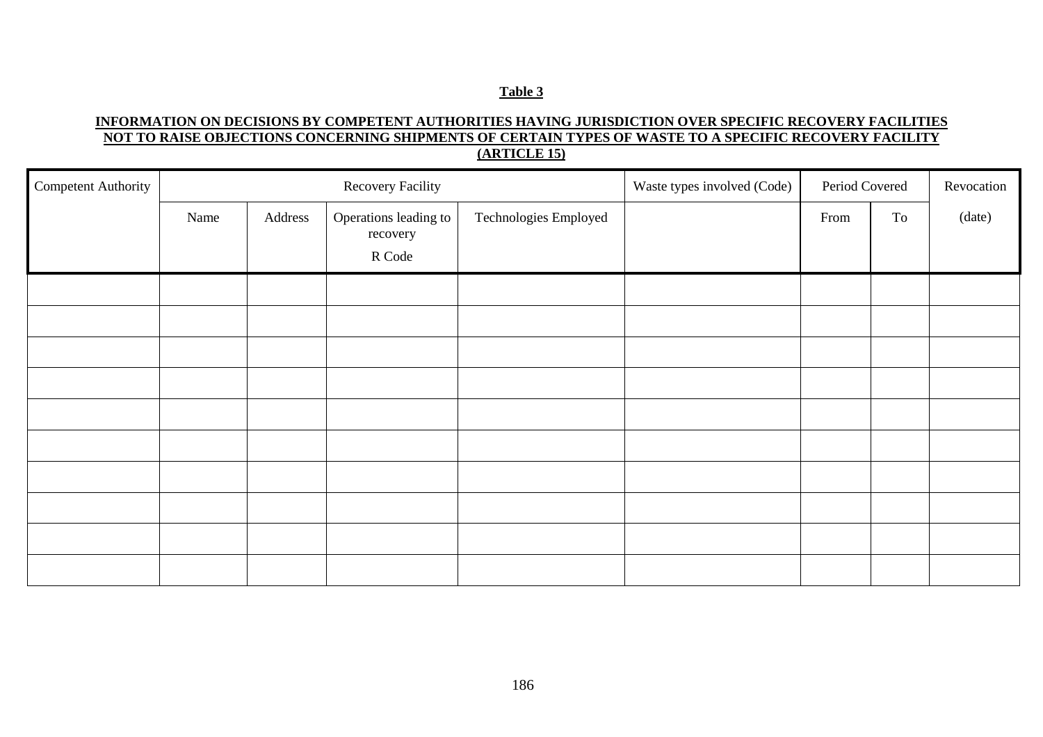### **INFORMATION ON DECISIONS BY COMPETENT AUTHORITIES HAVING JURISDICTION OVER SPECIFIC RECOVERY FACILITIES NOT TO RAISE OBJECTIONS CONCERNING SHIPMENTS OF CERTAIN TYPES OF WASTE TO A SPECIFIC RECOVERY FACILITY(ARTICLE 15)**

| <b>Competent Authority</b> | <b>Recovery Facility</b> |         |                                             |                       | Waste types involved (Code) | Period Covered |    | Revocation |
|----------------------------|--------------------------|---------|---------------------------------------------|-----------------------|-----------------------------|----------------|----|------------|
|                            | Name                     | Address | Operations leading to<br>recovery<br>R Code | Technologies Employed |                             | From           | To | (date)     |
|                            |                          |         |                                             |                       |                             |                |    |            |
|                            |                          |         |                                             |                       |                             |                |    |            |
|                            |                          |         |                                             |                       |                             |                |    |            |
|                            |                          |         |                                             |                       |                             |                |    |            |
|                            |                          |         |                                             |                       |                             |                |    |            |
|                            |                          |         |                                             |                       |                             |                |    |            |
|                            |                          |         |                                             |                       |                             |                |    |            |
|                            |                          |         |                                             |                       |                             |                |    |            |
|                            |                          |         |                                             |                       |                             |                |    |            |
|                            |                          |         |                                             |                       |                             |                |    |            |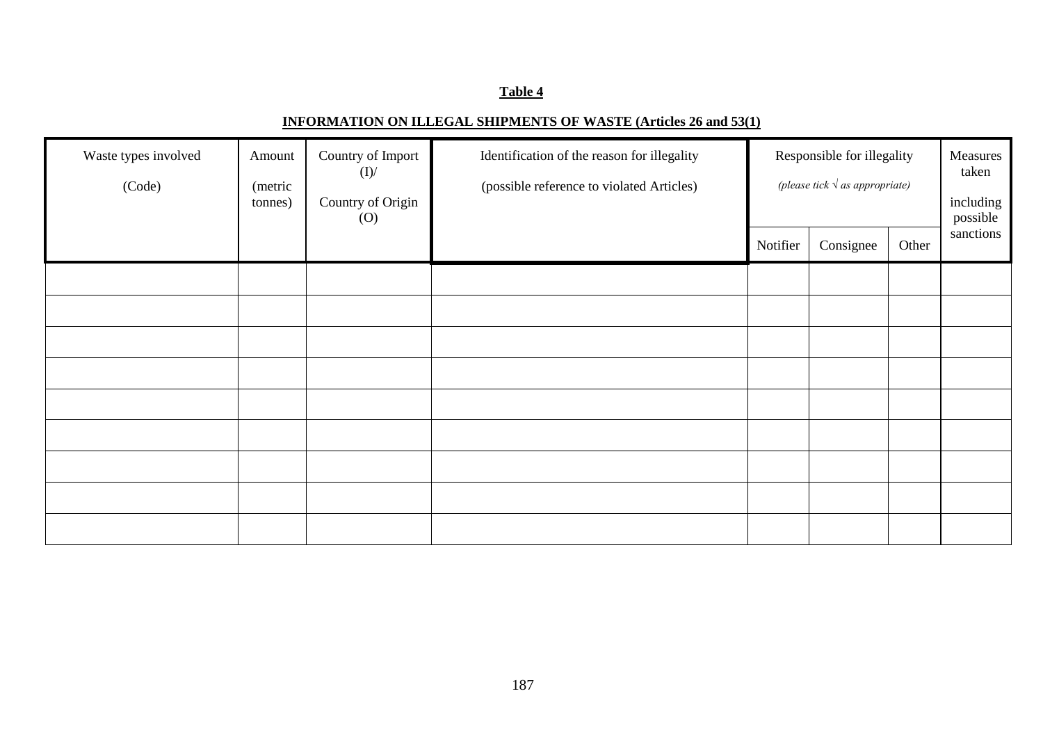## **INFORMATION ON ILLEGAL SHIPMENTS OF WASTE (Articles 26 and 53(1)**

| Waste types involved<br>(Code) | Amount<br>(metric<br>tonnes) | Country of Import<br>(I)<br>Country of Origin<br>$\left( 0\right)$ | Identification of the reason for illegality<br>(possible reference to violated Articles) | Responsible for illegality<br>(please tick $\sqrt{a}$ as appropriate) |           | Measures<br>taken<br>including<br>possible<br>sanctions |  |
|--------------------------------|------------------------------|--------------------------------------------------------------------|------------------------------------------------------------------------------------------|-----------------------------------------------------------------------|-----------|---------------------------------------------------------|--|
|                                |                              |                                                                    |                                                                                          | Notifier                                                              | Consignee | Other                                                   |  |
|                                |                              |                                                                    |                                                                                          |                                                                       |           |                                                         |  |
|                                |                              |                                                                    |                                                                                          |                                                                       |           |                                                         |  |
|                                |                              |                                                                    |                                                                                          |                                                                       |           |                                                         |  |
|                                |                              |                                                                    |                                                                                          |                                                                       |           |                                                         |  |
|                                |                              |                                                                    |                                                                                          |                                                                       |           |                                                         |  |
|                                |                              |                                                                    |                                                                                          |                                                                       |           |                                                         |  |
|                                |                              |                                                                    |                                                                                          |                                                                       |           |                                                         |  |
|                                |                              |                                                                    |                                                                                          |                                                                       |           |                                                         |  |
|                                |                              |                                                                    |                                                                                          |                                                                       |           |                                                         |  |